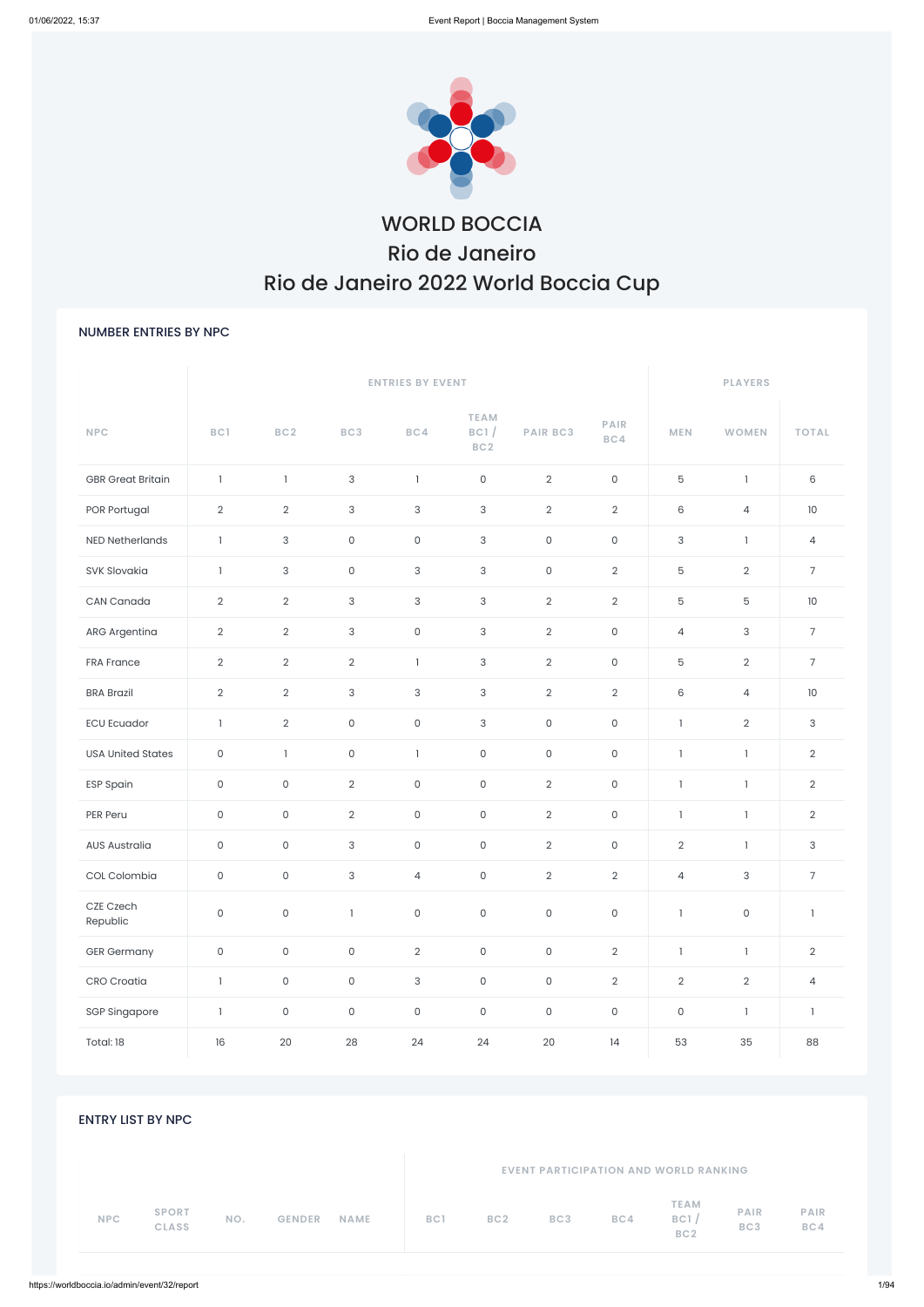

# WORLD BOCCIA Rio de Janeiro Rio de Janeiro 2022 World Boccia Cup

### NUMBER ENTRIES BY NPC

| <b>NPC</b>                                 | BC1                 | BC <sub>2</sub>     | BC3            | BC4                 | <b>TEAM</b><br>BC1/<br>BC2 | <b>PAIR BC3</b>                              | PAIR<br>BC4         | <b>MEN</b>                             | <b>WOMEN</b>       | <b>TOTAL</b>             |
|--------------------------------------------|---------------------|---------------------|----------------|---------------------|----------------------------|----------------------------------------------|---------------------|----------------------------------------|--------------------|--------------------------|
| <b>GBR</b> Great Britain                   | $\mathbf{1}$        | $\mathbf{1}$        | 3              | $\overline{1}$      | $\mathsf O$                | $\overline{2}$                               | $\mathsf{O}$        | 5                                      | $\mathbf{1}$       | $\,6$                    |
| POR Portugal                               | $\overline{2}$      | $\overline{2}$      | $\mathsf{3}$   | $\mathbf{3}$        | $\mathbf{3}$               | $\overline{2}$                               | $\overline{2}$      | 6                                      | $\overline{4}$     | 10                       |
| <b>NED Netherlands</b>                     | $\mathbf{1}$        | $\mathsf{3}$        | $\mathsf{O}$   | $\mathsf O$         | $\mathsf{3}$               | $\mathsf O$                                  | $\mathsf{O}$        | $\mathsf{3}$                           | $\mathbf{1}$       | $\overline{4}$           |
| SVK Slovakia                               | $\mathbf{1}$        | 3                   | $\mathsf{O}$   | $\sqrt{3}$          | $\mathsf{3}$               | $\mathsf O$                                  | $\overline{2}$      | 5                                      | $\overline{2}$     | $\overline{7}$           |
| CAN Canada                                 | $\overline{2}$      | $\overline{2}$      | $\mathsf{3}$   | $\mathsf 3$         | $\mathsf{3}$               | $\overline{2}$                               | $\overline{2}$      | $5\phantom{.0}$                        | 5                  | 10                       |
| ARG Argentina                              | $\overline{2}$      | $\overline{2}$      | $\mathbf{3}$   | $\mathsf O$         | $\mathsf{3}$               | $\overline{2}$                               | $\mathsf O$         | $\overline{4}$                         | 3                  | $\overline{7}$           |
| <b>FRA France</b>                          | $\overline{2}$      | $\overline{2}$      | $\overline{2}$ | $\mathbf{I}$        | $\mathsf{3}$               | $\overline{2}$                               | $\mathsf O$         | 5                                      | $\overline{2}$     | $\overline{7}$           |
| <b>BRA Brazil</b>                          | $\overline{2}$      | $\overline{2}$      | $\mathsf{3}$   | $\mathsf 3$         | $\mathsf{3}$               | $\overline{2}$                               | $\overline{2}$      | $6\phantom{1}$                         | $\overline{4}$     | 10                       |
| <b>ECU Ecuador</b>                         | $\mathbf{1}$        | $\overline{2}$      | $\mathsf{O}$   | $\mathsf O$         | $\mathsf{3}$               | $\mathsf O$                                  | $\mathsf O$         | $\mathbf{1}$                           | $\overline{2}$     | $\mathbf{3}$             |
| <b>USA United States</b>                   | $\mathsf O$         | $\mathbf{1}$        | $\mathsf{O}$   | $\overline{1}$      | $\mathsf O$                | $\mathsf O$                                  | $\mathsf O$         | $\mathbf{1}$                           | $\mathbf{1}$       | $\overline{2}$           |
| <b>ESP Spain</b>                           | $\mathsf O$         | $\mathsf O$         | $\overline{2}$ | $\mathsf{O}$        | $\mathsf{O}\xspace$        | $\overline{2}$                               | $\mathsf O$         | $\mathbf{1}$                           | $\mathbf{1}$       | $\overline{2}$           |
| PER Peru                                   | $\mathsf O$         | $\mathsf O$         | $\overline{2}$ | $\mathsf O$         | $\mathsf{O}\xspace$        | $\overline{2}$                               | $\mathsf O$         | $\mathbf{I}$                           | $\mathbf{1}$       | $\overline{2}$           |
| <b>AUS Australia</b>                       | $\mathsf O$         | $\mathsf O$         | $\mathsf{3}$   | $\mathsf O$         | $\mathsf O$                | $\overline{2}$                               | $\mathsf O$         | $\overline{2}$                         | $\mathbf{1}$       | $\mathsf{3}$             |
| COL Colombia                               | $\mathsf O$         | $\mathsf{O}\xspace$ | $\mathsf{3}$   | $\overline{4}$      | $\mathsf{O}\xspace$        | $\overline{2}$                               | $\overline{2}$      | $\overline{4}$                         | $\mathbf{3}$       | $\sqrt{ }$               |
| CZE Czech<br>Republic                      | $\mathsf O$         | $\mathsf{O}\xspace$ | $\overline{1}$ | $\mathsf{O}\xspace$ | $\mathsf{O}\xspace$        | $\mathsf{O}\xspace$                          | $\mathsf{O}$        | $\mathbf{1}$                           | $\mathsf O$        | $\overline{\phantom{a}}$ |
| <b>GER Germany</b>                         | $\mathsf{O}\xspace$ | $\mathsf{O}\xspace$ | $\mathsf{O}$   | $\overline{2}$      | $\mathsf O$                | $\mathsf{O}\xspace$                          | $\overline{2}$      | $\mathbf{I}$                           | $\mathbf{1}$       | $\overline{2}$           |
| <b>CRO</b> Croatia                         | $\mathbf{I}$        | $\mathsf{O}$        | $\mathsf{O}$   | $\sqrt{3}$          | $\mathsf O$                | $\mathsf O$                                  | $\overline{2}$      | $\overline{2}$                         | $\overline{2}$     | $\overline{4}$           |
| <b>SGP Singapore</b>                       | $\mathbf{1}$        | $\mathsf O$         | $\mathsf{O}$   | $\mathsf O$         | $\mathsf{O}\xspace$        | $\mathsf O$                                  | $\mathsf{O}\xspace$ | $\mathsf{O}\xspace$                    | $\mathbf{1}$       | $\overline{\phantom{a}}$ |
| Total: 18                                  | 16                  | 20                  | 28             | 24                  | 24                         | 20                                           | 14                  | 53                                     | 35                 | 88                       |
| <b>ENTRY LIST BY NPC</b>                   |                     |                     |                |                     |                            | <b>EVENT PARTICIPATION AND WORLD RANKING</b> |                     |                                        |                    |                          |
| <b>SPORT</b><br><b>NPC</b><br><b>CLASS</b> | NO.                 | <b>GENDER</b>       | NAME           | BC1                 | BC <sub>2</sub>            | BC3                                          | BC4                 | <b>TEAM</b><br>BC1/<br>BC <sub>2</sub> | <b>PAIR</b><br>BC3 | PAIR<br>BC4              |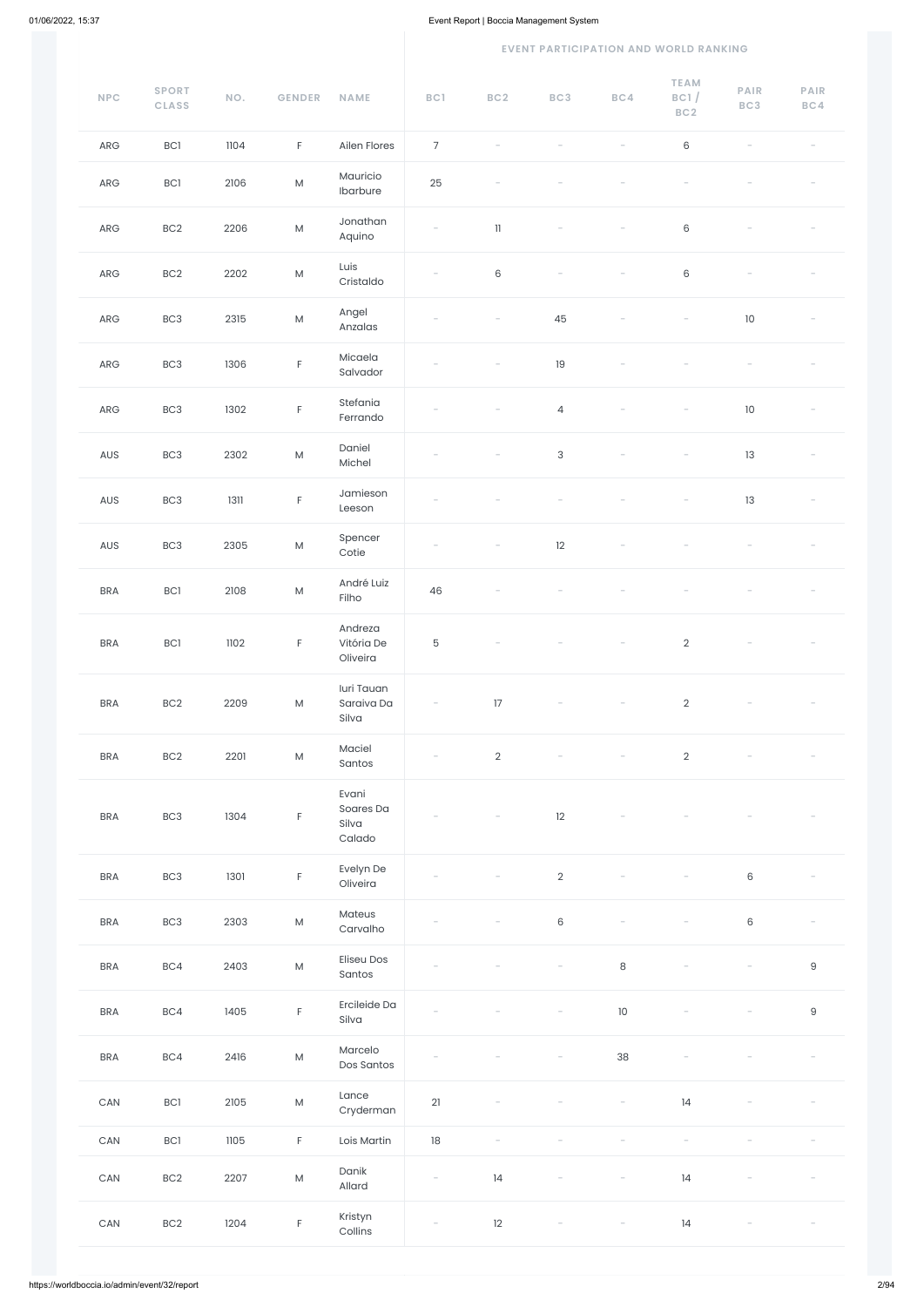#### **EVENT PARTICIPATION AND WORLD RANKING**

| $\ensuremath{\mathsf{NPC}}$ | <b>SPORT</b><br><b>CLASS</b> | NO.  | <b>GENDER</b> | <b>NAME</b>                           | BC1                      | BC <sub>2</sub>            | BC3            | BC4     | <b>TEAM</b><br>BC1/<br>BC <sub>2</sub> | <b>PAIR</b><br>BC3 | PAIR<br>BC4 |
|-----------------------------|------------------------------|------|---------------|---------------------------------------|--------------------------|----------------------------|----------------|---------|----------------------------------------|--------------------|-------------|
| ${\sf ARG}$                 | BC1                          | 1104 | $\mathsf F$   | Ailen Flores                          | $\overline{7}$           |                            |                |         | $\,6$                                  |                    |             |
| ${\sf ARG}$                 | <b>BC1</b>                   | 2106 | ${\sf M}$     | Mauricio<br>Ibarbure                  | 25                       |                            |                |         |                                        |                    |             |
| ARG                         | BC <sub>2</sub>              | 2206 | ${\sf M}$     | Jonathan<br>Aquino                    | $\overline{\phantom{a}}$ | $\ensuremath{\mathsf{11}}$ |                |         | $\,6\,$                                |                    |             |
| ${\sf ARG}$                 | BC <sub>2</sub>              | 2202 | ${\sf M}$     | Luis<br>Cristaldo                     |                          | $\,6\,$                    |                |         | $\,6\,$                                |                    |             |
| ${\sf ARG}$                 | BC <sub>3</sub>              | 2315 | ${\sf M}$     | Angel<br>Anzalas                      |                          |                            | 45             |         |                                        | $10\,$             |             |
| ARG                         | BC <sub>3</sub>              | 1306 | $\mathsf F$   | Micaela<br>Salvador                   |                          |                            | 19             |         |                                        |                    |             |
| ${\sf ARG}$                 | BC <sub>3</sub>              | 1302 | $\mathsf F$   | Stefania<br>Ferrando                  |                          |                            | $\overline{4}$ |         |                                        | $10\,$             |             |
| AUS                         | BC <sub>3</sub>              | 2302 | ${\sf M}$     | Daniel<br>Michel                      |                          |                            | $\mathsf 3$    |         |                                        | 13                 |             |
| AUS                         | BC <sub>3</sub>              | 1311 | $\mathsf F$   | Jamieson<br>Leeson                    |                          |                            |                |         |                                        | 13                 |             |
| AUS                         | BC <sub>3</sub>              | 2305 | ${\sf M}$     | Spencer<br>Cotie                      |                          |                            | 12             |         |                                        |                    |             |
| <b>BRA</b>                  | BC1                          | 2108 | ${\sf M}$     | André Luiz<br>Filho                   | 46                       |                            |                |         |                                        |                    |             |
| <b>BRA</b>                  | BC1                          | 1102 | $\mathsf F$   | Andreza<br>Vitória De<br>Oliveira     | $\mathbf 5$              |                            |                |         | $\overline{2}$                         |                    |             |
| <b>BRA</b>                  | BC <sub>2</sub>              | 2209 | ${\sf M}$     | luri Tauan<br>Saraiva Da<br>Silva     |                          | 17                         |                |         | $\overline{2}$                         |                    |             |
| <b>BRA</b>                  | BC <sub>2</sub>              | 2201 | ${\sf M}$     | Maciel<br>Santos                      |                          | $\overline{2}$             |                |         | $\overline{2}$                         |                    |             |
| <b>BRA</b>                  | BC <sub>3</sub>              | 1304 | $\mathsf F$   | Evani<br>Soares Da<br>Silva<br>Calado |                          |                            | 12             |         |                                        |                    |             |
| <b>BRA</b>                  | BC <sub>3</sub>              | 1301 | $\mathsf F$   | Evelyn De<br>Oliveira                 |                          |                            | $\sqrt{2}$     |         |                                        | $\,6\,$            |             |
| <b>BRA</b>                  | BC <sub>3</sub>              | 2303 | ${\sf M}$     | Mateus<br>Carvalho                    |                          |                            | $\,6\,$        |         |                                        | 6                  |             |
| <b>BRA</b>                  | BC4                          | 2403 | ${\sf M}$     | <b>Eliseu Dos</b><br>Santos           |                          |                            |                | $\,8\,$ |                                        |                    | $\mathsf 9$ |

| <b>BRA</b> | BC4             | 1405 | F           | Ercileide Da<br>Silva | $\overline{\phantom{a}}$ |                          | $\overline{\phantom{a}}$ | 10                              | $\hspace{0.1mm}-\hspace{0.1mm}$ | $\overline{\phantom{a}}$ | $\mathsf g$ |
|------------|-----------------|------|-------------|-----------------------|--------------------------|--------------------------|--------------------------|---------------------------------|---------------------------------|--------------------------|-------------|
| <b>BRA</b> | BC4             | 2416 | ${\sf M}$   | Marcelo<br>Dos Santos | $\overline{\phantom{a}}$ |                          | $\overline{\phantom{a}}$ | 38                              |                                 |                          |             |
| CAN        | BC1             | 2105 | M           | Lance<br>Cryderman    | 21                       | $\overline{\phantom{a}}$ |                          | $\overline{\phantom{a}}$        | 14                              | $\overline{\phantom{a}}$ |             |
| CAN        | BC1             | 1105 | $\mathsf F$ | Lois Martin           | 18                       |                          |                          |                                 |                                 |                          |             |
| CAN        | BC <sub>2</sub> | 2207 | M           | Danik<br>Allard       | $\overline{\phantom{a}}$ | 14                       | $\sim$                   | $\overline{\phantom{a}}$        | 14                              |                          |             |
| CAN        | BC <sub>2</sub> | 1204 | F           | Kristyn<br>Collins    | $\overline{\phantom{a}}$ | 12                       | $\overline{\phantom{a}}$ | $\hspace{0.1mm}-\hspace{0.1mm}$ | 14                              | $\overline{\phantom{0}}$ |             |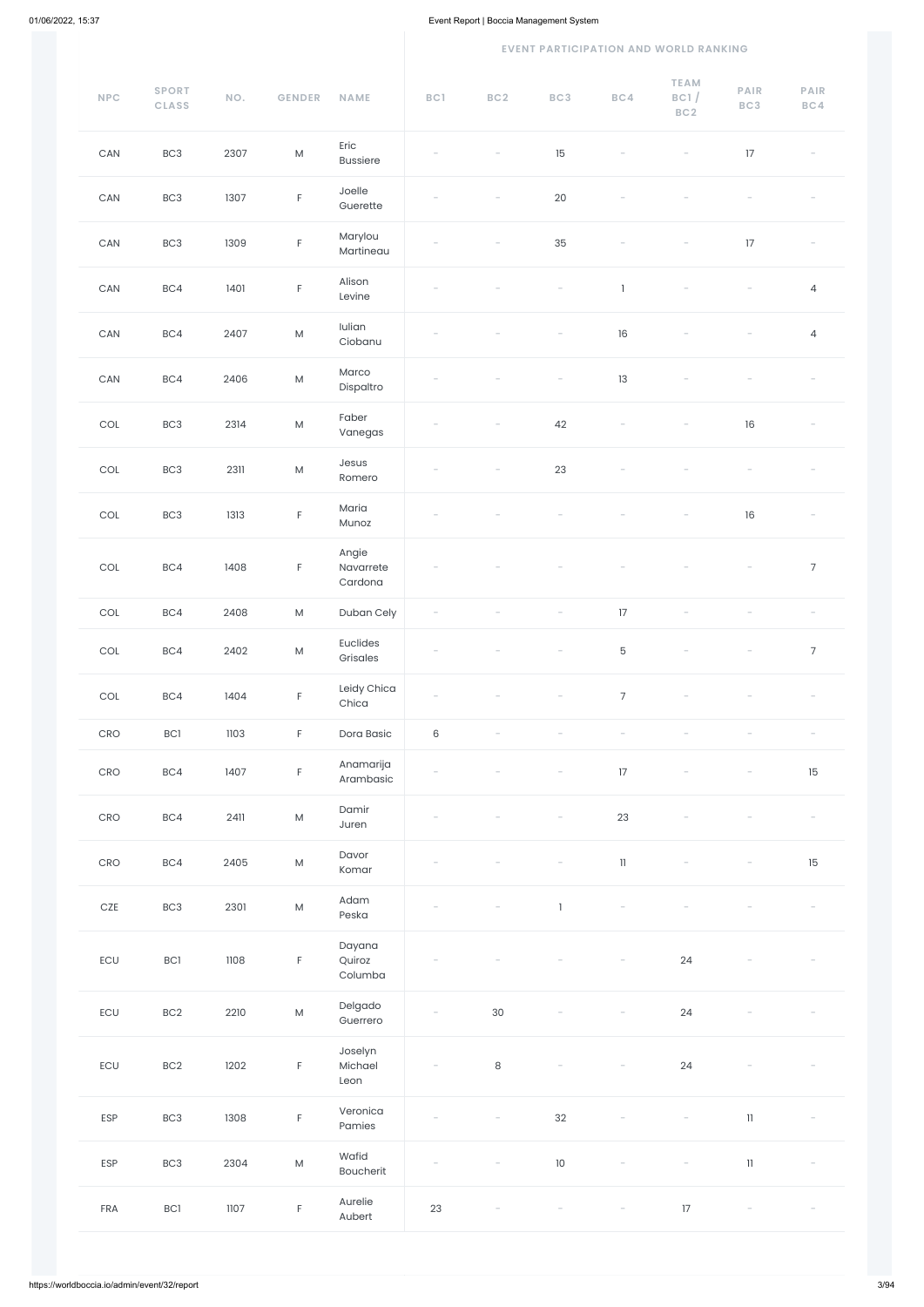#### **EVENT PARTICIPATION AND WORLD RANKING**

| $\ensuremath{\mathsf{NPC}}$      | <b>SPORT</b><br><b>CLASS</b> | NO.  | <b>GENDER</b> | <b>NAME</b>                   | BC1                      | BC <sub>2</sub>          | BC3                      | BC4                      | <b>TEAM</b><br>BC1/<br>BC2 | PAIR<br>BC3              | PAIR<br>BC4                                                               |
|----------------------------------|------------------------------|------|---------------|-------------------------------|--------------------------|--------------------------|--------------------------|--------------------------|----------------------------|--------------------------|---------------------------------------------------------------------------|
| ${\sf CAN}$                      | BC <sub>3</sub>              | 2307 | ${\sf M}$     | Eric<br><b>Bussiere</b>       |                          |                          | 15                       |                          |                            | $17\,$                   | $\hspace{1.0cm} \rule{1.5cm}{0.15cm} \hspace{1.0cm} \rule{1.5cm}{0.15cm}$ |
| ${\sf CAN}$                      | BC <sub>3</sub>              | 1307 | $\mathsf F$   | Joelle<br>Guerette            |                          | $\overline{\phantom{a}}$ | 20                       |                          |                            |                          |                                                                           |
| CAN                              | BC <sub>3</sub>              | 1309 | $\mathsf F$   | Marylou<br>Martineau          |                          |                          | 35                       |                          | $\overline{\phantom{0}}$   | $17\,$                   |                                                                           |
| $\mathsf{CAN}\xspace$            | BC4                          | 1401 | $\mathsf F$   | Alison<br>Levine              |                          |                          |                          | Τ.                       |                            |                          | $\overline{4}$                                                            |
| $\mathsf{CAN}\xspace$            | BC4                          | 2407 | ${\sf M}$     | Iulian<br>Ciobanu             |                          |                          |                          | 16                       |                            |                          | $\overline{4}$                                                            |
| $\mathsf{CAN}\xspace$            | BC4                          | 2406 | ${\sf M}$     | Marco<br>Dispaltro            |                          |                          | $\overline{\phantom{a}}$ | 13                       |                            |                          |                                                                           |
| $\mathop{\rm COL}\nolimits$      | BC3                          | 2314 | ${\sf M}$     | Faber<br>Vanegas              | $\overline{\phantom{0}}$ | $\overline{\phantom{a}}$ | 42                       | $\overline{\phantom{a}}$ | $\overline{\phantom{a}}$   | 16                       |                                                                           |
| $\mathop{\rm COL}\nolimits$      | BC <sub>3</sub>              | 2311 | ${\sf M}$     | Jesus<br>Romero               |                          |                          | 23                       |                          |                            |                          |                                                                           |
| $\mathop{\rm COL}\nolimits$      | BC <sub>3</sub>              | 1313 | $\mathsf F$   | Maria<br>Munoz                |                          |                          |                          |                          |                            | 16                       |                                                                           |
| $\mathop{\rm COL}\nolimits$      | BC4                          | 1408 | $\mathsf F$   | Angie<br>Navarrete<br>Cardona |                          | $\overline{\phantom{a}}$ | $\overline{\phantom{a}}$ | $\overline{\phantom{a}}$ | $\overline{\phantom{a}}$   | $\overline{\phantom{a}}$ | $\boldsymbol{7}$                                                          |
| $\ensuremath{\mathsf{COL}}$      | BC4                          | 2408 | ${\sf M}$     | Duban Cely                    |                          |                          |                          | $17\,$                   |                            |                          |                                                                           |
| COL                              | BC4                          | 2402 | ${\sf M}$     | Euclides<br>Grisales          |                          |                          |                          | 5                        |                            |                          | $\overline{7}$                                                            |
| COL                              | BC4                          | 1404 | $\mathsf F$   | Leidy Chica<br>Chica          |                          |                          |                          | $\overline{7}$           |                            |                          |                                                                           |
| $\mathsf{C}\mathsf{R}\mathsf{O}$ | BC1                          | 1103 | $\mathsf F$   | Dora Basic                    | $\,6\,$                  | $\overline{\phantom{a}}$ |                          |                          |                            |                          |                                                                           |
| $\mathsf{C}\mathsf{R}\mathsf{O}$ | BC4                          | 1407 | $\mathsf F$   | Anamarija<br>Arambasic        |                          |                          |                          | 17                       | $\overline{\phantom{0}}$   |                          | 15                                                                        |
| $\mathsf{C}\mathsf{R}\mathsf{O}$ | BC4                          | 2411 | ${\sf M}$     | Damir<br>Juren                |                          |                          |                          | 23                       |                            |                          |                                                                           |
| $\mathsf{C}\mathsf{R}\mathsf{O}$ | BC4                          | 2405 | ${\sf M}$     | Davor<br>Komar                |                          |                          |                          | $11\,$                   | $\overline{\phantom{0}}$   |                          | 15                                                                        |
| $CZE$                            | BC <sub>3</sub>              | 2301 | ${\sf M}$     | Adam<br>Peska                 |                          |                          | $\mathbf{I}$             |                          |                            |                          |                                                                           |
| ECU                              | BC1                          | 1108 | $\mathsf F$   | Dayana<br>Quiroz<br>Columba   |                          |                          |                          |                          | 24                         |                          |                                                                           |
| $\mathsf{ECU}$                   | BC2                          | 2210 | ${\sf M}$     | Delgado<br>Guerrero           | $\overline{\phantom{a}}$ | $30\,$                   |                          |                          | 24                         |                          |                                                                           |
| ECU                              | BC2                          | 1202 | F             | Joselyn<br>Michael<br>Leon    | $\overline{\phantom{a}}$ | $\,8\,$                  |                          |                          | 24                         |                          |                                                                           |
| ESP                              | BC <sub>3</sub>              | 1308 | $\mathsf F$   | Veronica<br>Pamies            |                          |                          | 32                       |                          |                            | $11\,$                   |                                                                           |
| ESP                              | BC <sub>3</sub>              | 2304 | ${\sf M}$     | Wafid<br>Boucherit            |                          |                          | $10$                     |                          | $\overline{\phantom{a}}$   | $\,$ 11 $\,$             |                                                                           |
| FRA                              | BC1                          | 1107 | $\mathsf F$   | Aurelie<br>Aubert             | 23                       |                          |                          |                          | $17\,$                     | $\overline{\phantom{a}}$ |                                                                           |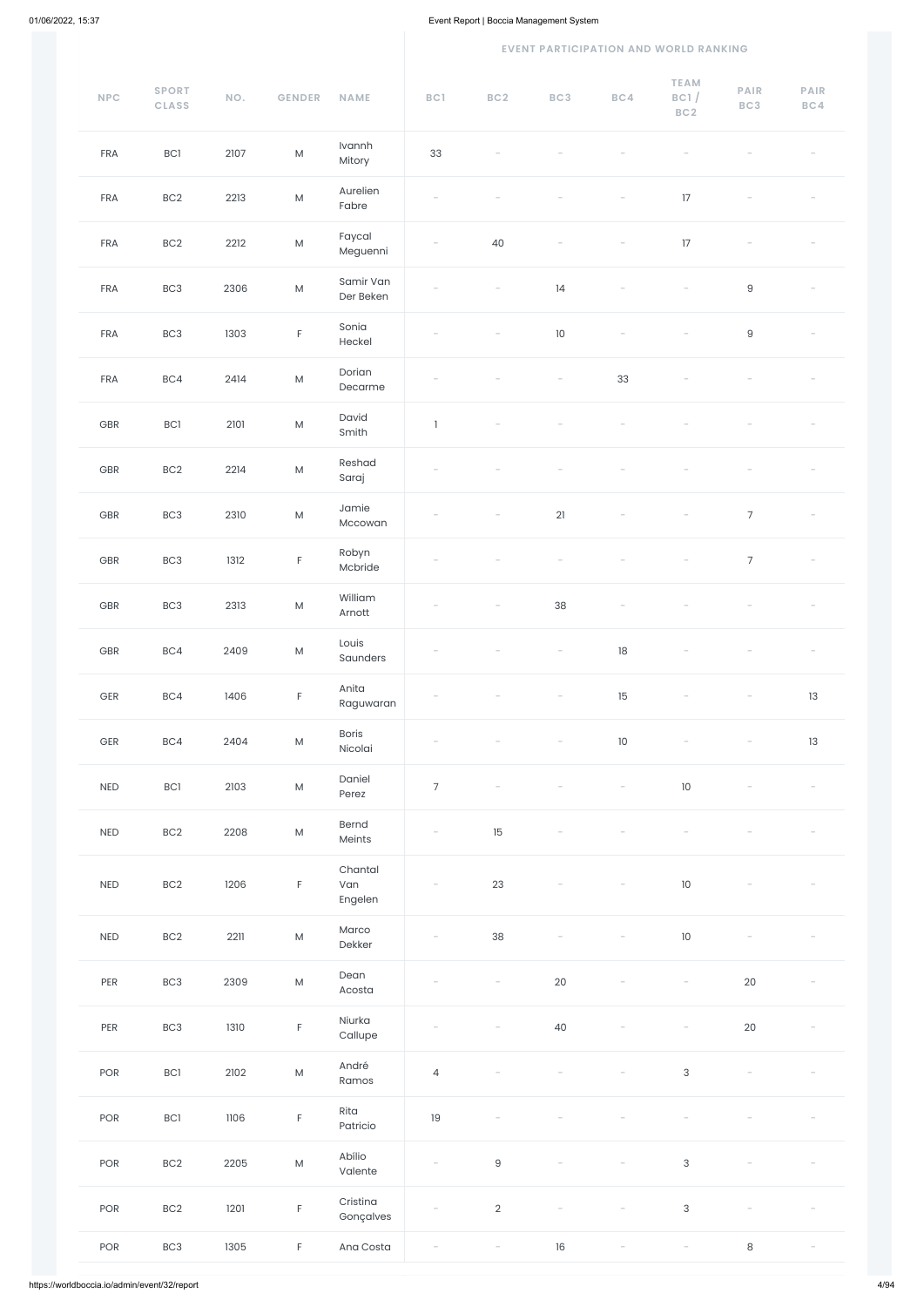#### **EVENT PARTICIPATION AND WORLD RANKING**

| $\ensuremath{\mathsf{NPC}}$ | <b>SPORT</b><br><b>CLASS</b> | NO.  | GENDER      | <b>NAME</b>               | BC1                      | BC2                      | BC3    | BC4                      | <b>TEAM</b><br>BC1/<br>BC2 | PAIR<br>BC3     | PAIR<br>BC4              |
|-----------------------------|------------------------------|------|-------------|---------------------------|--------------------------|--------------------------|--------|--------------------------|----------------------------|-----------------|--------------------------|
| FRA                         | BC1                          | 2107 | ${\sf M}$   | Ivannh<br>Mitory          | 33                       |                          |        |                          |                            |                 |                          |
| FRA                         | BC <sub>2</sub>              | 2213 | ${\sf M}$   | Aurelien<br>Fabre         |                          |                          |        |                          | 17                         |                 |                          |
| FRA                         | BC <sub>2</sub>              | 2212 | ${\sf M}$   | Faycal<br>Meguenni        |                          | 40                       |        |                          | 17                         |                 |                          |
| FRA                         | BC <sub>3</sub>              | 2306 | ${\sf M}$   | Samir Van<br>Der Beken    |                          |                          | 14     |                          |                            | $\hbox{9}$      |                          |
| FRA                         | BC <sub>3</sub>              | 1303 | $\mathsf F$ | Sonia<br>Heckel           |                          |                          | $10\,$ |                          |                            | $\hbox{9}$      |                          |
| FRA                         | BC4                          | 2414 | ${\sf M}$   | Dorian<br>Decarme         |                          |                          |        | 33                       |                            |                 |                          |
| GBR                         | BC1                          | 2101 | ${\sf M}$   | David<br>Smith            | $\mathbf{1}$             |                          |        |                          |                            |                 |                          |
| GBR                         | BC <sub>2</sub>              | 2214 | ${\sf M}$   | Reshad<br>Saraj           |                          |                          |        |                          |                            |                 |                          |
| GBR                         | BC <sub>3</sub>              | 2310 | ${\sf M}$   | Jamie<br>Mccowan          |                          |                          | 21     |                          |                            | $\overline{7}$  |                          |
| GBR                         | BC <sub>3</sub>              | 1312 | $\mathsf F$ | Robyn<br>Mcbride          | $\overline{\phantom{a}}$ |                          |        |                          | $ \,$                      | $7\overline{ }$ | $\sim$                   |
| GBR                         | BC <sub>3</sub>              | 2313 | ${\sf M}$   | William<br>Arnott         |                          |                          | 38     |                          |                            |                 |                          |
| GBR                         | BC4                          | 2409 | ${\sf M}$   | Louis<br>Saunders         |                          |                          |        | 18                       |                            |                 |                          |
| $\mathsf{GER}$              | BC4                          | 1406 | $\mathsf F$ | Anita<br>Raguwaran        |                          |                          |        | 15                       |                            |                 | 13                       |
| $\mathsf{GER}$              | BC4                          | 2404 | ${\sf M}$   | Boris<br>Nicolai          |                          |                          |        | $10$                     |                            |                 | 13                       |
| NED                         | BC1                          | 2103 | ${\sf M}$   | Daniel<br>Perez           | $\overline{7}$           | $\overline{\phantom{a}}$ |        | $\overline{\phantom{a}}$ | 10                         |                 |                          |
| NED                         | BC2                          | 2208 | ${\sf M}$   | Bernd<br>Meints           | $\overline{\phantom{a}}$ | 15                       |        |                          |                            |                 |                          |
| NED                         | BC <sub>2</sub>              | 1206 | $\mathsf F$ | Chantal<br>Van<br>Engelen | $\overline{\phantom{a}}$ | 23                       |        | $\overline{\phantom{a}}$ | 10                         |                 |                          |
| NED                         | BC <sub>2</sub>              | 2211 | ${\sf M}$   | Marco<br>Dekker           |                          | 38                       |        |                          | 10                         |                 |                          |
| PER                         | BC <sub>3</sub>              | 2309 | ${\sf M}$   | Dean<br>Acosta            |                          |                          | 20     |                          |                            | $20\,$          |                          |
| PER                         | BC <sub>3</sub>              | 1310 | $\mathsf F$ | Niurka<br>Callupe         |                          |                          | 40     | $\overline{\phantom{a}}$ |                            | $20\,$          |                          |
| POR                         | BC1                          | 2102 | ${\sf M}$   | André<br>Ramos            | $\overline{4}$           | $\overline{\phantom{0}}$ |        | $\overline{\phantom{a}}$ | $\sqrt{3}$                 | $\overline{a}$  |                          |
| POR                         | BC1                          | 1106 | $\mathsf F$ | Rita<br>Patricio          | 19                       |                          |        |                          |                            |                 |                          |
| POR                         | BC <sub>2</sub>              | 2205 | ${\sf M}$   | Abílio<br>Valente         | $\overline{\phantom{a}}$ | $\mathsf g$              |        |                          | $\sqrt{3}$                 |                 |                          |
| POR                         | BC2                          | 1201 | $\mathsf F$ | Cristina<br>Gonçalves     |                          | $\overline{2}$           |        |                          | $\sqrt{3}$                 |                 |                          |
| POR                         | BC <sub>3</sub>              | 1305 | $\mathsf F$ | Ana Costa                 |                          | $\overline{\phantom{a}}$ | $16\,$ | $\overline{\phantom{a}}$ | $\overline{\phantom{a}}$   | $\,8\,$         | $\overline{\phantom{a}}$ |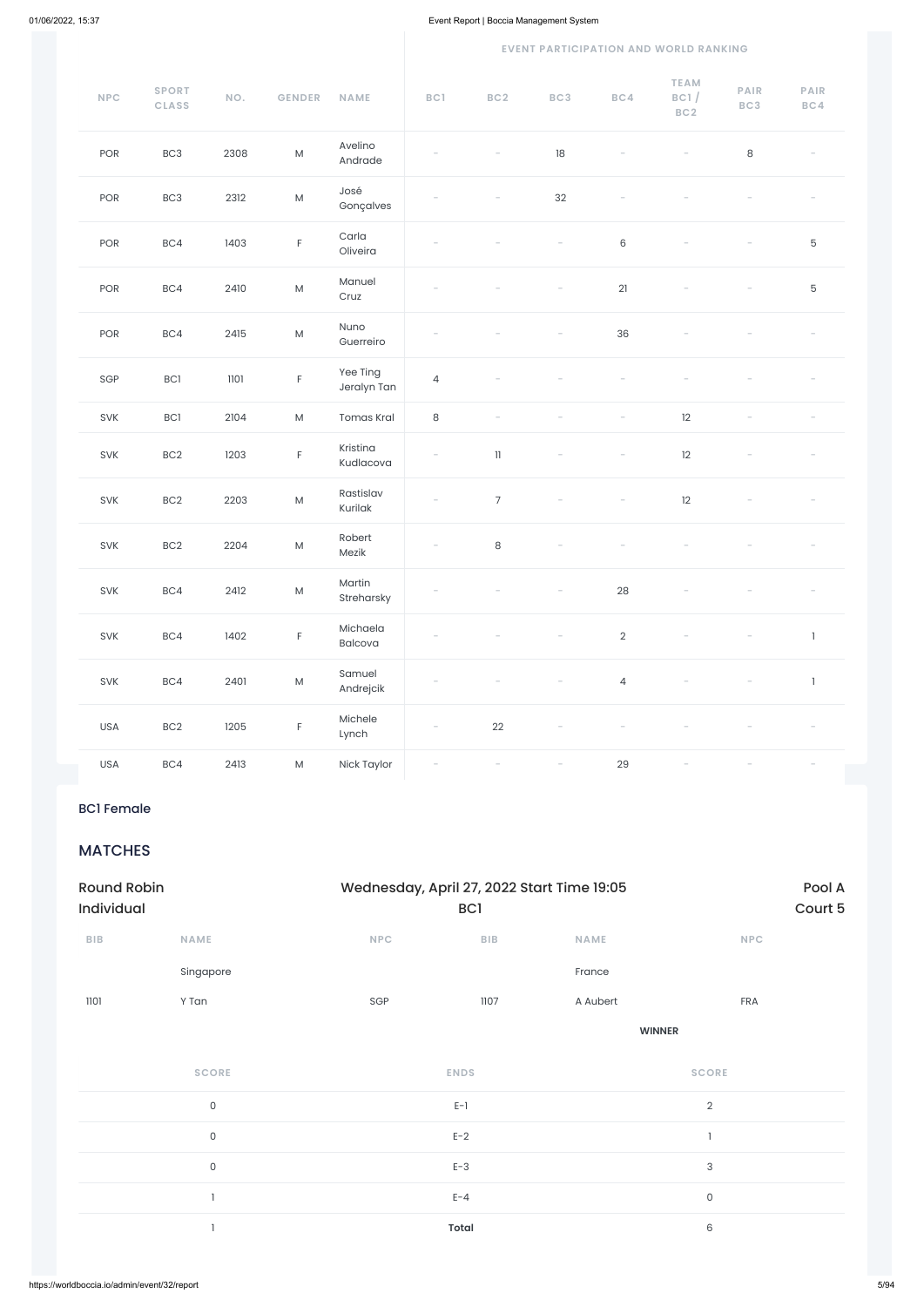#### **EVENT PARTICIPATION AND WORLD RANKING**

| NPC | <b>SPORT</b><br><b>CLASS</b> | NO.  | <b>GENDER</b>                                                                                              | <b>NAME</b>             | BC1                      | BC2                        | BC3                      | BC4                      | <b>TEAM</b><br>BC1/<br>BC2 | <b>PAIR</b><br>BC3       | PAIR<br>BC4  |
|-----|------------------------------|------|------------------------------------------------------------------------------------------------------------|-------------------------|--------------------------|----------------------------|--------------------------|--------------------------|----------------------------|--------------------------|--------------|
| POR | BC <sub>3</sub>              | 2308 | ${\sf M}$                                                                                                  | Avelino<br>Andrade      |                          |                            | $18\,$                   |                          |                            | $\,8\,$                  |              |
| POR | BC <sub>3</sub>              | 2312 | ${\sf M}$                                                                                                  | José<br>Gonçalves       |                          |                            | 32                       |                          |                            |                          |              |
| POR | BC4                          | 1403 | $\mathsf F$                                                                                                | Carla<br>Oliveira       |                          |                            |                          | $\,6\,$                  |                            |                          | $\mathbf 5$  |
| POR | BC4                          | 2410 | ${\sf M}$                                                                                                  | Manuel<br>Cruz          |                          |                            |                          | 21                       |                            |                          | $\mathbf 5$  |
| POR | BC4                          | 2415 | ${\sf M}$                                                                                                  | Nuno<br>Guerreiro       |                          |                            |                          | 36                       |                            |                          |              |
| SGP | BC1                          | 1101 | $\mathsf F$                                                                                                | Yee Ting<br>Jeralyn Tan | $\overline{4}$           |                            |                          |                          |                            |                          |              |
| SVK | BC1                          | 2104 | ${\sf M}$                                                                                                  | <b>Tomas Kral</b>       | $\,8\,$                  | $\overline{\phantom{a}}$   |                          |                          | 12                         | $\overline{\phantom{a}}$ |              |
| SVK | BC <sub>2</sub>              | 1203 | $\mathsf F$                                                                                                | Kristina<br>Kudlacova   | $\overline{\phantom{a}}$ | $\ensuremath{\mathsf{11}}$ | $\overline{\phantom{a}}$ | $\overline{\phantom{0}}$ | 12                         |                          |              |
| SVK | BC <sub>2</sub>              | 2203 | ${\sf M}$                                                                                                  | Rastislav<br>Kurilak    |                          | $\overline{7}$             |                          |                          | 12                         |                          |              |
| SVK | BC <sub>2</sub>              | 2204 | ${\sf M}$                                                                                                  | Robert<br>Mezik         | $\overline{\phantom{a}}$ | $\,8\,$                    |                          |                          |                            |                          |              |
| SVK | BC4                          | 2412 | ${\sf M}$                                                                                                  | Martin<br>Streharsky    |                          |                            | $\overline{\phantom{a}}$ | 28                       |                            |                          |              |
| SVK | BC4                          | 1402 | $\mathsf F$                                                                                                | Michaela<br>Balcova     |                          |                            |                          | $\overline{2}$           | $\overline{\phantom{a}}$   |                          | $\mathbf{I}$ |
| SVK | BC4                          | 2401 | ${\sf M}$                                                                                                  | Samuel<br>Andrejcik     |                          |                            |                          | $\overline{4}$           |                            |                          | $\mathbf{I}$ |
| USA | BC <sub>2</sub>              | 1205 | $\mathsf F$                                                                                                | Michele<br>Lynch        |                          | $22\,$                     |                          |                          |                            |                          |              |
| USA | BC4                          | 2413 | $\mathsf{M}% _{T}=\mathsf{M}_{T}\!\left( a,b\right) ,\ \mathsf{M}_{T}=\mathsf{M}_{T}\!\left( a,b\right) ,$ | Nick Taylor             |                          |                            |                          | 29                       |                            |                          |              |

### BC1 Female

### MATCHES

| <b>Round Robin</b><br>Individual |             | Wednesday, April 27, 2022 Start Time 19:05 | <b>BCI</b> |             | Pool A<br>Court 5 |
|----------------------------------|-------------|--------------------------------------------|------------|-------------|-------------------|
| <b>BIB</b>                       | <b>NAME</b> | <b>NPC</b>                                 | <b>BIB</b> | <b>NAME</b> | <b>NPC</b>        |
|                                  | Singapore   |                                            |            | France      |                   |

| 1101 | Y Tan               | SGP | 1107         | A Aubert | FRA            |  |
|------|---------------------|-----|--------------|----------|----------------|--|
|      |                     |     |              |          | <b>WINNER</b>  |  |
|      | <b>SCORE</b>        |     | <b>ENDS</b>  |          | <b>SCORE</b>   |  |
|      | $\mathsf{O}\xspace$ |     | $E-1$        |          | $\overline{2}$ |  |
|      | $\mathsf{O}\xspace$ |     | $E-2$        |          |                |  |
|      | 0                   |     | $E-3$        |          | $\sqrt{3}$     |  |
|      |                     |     | $E - 4$      |          | $\mathsf{O}$   |  |
|      |                     |     | <b>Total</b> |          | $\,6\,$        |  |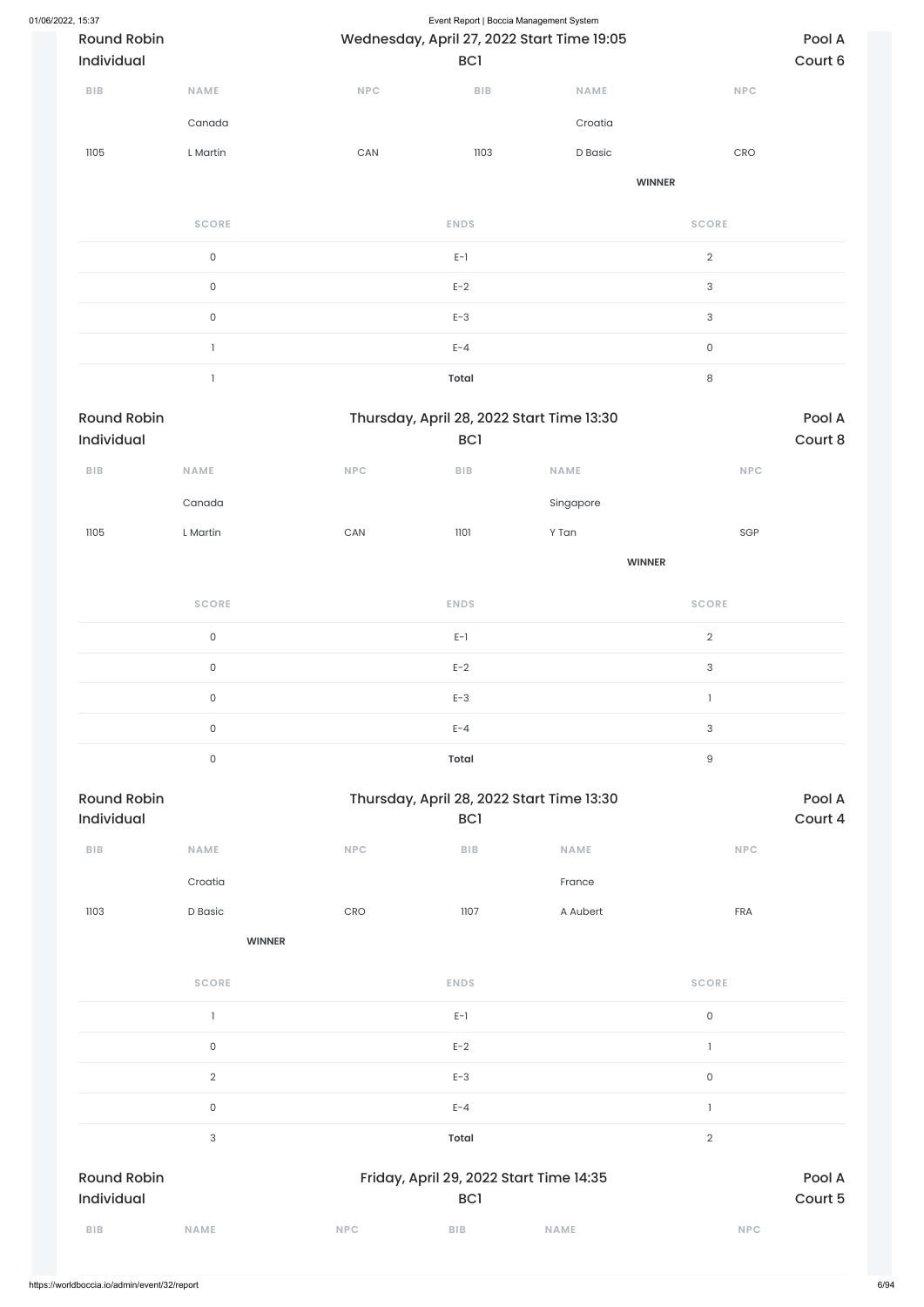| 01/06/2022, 15:37 | <b>Round Robin</b><br>Individual |                     |                       | Event Report   Boccia Management System<br>Wednesday, April 27, 2022 Start Time 19:05<br>BC1 |               |                                  | Pool A<br>Court 6 |
|-------------------|----------------------------------|---------------------|-----------------------|----------------------------------------------------------------------------------------------|---------------|----------------------------------|-------------------|
|                   | BIB                              | NAME                | <b>NPC</b>            | BIB                                                                                          | <b>NAME</b>   | NPC                              |                   |
|                   |                                  | Canada              |                       |                                                                                              | Croatia       |                                  |                   |
|                   | 1105                             | L Martin            | $\mathsf{CAN}\xspace$ | 1103                                                                                         | D Basic       | $\mathsf{C}\mathsf{R}\mathsf{O}$ |                   |
|                   |                                  |                     |                       |                                                                                              | <b>WINNER</b> |                                  |                   |
|                   |                                  | <b>SCORE</b>        |                       | <b>ENDS</b>                                                                                  |               | <b>SCORE</b>                     |                   |
|                   |                                  | $\mathsf{O}\xspace$ |                       | $E-1$                                                                                        |               | $\overline{2}$                   |                   |
|                   |                                  | $\mathsf{O}\xspace$ |                       | $E-2$                                                                                        |               | $\sqrt{3}$                       |                   |
|                   |                                  | $\mathsf{O}$        |                       | $E-3$                                                                                        |               | $\sqrt{3}$                       |                   |
|                   |                                  | $\mathbf{1}$        |                       | $E - 4$                                                                                      |               | $\mathsf{O}\xspace$              |                   |
|                   |                                  | $\mathbf{1}$        |                       | <b>Total</b>                                                                                 |               | $\,8\,$                          |                   |
|                   | <b>Round Robin</b><br>Individual |                     |                       | Thursday, April 28, 2022 Start Time 13:30<br>BC <sub>1</sub>                                 |               |                                  | Pool A<br>Court 8 |
|                   | <b>BIB</b>                       | <b>NAME</b>         | <b>NPC</b>            | BIB                                                                                          | <b>NAME</b>   | NPC                              |                   |
|                   |                                  | Canada              |                       |                                                                                              | Singapore     |                                  |                   |
|                   | 1105                             | L Martin            | $\mathsf{CAN}\xspace$ | 1101                                                                                         | Y Tan         | SGP                              |                   |
|                   |                                  |                     |                       |                                                                                              | <b>WINNER</b> |                                  |                   |
|                   |                                  | <b>SCORE</b>        |                       | <b>ENDS</b>                                                                                  |               | <b>SCORE</b>                     |                   |
|                   |                                  | $\mathsf{O}\xspace$ |                       | $E-1$                                                                                        |               | $\overline{a}$                   |                   |
|                   |                                  | $\mathsf{O}\xspace$ |                       | $E-2$                                                                                        |               | $\mathsf{3}$                     |                   |
|                   |                                  | $\mathsf{O}\xspace$ |                       | $E-3$                                                                                        |               | $\mathbbm{1}$                    |                   |
|                   |                                  | $\mathsf{O}\xspace$ |                       | $E - 4$                                                                                      |               | $\mathsf{3}$                     |                   |
|                   |                                  |                     |                       |                                                                                              |               |                                  |                   |
|                   |                                  | $\mathsf{O}\xspace$ |                       | Total                                                                                        |               | $\mathsf g$                      |                   |



|                                  | <b>SCORE</b>   |            | <b>ENDS</b>                                                |             | <b>SCORE</b>        |                   |
|----------------------------------|----------------|------------|------------------------------------------------------------|-------------|---------------------|-------------------|
|                                  |                |            | $E-1$                                                      |             | $\mathsf{O}$        |                   |
|                                  | $\mathsf O$    |            | $E-2$                                                      |             |                     |                   |
|                                  | $\overline{2}$ |            | $E-3$                                                      |             | $\mathsf{O}\xspace$ |                   |
|                                  | $\mathsf O$    |            | $E - 4$                                                    |             |                     |                   |
|                                  | $\mathsf 3$    |            | <b>Total</b>                                               |             | $\overline{2}$      |                   |
| <b>Round Robin</b><br>Individual |                |            | Friday, April 29, 2022 Start Time 14:35<br>BC <sub>1</sub> |             |                     | Pool A<br>Court 5 |
| <b>BIB</b>                       | <b>NAME</b>    | <b>NPC</b> | <b>BIB</b>                                                 | <b>NAME</b> | <b>NPC</b>          |                   |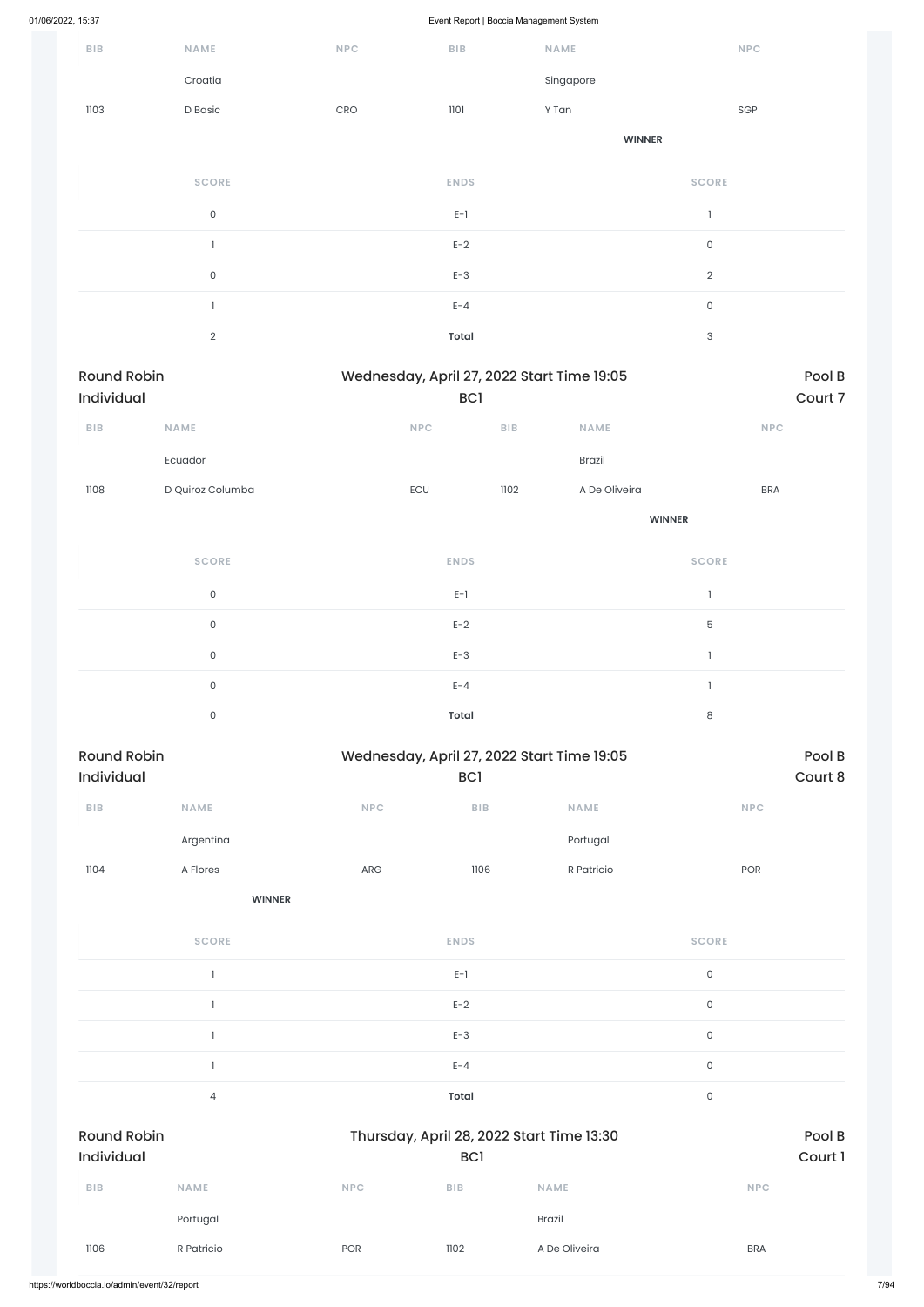| <b>BIB</b>                       |                  |                                  |                                                               |                         |               |                     |            |                   |
|----------------------------------|------------------|----------------------------------|---------------------------------------------------------------|-------------------------|---------------|---------------------|------------|-------------------|
|                                  | NAME             | NPC                              | BIB                                                           | NAME                    |               |                     | NPC        |                   |
|                                  | Croatia          |                                  |                                                               |                         | Singapore     |                     |            |                   |
| 1103                             | D Basic          | $\mathsf{C}\mathsf{R}\mathsf{O}$ | 1101                                                          | Y Tan                   |               |                     | SGP        |                   |
|                                  |                  |                                  |                                                               |                         | <b>WINNER</b> |                     |            |                   |
|                                  | <b>SCORE</b>     |                                  | <b>ENDS</b>                                                   |                         |               | <b>SCORE</b>        |            |                   |
|                                  | $\mathsf{O}$     |                                  | $E-1$                                                         |                         |               | $\mathbf{1}$        |            |                   |
|                                  | $\mathbf{1}$     |                                  | $E-2$                                                         |                         |               | $\mathsf{O}\xspace$ |            |                   |
|                                  | $\mathsf O$      |                                  | $E-3$                                                         |                         |               | $\overline{2}$      |            |                   |
|                                  | $\mathbf{1}$     |                                  | $E - 4$                                                       |                         |               | $\mathsf{O}\xspace$ |            |                   |
|                                  | $\overline{2}$   |                                  | <b>Total</b>                                                  |                         |               | 3                   |            |                   |
| <b>Round Robin</b><br>Individual |                  |                                  | Wednesday, April 27, 2022 Start Time 19:05<br>BC1             |                         |               |                     |            | Pool B<br>Court 7 |
| BIB                              | NAME             |                                  | <b>NPC</b>                                                    | ${\sf B}{\sf I}{\sf B}$ | NAME          |                     | NPC        |                   |
|                                  | Ecuador          |                                  |                                                               |                         | Brazil        |                     |            |                   |
| 1108                             | D Quiroz Columba |                                  | ECU                                                           | 1102                    | A De Oliveira |                     | <b>BRA</b> |                   |
|                                  |                  |                                  |                                                               |                         |               | <b>WINNER</b>       |            |                   |
|                                  | <b>SCORE</b>     |                                  | <b>ENDS</b>                                                   |                         |               | <b>SCORE</b>        |            |                   |
|                                  | $\mathsf{O}$     |                                  | $E-1$                                                         |                         |               | $\mathbf{1}$        |            |                   |
|                                  | $\mathsf O$      |                                  | $E-2$                                                         |                         |               | 5                   |            |                   |
|                                  | $\mathsf O$      |                                  | $E-3$                                                         |                         |               | $\mathbf{I}$        |            |                   |
|                                  | $\mathsf O$      |                                  | $E - 4$                                                       |                         |               | $\mathbf{1}$        |            |                   |
|                                  | $\mathsf O$      |                                  | <b>Total</b>                                                  |                         |               | $\,8\,$             |            |                   |
|                                  |                  |                                  |                                                               |                         |               |                     |            |                   |
| <b>Round Robin</b><br>Individual |                  |                                  | Wednesday, April 27, 2022 Start Time 19:05<br>BC <sub>1</sub> |                         |               |                     |            | Pool B<br>Court 8 |
| ${\bf B} {\sf I} {\bf B}$        | NAME             | <b>NPC</b>                       | ${\sf B}{\sf I}{\sf B}$                                       |                         | NAME          |                     | NPC        |                   |
|                                  | Argentina        |                                  |                                                               |                         | Portugal      |                     |            |                   |
| 1104                             | A Flores         | ${\sf ARG}$                      | 1106                                                          |                         | R Patricio    |                     | POR        |                   |
|                                  | <b>WINNER</b>    |                                  |                                                               |                         |               |                     |            |                   |

 $E-1$  0

| $\mathsf{O}$<br>$E-2$<br>$E-3$<br>$\mathsf{O}\xspace$<br>$\mathsf{O}$<br>$E - 4$<br>$\mathsf O$<br><b>Total</b><br>$\overline{4}$<br><b>Round Robin</b><br>Thursday, April 28, 2022 Start Time 13:30<br>Individual<br><b>BC1</b><br><b>NAME</b><br><b>BIB</b><br><b>NAME</b><br><b>NPC</b><br><b>BIB</b><br><b>NPC</b><br><b>Brazil</b><br>Portugal<br>R Patricio<br>1102<br>A De Oliveira<br>1106<br>POR<br><b>BRA</b> |  |  |  |  |        |
|-------------------------------------------------------------------------------------------------------------------------------------------------------------------------------------------------------------------------------------------------------------------------------------------------------------------------------------------------------------------------------------------------------------------------|--|--|--|--|--------|
| Court 1                                                                                                                                                                                                                                                                                                                                                                                                                 |  |  |  |  |        |
|                                                                                                                                                                                                                                                                                                                                                                                                                         |  |  |  |  |        |
|                                                                                                                                                                                                                                                                                                                                                                                                                         |  |  |  |  |        |
|                                                                                                                                                                                                                                                                                                                                                                                                                         |  |  |  |  |        |
|                                                                                                                                                                                                                                                                                                                                                                                                                         |  |  |  |  | Pool B |
|                                                                                                                                                                                                                                                                                                                                                                                                                         |  |  |  |  |        |
|                                                                                                                                                                                                                                                                                                                                                                                                                         |  |  |  |  |        |
|                                                                                                                                                                                                                                                                                                                                                                                                                         |  |  |  |  |        |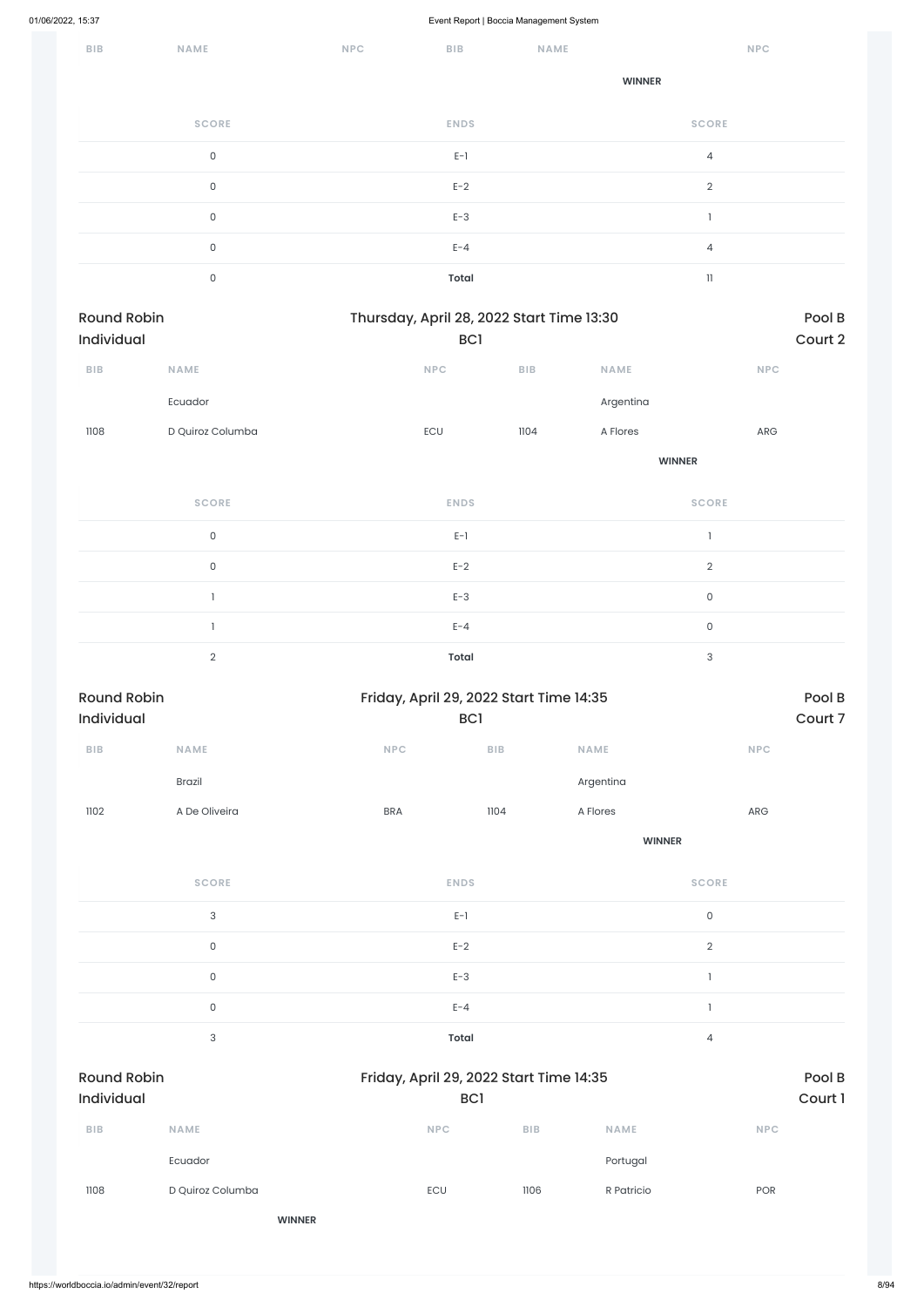| BIB | <b>NAME</b>  | <b>NPC</b> | <b>BIB</b>   | NAME |                | <b>NPC</b> |
|-----|--------------|------------|--------------|------|----------------|------------|
|     |              |            |              |      | <b>WINNER</b>  |            |
|     | <b>SCORE</b> |            | <b>ENDS</b>  |      | <b>SCORE</b>   |            |
|     | $\mathsf O$  |            | $E-1$        |      | $\overline{4}$ |            |
|     | $\mathsf O$  |            | $E-2$        |      | $\overline{2}$ |            |
|     | $\mathsf O$  |            | $E-3$        |      |                |            |
|     | $\mathsf O$  |            | $E - 4$      |      | $\overline{4}$ |            |
|     | $\mathsf O$  |            | <b>Total</b> |      | $\mathbf{1}$   |            |

| Pool B<br>Court 2 |                           |               |                                         | Thursday, April 28, 2022 Start Time 13:30<br>BC <sub>1</sub> |                     | Round Robin<br>Individual |  |  |  |
|-------------------|---------------------------|---------------|-----------------------------------------|--------------------------------------------------------------|---------------------|---------------------------|--|--|--|
|                   | NPC                       | NAME          | <b>BIB</b>                              | NPC                                                          | <b>NAME</b>         | ${\bf B} {\sf I} {\bf B}$ |  |  |  |
|                   |                           | Argentina     |                                         |                                                              | Ecuador             |                           |  |  |  |
|                   | ${\sf ARG}$               | A Flores      | 1104                                    | ECU                                                          | D Quiroz Columba    | 1108                      |  |  |  |
|                   | <b>WINNER</b>             |               |                                         |                                                              |                     |                           |  |  |  |
|                   | <b>SCORE</b>              |               |                                         | <b>ENDS</b>                                                  | <b>SCORE</b>        |                           |  |  |  |
|                   | $\mathbf{I}$              |               |                                         | $E-1$                                                        | $\mathsf{O}\xspace$ |                           |  |  |  |
|                   | $\sqrt{2}$                |               |                                         | $E-2$                                                        | $\mathsf{O}\xspace$ |                           |  |  |  |
|                   | $\mathsf{O}\xspace$       |               |                                         | $E-3$                                                        | $\mathbf{1}$        |                           |  |  |  |
|                   | $\mathsf{O}\xspace$       |               |                                         | $E - 4$                                                      | -1                  |                           |  |  |  |
|                   | $\ensuremath{\mathsf{3}}$ |               |                                         | <b>Total</b>                                                 | $\sqrt{2}$          |                           |  |  |  |
| Pool B            |                           |               | Friday, April 29, 2022 Start Time 14:35 |                                                              | <b>Round Robin</b>  |                           |  |  |  |
| Court 7           |                           |               |                                         | <b>BC1</b>                                                   |                     | Individual                |  |  |  |
|                   | <b>NPC</b>                | <b>NAME</b>   | <b>BIB</b>                              | NPC                                                          | <b>NAME</b>         | <b>BIB</b>                |  |  |  |
|                   |                           | Argentina     |                                         |                                                              | Brazil              |                           |  |  |  |
|                   | ARG                       | A Flores      | 1104                                    | <b>BRA</b>                                                   | A De Oliveira       | 1102                      |  |  |  |
|                   |                           | <b>WINNER</b> |                                         |                                                              |                     |                           |  |  |  |
|                   | <b>SCORE</b>              |               |                                         | <b>ENDS</b>                                                  | <b>SCORE</b>        |                           |  |  |  |
|                   | $\mathsf{O}\xspace$       |               |                                         | $E-1$                                                        | $\mathbf{3}$        |                           |  |  |  |
|                   | $\sqrt{2}$                |               |                                         | $E-2$                                                        | $\mathsf O$         |                           |  |  |  |
|                   |                           |               |                                         |                                                              |                     |                           |  |  |  |

|                                  | $\mathsf{O}\xspace$       | $E - 4$    |                                                |             | л              |  |  |
|----------------------------------|---------------------------|------------|------------------------------------------------|-------------|----------------|--|--|
|                                  | $\ensuremath{\mathsf{3}}$ | Total      |                                                |             | $\overline{4}$ |  |  |
| <b>Round Robin</b><br>Individual |                           |            | Friday, April 29, 2022 Start Time 14:35<br>BC1 |             |                |  |  |
| <b>BIB</b>                       | <b>NAME</b>               | <b>NPC</b> | <b>BIB</b>                                     | <b>NAME</b> | <b>NPC</b>     |  |  |
|                                  | Ecuador                   |            |                                                | Portugal    |                |  |  |
| 1108                             | D Quiroz Columba          | ECU        | 1106                                           | R Patricio  | POR            |  |  |
|                                  | <b>WINNER</b>             |            |                                                |             |                |  |  |
|                                  |                           |            |                                                |             |                |  |  |

 $E-3$  and  $E-3$  1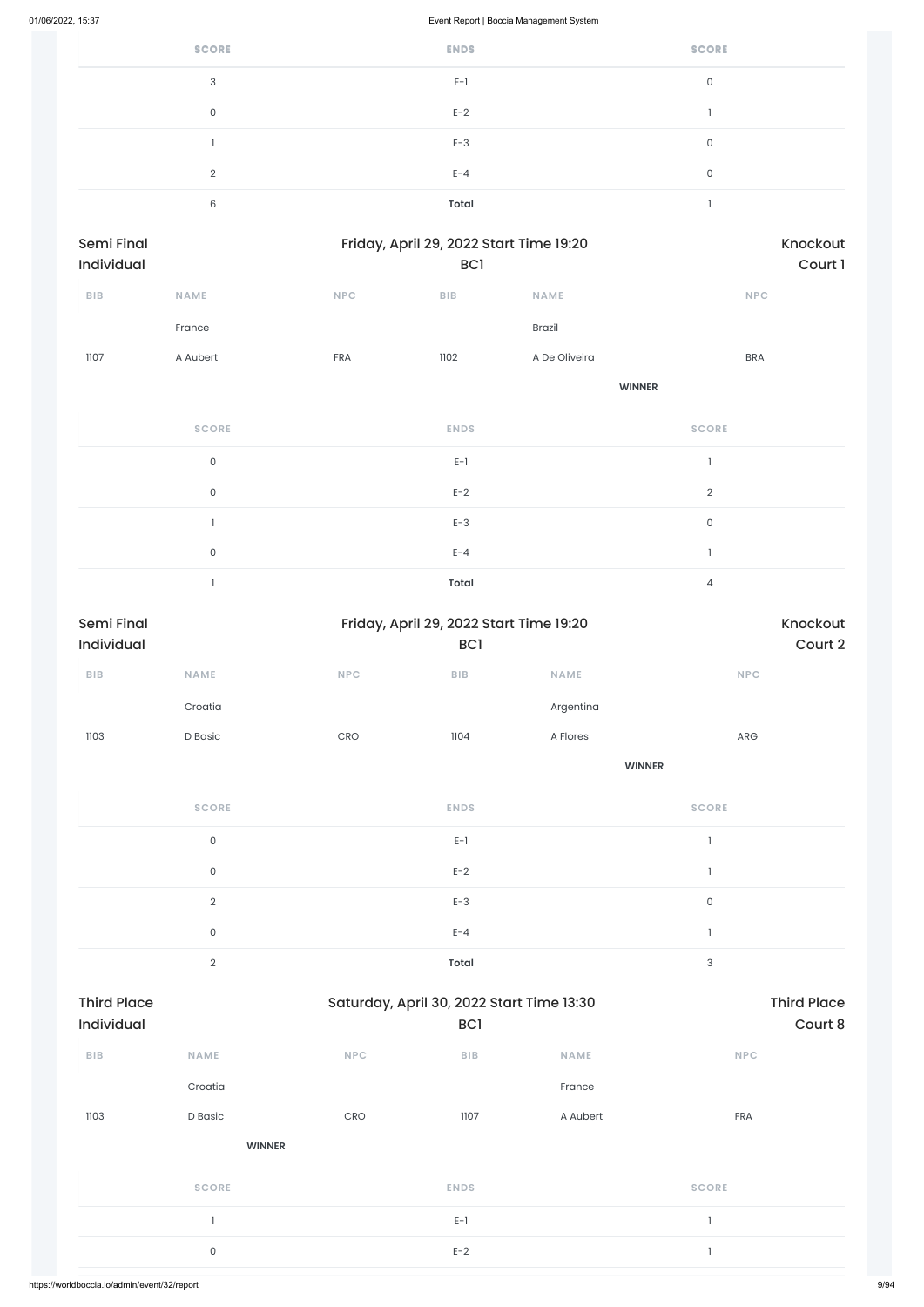| <b>SCORE</b> | <b>ENDS</b>  | <b>SCORE</b> |
|--------------|--------------|--------------|
| 3            | $E-1$        | 0            |
| 0            | $E-2$        |              |
|              | $E-3$        | 0            |
| $\Omega$     | $E - 4$      | 0            |
| 6            | <b>Total</b> |              |

| <b>Semi Final</b><br>Individual |                     |            | Friday, April 29, 2022 Start Time 19:20<br>BC1 | Knockout<br>Court 1 |                                |
|---------------------------------|---------------------|------------|------------------------------------------------|---------------------|--------------------------------|
| BIB                             | <b>NAME</b>         | <b>NPC</b> | BIB                                            | <b>NAME</b>         | NPC                            |
|                                 | France              |            |                                                | Brazil              |                                |
| 1107                            | A Aubert            | FRA        | 1102                                           | A De Oliveira       | <b>BRA</b>                     |
|                                 |                     |            |                                                | <b>WINNER</b>       |                                |
|                                 | <b>SCORE</b>        |            | <b>ENDS</b>                                    |                     | <b>SCORE</b>                   |
|                                 | $\mathsf{O}\xspace$ |            | $E-1$                                          |                     | $\mathbf{I}$                   |
|                                 | $\mathsf{O}$        |            | $E-2$                                          |                     | $\sqrt{2}$                     |
|                                 |                     |            | $E-3$                                          |                     | $\mathsf{O}\xspace$            |
|                                 | $\mathsf{O}\xspace$ |            | $E - 4$                                        |                     | $\begin{array}{c} \end{array}$ |
|                                 |                     |            | Total                                          |                     | $\sqrt{4}$                     |

| Semi Final<br>Individual |                     | Friday, April 29, 2022 Start Time 19:20 | BC1          |               | Knockout<br>Court 2       |  |  |
|--------------------------|---------------------|-----------------------------------------|--------------|---------------|---------------------------|--|--|
| BIB                      | NAME                | <b>NPC</b>                              | BIB          | NAME          | NPC                       |  |  |
|                          | Croatia             |                                         |              | Argentina     |                           |  |  |
| 1103                     | D Basic             | CRO                                     | 1104         | A Flores      | ARG                       |  |  |
|                          |                     |                                         |              | <b>WINNER</b> |                           |  |  |
|                          | <b>SCORE</b>        |                                         | <b>ENDS</b>  |               | <b>SCORE</b>              |  |  |
|                          | $\mathsf{O}\xspace$ |                                         | $E-1$        |               |                           |  |  |
|                          | $\mathsf{O}\xspace$ |                                         | $E-2$        |               |                           |  |  |
|                          | $\sqrt{2}$          |                                         | $E-3$        |               | $\mathsf{O}\xspace$       |  |  |
|                          | $\mathsf{O}\xspace$ |                                         | $E - 4$      |               | $\mathbf{1}$              |  |  |
|                          | $\sqrt{2}$          |                                         | <b>Total</b> |               | $\ensuremath{\mathsf{3}}$ |  |  |

| <b>Third Place</b><br><b>Individual</b> |               |            | Saturday, April 30, 2022 Start Time 13:30<br>BC <sub>1</sub> | <b>Third Place</b><br>Court 8 |              |  |
|-----------------------------------------|---------------|------------|--------------------------------------------------------------|-------------------------------|--------------|--|
| <b>BIB</b>                              | <b>NAME</b>   | <b>NPC</b> | <b>BIB</b>                                                   | <b>NAME</b>                   | <b>NPC</b>   |  |
|                                         | Croatia       |            |                                                              | France                        |              |  |
| 1103                                    | D Basic       | CRO        | 1107                                                         | A Aubert                      | <b>FRA</b>   |  |
|                                         | <b>WINNER</b> |            |                                                              |                               |              |  |
|                                         | <b>SCORE</b>  |            | <b>ENDS</b>                                                  |                               | <b>SCORE</b> |  |
|                                         |               |            | $E-1$                                                        |                               | ı            |  |
|                                         | $\mathsf O$   |            | $E-2$                                                        |                               | $\mathbf{1}$ |  |
|                                         |               |            |                                                              |                               |              |  |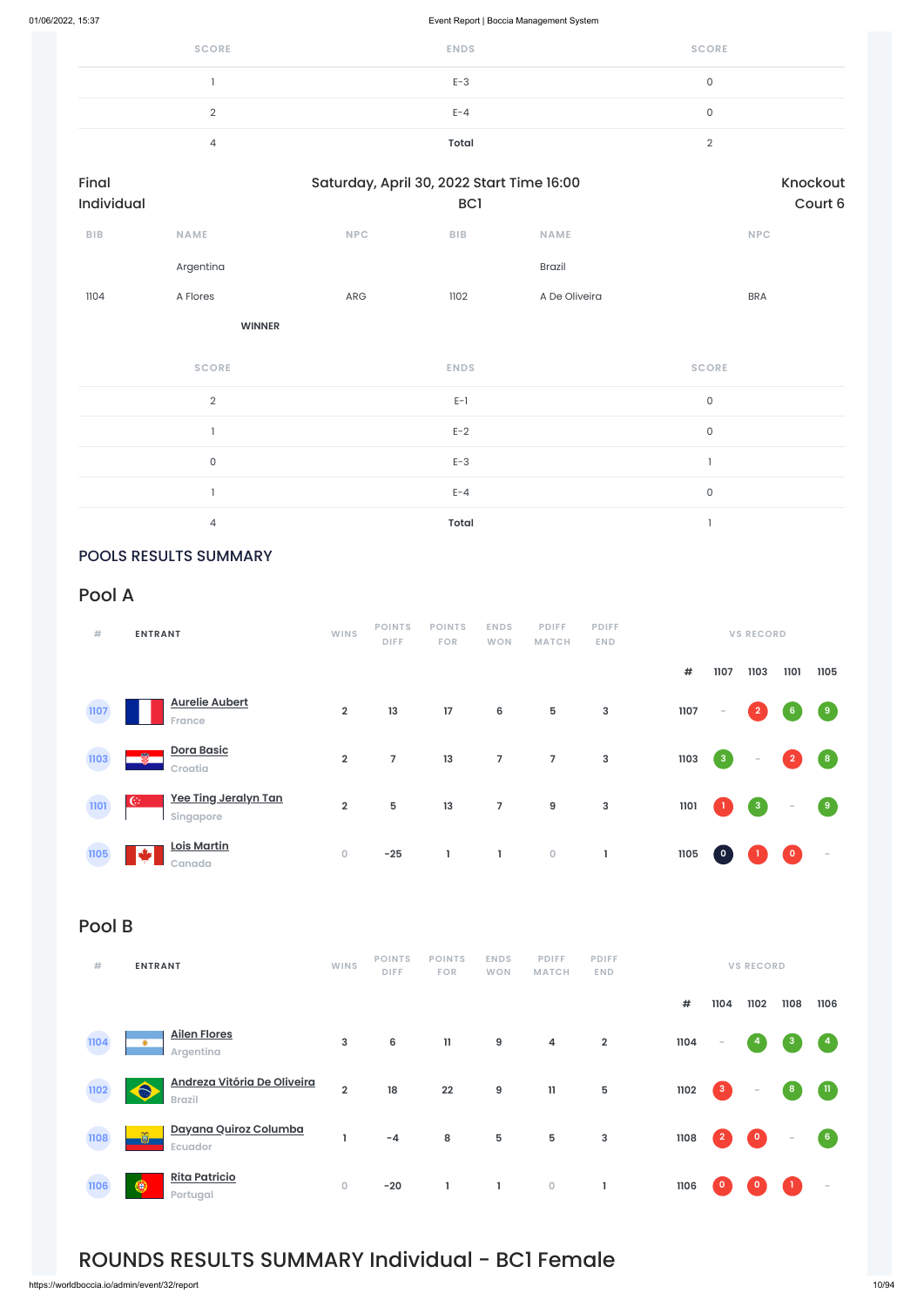| <b>SCORE</b> | <b>ENDS</b>  | <b>SCORE</b> |
|--------------|--------------|--------------|
|              | $E-3$        | u            |
|              | $E - 4$      |              |
|              | <b>Total</b> |              |

| Final<br>Individual |                | Saturday, April 30, 2022 Start Time 16:00 | BC1         |               | Knockout<br>Court 6 |  |
|---------------------|----------------|-------------------------------------------|-------------|---------------|---------------------|--|
| BIB                 | <b>NAME</b>    | NPC                                       | <b>BIB</b>  | <b>NAME</b>   | <b>NPC</b>          |  |
|                     | Argentina      |                                           |             | Brazil        |                     |  |
| 1104                | A Flores       | ARG                                       | 1102        | A De Oliveira | <b>BRA</b>          |  |
|                     | <b>WINNER</b>  |                                           |             |               |                     |  |
|                     | <b>SCORE</b>   |                                           | <b>ENDS</b> |               | <b>SCORE</b>        |  |
|                     | $\overline{2}$ |                                           | $E-1$       |               | $\mathsf{O}\xspace$ |  |
|                     | $\overline{1}$ |                                           | $E-2$       |               | $\mathsf{O}\xspace$ |  |
|                     | $\mathsf{O}$   |                                           | $E-3$       |               |                     |  |
|                     |                |                                           |             |               |                     |  |

 $E-A$  0

4 **Total** 1

### POOLS RESULTS SUMMARY

### Pool A

| #    | <b>ENTRANT</b>                         | <b>WINS</b>    | <b>POINTS</b><br><b>DIFF</b> | <b>POINTS</b><br><b>FOR</b> | <b>ENDS</b><br><b>WON</b> | <b>PDIFF</b><br><b>MATCH</b> | <b>PDIFF</b><br><b>END</b> |      |                         | <b>VS RECORD</b>        |                |                                   |
|------|----------------------------------------|----------------|------------------------------|-----------------------------|---------------------------|------------------------------|----------------------------|------|-------------------------|-------------------------|----------------|-----------------------------------|
|      |                                        |                |                              |                             |                           |                              |                            | #    | 1107                    | 1103                    | 1101           | 1105                              |
| 1107 | <b>Aurelie Aubert</b><br><b>France</b> | $\overline{2}$ | 13                           | 17                          | 6                         | 5                            | 3                          | 1107 | $\sim$                  | $\overline{2}$          | 6              | $\begin{bmatrix} 9 \end{bmatrix}$ |
| 1103 | <b>Dora Basic</b><br>覺<br>Croatia      | $\overline{2}$ | $\overline{7}$               | 13                          | $\overline{7}$            | $\overline{7}$               | $\mathsf 3$                | 1103 | 3 <sup>2</sup>          | $\sim$                  | $\overline{2}$ | (8)                               |
| 1101 | Yee Ting Jeralyn Tan<br>C<br>Singapore | $\overline{2}$ | $5\phantom{1}$               | 13                          | $\overline{7}$            | 9                            | 3                          | 1101 |                         | $\overline{\mathbf{3}}$ | $\sim$         | $\sqrt{9}$                        |
| 1105 | <b>Lois Martin</b><br>سكلت<br>Canada   | $\mathbf 0$    | $-25$                        | L                           | L                         | $\mathsf{O}\xspace$          | L                          | 1105 | $\overline{\mathbf{0}}$ |                         | $\bullet$      | $\overline{\phantom{a}}$          |

## Pool B

| $+$ | <b>ENTRANT</b> | <b>WINS</b> |  | POINTS POINTS ENDS PDIFF PDIFF<br>DIFF FOR WON MATCH END | <b>VS RECORD</b> |
|-----|----------------|-------------|--|----------------------------------------------------------|------------------|
|     |                |             |  |                                                          |                  |

**# 1104 1102 1108 1106**



## ROUNDS RESULTS SUMMARY Individual - BC1 Female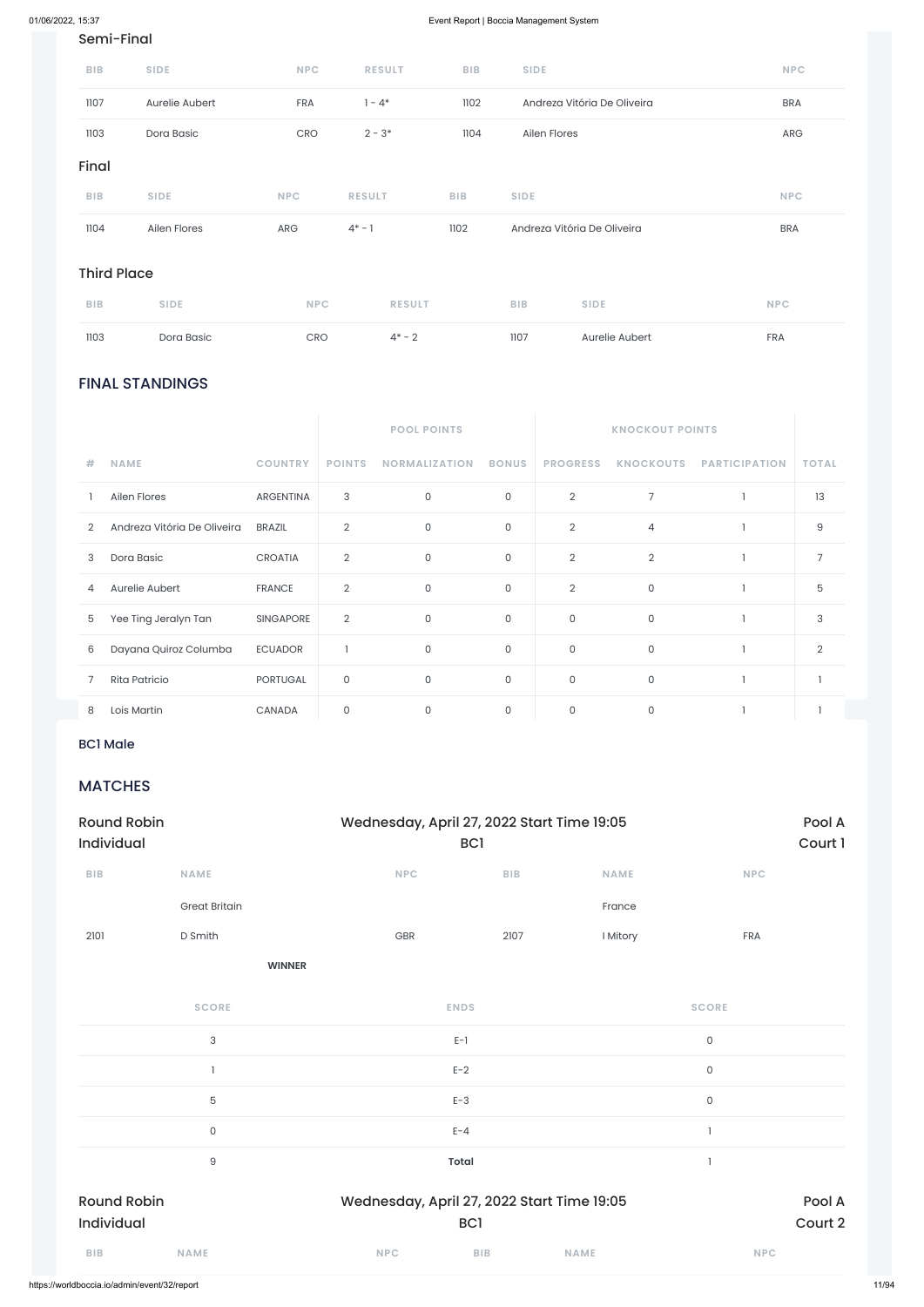### FINAL STANDINGS

|                |                             |                  |                | <b>POOL POINTS</b>   |              | <b>KNOCKOUT POINTS</b> |                  |                      |                |
|----------------|-----------------------------|------------------|----------------|----------------------|--------------|------------------------|------------------|----------------------|----------------|
| #              | <b>NAME</b>                 | <b>COUNTRY</b>   | <b>POINTS</b>  | <b>NORMALIZATION</b> | <b>BONUS</b> | <b>PROGRESS</b>        | <b>KNOCKOUTS</b> | <b>PARTICIPATION</b> | <b>TOTAL</b>   |
|                | Ailen Flores                | <b>ARGENTINA</b> | 3              | $\mathbf 0$          | $\mathsf{O}$ | $\overline{2}$         | $\overline{7}$   |                      | 13             |
| $\overline{2}$ | Andreza Vitória De Oliveira | <b>BRAZIL</b>    | $\overline{2}$ | $\mathbf 0$          | $\mathsf O$  | $\overline{2}$         | $\overline{4}$   |                      | 9              |
| 3              | Dora Basic                  | <b>CROATIA</b>   | $\overline{2}$ | $\mathbf{0}$         | $\mathsf O$  | $\overline{2}$         | $\overline{2}$   |                      | $\overline{7}$ |
| 4              | Aurelie Aubert              | <b>FRANCE</b>    | $\overline{2}$ | $\mathbf 0$          | $\mathsf O$  | $\overline{2}$         | $\mathsf{O}$     |                      | 5              |
| 5              | Yee Ting Jeralyn Tan        | <b>SINGAPORE</b> | $\overline{2}$ | $\mathbf 0$          | $\mathsf O$  | $\mathbf 0$            | $\mathsf{O}$     |                      | 3              |
| 6              | Dayana Quiroz Columba       | <b>ECUADOR</b>   |                | 0                    | $\mathsf{O}$ | $\mathsf O$            | $\mathsf{O}$     |                      | $\overline{2}$ |
|                | Rita Patricio               | <b>PORTUGAL</b>  | $\mathsf{O}$   | $\mathbf{0}$         | $\mathsf{O}$ | $\mathsf{O}$           | $\mathsf{O}$     |                      |                |
| 8              | Lois Martin                 | CANADA           | 0              | $\mathbf 0$          | $\mathsf O$  | 0                      | $\Omega$         |                      |                |

### Semi-Final

| 1104       | Ailen Flores   | <b>ARG</b> | $4^* - 1$     | 1102       | Andreza Vitória De Oliveira | <b>BRA</b> |
|------------|----------------|------------|---------------|------------|-----------------------------|------------|
| <b>BIB</b> | <b>SIDE</b>    | <b>NPC</b> | <b>RESULT</b> | <b>BIB</b> | <b>SIDE</b>                 | <b>NPC</b> |
| Final      |                |            |               |            |                             |            |
| 1103       | Dora Basic     | <b>CRO</b> | $2 - 3*$      | 1104       | Ailen Flores                | <b>ARG</b> |
| 1107       | Aurelie Aubert | <b>FRA</b> | $1 - 4^*$     | 1102       | Andreza Vitória De Oliveira | <b>BRA</b> |
| <b>BIB</b> | <b>SIDE</b>    | <b>NPC</b> | <b>RESULT</b> | <b>BIB</b> | <b>SIDE</b>                 | <b>NPC</b> |

### Third Place

| <b>BIB</b> | <b>SIDE</b> | <b>NPC</b> | <b>RESULT</b> | <b>BIB</b> | <b>SIDE</b>    | <b>NPC</b> |
|------------|-------------|------------|---------------|------------|----------------|------------|
| 1103       | Dora Basic  | CRO        | $4^*$ – 2     | 1107       | Aurelie Aubert | <b>FRA</b> |

### BC1 Male

### MATCHES

| <b>Round Robin</b><br><b>Individual</b> |                      | Wednesday, April 27, 2022 Start Time 19:05<br><b>BCI</b> |            |             | Pool A<br>Court 1 |  |
|-----------------------------------------|----------------------|----------------------------------------------------------|------------|-------------|-------------------|--|
| <b>BIB</b>                              | <b>NAME</b>          | <b>NPC</b>                                               | <b>BIB</b> | <b>NAME</b> | <b>NPC</b>        |  |
|                                         | <b>Great Britain</b> |                                                          |            | France      |                   |  |
| 2101                                    | D Smith              | <b>GBR</b>                                               | 2107       | I Mitory    | <b>FRA</b>        |  |

**WINNER**

|                    | <b>SCORE</b> |            | <b>ENDS</b>     |                                            | <b>SCORE</b>        |         |
|--------------------|--------------|------------|-----------------|--------------------------------------------|---------------------|---------|
|                    | 3            |            | $E-1$           |                                            | $\mathsf{O}\xspace$ |         |
|                    |              |            | $E-2$           |                                            | $\mathsf O$         |         |
|                    | $\mathbf 5$  |            | $E-3$           |                                            | $\mathsf{O}$        |         |
|                    | $\mathsf O$  |            | $E - 4$         |                                            |                     |         |
|                    | $\hbox{9}$   |            | <b>Total</b>    |                                            |                     |         |
| <b>Round Robin</b> |              |            |                 | Wednesday, April 27, 2022 Start Time 19:05 |                     | Pool A  |
| Individual         |              |            | BC <sub>1</sub> |                                            |                     | Court 2 |
| <b>BIB</b>         | <b>NAME</b>  | <b>NPC</b> | <b>BIB</b>      | <b>NAME</b>                                | <b>NPC</b>          |         |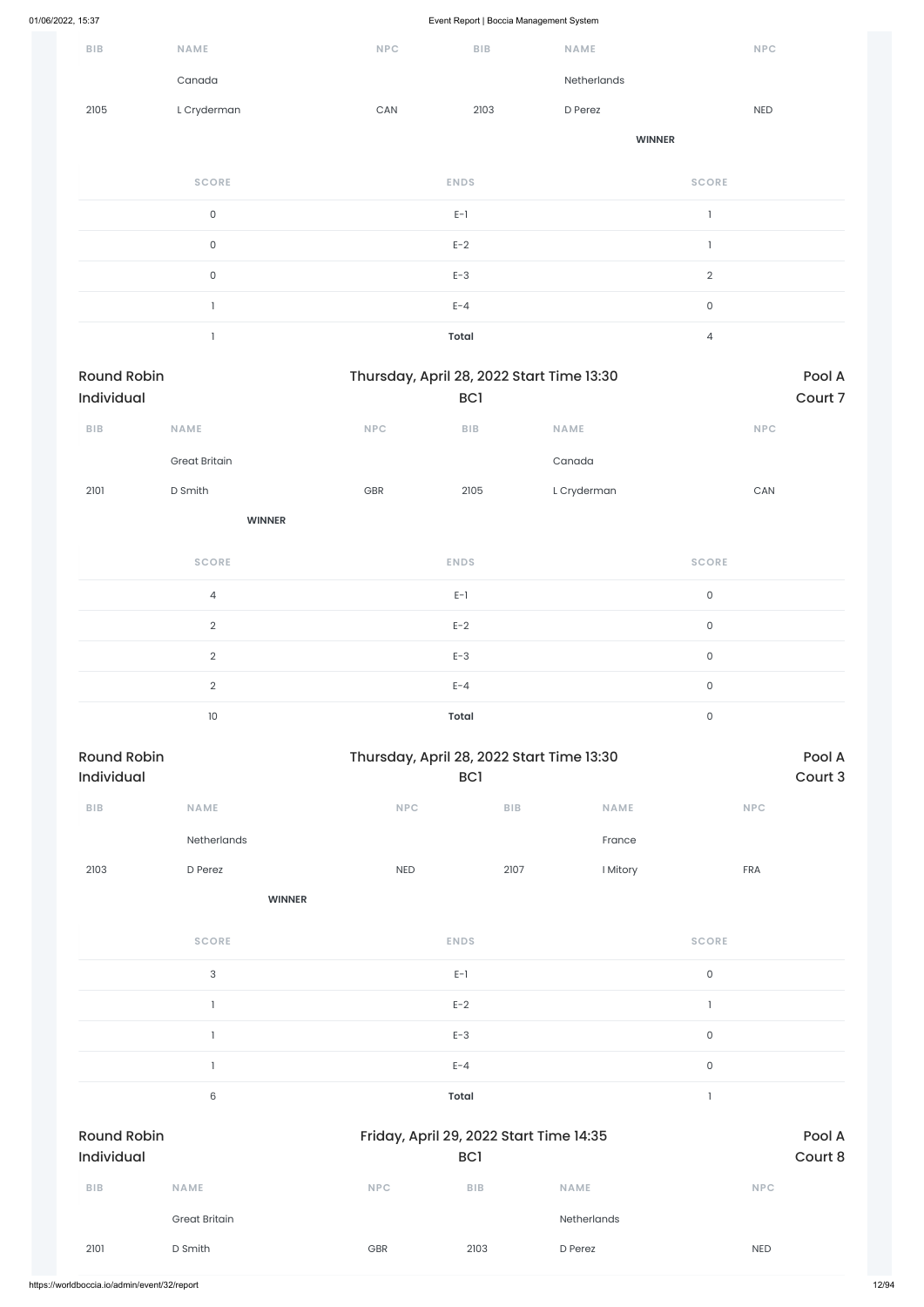| <b>BIB</b>                       | NAME                 | <b>NPC</b> | <b>BIB</b>              | <b>NAME</b>                               | <b>NPC</b>          |                   |
|----------------------------------|----------------------|------------|-------------------------|-------------------------------------------|---------------------|-------------------|
|                                  | Canada               |            |                         | Netherlands                               |                     |                   |
| 2105                             | L Cryderman          | CAN        | 2103                    | D Perez                                   | <b>NED</b>          |                   |
|                                  |                      |            |                         | <b>WINNER</b>                             |                     |                   |
|                                  | <b>SCORE</b>         |            | <b>ENDS</b>             |                                           | <b>SCORE</b>        |                   |
|                                  | $\mathsf{O}\xspace$  |            | $E-1$                   |                                           | $\mathbf{I}$        |                   |
|                                  | $\mathsf{O}\xspace$  |            | $E-2$                   |                                           | $\mathbf{I}$        |                   |
|                                  | $\mathsf{O}\xspace$  |            | $E-3$                   |                                           | $\overline{2}$      |                   |
|                                  | $\mathbf{1}$         |            | $E - 4$                 |                                           | $\mathsf{O}\xspace$ |                   |
|                                  | $\mathbf{I}$         |            | <b>Total</b>            |                                           | $\overline{4}$      |                   |
|                                  |                      |            |                         |                                           |                     |                   |
| <b>Round Robin</b><br>Individual |                      |            | BC <sub>1</sub>         | Thursday, April 28, 2022 Start Time 13:30 |                     | Pool A<br>Court 7 |
| <b>BIB</b>                       | NAME                 | NPC        | BIB                     | NAME                                      | NPC                 |                   |
|                                  |                      |            |                         |                                           |                     |                   |
|                                  | <b>Great Britain</b> |            |                         | Canada                                    |                     |                   |
| 2101                             | D Smith              | GBR        | 2105                    | L Cryderman                               | CAN                 |                   |
|                                  | <b>WINNER</b>        |            |                         |                                           |                     |                   |
|                                  | <b>SCORE</b>         |            | <b>ENDS</b>             |                                           | <b>SCORE</b>        |                   |
|                                  | $\sqrt{4}$           |            | $E-1$                   |                                           | $\mathsf O$         |                   |
|                                  | $\sqrt{2}$           |            | $E-2$                   |                                           | $\mathsf{O}\xspace$ |                   |
|                                  | $\overline{2}$       |            | $E-3$                   |                                           | $\mathsf{O}\xspace$ |                   |
|                                  | $\mathbf{2}$         |            | $E - 4$                 |                                           | $\mathsf O$         |                   |
|                                  | $10\,$               |            | <b>Total</b>            |                                           | $\mathsf{O}\xspace$ |                   |
| <b>Round Robin</b>               |                      |            |                         | Thursday, April 28, 2022 Start Time 13:30 |                     | Pool A            |
| Individual                       |                      |            | BC1                     |                                           |                     | Court 3           |
| ${\bf B} {\sf I} {\bf B}$        | NAME                 | <b>NPC</b> | ${\sf B}{\sf I}{\sf B}$ | NAME                                      | <b>NPC</b>          |                   |
|                                  | Netherlands          |            |                         | France                                    |                     |                   |
| 2103                             | D Perez              | <b>NED</b> | 2107                    | I Mitory                                  | FRA                 |                   |
|                                  | <b>WINNER</b>        |            |                         |                                           |                     |                   |
|                                  | <b>SCORE</b>         |            | <b>ENDS</b>             |                                           | <b>SCORE</b>        |                   |
|                                  |                      |            |                         |                                           |                     |                   |

 $E-I$  0

|                                  |                      |            | $E-2$      |                                         |                     |                   |
|----------------------------------|----------------------|------------|------------|-----------------------------------------|---------------------|-------------------|
|                                  |                      |            | $E-3$      |                                         | $\mathsf{O}\xspace$ |                   |
|                                  |                      |            | $E - 4$    |                                         | $\mathsf O$         |                   |
|                                  | $6\,$                |            | Total      |                                         |                     |                   |
| <b>Round Robin</b><br>Individual |                      |            | BC1        | Friday, April 29, 2022 Start Time 14:35 |                     | Pool A<br>Court 8 |
| <b>BIB</b>                       | <b>NAME</b>          | <b>NPC</b> | <b>BIB</b> | <b>NAME</b>                             |                     | <b>NPC</b>        |
|                                  | <b>Great Britain</b> |            |            | Netherlands                             |                     |                   |
| 2101                             | D Smith              | GBR        | 2103       | D Perez                                 |                     | <b>NED</b>        |
|                                  |                      |            |            |                                         |                     |                   |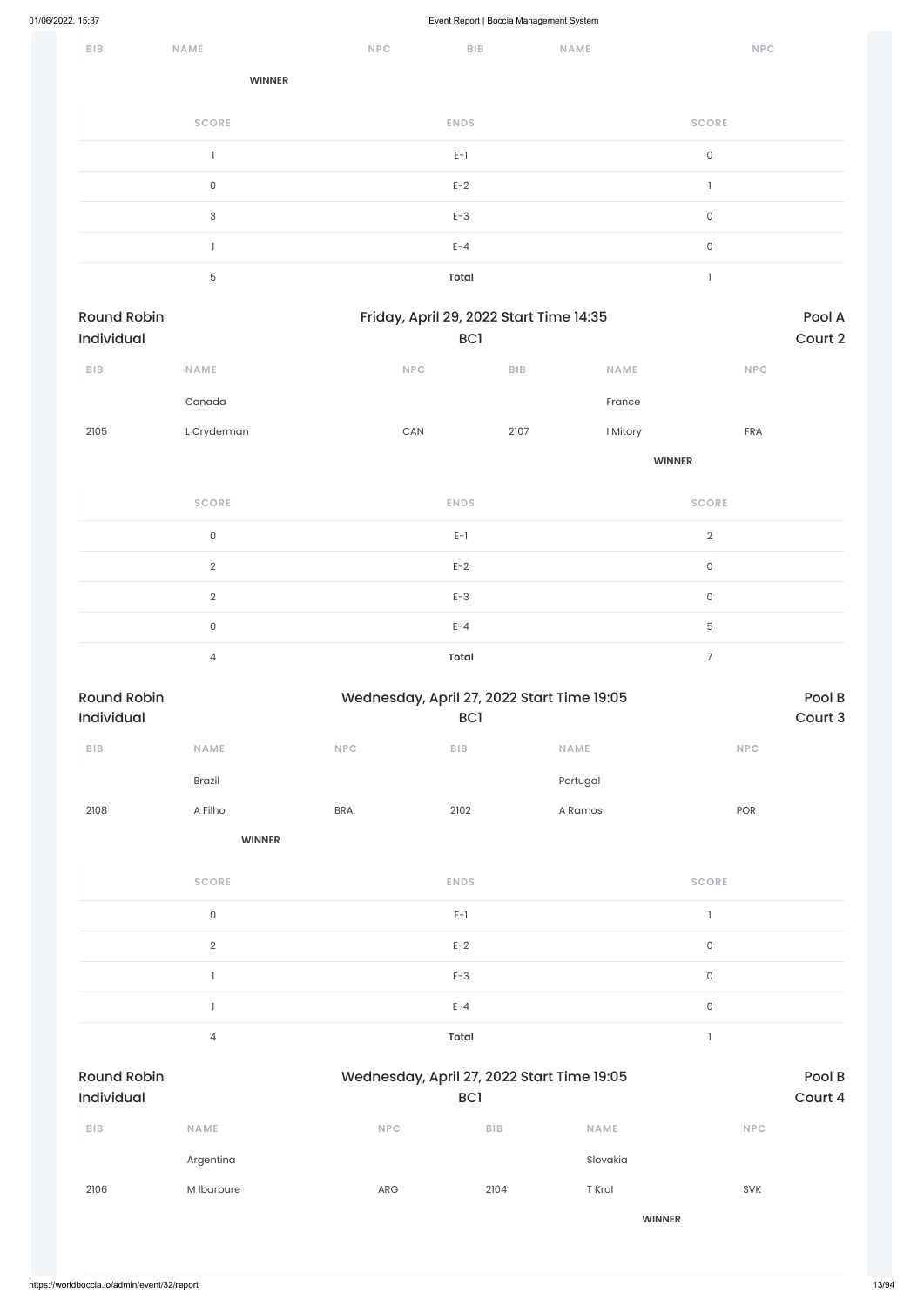| $B$   $B$ | NAME          | <b>NPC</b> | <b>BIB</b>   | NAME | <b>NPC</b>   |
|-----------|---------------|------------|--------------|------|--------------|
|           | <b>WINNER</b> |            |              |      |              |
|           | <b>SCORE</b>  |            | <b>ENDS</b>  |      | <b>SCORE</b> |
|           |               |            | $E-1$        |      | $\mathsf{O}$ |
|           | $\mathsf O$   |            | $E-2$        |      | L.           |
|           | 3             |            | $E-3$        |      | $\mathsf O$  |
|           |               |            | $E - 4$      |      | $\mathsf O$  |
|           | $\mathbf 5$   |            | <b>Total</b> |      |              |

| Round Robin<br>Individual |                     |            |                                            | Friday, April 29, 2022 Start Time 14:35<br>BC1 |               |                     | Pool A<br>Court 2 |
|---------------------------|---------------------|------------|--------------------------------------------|------------------------------------------------|---------------|---------------------|-------------------|
|                           |                     |            |                                            |                                                |               |                     |                   |
| ${\sf B}{\sf I}{\sf B}$   | NAME                |            | NPC                                        | BIB                                            | NAME          | <b>NPC</b>          |                   |
|                           | Canada              |            |                                            |                                                | France        |                     |                   |
| 2105                      | L Cryderman         |            | $\mathsf{CAN}\xspace$                      | 2107                                           | I Mitory      | FRA                 |                   |
|                           |                     |            |                                            |                                                | <b>WINNER</b> |                     |                   |
|                           | <b>SCORE</b>        |            | <b>ENDS</b>                                |                                                |               | <b>SCORE</b>        |                   |
|                           | $\mathsf O$         |            | $E-1$                                      |                                                |               | $\overline{2}$      |                   |
|                           | $\overline{2}$      |            | $E-2$                                      |                                                |               | $\mathsf{O}\xspace$ |                   |
|                           | $\sqrt{2}$          |            | $E-3$                                      |                                                |               | $\mathsf{O}\xspace$ |                   |
|                           | $\mathsf{O}\xspace$ |            | $E - 4$                                    |                                                | $\mathbf 5$   |                     |                   |
|                           | $\overline{4}$      |            | <b>Total</b>                               |                                                |               | $\overline{7}$      |                   |
| <b>Round Robin</b>        |                     |            | Wednesday, April 27, 2022 Start Time 19:05 |                                                |               |                     | Pool B            |
| Individual                |                     |            | BC <sub>1</sub>                            |                                                |               |                     | Court 3           |
| ${\bf B} {\sf I} {\bf B}$ | <b>NAME</b>         | NPC        | ${\sf B}{\sf I}{\sf B}$                    |                                                | <b>NAME</b>   | NPC                 |                   |
|                           | Brazil              |            |                                            |                                                | Portugal      |                     |                   |
| 2108                      | A Filho             | <b>BRA</b> | 2102                                       |                                                | A Ramos       | POR                 |                   |
|                           | <b>WINNER</b>       |            |                                            |                                                |               |                     |                   |
|                           | <b>SCORE</b>        |            | <b>ENDS</b>                                |                                                |               | <b>SCORE</b>        |                   |
|                           | $\mathsf O$         |            | $E-1$                                      |                                                |               | $\mathbf{I}$        |                   |
|                           | $\overline{2}$      |            | $E-2$                                      |                                                |               | $\mathsf O$         |                   |
|                           |                     |            |                                            |                                                |               |                     |                   |

1 and  $E-3$  and  $E-3$  and  $E-3$  and  $E-3$  and  $E-3$  and  $E-3$  and  $E-3$  and  $E-3$  and  $E-3$  and  $E-3$  and  $E-3$  and  $E-3$  and  $E-3$  and  $E-3$  and  $E-3$  and  $E-3$  and  $E-3$  and  $E-3$  and  $E-3$  and  $E-3$  and  $E-3$  and  $E-3$ 

|                                         |                |            | $E - 4$                                           |               | $\mathsf{O}\xspace$ |                   |
|-----------------------------------------|----------------|------------|---------------------------------------------------|---------------|---------------------|-------------------|
|                                         | $\overline{4}$ |            | Total                                             |               |                     |                   |
| <b>Round Robin</b><br><b>Individual</b> |                |            | Wednesday, April 27, 2022 Start Time 19:05<br>BC1 |               |                     | Pool B<br>Court 4 |
| <b>BIB</b>                              | <b>NAME</b>    | <b>NPC</b> | <b>BIB</b>                                        | <b>NAME</b>   | <b>NPC</b>          |                   |
|                                         | Argentina      |            |                                                   | Slovakia      |                     |                   |
| 2106                                    | M Ibarbure     | ARG        | 2104                                              | T Kral        | <b>SVK</b>          |                   |
|                                         |                |            |                                                   | <b>WINNER</b> |                     |                   |
|                                         |                |            |                                                   |               |                     |                   |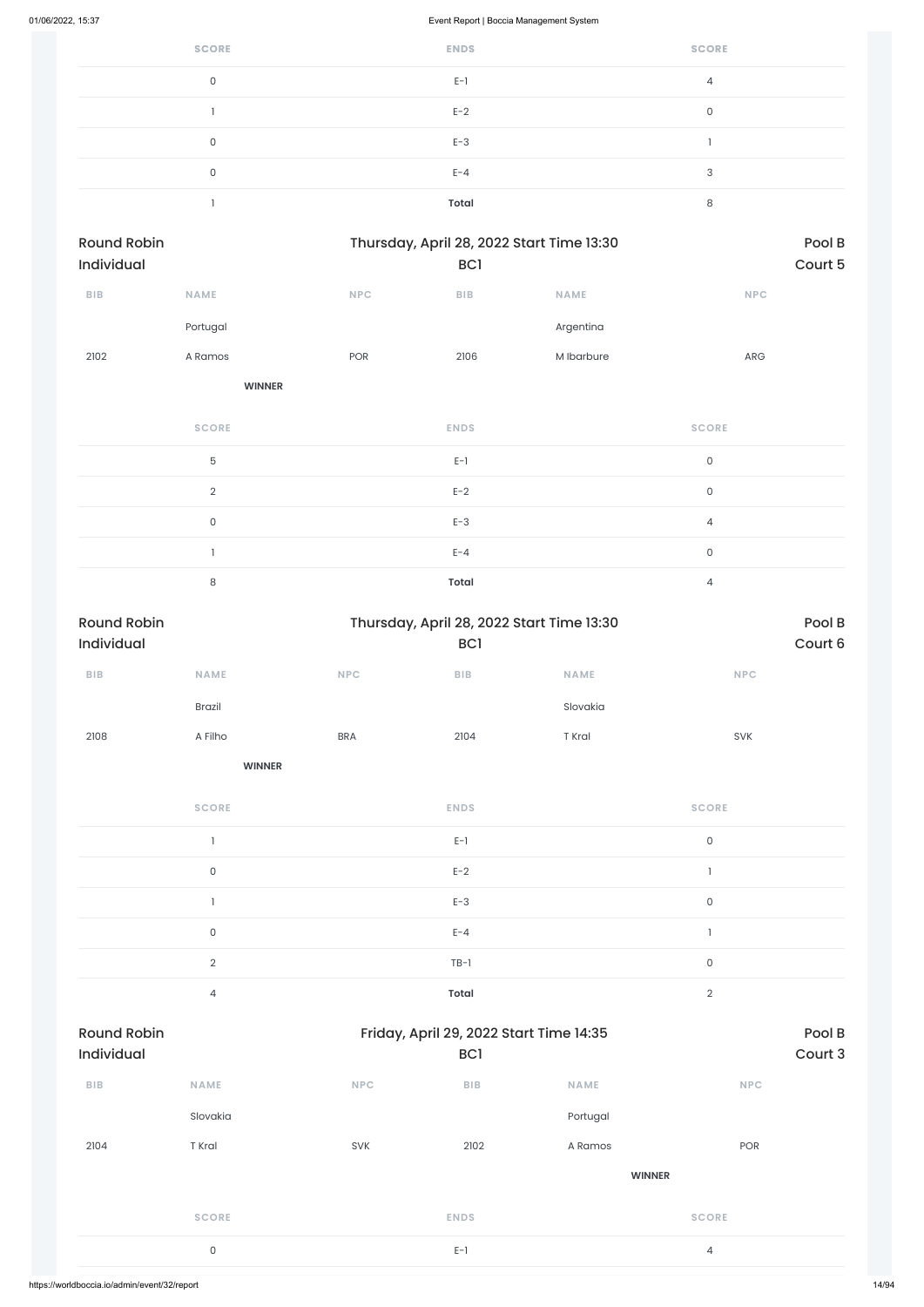| <b>SCORE</b> | <b>ENDS</b>  | <b>SCORE</b>   |
|--------------|--------------|----------------|
| 0            | $E-1$        | $\overline{4}$ |
|              | $E-2$        | 0              |
| 0            | $E-3$        |                |
| $\Omega$     | $E - 4$      | 3              |
|              | <b>Total</b> | 8              |

| <b>Round Robin</b> |               |            | Thursday, April 28, 2022 Start Time 13:30 | Pool B      |            |
|--------------------|---------------|------------|-------------------------------------------|-------------|------------|
| <b>Individual</b>  |               |            | BC <sub>1</sub>                           |             | Court 5    |
| <b>BIB</b>         | <b>NAME</b>   | <b>NPC</b> | <b>BIB</b>                                | <b>NAME</b> | <b>NPC</b> |
|                    | Portugal      |            |                                           | Argentina   |            |
| 2102               | A Ramos       | <b>POR</b> | 2106                                      | M Ibarbure  | <b>ARG</b> |
|                    | <b>WINNER</b> |            |                                           |             |            |

| <b>SCORE</b>  | <b>ENDS</b>  | <b>SCORE</b>   |
|---------------|--------------|----------------|
| 5             | $E-1$        | $\Omega$       |
| $\mathcal{D}$ | $E-2$        | $\Omega$       |
| 0             | $E-3$        | 4              |
|               | $E - 4$      | $\mathbf 0$    |
| 8             | <b>Total</b> | $\overline{4}$ |

| <b>Round Robin</b>               |                     |            | Thursday, April 28, 2022 Start Time 13:30                  |               |                             | Pool B            |
|----------------------------------|---------------------|------------|------------------------------------------------------------|---------------|-----------------------------|-------------------|
| Individual                       |                     |            | BC <sub>1</sub>                                            |               |                             | Court 6           |
| ${\bf B} {\sf I} {\bf B}$        | NAME                | NPC        | ${\sf B}{\sf I}{\sf B}$                                    | NAME          | $\ensuremath{\mathsf{NPC}}$ |                   |
|                                  | <b>Brazil</b>       |            |                                                            | Slovakia      |                             |                   |
| 2108                             | A Filho             | <b>BRA</b> | 2104                                                       | T Kral        | SVK                         |                   |
|                                  | <b>WINNER</b>       |            |                                                            |               |                             |                   |
|                                  | <b>SCORE</b>        |            | <b>ENDS</b>                                                |               | <b>SCORE</b>                |                   |
|                                  | $\mathbf{1}$        |            | $E-1$                                                      |               | $\mathsf{O}\xspace$         |                   |
|                                  | $\mathsf{O}\xspace$ |            | $E-2$                                                      |               | $\mathbf{1}$                |                   |
|                                  | 1                   |            | $E-3$                                                      |               | $\mathsf{O}\xspace$         |                   |
|                                  | $\mathsf{O}\xspace$ |            | $E - 4$                                                    |               | $\mathbf{I}$                |                   |
|                                  | $\overline{2}$      |            | $TB-1$                                                     |               | $\mathsf{O}\xspace$         |                   |
|                                  | $\overline{4}$      |            | <b>Total</b>                                               |               | $\overline{2}$              |                   |
| <b>Round Robin</b><br>Individual |                     |            | Friday, April 29, 2022 Start Time 14:35<br>BC <sub>1</sub> |               |                             | Pool B<br>Court 3 |
| ${\bf B} {\sf I} {\bf B}$        | <b>NAME</b>         | <b>NPC</b> | <b>BIB</b>                                                 | <b>NAME</b>   | NPC                         |                   |
|                                  | Slovakia            |            |                                                            | Portugal      |                             |                   |
| 2104                             | T Kral              | SVK        | 2102                                                       | A Ramos       | POR                         |                   |
|                                  |                     |            |                                                            | <b>WINNER</b> |                             |                   |
|                                  | <b>SCORE</b>        |            | <b>ENDS</b>                                                |               | <b>SCORE</b>                |                   |
|                                  | $\mathsf{O}\xspace$ |            | $E-1$                                                      |               | $\overline{4}$              |                   |
|                                  |                     |            |                                                            |               |                             |                   |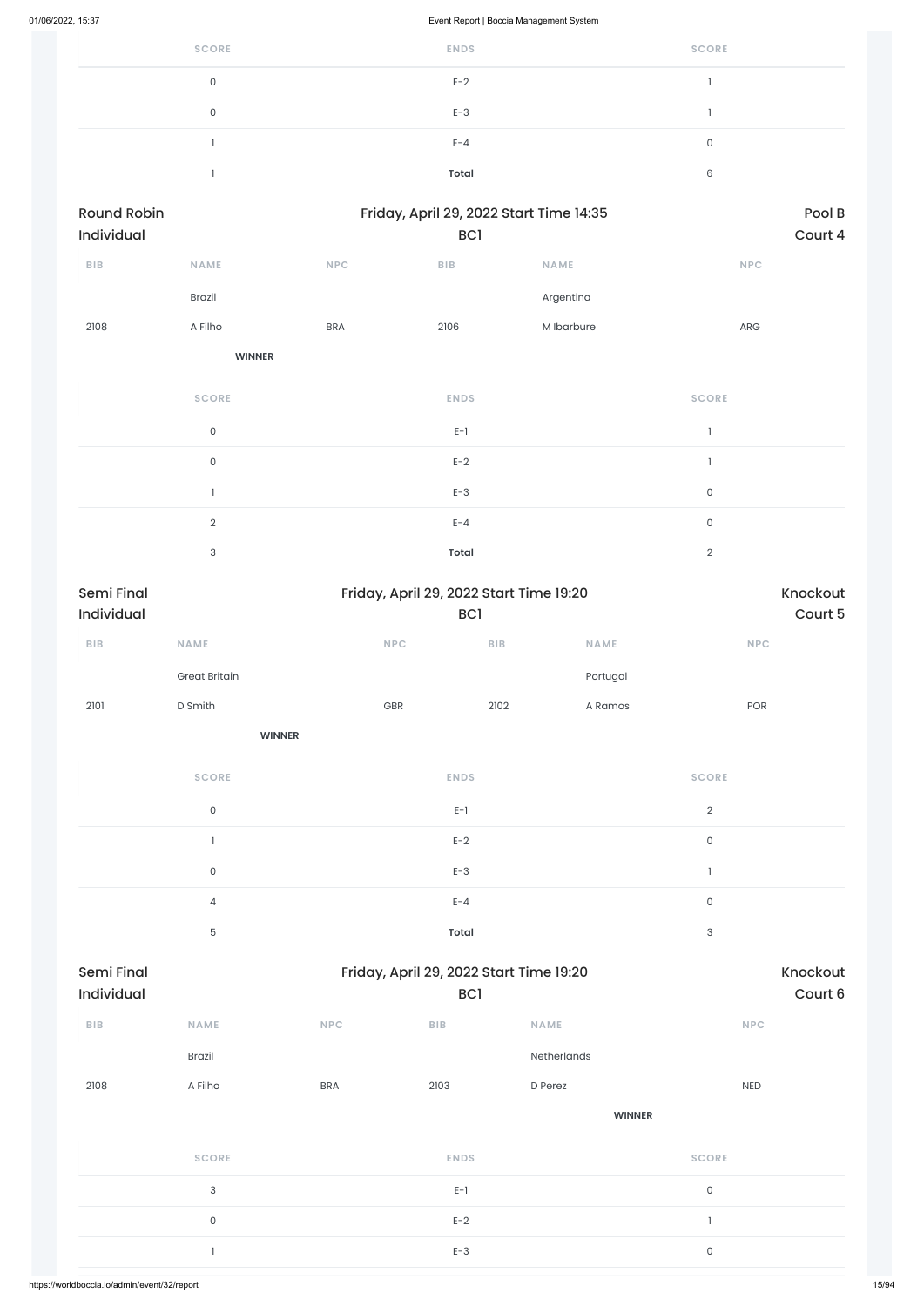| 01/06/2022, 15:37 |                                  |                     |            | Event Report   Boccia Management System        |                   |             |                     |                   |  |  |
|-------------------|----------------------------------|---------------------|------------|------------------------------------------------|-------------------|-------------|---------------------|-------------------|--|--|
|                   |                                  | <b>SCORE</b>        |            | <b>ENDS</b>                                    |                   |             | <b>SCORE</b>        |                   |  |  |
|                   |                                  | $\mathsf{O}\xspace$ |            | $E-2$                                          |                   |             | 1                   |                   |  |  |
|                   |                                  | $\mathsf{O}\xspace$ |            | $E-3$                                          |                   |             | $\mathbf{I}$        |                   |  |  |
|                   |                                  | $\mathbf{1}$        |            | $E - 4$                                        |                   | $\mathsf O$ |                     |                   |  |  |
|                   |                                  | -1                  |            | <b>Total</b>                                   |                   |             | 6                   |                   |  |  |
|                   | <b>Round Robin</b><br>Individual |                     |            | Friday, April 29, 2022 Start Time 14:35<br>BC1 |                   |             |                     | Pool B<br>Court 4 |  |  |
|                   | <b>BIB</b>                       | NAME                | <b>NPC</b> | ${\sf B}{\sf I}{\sf B}$                        | NAME              |             |                     | <b>NPC</b>        |  |  |
|                   |                                  | Brazil              |            |                                                | Argentina         |             |                     |                   |  |  |
|                   | 2108                             | A Filho             | <b>BRA</b> | 2106                                           | M Ibarbure        |             |                     | ARG               |  |  |
|                   |                                  | <b>WINNER</b>       |            |                                                |                   |             |                     |                   |  |  |
|                   |                                  | <b>SCORE</b>        |            | <b>ENDS</b>                                    |                   |             | <b>SCORE</b>        |                   |  |  |
|                   |                                  | $\mathsf{O}\xspace$ |            | $E-1$                                          |                   |             | $\mathbf{I}$        |                   |  |  |
|                   |                                  | $\mathsf{O}\xspace$ |            | $E-2$                                          |                   |             | $\mathbf{I}$        |                   |  |  |
|                   |                                  | $\mathbf{I}$        |            | $E-3$                                          |                   |             | $\mathsf O$         |                   |  |  |
|                   |                                  | $\sqrt{2}$          |            | $E - 4$                                        |                   |             | $\mathsf{O}\xspace$ |                   |  |  |
|                   |                                  | $\sqrt{3}$          |            | <b>Total</b>                                   |                   |             |                     |                   |  |  |
|                   | Semi Final<br>Individual         |                     |            | Friday, April 29, 2022 Start Time 19:20<br>BC1 |                   |             | Knockout<br>Court 5 |                   |  |  |
|                   | ${\bf B} {\sf I} {\bf B}$        | <b>NAME</b>         | NPC        |                                                | $B$ <sub>IB</sub> | NAME        |                     | <b>NPC</b>        |  |  |

|      | Great Britain |     |      | Portugal |     |
|------|---------------|-----|------|----------|-----|
| 2101 | D Smith       | GBR | 2102 | A Ramos  | POR |

**WINNER**

| <b>SCORE</b> | <b>ENDS</b>  | <b>SCORE</b> |
|--------------|--------------|--------------|
| $\Omega$     | $E-1$        | $\Omega$     |
|              | $E-2$        | 0            |
| $\mathbf{0}$ | $E-3$        |              |
| 4            | $E - 4$      | 0            |
| 5            | <b>Total</b> | 3            |

### Semi Final Friday, April 29, 2022 Start Time 19:20

| Individual              |                           |            | BC1         |               | Court 6      |
|-------------------------|---------------------------|------------|-------------|---------------|--------------|
| ${\sf B}{\sf I}{\sf B}$ | <b>NAME</b>               | NPC        | BIB         | <b>NAME</b>   | <b>NPC</b>   |
|                         | Brazil                    |            |             | Netherlands   |              |
| 2108                    | A Filho                   | <b>BRA</b> | 2103        | D Perez       | <b>NED</b>   |
|                         |                           |            |             | <b>WINNER</b> |              |
|                         | <b>SCORE</b>              |            | <b>ENDS</b> |               | <b>SCORE</b> |
|                         | $\ensuremath{\mathsf{3}}$ |            | $E-1$       |               | $\mathsf{O}$ |
|                         | $\mathsf{O}$              |            | $E-2$       |               |              |
|                         | ı                         |            | $E-3$       |               | $\mathsf{O}$ |
|                         |                           |            |             |               |              |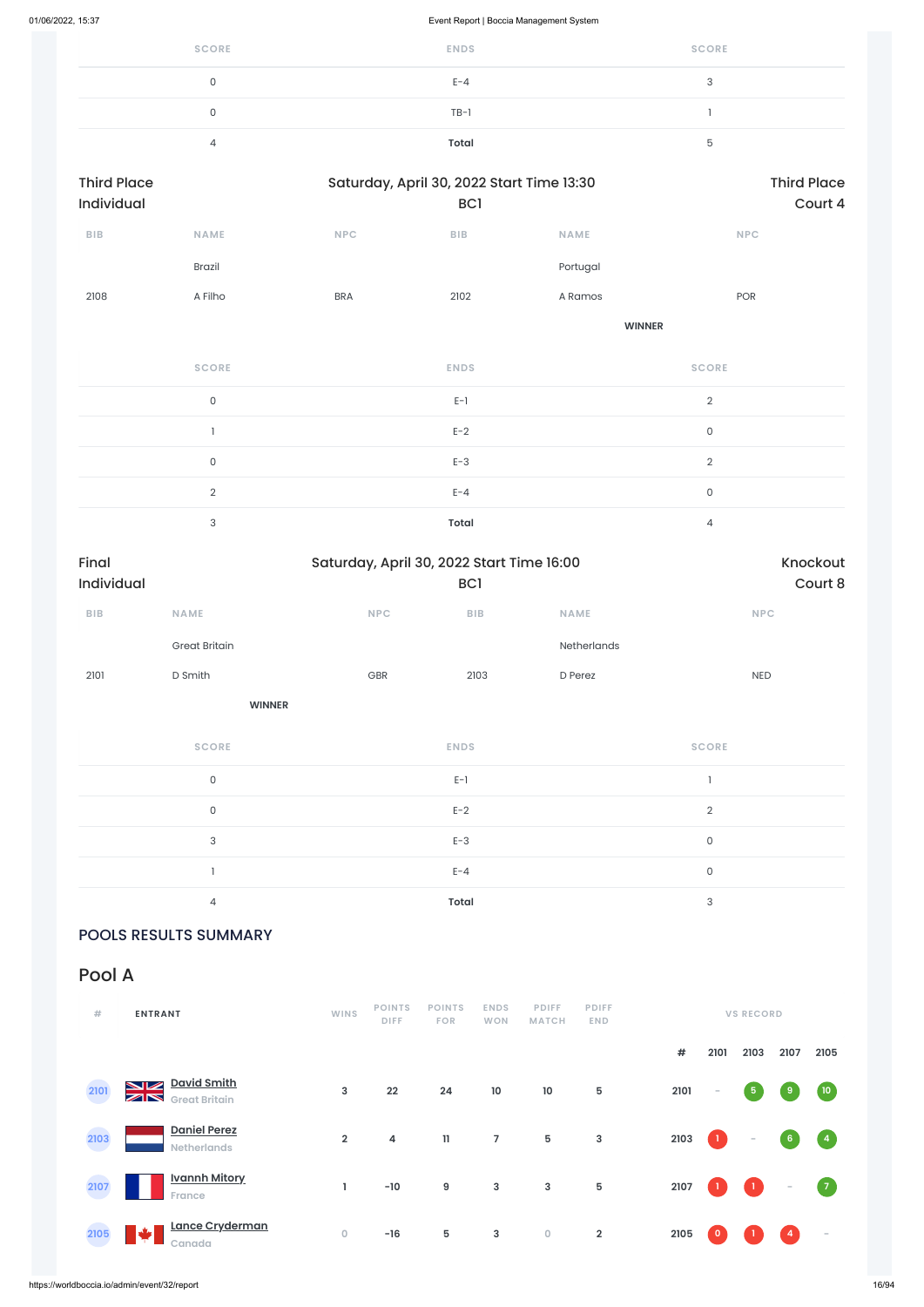| <b>SCORE</b> | <b>ENDS</b>  | <b>SCORE</b> |
|--------------|--------------|--------------|
| 0            | $E - 4$      | $\sim$       |
| 0            | $TB-1$       |              |
| 4            | <b>Total</b> |              |

| <b>Third Place</b><br>Individual |                     |            | Saturday, April 30, 2022 Start Time 13:30<br>BC <sub>1</sub> | <b>Third Place</b><br>Court 4 |                     |  |
|----------------------------------|---------------------|------------|--------------------------------------------------------------|-------------------------------|---------------------|--|
| BIB                              | <b>NAME</b>         | <b>NPC</b> | BIB                                                          | <b>NAME</b>                   | <b>NPC</b>          |  |
|                                  | <b>Brazil</b>       |            |                                                              | Portugal                      |                     |  |
| 2108                             | A Filho             | <b>BRA</b> | 2102                                                         | A Ramos                       | POR                 |  |
|                                  |                     |            |                                                              | <b>WINNER</b>                 |                     |  |
|                                  | <b>SCORE</b>        |            | <b>ENDS</b>                                                  |                               | <b>SCORE</b>        |  |
|                                  | $\mathsf{O}\xspace$ |            | $\mathsf{E}\text{-}\mathsf{I}$                               |                               | $\overline{2}$      |  |
|                                  |                     |            | $E-2$                                                        |                               | $\mathsf{O}\xspace$ |  |
|                                  | $\mathsf{O}\xspace$ |            | $E-3$                                                        |                               | $\overline{2}$      |  |
|                                  | $\sqrt{2}$          |            | $E - 4$                                                      |                               | $\mathsf O$         |  |
|                                  |                     |            |                                                              |                               |                     |  |

3 **Total** 4

| Final<br>Individual |                      |            | Saturday, April 30, 2022 Start Time 16:00<br>BC1 |             |              |  |  |  |
|---------------------|----------------------|------------|--------------------------------------------------|-------------|--------------|--|--|--|
| <b>BIB</b>          | <b>NAME</b>          | <b>NPC</b> | <b>BIB</b>                                       | <b>NAME</b> | <b>NPC</b>   |  |  |  |
|                     | <b>Great Britain</b> |            |                                                  | Netherlands |              |  |  |  |
| 2101                | D Smith              | GBR        | 2103                                             | D Perez     | <b>NED</b>   |  |  |  |
|                     | <b>WINNER</b>        |            |                                                  |             |              |  |  |  |
|                     | <b>SCORE</b>         |            | <b>ENDS</b>                                      |             | <b>SCORE</b> |  |  |  |
|                     | 0                    |            | $E-1$                                            |             |              |  |  |  |
|                     |                      |            |                                                  |             |              |  |  |  |

| n | $E-2$        |  |
|---|--------------|--|
| ◠ | $E-3$        |  |
|   | $E - 4$      |  |
|   | <b>Total</b> |  |

POOLS RESULTS SUMMARY

Pool A

| #    | <b>ENTRANT</b>                                                              | <b>WINS</b>    | <b>POINTS</b><br><b>DIFF</b> | <b>POINTS</b><br><b>FOR</b> | <b>ENDS</b><br><b>WON</b> | <b>PDIFF</b><br><b>MATCH</b> | <b>PDIFF</b><br><b>END</b> |            | <b>VS RECORD</b> |              |                          |                                   |  |
|------|-----------------------------------------------------------------------------|----------------|------------------------------|-----------------------------|---------------------------|------------------------------|----------------------------|------------|------------------|--------------|--------------------------|-----------------------------------|--|
|      |                                                                             |                |                              |                             |                           |                              |                            | $\pmb{\#}$ | 2101             | 2103         | 2107                     | 2105                              |  |
| 2101 | <b>David Smith</b><br>$\blacksquare$<br>$\boxtimes$<br><b>Great Britain</b> | $\mathbf{3}$   | 22                           | 24                          | 10                        | $10$                         | 5                          | 2101       | $\sim$           | $\sqrt{5}$   | 9                        | (10)                              |  |
| 2103 | <b>Daniel Perez</b><br><b>Netherlands</b>                                   | $\overline{2}$ | 4                            | $\mathbf{11}$               | $\overline{7}$            | $5\phantom{.0}$              | 3                          | 2103       | $\mathbf{1}$     | $\sim$       | 6 <sub>o</sub>           | $\begin{pmatrix} 4 \end{pmatrix}$ |  |
| 2107 | <b>Ivannh Mitory</b><br>France                                              | J.             | $-10$                        | 9                           | 3                         | 3                            | $\overline{5}$             | 2107       | -1.              | $\mathbf{1}$ | $\overline{\phantom{a}}$ | $\sqrt{7}$                        |  |
| 2105 | Lance Cryderman<br>مك<br>Canada                                             | $\mathbf 0$    | $-16$                        | 5                           | 3                         | $\mathsf{O}\xspace$          | $\overline{2}$             | 2105       | $\bullet$        |              | 4                        | $\overline{\phantom{a}}$          |  |

https://worldboccia.io/admin/event/32/report 16/94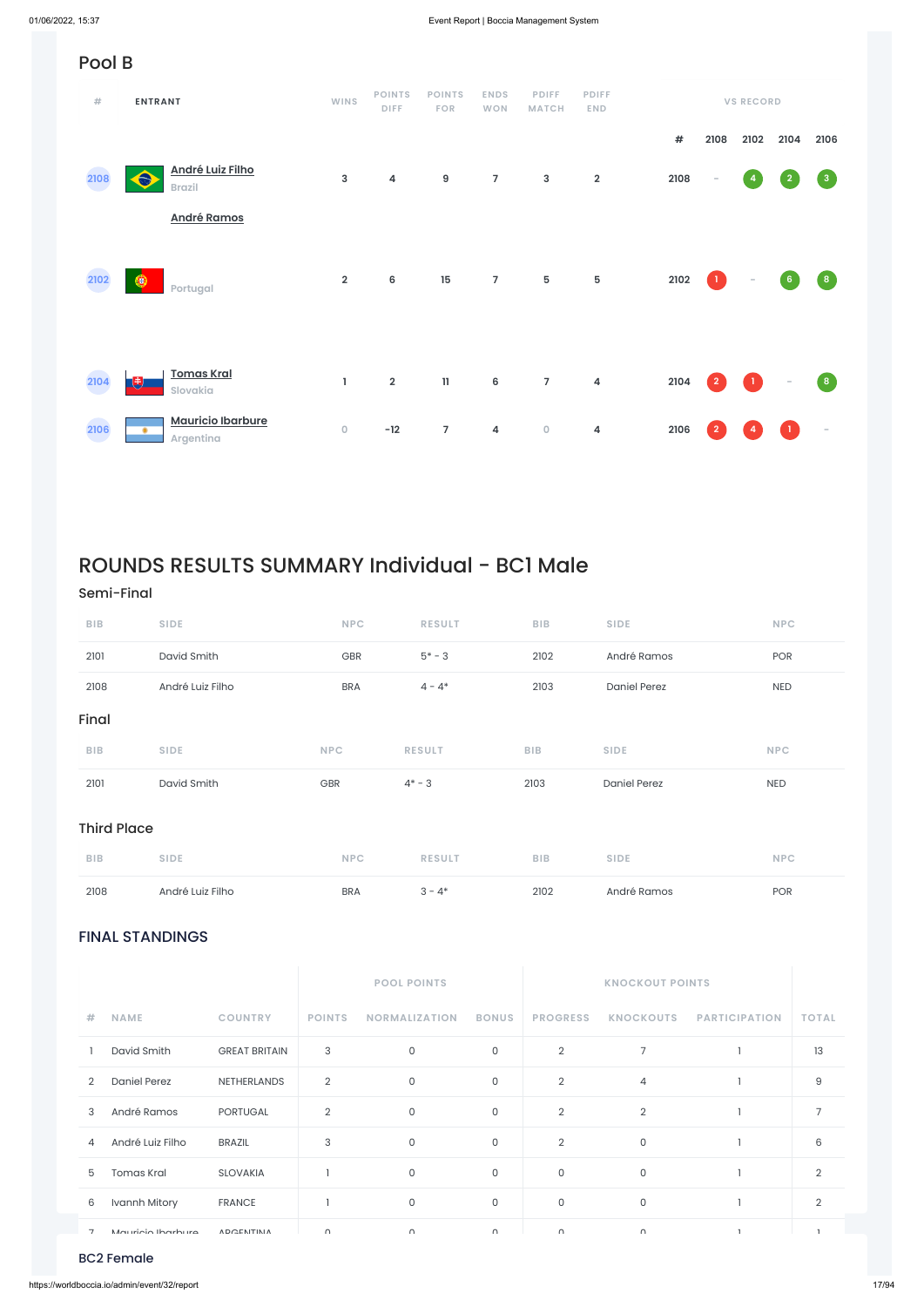### FINAL STANDINGS

|                |                     |                      |               | <b>POOL POINTS</b>   |              | <b>KNOCKOUT POINTS</b> |                  |                      |               |
|----------------|---------------------|----------------------|---------------|----------------------|--------------|------------------------|------------------|----------------------|---------------|
| #              | <b>NAME</b>         | <b>COUNTRY</b>       | <b>POINTS</b> | <b>NORMALIZATION</b> | <b>BONUS</b> | <b>PROGRESS</b>        | <b>KNOCKOUTS</b> | <b>PARTICIPATION</b> | <b>TOTAL</b>  |
|                | David Smith         | <b>GREAT BRITAIN</b> | 3             | 0                    | 0            | $\overline{2}$         | 7                |                      | 13            |
| $\overline{2}$ | <b>Daniel Perez</b> | NETHERLANDS          | 2             | $\mathsf O$          | $\mathsf O$  | $\overline{2}$         | $\overline{4}$   |                      | 9             |
| 3              | André Ramos         | <b>PORTUGAL</b>      | 2             | 0                    | $\mathbf 0$  | $\overline{2}$         | $\overline{2}$   |                      | 7             |
| 4              | André Luiz Filho    | <b>BRAZIL</b>        | 3             | $\mathsf O$          | $\mathsf O$  | $\overline{2}$         | $\mathbf 0$      |                      | 6             |
| 5              | Tomas Kral          | <b>SLOVAKIA</b>      |               | $\mathsf O$          | $\mathsf O$  | $\mathsf{O}$           | $\mathsf{O}$     |                      | 2             |
| 6              | Ivannh Mitory       | <b>FRANCE</b>        |               | 0                    | $\mathsf O$  | $\mathbf{0}$           | $\mathbf{0}$     |                      | $\mathcal{D}$ |
| $\overline{7}$ | Mauricia Ibarbura   | <b>ADCENTINIA</b>    | $\cap$        | $\cap$               | $\cap$       | $\cap$                 | $\cap$           |                      |               |

|      | Pool B                                        |                     |                              |                      |                           |                              |                            |      |                          |                          |                 |                                                      |
|------|-----------------------------------------------|---------------------|------------------------------|----------------------|---------------------------|------------------------------|----------------------------|------|--------------------------|--------------------------|-----------------|------------------------------------------------------|
| #    | <b>ENTRANT</b>                                | <b>WINS</b>         | <b>POINTS</b><br><b>DIFF</b> | <b>POINTS</b><br>FOR | <b>ENDS</b><br><b>WON</b> | <b>PDIFF</b><br><b>MATCH</b> | <b>PDIFF</b><br><b>END</b> |      |                          | <b>VS RECORD</b>         |                 |                                                      |
|      |                                               |                     |                              |                      |                           |                              |                            | $\#$ | 2108                     | 2102                     | 2104            | 2106                                                 |
| 2108 | <b>André Luiz Filho</b><br>6<br><b>Brazil</b> | $\mathsf 3$         | $\overline{\mathbf{4}}$      | $\boldsymbol{9}$     | $\overline{7}$            | $\mathbf{3}$                 | $\overline{\mathbf{2}}$    | 2108 | $\overline{\phantom{a}}$ | $\overline{4}$           | $\overline{2}$  | 3 <sup>°</sup>                                       |
|      | <b>André Ramos</b>                            |                     |                              |                      |                           |                              |                            |      |                          |                          |                 |                                                      |
| 2102 | ¢<br>Portugal                                 | $\overline{2}$      | 6                            | 15                   | $\overline{7}$            | ${\bf 5}$                    | ${\bf 5}$                  | 2102 | $\bf{1}$                 | $\overline{\phantom{a}}$ | $6\phantom{.}6$ | $\left( 8\right)$                                    |
| 2104 | <b>Tomas Kral</b><br>Q<br>Slovakia            | $\mathbf 1$         | $\overline{\mathbf{2}}$      | $\mathbf{H}$         | $\,$ 6 $\,$               | $\overline{7}$               | 4                          | 2104 | $\overline{2}$           | $\mathbf{1}$             |                 | $\begin{array}{ c c } \hline 8 \ \hline \end{array}$ |
| 2106 | <b>Mauricio Ibarbure</b><br>۰<br>Argentina    | $\mathsf{O}\xspace$ | $-12$                        | $\overline{7}$       | 4                         | $\mathsf O$                  | 4                          | 2106 | $\overline{2}$           |                          |                 |                                                      |

## ROUNDS RESULTS SUMMARY Individual - BC1 Male

### Semi-Final

| 2108               | André Luiz Filho | <b>BRA</b> | $3 - 4*$      | 2102       | André Ramos         | POR        |
|--------------------|------------------|------------|---------------|------------|---------------------|------------|
| <b>BIB</b>         | <b>SIDE</b>      | <b>NPC</b> | <b>RESULT</b> | <b>BIB</b> | <b>SIDE</b>         | <b>NPC</b> |
| <b>Third Place</b> |                  |            |               |            |                     |            |
| 2101               | David Smith      | GBR        | $4* - 3$      | 2103       | <b>Daniel Perez</b> | <b>NED</b> |
| <b>BIB</b>         | <b>SIDE</b>      | <b>NPC</b> | <b>RESULT</b> | <b>BIB</b> | <b>SIDE</b>         | <b>NPC</b> |
| Final              |                  |            |               |            |                     |            |
| 2108               | André Luiz Filho | <b>BRA</b> | $4 - 4*$      | 2103       | <b>Daniel Perez</b> | <b>NED</b> |
| 2101               | David Smith      | GBR        | $5* - 3$      | 2102       | André Ramos         | POR        |
| <b>BIB</b>         | <b>SIDE</b>      | <b>NPC</b> | <b>RESULT</b> | <b>BIB</b> | <b>SIDE</b>         | <b>NPC</b> |

### BC2 Female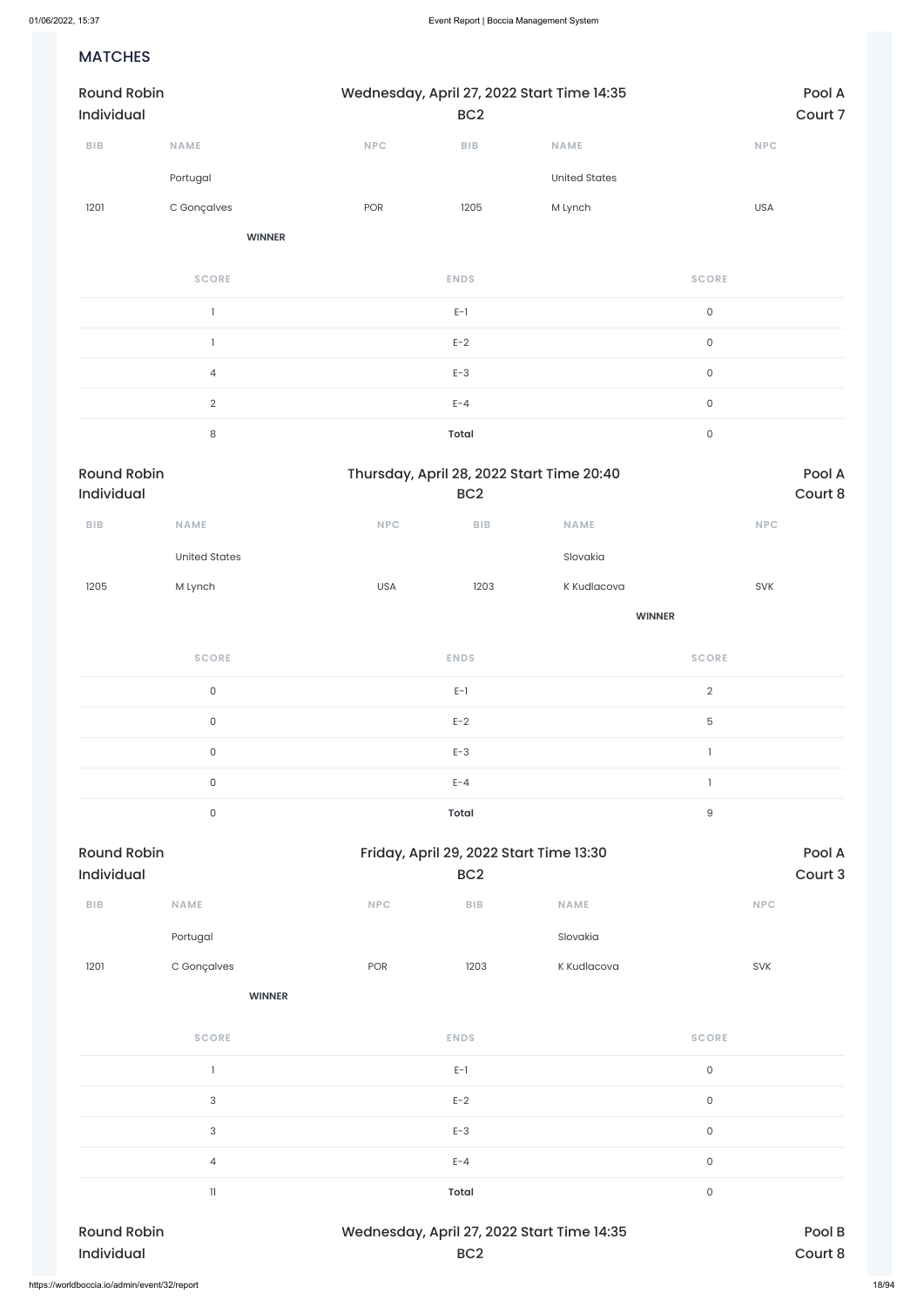### MATCHES

| <b>Round Robin</b><br>Individual |                | Wednesday, April 27, 2022 Start Time 14:35 | BC <sub>2</sub> |                      | Pool A<br>Court 7   |  |  |
|----------------------------------|----------------|--------------------------------------------|-----------------|----------------------|---------------------|--|--|
| ${\sf B}{\sf I}{\sf B}$          | <b>NAME</b>    | NPC                                        | BIB             | <b>NAME</b>          | <b>NPC</b>          |  |  |
|                                  | Portugal       |                                            |                 | <b>United States</b> |                     |  |  |
| 1201                             | C Gonçalves    | POR                                        | 1205            | M Lynch              | USA                 |  |  |
|                                  | <b>WINNER</b>  |                                            |                 |                      |                     |  |  |
|                                  | <b>SCORE</b>   |                                            | <b>ENDS</b>     |                      | <b>SCORE</b>        |  |  |
|                                  |                |                                            | $E-1$           |                      | $\mathsf{O}\xspace$ |  |  |
|                                  |                |                                            | $E-2$           |                      | $\mathsf{O}\xspace$ |  |  |
|                                  | $\overline{4}$ |                                            | $E-3$           |                      | $\mathsf{O}\xspace$ |  |  |
|                                  | $\overline{2}$ |                                            | $E - 4$         |                      | $\mathsf{O}\xspace$ |  |  |
|                                  | $\,8\,$        |                                            | <b>Total</b>    |                      | $\mathsf{O}\xspace$ |  |  |

| <b>Round Robin</b><br>Individual |                      |            | BC <sub>2</sub>                                            | Thursday, April 28, 2022 Start Time 20:40 | Pool A<br>Court 8 |                   |  |
|----------------------------------|----------------------|------------|------------------------------------------------------------|-------------------------------------------|-------------------|-------------------|--|
| ${\sf B}{\sf I}{\sf B}$          | <b>NAME</b>          | <b>NPC</b> | <b>BIB</b>                                                 | <b>NAME</b>                               |                   | NPC               |  |
|                                  | <b>United States</b> |            |                                                            | Slovakia                                  |                   |                   |  |
| 1205                             | M Lynch              | <b>USA</b> | 1203                                                       | K Kudlacova                               | SVK               |                   |  |
|                                  |                      |            |                                                            | <b>WINNER</b>                             |                   |                   |  |
|                                  | <b>SCORE</b>         |            | <b>ENDS</b>                                                |                                           | <b>SCORE</b>      |                   |  |
|                                  | $\mathsf{O}\xspace$  |            | $E-1$                                                      |                                           | $\overline{2}$    |                   |  |
|                                  | $\mathsf{O}\xspace$  |            | $E-2$                                                      |                                           | 5                 |                   |  |
|                                  | $\mathsf{O}\xspace$  |            | $E-3$                                                      |                                           | $\mathbf{1}$      |                   |  |
|                                  | $\mathsf{O}\xspace$  |            | $E - 4$                                                    |                                           | $\mathbb{I}$      |                   |  |
|                                  | $\mathsf{O}\xspace$  |            | <b>Total</b>                                               |                                           | $\hbox{9}$        |                   |  |
| <b>Round Robin</b><br>Individual |                      |            | Friday, April 29, 2022 Start Time 13:30<br>BC <sub>2</sub> |                                           |                   | Pool A<br>Court 3 |  |
| ${\sf B}{\sf I}{\sf B}$          | <b>NAME</b>          | <b>NPC</b> | <b>BIB</b>                                                 | <b>NAME</b>                               | <b>NPC</b>        |                   |  |
|                                  | Portugal             |            |                                                            | Slovakia                                  |                   |                   |  |

1201 C Gonçalves POR 1203 K Kudlacova SVK

**WINNER**

| <b>Round Robin</b><br>Individual | BC <sub>2</sub> | Wednesday, April 27, 2022 Start Time 14:35 | Pool B<br>Court 8 |
|----------------------------------|-----------------|--------------------------------------------|-------------------|
|                                  |                 |                                            |                   |
| 11                               | <b>Total</b>    | 0                                          |                   |
| 4                                | $E - 4$         | $\mathsf O$                                |                   |
| 3                                | $E-3$           | $\mathsf O$                                |                   |
| 3                                | $E-2$           | $\mathsf 0$                                |                   |
|                                  | $E-1$           | 0                                          |                   |
| <b>SCORE</b>                     | <b>ENDS</b>     | <b>SCORE</b>                               |                   |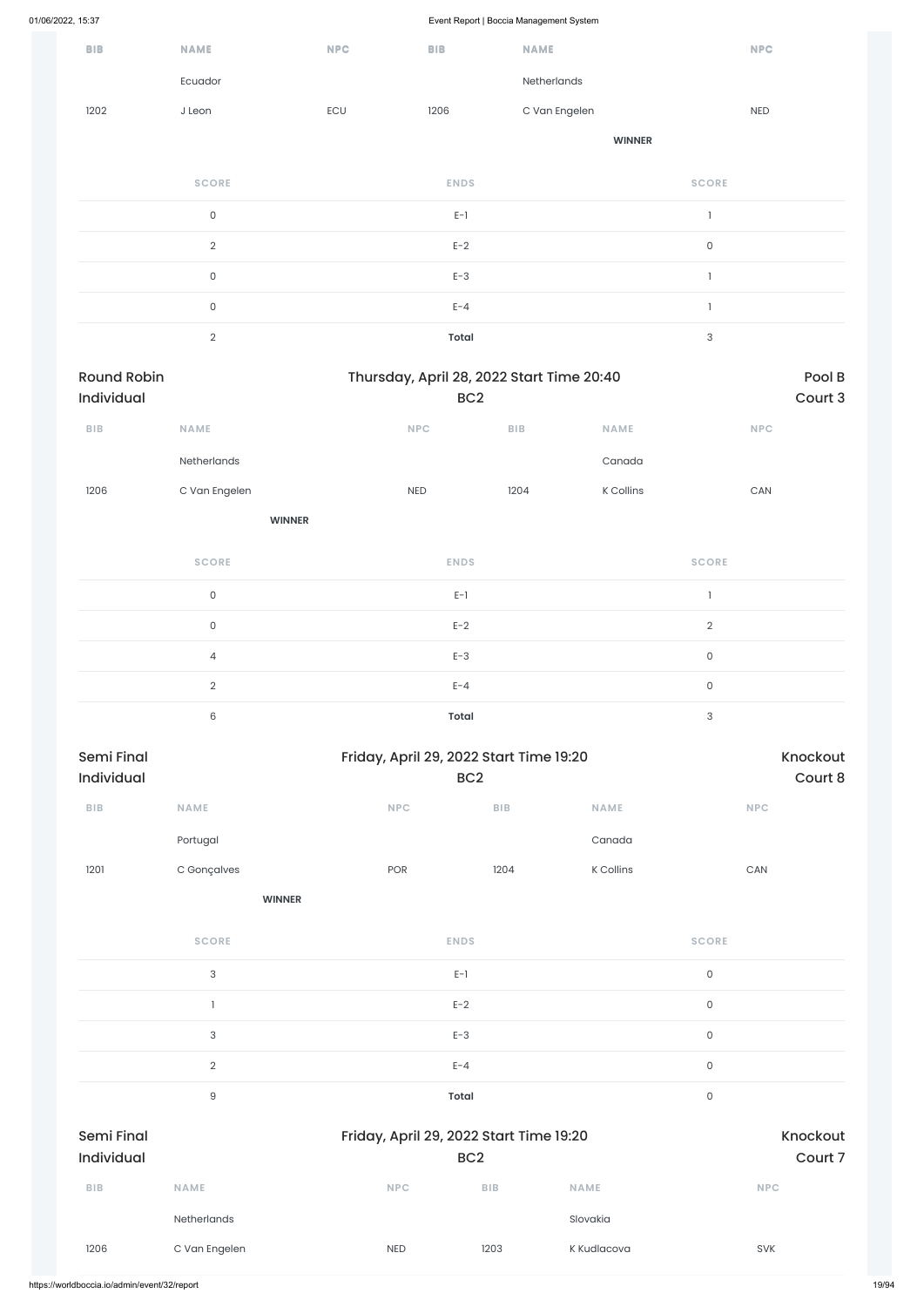|                                  |                     |            |                 | $\sim$                                    |               |                           |                       |                     |
|----------------------------------|---------------------|------------|-----------------|-------------------------------------------|---------------|---------------------------|-----------------------|---------------------|
| <b>BIB</b>                       | <b>NAME</b>         | <b>NPC</b> | <b>BIB</b>      | <b>NAME</b>                               |               |                           | <b>NPC</b>            |                     |
|                                  | Ecuador             |            |                 | Netherlands                               |               |                           |                       |                     |
| 1202                             | J Leon              | ECU        | 1206            | C Van Engelen                             |               |                           | NED                   |                     |
|                                  |                     |            |                 |                                           | <b>WINNER</b> |                           |                       |                     |
|                                  | <b>SCORE</b>        |            | <b>ENDS</b>     |                                           |               | <b>SCORE</b>              |                       |                     |
|                                  | $\mathsf{O}\xspace$ |            | $E-1$           |                                           |               | $\mathbf{I}$              |                       |                     |
|                                  | $\sqrt{2}$          |            | $E-2$           |                                           |               | $\mathsf{O}$              |                       |                     |
|                                  | $\mathsf{O}\xspace$ |            | $E-3$           |                                           |               | $\mathbbm{1}$             |                       |                     |
|                                  | $\mathsf{O}\xspace$ |            | $E - 4$         |                                           |               | $\mathbf{1}$              |                       |                     |
|                                  | $\overline{2}$      |            | <b>Total</b>    |                                           |               | $\ensuremath{\mathsf{3}}$ |                       |                     |
| <b>Round Robin</b><br>Individual |                     |            | BC <sub>2</sub> | Thursday, April 28, 2022 Start Time 20:40 |               |                           |                       | Pool B<br>Court 3   |
| ${\sf B}{\sf I}{\sf B}$          | NAME                |            | NPC             | BIB                                       | NAME          |                           | <b>NPC</b>            |                     |
|                                  | Netherlands         |            |                 |                                           | Canada        |                           |                       |                     |
| 1206                             | C Van Engelen       |            | <b>NED</b>      | 1204                                      | K Collins     |                           | $\mathsf{CAN}\xspace$ |                     |
|                                  | <b>WINNER</b>       |            |                 |                                           |               |                           |                       |                     |
|                                  | <b>SCORE</b>        |            | <b>ENDS</b>     |                                           |               | <b>SCORE</b>              |                       |                     |
|                                  | $\mathsf{O}$        |            | $E-1$           |                                           |               | $\mathbf{1}$              |                       |                     |
|                                  | $\mathsf{O}$        |            | $E-2$           |                                           |               | $\sqrt{2}$                |                       |                     |
|                                  | $\overline{4}$      |            | $E-3$           |                                           |               | $\mathsf{O}$              |                       |                     |
|                                  | $\sqrt{2}$          |            | $E - 4$         |                                           |               | $\mathsf{O}$              |                       |                     |
|                                  | $\mathsf 6$         |            | <b>Total</b>    |                                           |               | $\ensuremath{\mathsf{3}}$ |                       |                     |
| Semi Final<br>Individual         |                     |            | BC <sub>2</sub> | Friday, April 29, 2022 Start Time 19:20   |               |                           |                       | Knockout<br>Court 8 |
| ${\sf B}{\sf I}{\sf B}$          | NAME                |            | NPC             | BIB                                       | NAME          |                           | <b>NPC</b>            |                     |
|                                  | Portugal            |            |                 |                                           | Canada        |                           |                       |                     |
| 1201                             | C Gonçalves         |            | POR             | 1204                                      | K Collins     |                           | ${\sf CAN}$           |                     |
|                                  | <b>WINNER</b>       |            |                 |                                           |               |                           |                       |                     |
|                                  | <b>SCORE</b>        |            | <b>ENDS</b>     |                                           |               | <b>SCORE</b>              |                       |                     |

 $E-I$  0

|                                              |                           |                                         | $E-2$           |             | $\mathsf O$  |                     |
|----------------------------------------------|---------------------------|-----------------------------------------|-----------------|-------------|--------------|---------------------|
|                                              | $\ensuremath{\mathsf{3}}$ |                                         | $E-3$           |             | $\mathsf O$  |                     |
|                                              | $\overline{2}$            |                                         | $E - 4$         |             | $\mathsf O$  |                     |
|                                              | 9                         |                                         | Total           |             | $\mathsf{O}$ |                     |
| <b>Semi Final</b><br>Individual              |                           | Friday, April 29, 2022 Start Time 19:20 | BC <sub>2</sub> |             |              | Knockout<br>Court 7 |
| <b>BIB</b>                                   | <b>NAME</b>               | <b>NPC</b>                              | <b>BIB</b>      | <b>NAME</b> |              | <b>NPC</b>          |
|                                              | Netherlands               |                                         |                 | Slovakia    |              |                     |
| 1206                                         | C Van Engelen             | <b>NED</b>                              | 1203            | K Kudlacova |              | SVK                 |
| https://worldboccia.io/admin/event/32/report |                           |                                         |                 |             |              |                     |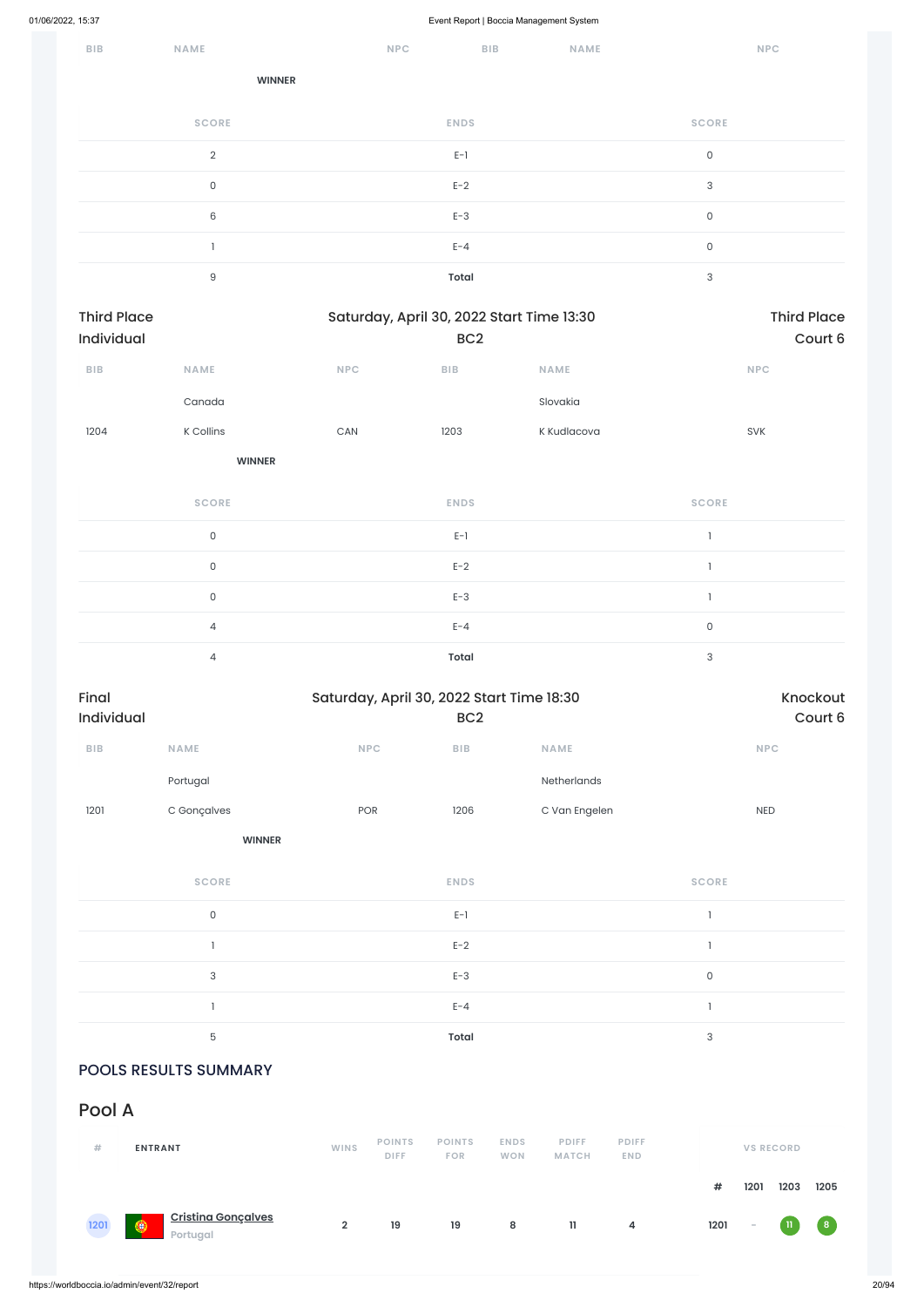| BIB | NAME           | <b>NPC</b> | <b>BIB</b>   | NAME | <b>NPC</b>                |
|-----|----------------|------------|--------------|------|---------------------------|
|     | <b>WINNER</b>  |            |              |      |                           |
|     | <b>SCORE</b>   |            | <b>ENDS</b>  |      | <b>SCORE</b>              |
|     | $\overline{2}$ |            | $E-1$        |      | $\mathsf O$               |
|     | 0              |            | $E-2$        |      | $\ensuremath{\mathsf{3}}$ |
|     | $\,6\,$        |            | $E-3$        |      | $\mathsf O$               |
|     |                |            | $E - 4$      |      | $\mathsf O$               |
|     | $\mathsf g$    |            | <b>Total</b> |      | $\ensuremath{\mathsf{3}}$ |

| <b>Third Place</b><br>Individual |                     |            | Saturday, April 30, 2022 Start Time 13:30<br>BC <sub>2</sub> |               | <b>Third Place</b><br>Court 6 |                     |  |
|----------------------------------|---------------------|------------|--------------------------------------------------------------|---------------|-------------------------------|---------------------|--|
| ${\sf B}{\sf I}{\sf B}$          | NAME                | <b>NPC</b> | BIB                                                          | <b>NAME</b>   | <b>NPC</b>                    |                     |  |
|                                  | Canada              |            |                                                              | Slovakia      |                               |                     |  |
| 1204                             | K Collins           | CAN        | 1203                                                         | K Kudlacova   | SVK                           |                     |  |
|                                  | <b>WINNER</b>       |            |                                                              |               |                               |                     |  |
|                                  | <b>SCORE</b>        |            | <b>ENDS</b>                                                  |               | <b>SCORE</b>                  |                     |  |
|                                  | $\mathsf{O}\xspace$ |            | $\mathsf{E}\text{-}\mathsf{I}$                               |               | $\mathbf{I}$                  |                     |  |
|                                  | $\mathsf{O}\xspace$ |            | $E-2$                                                        |               | $\mathbf{1}$                  |                     |  |
|                                  | $\mathsf{O}\xspace$ |            | $E-3$                                                        |               | $\mathbb{I}$                  |                     |  |
|                                  | $\overline{4}$      |            | $E - 4$                                                      |               | $\mathsf{O}\xspace$           |                     |  |
|                                  | $\overline{4}$      |            | <b>Total</b>                                                 |               | $\ensuremath{\mathsf{3}}$     |                     |  |
| Final<br>Individual              |                     |            | Saturday, April 30, 2022 Start Time 18:30<br>BC <sub>2</sub> |               |                               | Knockout<br>Court 6 |  |
| ${\sf B}{\sf I}{\sf B}$          | <b>NAME</b>         | <b>NPC</b> | ${\sf B}{\sf I}{\sf B}$                                      | NAME          | NPC                           |                     |  |
|                                  | Portugal            |            |                                                              | Netherlands   |                               |                     |  |
| 1201                             | C Gonçalves         | POR        | 1206                                                         | C Van Engelen | $\sf NED$                     |                     |  |
|                                  | <b>WINNER</b>       |            |                                                              |               |                               |                     |  |
|                                  | <b>SCORE</b>        |            | <b>ENDS</b>                                                  |               | <b>SCORE</b>                  |                     |  |
|                                  | $\mathsf{O}\xspace$ |            | $E-1$                                                        |               | $\mathbf{1}$                  |                     |  |
|                                  | $\mathbbm{1}$       |            | $E-2$                                                        |               | $\mathbf{I}$                  |                     |  |

 $E-3$  D  $D$  D  $D$  D  $D$  D  $D$  D  $D$  D  $D$  D  $D$  D  $D$  D  $D$  D  $D$  D  $D$  D  $D$  D  $D$  D  $D$  D  $D$  D  $D$  D  $D$  D  $D$  D  $D$  D  $D$  D  $D$  D  $D$  D  $D$  D  $D$  D  $D$  D  $D$  D  $D$  D  $D$  D  $D$  D  $D$  D  $D$  D  $D$  D  $D$  D  $D$  D  $D$  D  $D$ 

|                |                              | $E - 4$                     |                           |                              |                            |                           |                          |      |                  |
|----------------|------------------------------|-----------------------------|---------------------------|------------------------------|----------------------------|---------------------------|--------------------------|------|------------------|
|                |                              | <b>Total</b>                |                           |                              |                            | $\ensuremath{\mathsf{3}}$ |                          |      |                  |
|                |                              |                             |                           |                              |                            |                           |                          |      |                  |
|                |                              |                             |                           |                              |                            |                           |                          |      |                  |
| <b>WINS</b>    | <b>POINTS</b><br><b>DIFF</b> | <b>POINTS</b><br><b>FOR</b> | <b>ENDS</b><br><b>WON</b> | <b>PDIFF</b><br><b>MATCH</b> | <b>PDIFF</b><br><b>END</b> |                           |                          |      |                  |
|                |                              |                             |                           |                              |                            | #                         | 1201                     | 1203 | 1205             |
| $\overline{2}$ | 19                           | 19                          | 8                         | $\mathbf{1}$                 | 4                          | 1201                      | $\overline{\phantom{a}}$ | -11  | $\left  \right $ |
|                |                              |                             |                           |                              |                            |                           |                          |      | <b>VS RECORD</b> |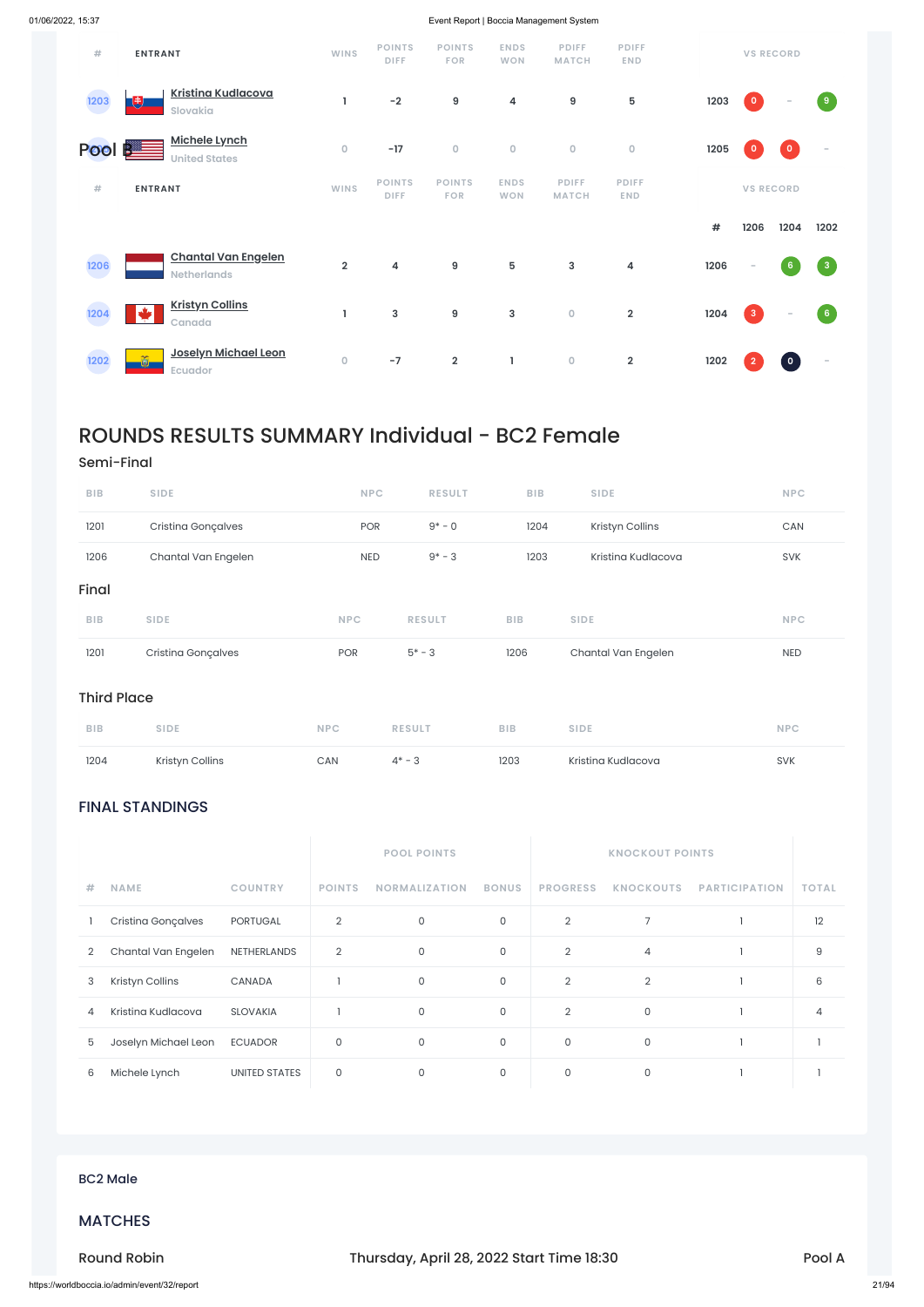### FINAL STANDINGS

|                |                      |                      |                | <b>POOL POINTS</b>   |              |                 | <b>KNOCKOUT POINTS</b> |                      |                |
|----------------|----------------------|----------------------|----------------|----------------------|--------------|-----------------|------------------------|----------------------|----------------|
| #              | <b>NAME</b>          | <b>COUNTRY</b>       | <b>POINTS</b>  | <b>NORMALIZATION</b> | <b>BONUS</b> | <b>PROGRESS</b> | <b>KNOCKOUTS</b>       | <b>PARTICIPATION</b> | <b>TOTAL</b>   |
|                | Cristina Gonçalves   | PORTUGAL             | $\overline{2}$ | $\mathbf 0$          | $\mathsf O$  | $\overline{2}$  | 7                      |                      | 12             |
| $\overline{2}$ | Chantal Van Engelen  | NETHERLANDS          | $\overline{2}$ | $\mathbf 0$          | $\mathsf{O}$ | $\overline{2}$  | 4                      |                      | 9              |
| 3              | Kristyn Collins      | CANADA               |                | $\mathsf{O}$         | $\mathsf O$  | $\overline{2}$  | $\overline{2}$         |                      | 6              |
| 4              | Kristina Kudlacova   | <b>SLOVAKIA</b>      |                | $\mathbf 0$          | $\mathsf O$  | $\overline{2}$  | $\mathsf{O}$           |                      | $\overline{4}$ |
| 5              | Joselyn Michael Leon | <b>ECUADOR</b>       | $\mathbf 0$    | $\mathsf{O}$         | $\circ$      | $\mathbf 0$     | $\mathsf{O}$           |                      |                |
| 6              | Michele Lynch        | <b>UNITED STATES</b> | 0              | 0                    | $\mathsf{O}$ | 0               | $\mathsf{O}$           |                      |                |

| #      | <b>ENTRANT</b>                                   | <b>WINS</b>    | <b>POINTS</b><br><b>DIFF</b> | <b>POINTS</b><br><b>FOR</b> | <b>ENDS</b><br><b>WON</b> | <b>PDIFF</b><br><b>MATCH</b> | <b>PDIFF</b><br><b>END</b> |      | <b>VS RECORD</b>         |                 |                                   |
|--------|--------------------------------------------------|----------------|------------------------------|-----------------------------|---------------------------|------------------------------|----------------------------|------|--------------------------|-----------------|-----------------------------------|
| 1203   | <b>Kristina Kudlacova</b><br>Đ<br>Slovakia       | 1              | $-2$                         | $\boldsymbol{9}$            | 4                         | 9                            | ${\bf 5}$                  | 1203 | $\overline{\mathbf{0}}$  | $\sim$          | $\boxed{9}$                       |
| Pool B | <b>Michele Lynch</b><br><b>United States</b>     | $\mathsf O$    | $-17$                        | $\mathbf 0$                 | $\circ$                   | $\mathsf O$                  | $\mathsf{O}\xspace$        | 1205 | $\mathbf{o}$             | $\bullet$       | $\overline{\phantom{a}}$          |
| #      | <b>ENTRANT</b>                                   | <b>WINS</b>    | <b>POINTS</b><br><b>DIFF</b> | <b>POINTS</b><br><b>FOR</b> | <b>ENDS</b><br><b>WON</b> | <b>PDIFF</b><br><b>MATCH</b> | <b>PDIFF</b><br><b>END</b> |      | <b>VS RECORD</b>         |                 |                                   |
|        |                                                  |                |                              |                             |                           |                              |                            |      |                          |                 |                                   |
|        |                                                  |                |                              |                             |                           |                              |                            | #    | 1206                     | 1204            | 1202                              |
| 1206   | <b>Chantal Van Engelen</b><br><b>Netherlands</b> | $\overline{2}$ | $\overline{\mathbf{4}}$      | $\boldsymbol{9}$            | $5\phantom{.0}$           | 3                            | 4                          | 1206 | $\overline{\phantom{a}}$ | $6\phantom{.}6$ | $\sqrt{3}$                        |
| 1204   | <b>Kristyn Collins</b><br>◆<br>Canada            | J              | $\mathbf{3}$                 | $\boldsymbol{9}$            | $\mathbf{3}$              | $\mathsf{O}\xspace$          | $\overline{2}$             | 1204 | $\overline{3}$           | $\sim$          | $\begin{bmatrix} 6 \end{bmatrix}$ |

## ROUNDS RESULTS SUMMARY Individual - BC2 Female

### Semi-Final

| 1204               | Kristyn Collins     | CAN        | $4* - 3$      | 1203       | Kristina Kudlacova  | <b>SVK</b> |
|--------------------|---------------------|------------|---------------|------------|---------------------|------------|
| <b>BIB</b>         | <b>SIDE</b>         | <b>NPC</b> | <b>RESULT</b> | <b>BIB</b> | <b>SIDE</b>         | <b>NPC</b> |
| <b>Third Place</b> |                     |            |               |            |                     |            |
| 1201               | Cristina Gonçalves  | POR        | $5* - 3$      | 1206       | Chantal Van Engelen | <b>NED</b> |
| <b>BIB</b>         | <b>SIDE</b>         | <b>NPC</b> | <b>RESULT</b> | <b>BIB</b> | <b>SIDE</b>         | <b>NPC</b> |
| Final              |                     |            |               |            |                     |            |
| 1206               | Chantal Van Engelen | <b>NED</b> | $9* - 3$      | 1203       | Kristina Kudlacova  | <b>SVK</b> |
| 1201               | Cristina Gonçalves  | <b>POR</b> | $9* - 0$      | 1204       | Kristyn Collins     | CAN        |
| <b>BIB</b>         | <b>SIDE</b>         | <b>NPC</b> | <b>RESULT</b> | <b>BIB</b> | <b>SIDE</b>         | <b>NPC</b> |

### BC2 Male

### MATCHES

Round Robin **Round Robin Thursday, April 28, 2022 Start Time 18:30** Pool A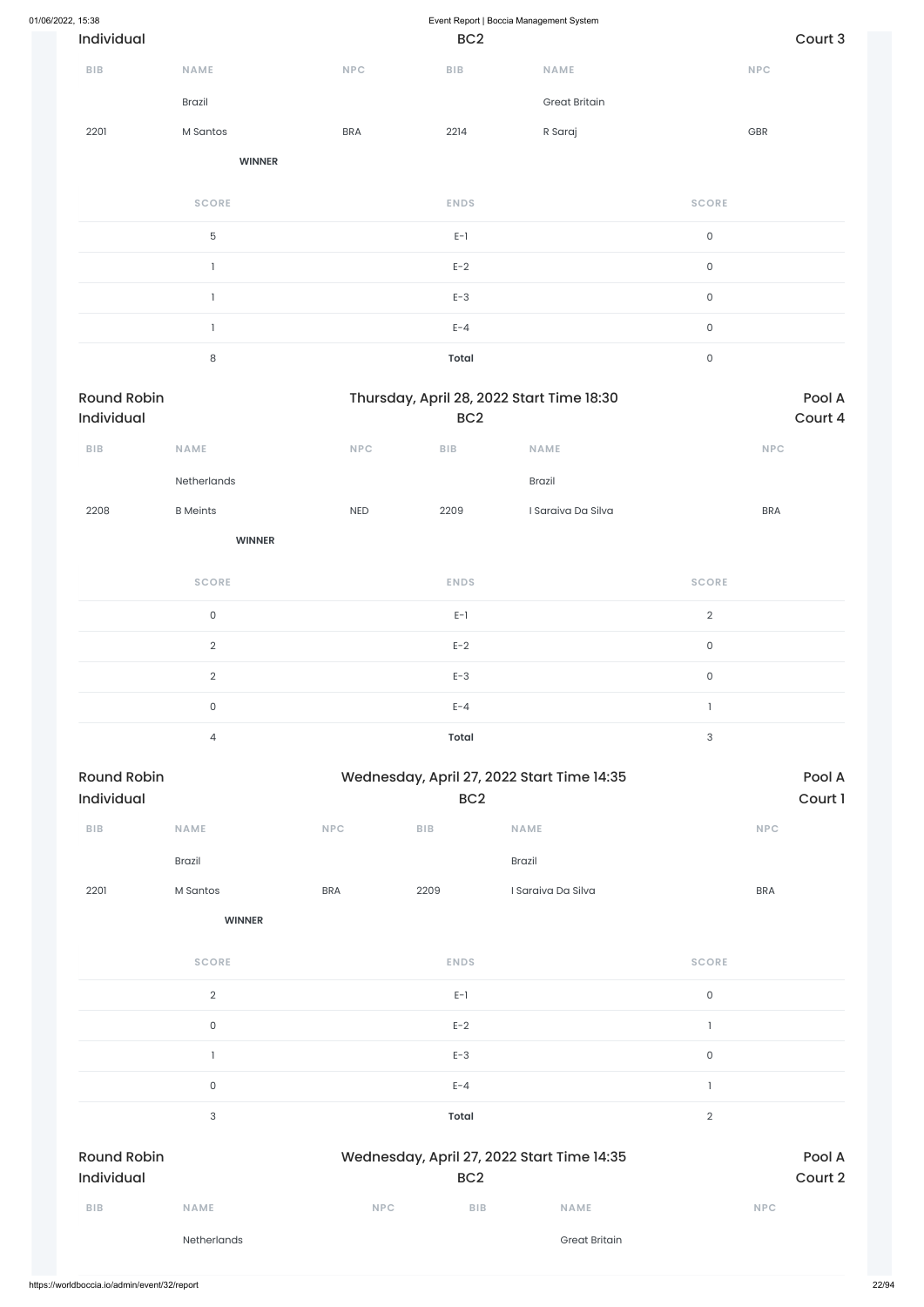| 01/06/2022, 15:38 |                    |                 |                                           | Event Report   Boccia Management System |                                            |                     |            |         |
|-------------------|--------------------|-----------------|-------------------------------------------|-----------------------------------------|--------------------------------------------|---------------------|------------|---------|
|                   | Individual         |                 |                                           | BC <sub>2</sub>                         |                                            |                     |            | Court 3 |
|                   | <b>BIB</b>         | <b>NAME</b>     | NPC                                       | ${\sf B}{\sf I}{\sf B}$                 | NAME                                       |                     | <b>NPC</b> |         |
|                   |                    | <b>Brazil</b>   |                                           |                                         | <b>Great Britain</b>                       |                     |            |         |
|                   | 2201               | M Santos        | <b>BRA</b>                                | 2214                                    | R Saraj                                    |                     | GBR        |         |
|                   |                    | <b>WINNER</b>   |                                           |                                         |                                            |                     |            |         |
|                   |                    | <b>SCORE</b>    |                                           | <b>ENDS</b>                             |                                            | <b>SCORE</b>        |            |         |
|                   |                    | 5               |                                           | $E-1$                                   |                                            | $\mathsf{O}\xspace$ |            |         |
|                   |                    | $\mathbf{I}$    |                                           | $E-2$                                   |                                            | $\mathsf{O}\xspace$ |            |         |
|                   |                    | $\mathbf{1}$    |                                           | $E-3$                                   |                                            | $\mathsf{O}\xspace$ |            |         |
|                   |                    | 1               |                                           | $E - 4$                                 |                                            | $\mathsf{O}\xspace$ |            |         |
|                   |                    | $\,8\,$         |                                           | <b>Total</b>                            |                                            | $\mathsf O$         |            |         |
|                   | <b>Round Robin</b> |                 | Thursday, April 28, 2022 Start Time 18:30 |                                         |                                            |                     |            | Pool A  |
|                   | Individual         |                 |                                           | BC <sub>2</sub>                         |                                            |                     |            | Court 4 |
|                   | BIB                | NAME            | NPC                                       | ${\sf BIB}$                             | NAME                                       |                     | NPC        |         |
|                   |                    | Netherlands     |                                           |                                         | Brazil                                     |                     |            |         |
|                   | 2208               | <b>B</b> Meints | <b>NED</b>                                | 2209                                    | I Saraiva Da Silva                         |                     | <b>BRA</b> |         |
|                   |                    | <b>WINNER</b>   |                                           |                                         |                                            |                     |            |         |
|                   |                    | <b>SCORE</b>    |                                           | <b>ENDS</b>                             |                                            | <b>SCORE</b>        |            |         |
|                   |                    | $\mathsf{O}$    |                                           | $E-1$                                   |                                            | $\overline{2}$      |            |         |
|                   |                    | $\sqrt{2}$      |                                           | $E-2$                                   |                                            | $\mathsf{O}\xspace$ |            |         |
|                   |                    | $\overline{2}$  |                                           | $E-3$                                   |                                            | $\mathsf{O}\xspace$ |            |         |
|                   |                    | $\mathsf{O}$    |                                           | $E - 4$                                 |                                            | $\mathbf{1}$        |            |         |
|                   |                    | $\overline{4}$  |                                           | Total                                   |                                            | $\sqrt{3}$          |            |         |
|                   | <b>Round Robin</b> |                 |                                           |                                         | Wednesday, April 27, 2022 Start Time 14:35 |                     |            | Pool A  |
|                   | Individual         |                 |                                           | BC <sub>2</sub>                         |                                            |                     |            | Court 1 |
|                   | <b>BIB</b>         | NAME            | <b>NPC</b>                                | ${\sf B}{\sf I}{\sf B}$                 | NAME                                       |                     | <b>NPC</b> |         |
|                   |                    | <b>Brazil</b>   |                                           |                                         | Brazil                                     |                     |            |         |
|                   | 2201               | M Santos        | <b>BRA</b>                                | 2209                                    | I Saraiva Da Silva                         |                     | <b>BRA</b> |         |
|                   |                    | <b>WINNER</b>   |                                           |                                         |                                            |                     |            |         |

**SCORE ENDS SCORE**

|                                  | Netherlands               |            |                 | <b>Great Britain</b>                       |             |                   |
|----------------------------------|---------------------------|------------|-----------------|--------------------------------------------|-------------|-------------------|
| <b>BIB</b>                       | <b>NAME</b>               | <b>NPC</b> | <b>BIB</b>      | <b>NAME</b>                                |             | <b>NPC</b>        |
| <b>Round Robin</b><br>Individual |                           |            | BC <sub>2</sub> | Wednesday, April 27, 2022 Start Time 14:35 |             | Pool A<br>Court 2 |
|                                  | $\ensuremath{\mathsf{3}}$ |            | <b>Total</b>    |                                            | $\sqrt{2}$  |                   |
|                                  | $\mathsf{O}\xspace$       |            | $E - 4$         |                                            |             |                   |
|                                  |                           |            | $E-3$           |                                            | $\mathsf O$ |                   |
|                                  | $\mathsf{O}$              |            | $E-2$           |                                            |             |                   |
|                                  | $\overline{2}$            |            | $E-1$           |                                            | 0           |                   |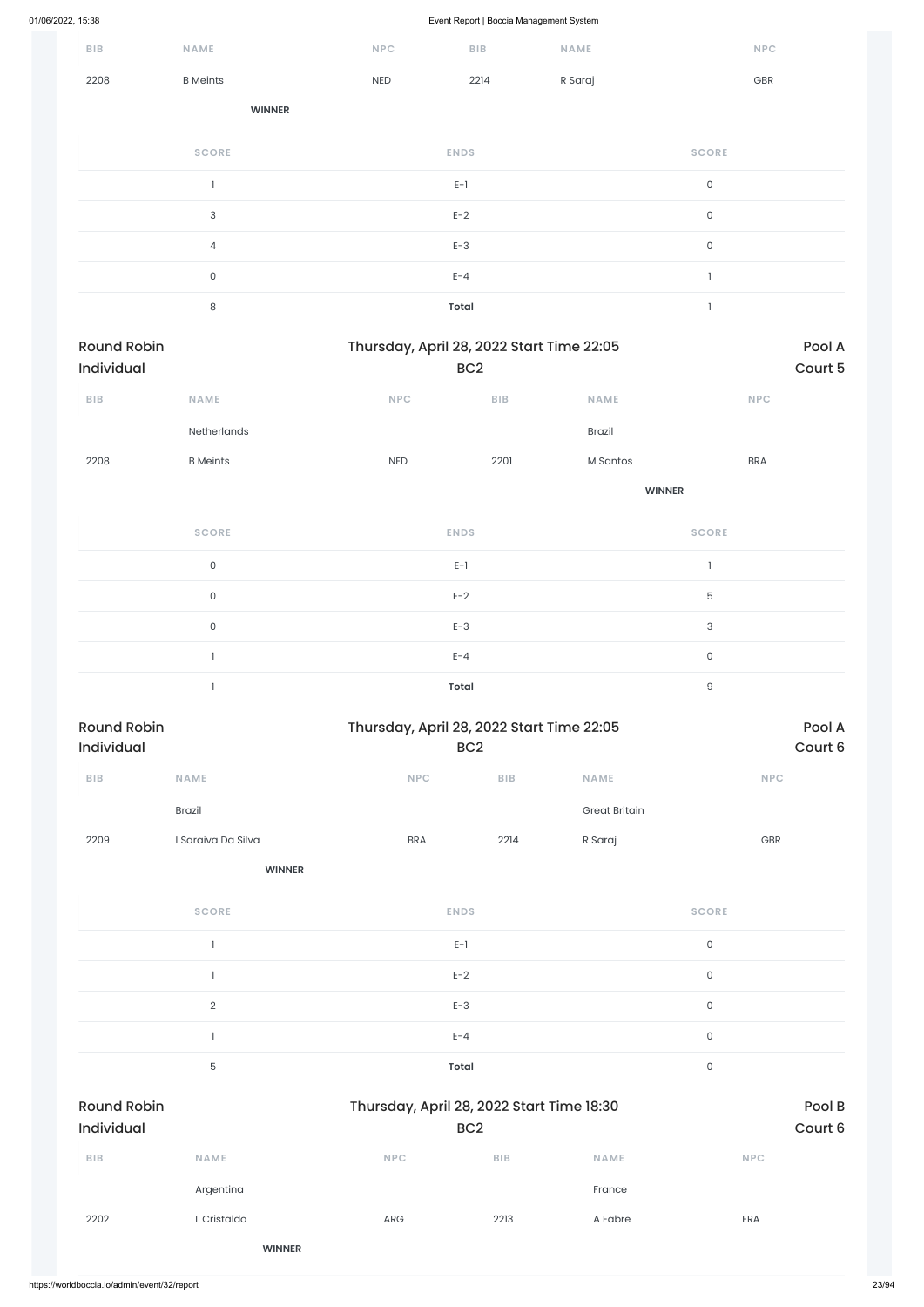| 01/06/2022, 15:38                |                     |            | Event Report   Boccia Management System                      |                      |                     |                   |
|----------------------------------|---------------------|------------|--------------------------------------------------------------|----------------------|---------------------|-------------------|
| BIB                              | NAME                | NPC        | ${\sf B}{\sf I}{\sf B}$                                      | <b>NAME</b>          | <b>NPC</b>          |                   |
| 2208                             | <b>B</b> Meints     | <b>NED</b> | 2214                                                         | R Saraj              | GBR                 |                   |
|                                  | <b>WINNER</b>       |            |                                                              |                      |                     |                   |
|                                  | <b>SCORE</b>        |            | <b>ENDS</b>                                                  |                      | <b>SCORE</b>        |                   |
|                                  | $\mathbf{I}$        |            | $E-1$                                                        |                      | $\mathsf{O}\xspace$ |                   |
|                                  | $\sqrt{3}$          |            | $E-2$                                                        |                      | $\mathsf{O}\xspace$ |                   |
|                                  | $\overline{4}$      |            | $E-3$                                                        |                      | $\mathsf{O}\xspace$ |                   |
|                                  | $\mathsf{O}\xspace$ |            | $E - 4$                                                      |                      | $\mathbbm{1}$       |                   |
|                                  | $\,8\,$             |            | <b>Total</b>                                                 |                      | $\mathbf{I}$        |                   |
| <b>Round Robin</b><br>Individual |                     |            | Thursday, April 28, 2022 Start Time 22:05<br>BC <sub>2</sub> |                      |                     | Pool A<br>Court 5 |
| ${\sf BIB}$                      | NAME                | NPC        | ${\sf B}{\sf I}{\sf B}$                                      | NAME                 | NPC                 |                   |
|                                  | Netherlands         |            |                                                              | Brazil               |                     |                   |
| 2208                             | <b>B</b> Meints     | NED        | 2201                                                         | M Santos             | <b>BRA</b>          |                   |
|                                  |                     |            |                                                              | <b>WINNER</b>        |                     |                   |
|                                  | <b>SCORE</b>        |            | <b>ENDS</b>                                                  |                      | <b>SCORE</b>        |                   |
|                                  | $\mathsf{O}\xspace$ |            | $E-1$                                                        |                      | $\mathbf{I}$        |                   |
|                                  | $\mathsf{O}\xspace$ |            | $E-2$                                                        |                      | $\mathbf 5$         |                   |
|                                  | $\mathsf{O}\xspace$ |            | $E-3$                                                        |                      | 3                   |                   |
|                                  | $\mathbf{1}$        |            | $E - 4$                                                      |                      | $\mathsf O$         |                   |
|                                  | $\mathbf{1}$        |            | <b>Total</b>                                                 |                      | $\hbox{9}$          |                   |
| <b>Round Robin</b><br>Individual |                     |            | Thursday, April 28, 2022 Start Time 22:05<br>BC <sub>2</sub> |                      |                     | Pool A<br>Court 6 |
| ${\sf BIB}$                      | NAME                | NPC        | BIB                                                          | NAME                 | <b>NPC</b>          |                   |
|                                  | Brazil              |            |                                                              | <b>Great Britain</b> |                     |                   |
| 2209                             | I Saraiva Da Silva  | <b>BRA</b> | 2214                                                         | R Saraj              | GBR                 |                   |
|                                  | <b>WINNER</b>       |            |                                                              |                      |                     |                   |
|                                  | <b>SCORE</b>        |            | <b>ENDS</b>                                                  |                      | <b>SCORE</b>        |                   |
|                                  | $\mathbf{1}$        |            | $E-1$                                                        |                      | $\mathsf{O}$        |                   |

 $E-2$  0

|                                              | $\sqrt{2}$    |                                           | $E-3$           |             | $\mathsf O$ |                   |
|----------------------------------------------|---------------|-------------------------------------------|-----------------|-------------|-------------|-------------------|
|                                              |               |                                           | $E - 4$         |             | $\mathsf O$ |                   |
|                                              | $\mathbf 5$   |                                           | Total           |             | $\mathsf O$ |                   |
| <b>Round Robin</b><br>Individual             |               | Thursday, April 28, 2022 Start Time 18:30 | BC <sub>2</sub> |             |             | Pool B<br>Court 6 |
| <b>BIB</b>                                   | <b>NAME</b>   | <b>NPC</b>                                | <b>BIB</b>      | <b>NAME</b> | <b>NPC</b>  |                   |
|                                              | Argentina     |                                           |                 | France      |             |                   |
| 2202                                         | L Cristaldo   | ARG                                       | 2213            | A Fabre     | <b>FRA</b>  |                   |
|                                              | <b>WINNER</b> |                                           |                 |             |             |                   |
| https://worldboccia.io/admin/event/32/report |               |                                           |                 |             |             |                   |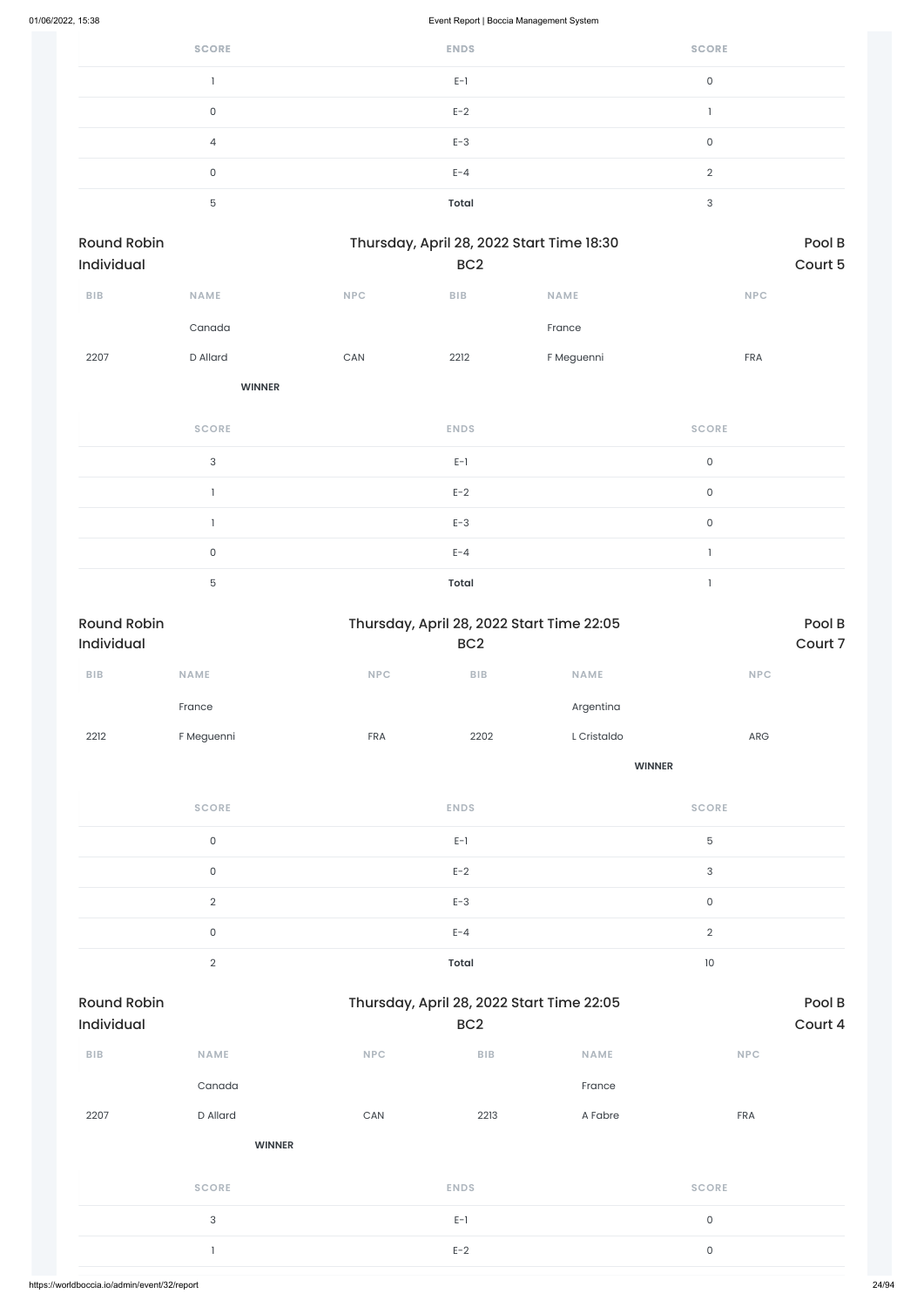| <b>SCORE</b> | <b>ENDS</b> | <b>SCORE</b> |
|--------------|-------------|--------------|
|              | $E-1$       | 0            |
| U            | $E-2$       |              |
| 4            | $E-3$       | $\Omega$     |
| 0            | $E - 4$     | $\Omega$     |
| 5            | Total       | 3            |

| Round Robin<br>Individual |               |     | Thursday, April 28, 2022 Start Time 18:30<br>BC <sub>2</sub> |             |              | Pool B<br>Court 5 |
|---------------------------|---------------|-----|--------------------------------------------------------------|-------------|--------------|-------------------|
| BIB                       | NAME          | NPC | <b>BIB</b>                                                   | <b>NAME</b> | NPC          |                   |
|                           | Canada        |     |                                                              | France      |              |                   |
| 2207                      | D Allard      | CAN | 2212                                                         | F Meguenni  | FRA          |                   |
|                           | <b>WINNER</b> |     |                                                              |             |              |                   |
|                           | <b>SCORE</b>  |     | <b>ENDS</b>                                                  |             | <b>SCORE</b> |                   |
|                           | 3             |     | $E-1$                                                        |             | $\mathsf O$  |                   |
|                           | $\mathbf{1}$  |     | $E-2$                                                        |             | $\mathsf O$  |                   |
|                           | $\mathbf{I}$  |     | $E-3$                                                        |             | $\mathsf{O}$ |                   |
|                           | $\mathsf{O}$  |     | $E - 4$                                                      |             | $\mathbf{I}$ |                   |
|                           | 5             |     | Total                                                        |             | $\mathbf{1}$ |                   |

| <b>Round Robin</b><br>Individual |                     |                       | Thursday, April 28, 2022 Start Time 22:05<br>BC <sub>2</sub> |               |                     | Pool B<br>Court 7 |
|----------------------------------|---------------------|-----------------------|--------------------------------------------------------------|---------------|---------------------|-------------------|
| ${\sf B}{\sf I}{\sf B}$          | NAME                | NPC                   | ${\sf B}{\sf I}{\sf B}$                                      | <b>NAME</b>   | NPC                 |                   |
|                                  | France              |                       |                                                              |               |                     |                   |
|                                  |                     |                       |                                                              | Argentina     |                     |                   |
| 2212                             | F Meguenni          | FRA                   | 2202                                                         | L Cristaldo   | ARG                 |                   |
|                                  |                     |                       |                                                              | <b>WINNER</b> |                     |                   |
|                                  | <b>SCORE</b>        |                       | <b>ENDS</b>                                                  |               | <b>SCORE</b>        |                   |
|                                  | $\mathsf{O}\xspace$ |                       | $E-1$                                                        |               | $\mathbf 5$         |                   |
|                                  | $\mathsf{O}$        |                       | $E-2$                                                        |               | $\sqrt{3}$          |                   |
|                                  | $\overline{2}$      |                       | $E-3$                                                        |               | $\mathsf{O}\xspace$ |                   |
|                                  | $\mathsf{O}\xspace$ |                       | $E - 4$                                                      |               | $\sqrt{2}$          |                   |
|                                  | $\overline{2}$      |                       | <b>Total</b>                                                 |               | $10\,$              |                   |
| <b>Round Robin</b>               |                     |                       | Thursday, April 28, 2022 Start Time 22:05                    |               |                     | Pool B            |
| Individual                       |                     |                       | BC <sub>2</sub>                                              |               |                     | Court 4           |
| ${\bf B} {\sf I} {\bf B}$        | NAME                | NPC                   | BIB                                                          | <b>NAME</b>   | NPC                 |                   |
|                                  | Canada              |                       |                                                              | France        |                     |                   |
| 2207                             | D Allard            | $\mathsf{CAN}\xspace$ | 2213                                                         | A Fabre       | FRA                 |                   |
|                                  | <b>WINNER</b>       |                       |                                                              |               |                     |                   |
|                                  | <b>SCORE</b>        |                       | <b>ENDS</b>                                                  |               | <b>SCORE</b>        |                   |
|                                  | $\sqrt{3}$          |                       | $E-1$                                                        |               | $\mathsf{O}\xspace$ |                   |
|                                  | $\mathbf{I}$        |                       | $E-2$                                                        |               | $\mathsf{O}\xspace$ |                   |
|                                  |                     |                       |                                                              |               |                     |                   |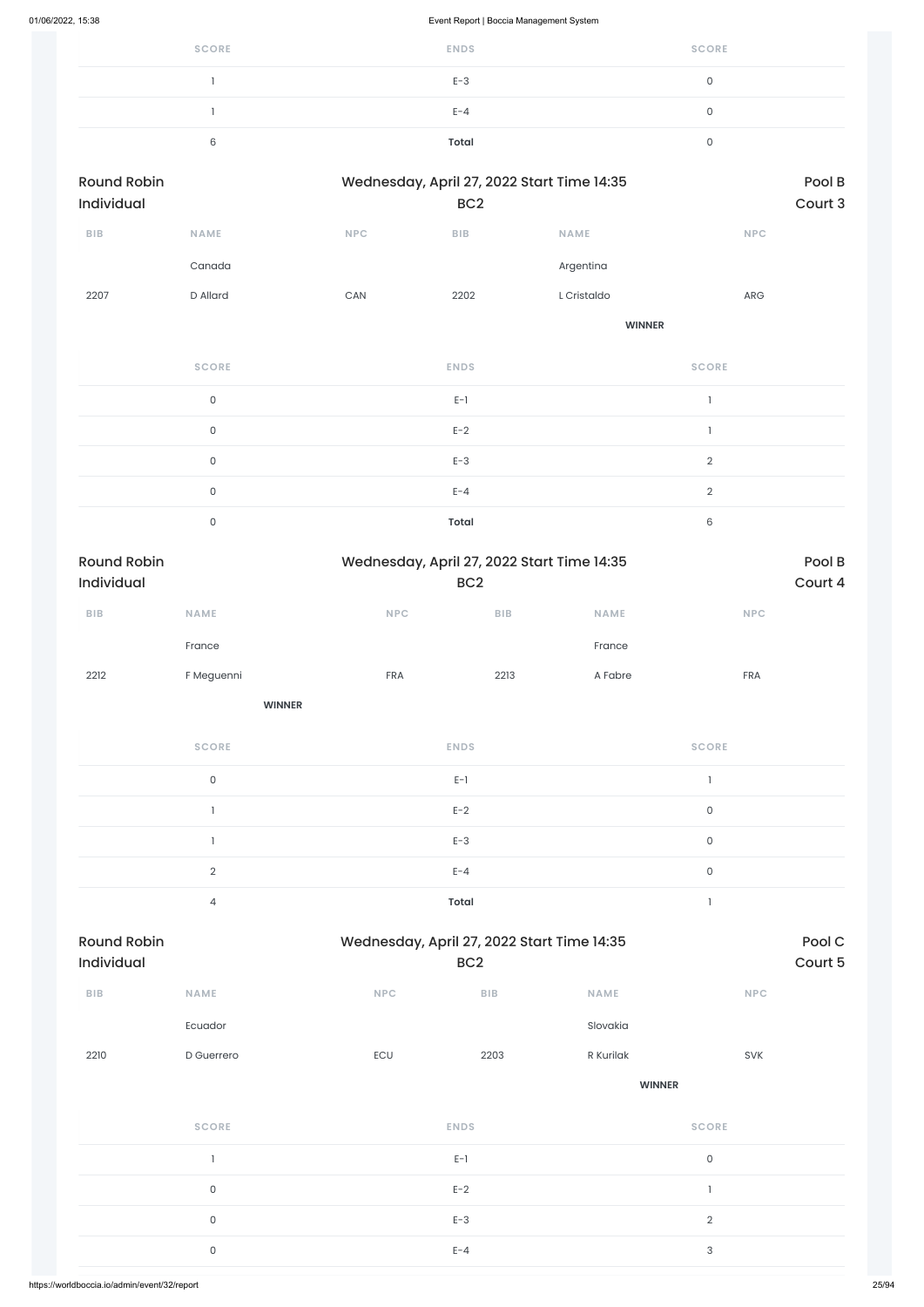| <b>SCORE</b> | <b>ENDS</b>  | <b>SCORE</b> |
|--------------|--------------|--------------|
|              | $E-3$        |              |
|              | $E - 4$      |              |
| ⌒<br>ົ       | <b>Total</b> |              |

| <b>Round Robin</b> |             |            | Wednesday, April 27, 2022 Start Time 14:35 | Pool B        |            |
|--------------------|-------------|------------|--------------------------------------------|---------------|------------|
| Individual         |             |            | BC <sub>2</sub>                            |               | Court 3    |
| <b>BIB</b>         | <b>NAME</b> | <b>NPC</b> | <b>BIB</b>                                 | <b>NAME</b>   | <b>NPC</b> |
|                    | Canada      |            |                                            | Argentina     |            |
| 2207               | D Allard    | <b>CAN</b> | 2202                                       | L Cristaldo   | <b>ARG</b> |
|                    |             |            |                                            | <b>WINNER</b> |            |

| <b>SCORE</b> | <b>ENDS</b>  | <b>SCORE</b> |
|--------------|--------------|--------------|
| $\mathbf{0}$ | $E-1$        |              |
| $\mathbf{0}$ | $E-2$        |              |
| 0            | $E-3$        | $\Omega$     |
| 0            | $E - 4$      | $\Omega$     |
| 0            | <b>Total</b> | 6            |

| <b>Round Robin</b><br><b>Individual</b> |             |            | Wednesday, April 27, 2022 Start Time 14:35 |             |            |  |
|-----------------------------------------|-------------|------------|--------------------------------------------|-------------|------------|--|
|                                         |             |            | BC <sub>2</sub>                            |             |            |  |
| <b>BIB</b>                              | <b>NAME</b> | <b>NPC</b> | <b>BIB</b>                                 | <b>NAME</b> | <b>NPC</b> |  |
|                                         | France      |            |                                            | France      |            |  |
| 2212                                    | F Meguenni  | <b>FRA</b> | 2213                                       | A Fabre     | <b>FRA</b> |  |

**WINNER**

| <b>SCORE</b> | <b>ENDS</b>  | <b>SCORE</b> |
|--------------|--------------|--------------|
| 0            | $E-1$        |              |
|              | $E-2$        | 0            |
|              | $E-3$        | 0            |
| $\Omega$     | $E - 4$      | 0            |
| 4            | <b>Total</b> |              |

| ${\sf B}{\sf I}{\sf B}$ | <b>NAME</b>         | <b>NPC</b> | ${\sf B}{\sf I}{\sf B}$ | <b>NAME</b>   | <b>NPC</b>   |
|-------------------------|---------------------|------------|-------------------------|---------------|--------------|
|                         | Ecuador             |            |                         | Slovakia      |              |
| 2210                    | D Guerrero          | ECU        | 2203                    | R Kurilak     | SVK          |
|                         |                     |            |                         | <b>WINNER</b> |              |
|                         | <b>SCORE</b>        |            | <b>ENDS</b>             |               | <b>SCORE</b> |
|                         | $\mathbf{1}$        |            | $E-1$                   |               | $\mathsf O$  |
|                         | $\mathsf O$         |            | $E-2$                   |               | n,           |
|                         | $\mathsf{O}\xspace$ |            | $E-3$                   |               | $\sqrt{2}$   |
|                         | $\mathsf{O}\xspace$ |            | $E - 4$                 |               | $\sqrt{3}$   |
|                         |                     |            |                         |               |              |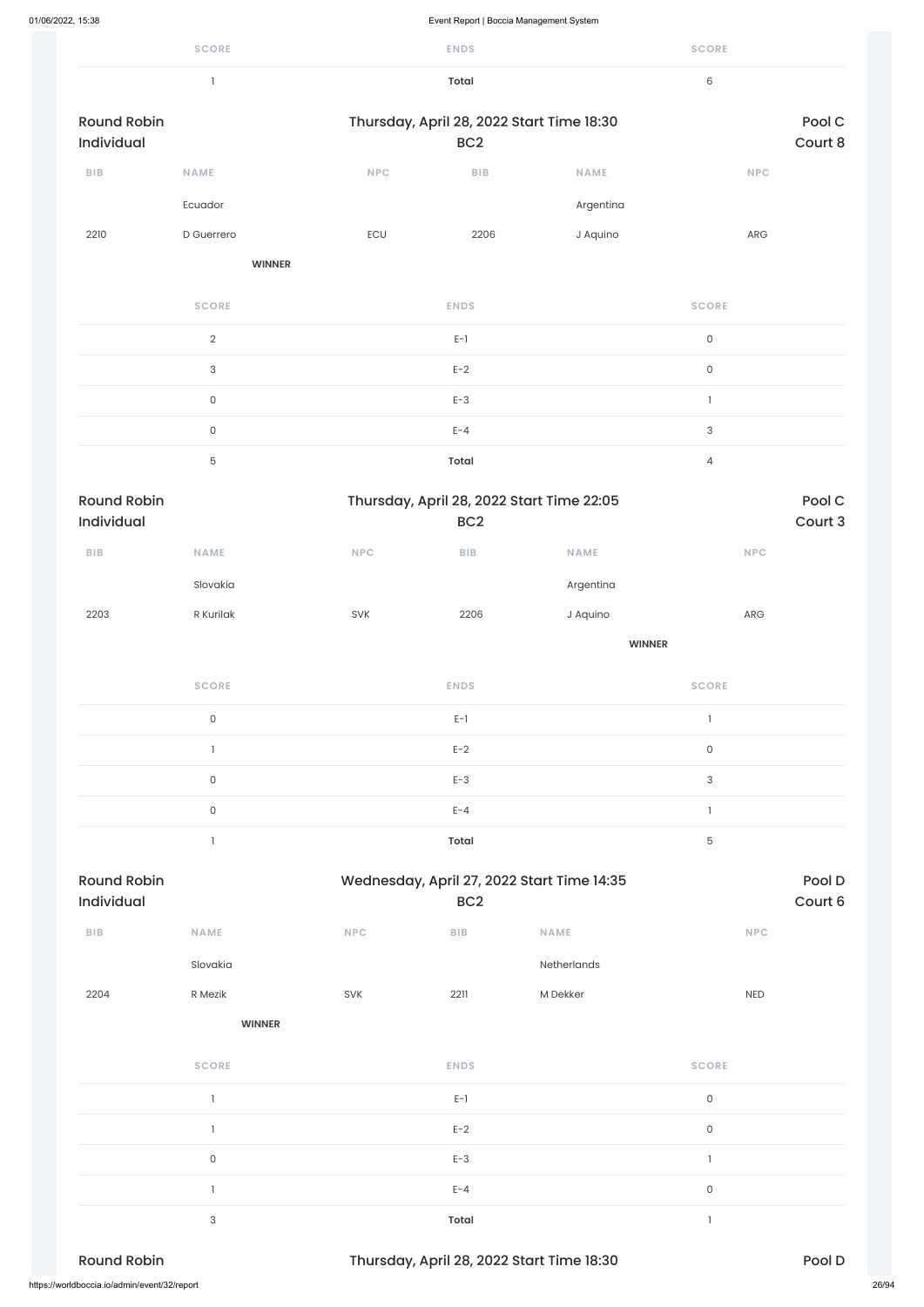| 01/06/2022, 15:38                |                                       |            | Event Report   Boccia Management System                       |               |                     |                   |
|----------------------------------|---------------------------------------|------------|---------------------------------------------------------------|---------------|---------------------|-------------------|
|                                  | <b>SCORE</b>                          |            | <b>ENDS</b>                                                   |               | <b>SCORE</b>        |                   |
|                                  | $\begin{array}{c} \hline \end{array}$ |            | <b>Total</b>                                                  |               | 6                   |                   |
| <b>Round Robin</b><br>Individual |                                       |            | Thursday, April 28, 2022 Start Time 18:30<br>BC <sub>2</sub>  |               |                     | Pool C<br>Court 8 |
| ${\sf BIB}$                      | NAME                                  | <b>NPC</b> | BIB                                                           | NAME          | <b>NPC</b>          |                   |
|                                  | Ecuador                               |            |                                                               | Argentina     |                     |                   |
| 2210                             | D Guerrero                            | ECU        | 2206                                                          | J Aquino      | ARG                 |                   |
|                                  | <b>WINNER</b>                         |            |                                                               |               |                     |                   |
|                                  | <b>SCORE</b>                          |            | <b>ENDS</b>                                                   |               | <b>SCORE</b>        |                   |
|                                  | $\sqrt{2}$                            |            | $E-1$                                                         |               | $\mathsf{O}$        |                   |
|                                  | $\mathsf{3}$                          |            | $E-2$                                                         |               | $\mathsf{O}\xspace$ |                   |
|                                  | $\mathsf{O}\xspace$                   |            | $E-3$                                                         |               | 1                   |                   |
|                                  | $\mathsf{O}\xspace$                   |            | $E - 4$                                                       |               | $\mathsf{3}$        |                   |
|                                  | $\mathbf 5$                           |            | <b>Total</b>                                                  |               | $\overline{4}$      |                   |
| <b>Round Robin</b><br>Individual |                                       |            | Thursday, April 28, 2022 Start Time 22:05<br>BC <sub>2</sub>  |               |                     | Pool C<br>Court 3 |
| BIB                              | NAME                                  | NPC        | ${\sf B}{\sf I}{\sf B}$                                       | NAME          | NPC                 |                   |
|                                  | Slovakia                              |            |                                                               | Argentina     |                     |                   |
| 2203                             | R Kurilak                             | SVK        | 2206                                                          | J Aquino      | ARG                 |                   |
|                                  |                                       |            |                                                               | <b>WINNER</b> |                     |                   |
|                                  | <b>SCORE</b>                          |            | <b>ENDS</b>                                                   |               | <b>SCORE</b>        |                   |
|                                  | $\mathsf{O}\xspace$                   |            | $E-1$                                                         |               | $\overline{1}$      |                   |
|                                  | $\mathbf{I}$                          |            | $E-2$                                                         |               | $\mathsf O$         |                   |
|                                  | $\mathsf{O}\xspace$                   |            | $E-3$                                                         |               | $\mathsf{3}$        |                   |
|                                  | $\mathsf{O}\xspace$                   |            | $E - 4$                                                       |               | $\mathbf{1}$        |                   |
|                                  | $\mathbf{I}$                          |            | <b>Total</b>                                                  |               | 5                   |                   |
| <b>Round Robin</b><br>Individual |                                       |            | Wednesday, April 27, 2022 Start Time 14:35<br>BC <sub>2</sub> |               |                     | Pool D<br>Court 6 |

Slovakia Netherlands

| 2204                                         | R Mezik       | SVK | 2211        | M Dekker                                  | <b>NED</b>   |        |       |
|----------------------------------------------|---------------|-----|-------------|-------------------------------------------|--------------|--------|-------|
|                                              | <b>WINNER</b> |     |             |                                           |              |        |       |
|                                              | <b>SCORE</b>  |     | <b>ENDS</b> |                                           | <b>SCORE</b> |        |       |
|                                              |               |     | $E-1$       |                                           | $\mathsf O$  |        |       |
|                                              |               |     | $E-2$       |                                           | $\mathsf{O}$ |        |       |
|                                              | $\mathsf O$   |     | $E-3$       |                                           |              |        |       |
|                                              |               |     | $E - 4$     |                                           | $\mathsf O$  |        |       |
|                                              | $\mathbf{3}$  |     | Total       |                                           |              |        |       |
| <b>Round Robin</b>                           |               |     |             | Thursday, April 28, 2022 Start Time 18:30 |              | Pool D |       |
| https://worldboccia.io/admin/event/32/report |               |     |             |                                           |              |        | 26/94 |

**BIB NAME NPC BIB NAME NPC**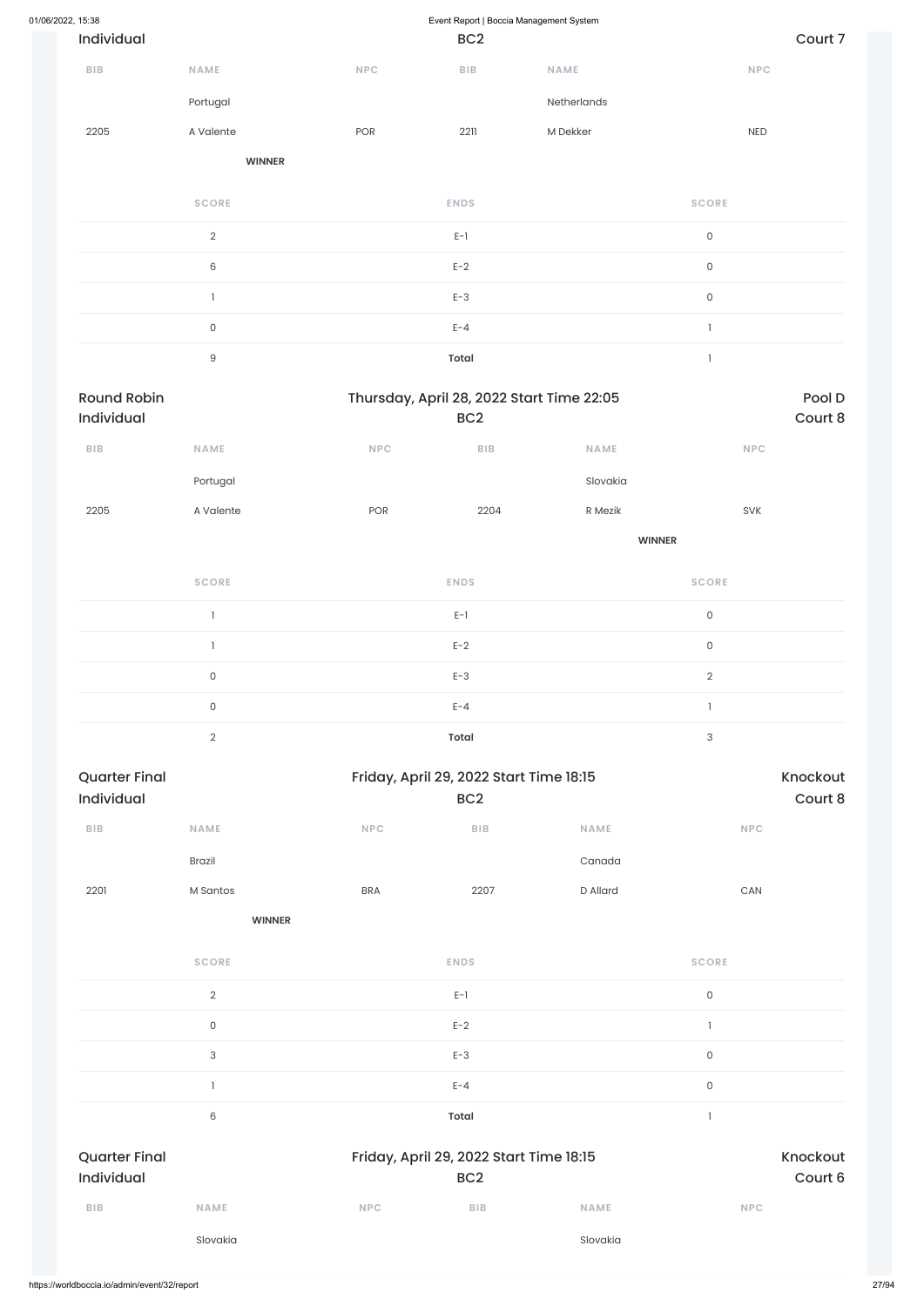| 01/06/2022, 15:38                  |               |                             | Event Report   Boccia Management System                    |               |                       |                     |  |
|------------------------------------|---------------|-----------------------------|------------------------------------------------------------|---------------|-----------------------|---------------------|--|
| Individual                         |               |                             | BC <sub>2</sub>                                            |               | Court 7               |                     |  |
| <b>BIB</b>                         | NAME          | <b>NPC</b>                  | BIB                                                        | <b>NAME</b>   | NPC                   |                     |  |
|                                    | Portugal      |                             |                                                            | Netherlands   |                       |                     |  |
| 2205                               | A Valente     | POR                         | 2211                                                       | M Dekker      | NED                   |                     |  |
|                                    | <b>WINNER</b> |                             |                                                            |               |                       |                     |  |
|                                    | <b>SCORE</b>  |                             | <b>ENDS</b>                                                |               | <b>SCORE</b>          |                     |  |
|                                    | $\sqrt{2}$    |                             | $E-1$                                                      |               | $\mathsf{O}\xspace$   |                     |  |
|                                    | $\,6\,$       |                             | $E-2$                                                      |               | $\mathsf{O}\xspace$   |                     |  |
|                                    | $\mathbf{1}$  |                             | $E-3$                                                      |               | $\mathsf{O}\xspace$   |                     |  |
|                                    | $\mathsf{O}$  |                             | $E - 4$                                                    |               | $\mathbf{I}$          |                     |  |
|                                    | $\mathsf g$   |                             | <b>Total</b>                                               |               | $\mathbf{1}$          |                     |  |
| <b>Round Robin</b>                 |               |                             | Thursday, April 28, 2022 Start Time 22:05                  |               |                       | Pool D              |  |
| Individual                         |               |                             | BC <sub>2</sub>                                            |               |                       | Court 8             |  |
| <b>BIB</b>                         | NAME          | <b>NPC</b>                  | <b>BIB</b>                                                 | <b>NAME</b>   | <b>NPC</b>            |                     |  |
|                                    | Portugal      |                             |                                                            | Slovakia      |                       |                     |  |
| 2205                               | A Valente     | POR                         | 2204                                                       | R Mezik       | SVK                   |                     |  |
|                                    |               |                             |                                                            | <b>WINNER</b> |                       |                     |  |
|                                    | <b>SCORE</b>  |                             | <b>ENDS</b>                                                |               | <b>SCORE</b>          |                     |  |
|                                    | -1            |                             | $E-1$                                                      |               | $\mathsf{O}\xspace$   |                     |  |
|                                    | $\mathbf{1}$  |                             | $E-2$                                                      |               | $\mathsf{O}\xspace$   |                     |  |
|                                    | $\mathsf{O}$  |                             | $E-3$                                                      |               | $\overline{2}$        |                     |  |
|                                    | $\mathsf{O}$  |                             | $E - 4$                                                    |               | $\mathbf{I}$          |                     |  |
|                                    | $\sqrt{2}$    |                             | <b>Total</b>                                               |               | $\sqrt{3}$            |                     |  |
| <b>Quarter Final</b><br>Individual |               |                             | Friday, April 29, 2022 Start Time 18:15<br>BC <sub>2</sub> |               |                       | Knockout<br>Court 8 |  |
| ${\sf BIB}$                        | NAME          | $\ensuremath{\mathsf{NPC}}$ | ${\sf B}{\sf I}{\sf B}$                                    | NAME          | NPC                   |                     |  |
|                                    | Brazil        |                             |                                                            | Canada        |                       |                     |  |
| 2201                               | M Santos      | <b>BRA</b>                  | 2207                                                       | D Allard      | $\mathsf{CAN}\xspace$ |                     |  |
|                                    |               |                             |                                                            |               |                       |                     |  |

**SCORE ENDS SCORE**

|                      | $\sqrt{2}$  |            | $E-1$                                   |             | $\mathsf{O}$             |          |
|----------------------|-------------|------------|-----------------------------------------|-------------|--------------------------|----------|
|                      | $\mathsf O$ |            | $E-2$                                   |             | $\overline{\phantom{a}}$ |          |
|                      | 3           |            | $E-3$                                   |             | $\mathsf O$              |          |
|                      |             |            | $E - 4$                                 |             | $\mathsf O$              |          |
|                      | 6           |            | <b>Total</b>                            |             | $\overline{1}$           |          |
| <b>Quarter Final</b> |             |            | Friday, April 29, 2022 Start Time 18:15 |             |                          | Knockout |
| Individual           |             |            | BC <sub>2</sub>                         |             |                          | Court 6  |
| <b>BIB</b>           | <b>NAME</b> | <b>NPC</b> | <b>BIB</b>                              | <b>NAME</b> | <b>NPC</b>               |          |
|                      | Slovakia    |            |                                         | Slovakia    |                          |          |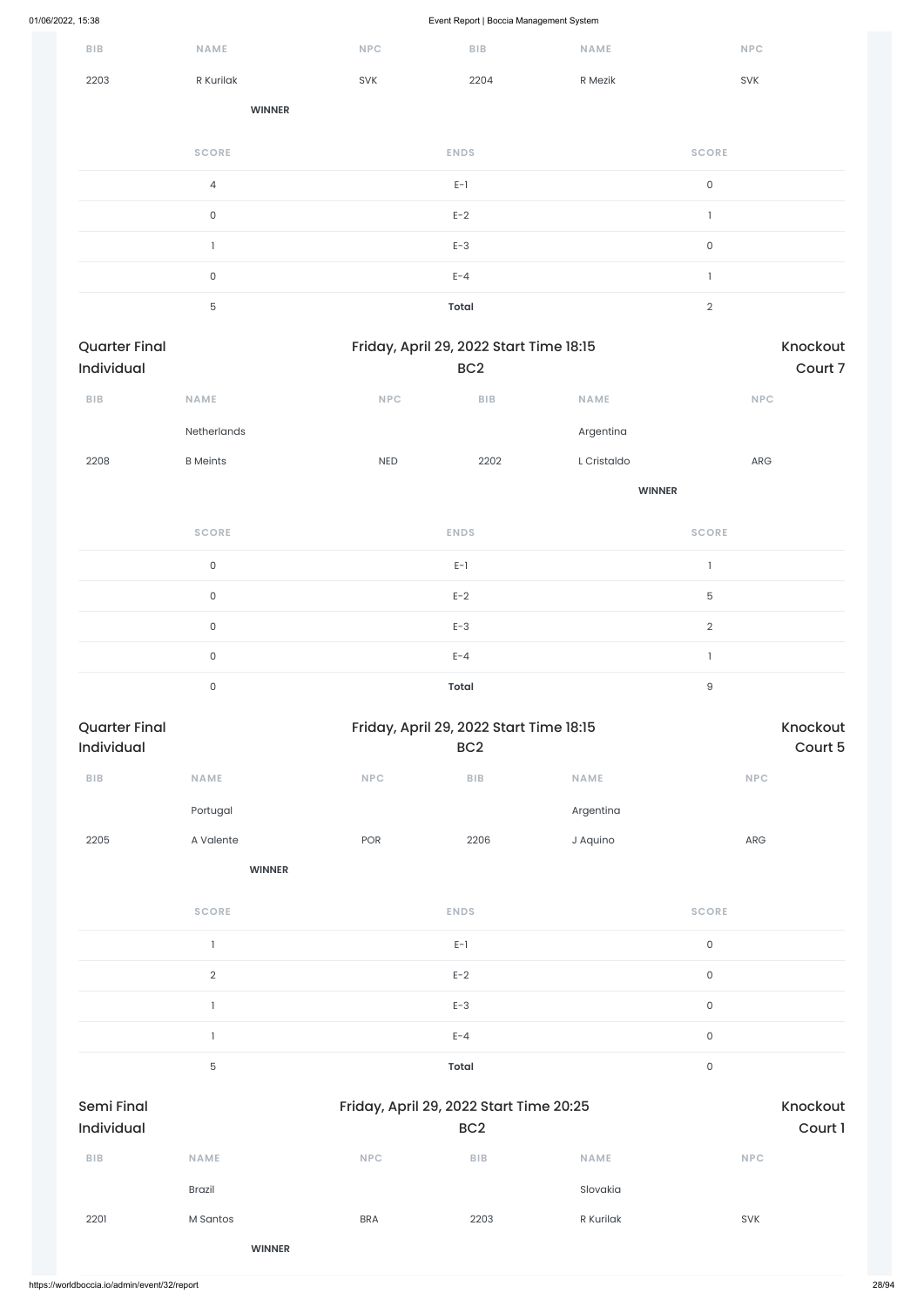| 01/06/2022, 15:38 |                                    |                     |            | Event Report   Boccia Management System                    |               |                     |                     |
|-------------------|------------------------------------|---------------------|------------|------------------------------------------------------------|---------------|---------------------|---------------------|
|                   | <b>BIB</b>                         | NAME                | NPC        | BIB                                                        | NAME          | <b>NPC</b>          |                     |
|                   | 2203                               | R Kurilak           | SVK        | 2204                                                       | R Mezik       | SVK                 |                     |
|                   |                                    | <b>WINNER</b>       |            |                                                            |               |                     |                     |
|                   |                                    | <b>SCORE</b>        |            | <b>ENDS</b>                                                |               | <b>SCORE</b>        |                     |
|                   |                                    | $\sqrt{4}$          |            | $E-1$                                                      |               | $\mathsf{O}\xspace$ |                     |
|                   |                                    | $\mathsf{O}\xspace$ |            | $E-2$                                                      |               | $\mathbf{I}$        |                     |
|                   |                                    | $\mathbf{1}$        |            | $E-3$                                                      |               | $\mathsf{O}\xspace$ |                     |
|                   |                                    | $\mathsf{O}\xspace$ |            | $E - 4$                                                    |               | $\mathbf{1}$        |                     |
|                   |                                    | $\mathbf 5$         |            | Total                                                      |               | $\sqrt{2}$          |                     |
|                   | <b>Quarter Final</b><br>Individual |                     |            | Friday, April 29, 2022 Start Time 18:15<br>BC <sub>2</sub> |               |                     | Knockout<br>Court 7 |
|                   | <b>BIB</b>                         | NAME                | <b>NPC</b> | ${\sf B}{\sf I}{\sf B}$                                    | NAME          | <b>NPC</b>          |                     |
|                   |                                    | Netherlands         |            |                                                            | Argentina     |                     |                     |
|                   | 2208                               | <b>B</b> Meints     | <b>NED</b> | 2202                                                       | L Cristaldo   | ARG                 |                     |
|                   |                                    |                     |            |                                                            | <b>WINNER</b> |                     |                     |
|                   |                                    | <b>SCORE</b>        |            | <b>ENDS</b>                                                |               | <b>SCORE</b>        |                     |
|                   |                                    | $\mathsf{O}\xspace$ |            | $E-1$                                                      |               | $\mathbf{I}$        |                     |
|                   |                                    | $\mathsf{O}\xspace$ |            | $E-2$                                                      |               | $\mathbf 5$         |                     |
|                   |                                    | $\mathsf{O}\xspace$ |            | $E-3$                                                      |               | $\sqrt{2}$          |                     |
|                   |                                    | $\mathsf{O}\xspace$ |            | $E - 4$                                                    |               | $\mathbbm{1}$       |                     |
|                   |                                    | $\mathsf{O}\xspace$ |            | <b>Total</b>                                               |               | $\mathsf g$         |                     |
|                   | <b>Quarter Final</b><br>Individual |                     |            | Friday, April 29, 2022 Start Time 18:15<br>BC <sub>2</sub> |               |                     | Knockout<br>Court 5 |
|                   | <b>BIB</b>                         | NAME                | NPC        | ${\sf B}{\sf I}{\sf B}$                                    | NAME          | <b>NPC</b>          |                     |
|                   |                                    | Portugal            |            |                                                            | Argentina     |                     |                     |

|                                              |               |            | $E-3$                                                      |             | $\mathsf{O}$ |                     |
|----------------------------------------------|---------------|------------|------------------------------------------------------------|-------------|--------------|---------------------|
|                                              |               |            | $E - 4$                                                    |             | $\mathsf{O}$ |                     |
|                                              | 5             |            | <b>Total</b>                                               |             | $\mathsf{O}$ |                     |
| <b>Semi Final</b><br>Individual              |               |            | Friday, April 29, 2022 Start Time 20:25<br>BC <sub>2</sub> |             |              | Knockout<br>Court 1 |
| <b>BIB</b>                                   | <b>NAME</b>   | <b>NPC</b> | <b>BIB</b>                                                 | <b>NAME</b> | <b>NPC</b>   |                     |
|                                              | <b>Brazil</b> |            |                                                            | Slovakia    |              |                     |
| 2201                                         | M Santos      | <b>BRA</b> | 2203                                                       | R Kurilak   | <b>SVK</b>   |                     |
|                                              | <b>WINNER</b> |            |                                                            |             |              |                     |
| https://worldboccia.io/admin/event/32/report |               |            |                                                            |             |              |                     |

2205 A Valente POR 2206 J Aquino ARG

**WINNER**

**SCORE ENDS SCORE**

2 and  $E-2$  and  $E-2$  and  $E-2$  and  $E-2$  and  $E-2$  and  $E-2$  and  $E-2$  and  $E-2$  and  $E-2$  and  $E-2$  and  $E-2$  and  $E-2$  and  $E-2$  and  $E-2$  and  $E-2$  and  $E-2$  and  $E-2$  and  $E-2$  and  $E-2$  and  $E-2$  and  $E-2$  and  $E-2$ 

 $E-1$  0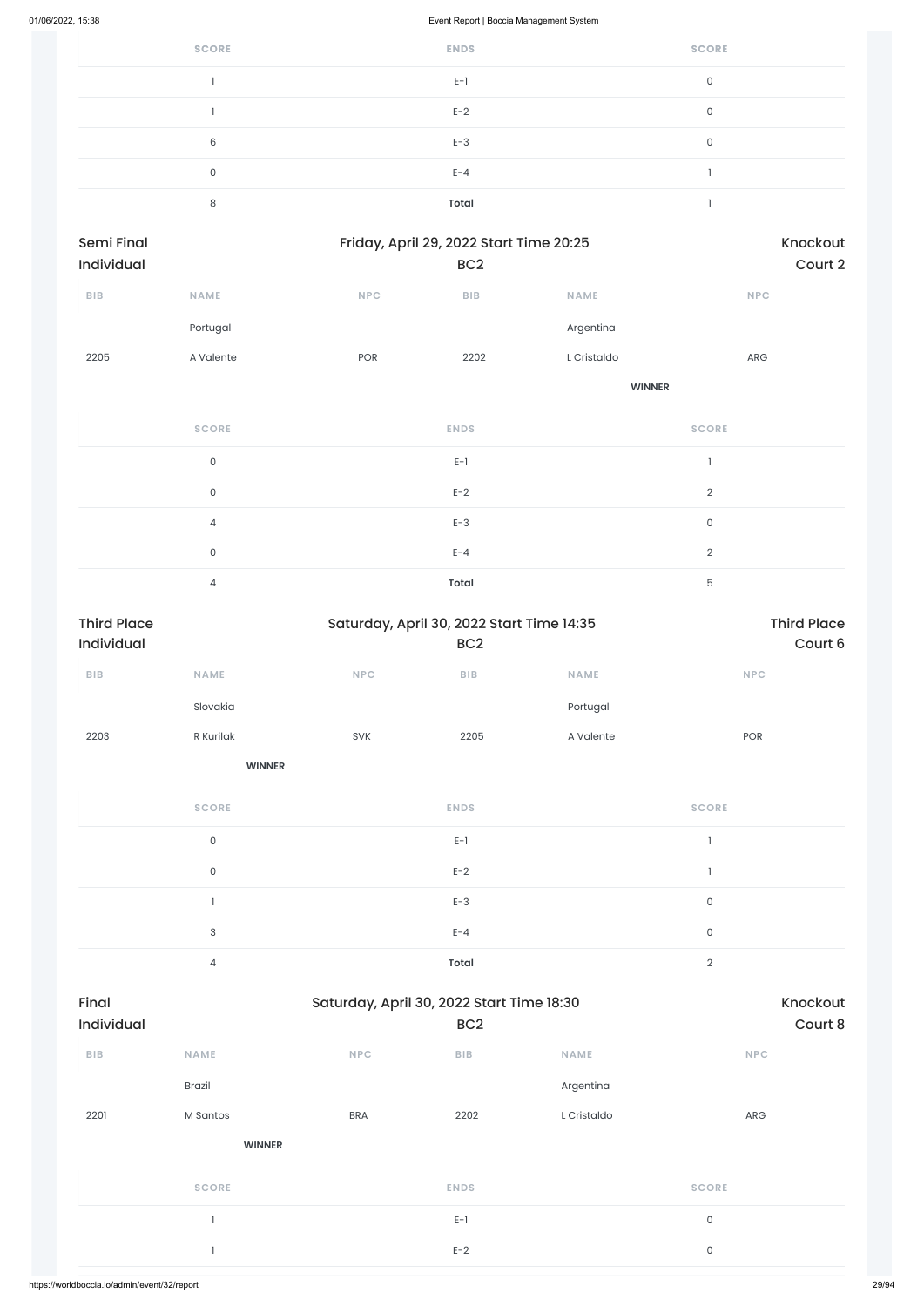| <b>SCORE</b> | <b>ENDS</b>  | <b>SCORE</b> |
|--------------|--------------|--------------|
|              | $E-1$        | $\cap$       |
|              | $E-2$        | 0            |
| 6            | $E-3$        | 0            |
| 0            | $E - 4$      |              |
| 8            | <b>Total</b> |              |

| Semi Final              |                     |            | Friday, April 29, 2022 Start Time 20:25 |               | Knockout                              |
|-------------------------|---------------------|------------|-----------------------------------------|---------------|---------------------------------------|
| Individual              |                     |            | BC <sub>2</sub>                         |               | Court 2                               |
| ${\sf B}{\sf I}{\sf B}$ | NAME                | <b>NPC</b> | BIB                                     | NAME          | NPC                                   |
|                         | Portugal            |            |                                         | Argentina     |                                       |
| 2205                    | A Valente           | POR        | 2202                                    | L Cristaldo   | ${\sf ARG}$                           |
|                         |                     |            |                                         | <b>WINNER</b> |                                       |
|                         | <b>SCORE</b>        |            | <b>ENDS</b>                             |               | <b>SCORE</b>                          |
|                         | $\mathsf{O}$        |            | $E-1$                                   |               | $\begin{array}{c} \hline \end{array}$ |
|                         | $\mathsf{O}\xspace$ |            | $E-2$                                   |               | $\overline{2}$                        |
|                         | $\sqrt{4}$          |            | $E-3$                                   |               | $\mathsf{O}$                          |
|                         | $\mathsf{O}$        |            | $E - 4$                                 |               | $\overline{2}$                        |
|                         | $\overline{4}$      |            | Total                                   |               | $\mathbf 5$                           |

| <b>Third Place</b><br>Individual |                     |            | Saturday, April 30, 2022 Start Time 14:35<br>BC <sub>2</sub> |             | <b>Third Place</b><br>Court 6 |
|----------------------------------|---------------------|------------|--------------------------------------------------------------|-------------|-------------------------------|
| ${\sf B}{\sf I}{\sf B}$          | <b>NAME</b>         | <b>NPC</b> | BIB                                                          | <b>NAME</b> | <b>NPC</b>                    |
|                                  | Slovakia            |            |                                                              | Portugal    |                               |
| 2203                             | R Kurilak           | SVK        | 2205                                                         | A Valente   | POR                           |
|                                  | <b>WINNER</b>       |            |                                                              |             |                               |
|                                  | <b>SCORE</b>        |            | <b>ENDS</b>                                                  |             | <b>SCORE</b>                  |
|                                  | $\mathsf{O}\xspace$ |            | $E-1$                                                        |             | $\overline{\phantom{a}}$      |
|                                  | $\mathsf{O}\xspace$ |            | $E-2$                                                        |             |                               |
|                                  |                     |            | $E-3$                                                        |             | $\mathsf{O}\xspace$           |
|                                  | 3                   |            | $E - 4$                                                      |             | $\mathsf{O}\xspace$           |
|                                  | $\overline{4}$      |            | <b>Total</b>                                                 |             | $\sqrt{2}$                    |

| Final<br>Individual |               | Saturday, April 30, 2022 Start Time 18:30 | BC <sub>2</sub> |             | Knockout<br>Court 8 |
|---------------------|---------------|-------------------------------------------|-----------------|-------------|---------------------|
| BIB                 | <b>NAME</b>   | <b>NPC</b>                                | <b>BIB</b>      | <b>NAME</b> | <b>NPC</b>          |
|                     | <b>Brazil</b> |                                           |                 | Argentina   |                     |
| 2201                | M Santos      | <b>BRA</b>                                | 2202            | L Cristaldo | ARG                 |
|                     | <b>WINNER</b> |                                           |                 |             |                     |
|                     | <b>SCORE</b>  |                                           | <b>ENDS</b>     |             | <b>SCORE</b>        |
|                     | $\mathbf{1}$  |                                           | $E-1$           |             | $\mathsf{O}\xspace$ |
|                     | $\mathbf{1}$  |                                           | $E-2$           |             | $\mathsf{O}\xspace$ |
|                     |               |                                           |                 |             |                     |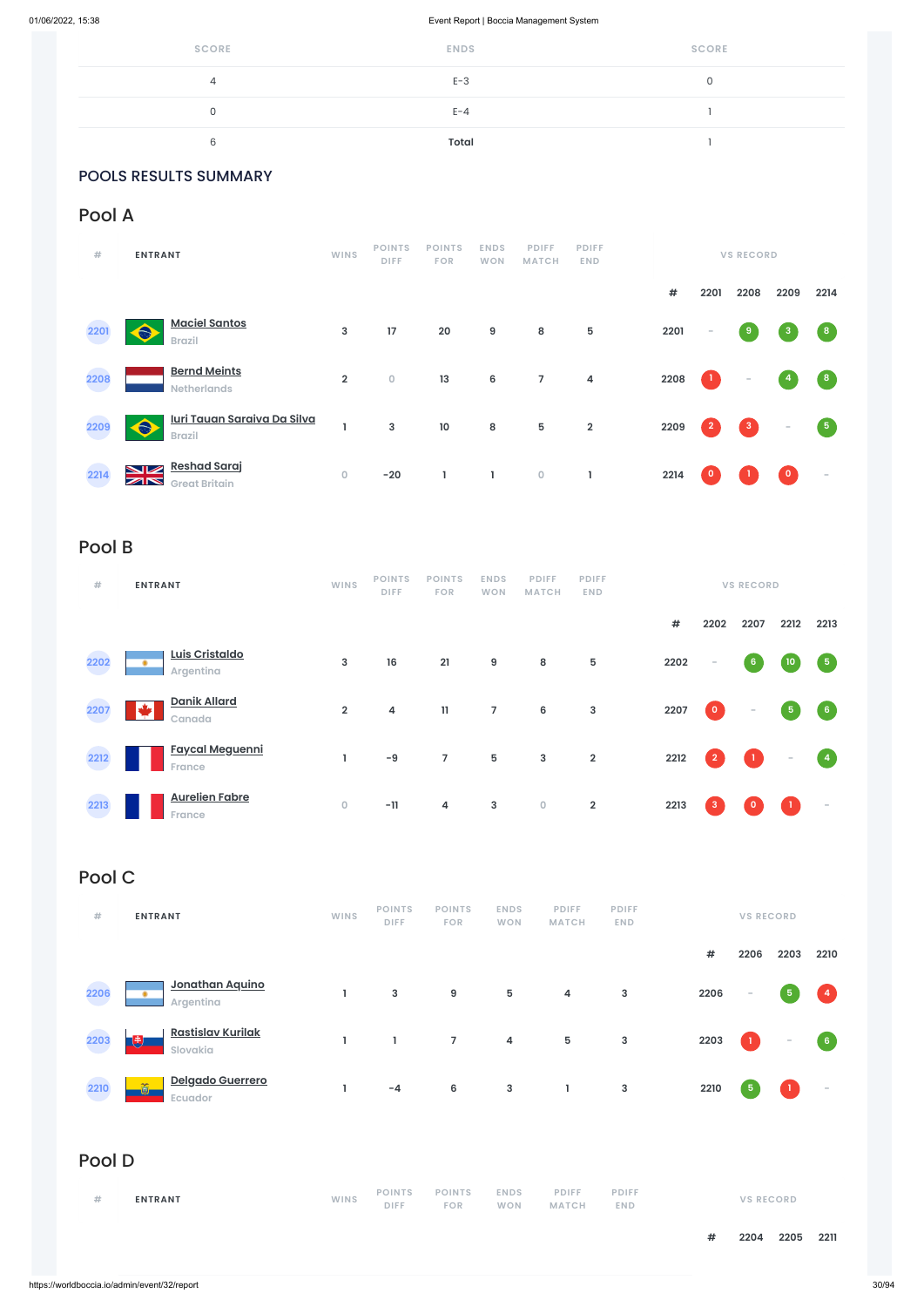| <b>SCORE</b> | <b>ENDS</b> | <b>SCORE</b> |
|--------------|-------------|--------------|
| 4            | $E-3$       |              |
| U            | $E - 4$     |              |
| 6            | Total       |              |

### POOLS RESULTS SUMMARY

## Pool A

| #    | <b>ENTRANT</b>                                                                      | <b>WINS</b>    | <b>POINTS</b><br><b>DIFF</b> | <b>POINTS</b><br><b>FOR</b> | <b>ENDS</b><br><b>WON</b> | <b>PDIFF</b><br><b>MATCH</b> | <b>PDIFF</b><br><b>END</b> |      |                | <b>VS RECORD</b> |                          |                         |
|------|-------------------------------------------------------------------------------------|----------------|------------------------------|-----------------------------|---------------------------|------------------------------|----------------------------|------|----------------|------------------|--------------------------|-------------------------|
|      |                                                                                     |                |                              |                             |                           |                              |                            | $\#$ | 2201           | 2208             | 2209                     | 2214                    |
| 2201 | <b>Maciel Santos</b><br><b>Brazil</b>                                               | 3              | 17                           | 20                          | 9                         | 8                            | 5                          | 2201 | $\sim$         | 9                | 3                        | $\overline{\mathbf{8}}$ |
| 2208 | <b>Bernd Meints</b><br><b>Netherlands</b>                                           | $\overline{2}$ | $\mathsf{O}\xspace$          | 13                          | $\boldsymbol{6}$          | $\overline{7}$               | $\overline{\mathbf{4}}$    | 2208 | $\mathbf{1}$   | $\sim$           | 4                        | $\left( 8 \right)$      |
| 2209 | <u>Iuri Tauan Saraiva Da Silva</u><br><b>Brazil</b>                                 |                | $\mathbf{3}$                 | 10                          | 8                         | $5\phantom{.0}$              | $\mathbf 2$                | 2209 | $\overline{2}$ | $\mathbf{3}$     | $\overline{\phantom{a}}$ | 5                       |
| 2214 | <b>Reshad Saraj</b><br><b>NZ</b><br>$\mathbb{Z} \mathbb{N}$<br><b>Great Britain</b> | $\overline{0}$ | $-20$                        | 1                           | L                         | $\mathsf O$                  | L                          | 2214 | $\circ$        |                  | $\mathbf{0}$             | $\sim$                  |

## Pool B

| #    | <b>ENTRANT</b>                          | <b>WINS</b>         | <b>POINTS</b><br><b>DIFF</b> | <b>POINTS</b><br><b>FOR</b> | <b>ENDS</b><br><b>WON</b> | <b>PDIFF</b><br><b>MATCH</b> | <b>PDIFF</b><br><b>END</b> |            |                | <b>VS RECORD</b>                  |                 |                      |
|------|-----------------------------------------|---------------------|------------------------------|-----------------------------|---------------------------|------------------------------|----------------------------|------------|----------------|-----------------------------------|-----------------|----------------------|
|      |                                         |                     |                              |                             |                           |                              |                            | $\pmb{\#}$ | 2202           | 2207                              | 2212            | 2213                 |
| 2202 | Luis Cristaldo<br>۰<br>Argentina        | $\mathbf{3}$        | 16                           | 21                          | 9                         | 8                            | $\sqrt{5}$                 | 2202       | $\sim$         | $6 \,$                            | 10 <sub>o</sub> | $\sqrt{5}$           |
| 2207 | <b>Danik Allard</b><br>H<br>Canada      | $\overline{2}$      | 4                            | 11                          | $\overline{7}$            | $\bf 6$                      | $\mathbf{3}$               | 2207       | $\bullet$      | $\overline{\phantom{a}}$          | 5 <sub>1</sub>  | $6\phantom{.}6$      |
| 2212 | <b>Faycal Meguenni</b><br><b>France</b> |                     | $-9$                         | $\overline{7}$              | 5                         | $\mathbf{3}$                 | $\overline{\mathbf{2}}$    | 2212       | $\overline{2}$ | $\begin{pmatrix} 1 \end{pmatrix}$ | $\sim$          | $\blacktriangleleft$ |
| 2213 | <b>Aurelien Fabre</b><br><b>France</b>  | $\mathsf{O}\xspace$ | $-11$                        | 4                           | $\mathbf{3}$              | $\mathsf O$                  | $\overline{\mathbf{2}}$    | 2213       | $\mathbf{3}$   | $\Omega$                          |                 | $\sim$               |

## Pool C

| # | <b>ENTRANT</b> | WINS |  |  |  | POINTS POINTS ENDS PDIFF<br>DIFF FOR WON MATCH END | <b>PDIFF</b> | <b>VS RECORD</b> |
|---|----------------|------|--|--|--|----------------------------------------------------|--------------|------------------|
|---|----------------|------|--|--|--|----------------------------------------------------|--------------|------------------|

| 2206<br>a s | ۰              | <u>Jonathan Aquino</u><br>Argentina  | J.   | $\mathbf{3}$                 | 9                           | 5                         | 4                            | 3                          | 2206       | $\sim$       | $\,$ 5 $\,$              | $\overline{4}$   |
|-------------|----------------|--------------------------------------|------|------------------------------|-----------------------------|---------------------------|------------------------------|----------------------------|------------|--------------|--------------------------|------------------|
| 2203        | 曳              | <b>Rastislav Kurilak</b><br>Slovakia | L    | L                            | $\overline{7}$              | 4                         | 5                            | $\mathsf 3$                | 2203       | $\mathbf{1}$ | $\overline{\phantom{a}}$ | $6 \overline{6}$ |
| 2210        | õ              | Delgado Guerrero<br>Ecuador          | ш    | $-4$                         | 6                           | $\mathbf{3}$              | L                            | $\mathsf 3$                | 2210       | $\sqrt{5}$   | $\mathbf{1}$             | $\sim$           |
| Pool D      |                |                                      |      |                              |                             |                           |                              |                            |            |              |                          |                  |
| $\#$        | <b>ENTRANT</b> |                                      | WINS | <b>POINTS</b><br><b>DIFF</b> | <b>POINTS</b><br><b>FOR</b> | <b>ENDS</b><br><b>WON</b> | <b>PDIFF</b><br><b>MATCH</b> | <b>PDIFF</b><br><b>END</b> |            |              | <b>VS RECORD</b>         |                  |
|             |                |                                      |      |                              |                             |                           |                              |                            | $\pmb{\#}$ | 2204         | 2205                     | 2211             |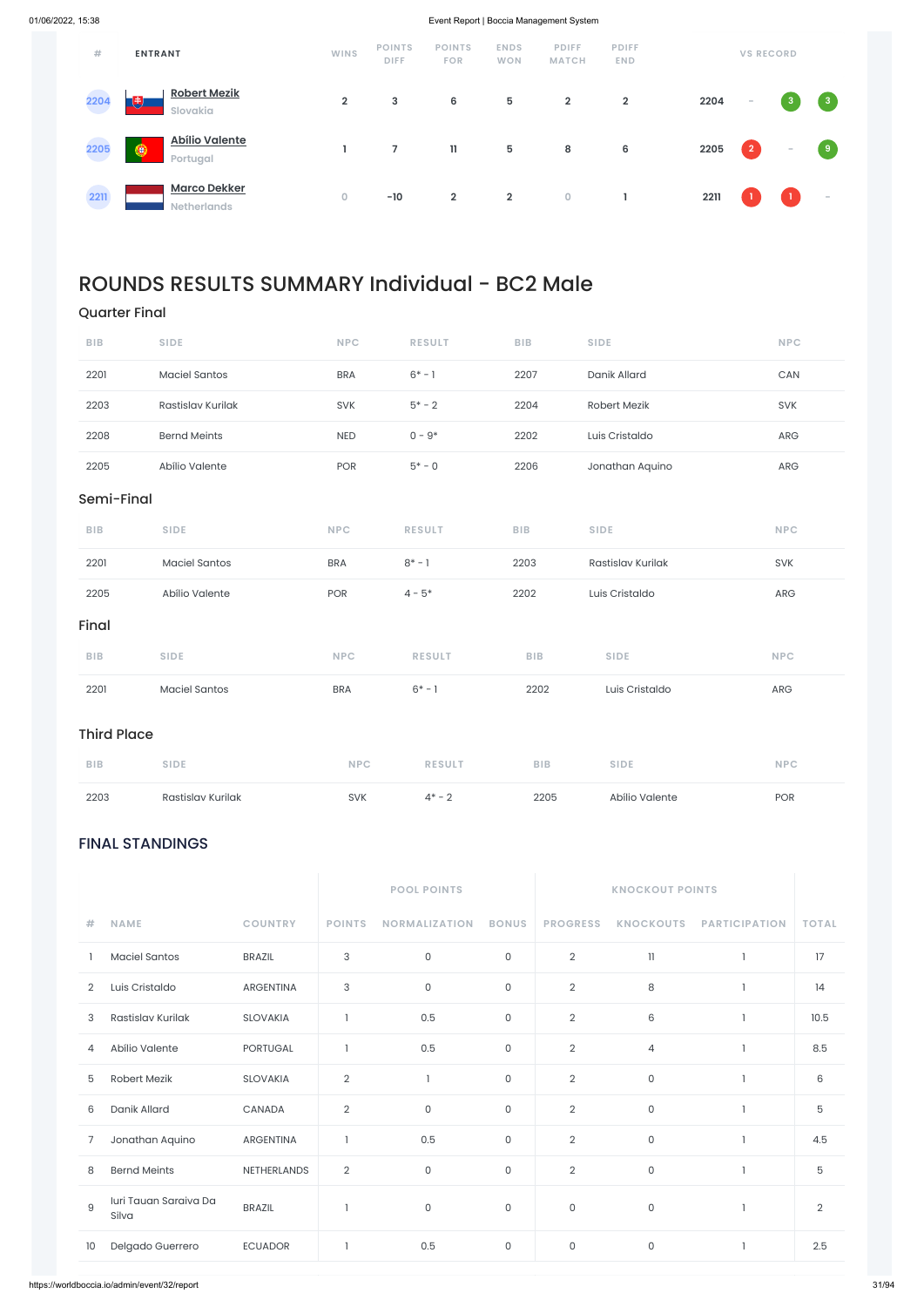### FINAL STANDINGS

|                |                                |                  |                           | <b>POOL POINTS</b>   |                     | <b>KNOCKOUT POINTS</b> |                  |                      |                |
|----------------|--------------------------------|------------------|---------------------------|----------------------|---------------------|------------------------|------------------|----------------------|----------------|
| #              | <b>NAME</b>                    | <b>COUNTRY</b>   | <b>POINTS</b>             | <b>NORMALIZATION</b> | <b>BONUS</b>        | <b>PROGRESS</b>        | <b>KNOCKOUTS</b> | <b>PARTICIPATION</b> | <b>TOTAL</b>   |
|                | <b>Maciel Santos</b>           | <b>BRAZIL</b>    | $\sqrt{3}$                | 0                    | $\mathsf{O}$        | $\overline{2}$         | 11               |                      | 17             |
| $\overline{2}$ | Luis Cristaldo                 | <b>ARGENTINA</b> | $\ensuremath{\mathsf{3}}$ | 0                    | $\mathbf{0}$        | $\overline{2}$         | 8                |                      | 14             |
| 3              | Rastislav Kurilak              | <b>SLOVAKIA</b>  |                           | 0.5                  | 0                   | $\overline{2}$         | $\,6$            |                      | 10.5           |
| 4              | Abílio Valente                 | <b>PORTUGAL</b>  |                           | 0.5                  | $\mathsf{O}\xspace$ | $\overline{2}$         | $\overline{4}$   |                      | 8.5            |
| 5              | Robert Mezik                   | <b>SLOVAKIA</b>  | $\mathbf{2}$              | 1                    | $\mathsf{O}\xspace$ | $\overline{2}$         | $\mathsf{O}$     |                      | 6              |
| 6              | Danik Allard                   | CANADA           | $\overline{2}$            | $\mathsf{O}\xspace$  | $\mathsf{O}\xspace$ | $\overline{2}$         | $\mathsf{O}$     |                      | 5              |
| 7              | Jonathan Aquino                | <b>ARGENTINA</b> | $\mathbf{1}$              | 0.5                  | 0                   | $\overline{2}$         | $\mathsf O$      |                      | 4.5            |
| 8              | <b>Bernd Meints</b>            | NETHERLANDS      | $\overline{2}$            | 0                    | $\mathsf O$         | $\overline{2}$         | $\mathsf O$      |                      | 5              |
| $\mathsf g$    | Iuri Tauan Saraiva Da<br>Silva | <b>BRAZIL</b>    |                           | $\mathsf O$          | $\mathsf{O}\xspace$ | $\mathsf{O}\xspace$    | $\mathsf O$      |                      | $\overline{2}$ |
| 10             | Delgado Guerrero               | <b>ECUADOR</b>   |                           | 0.5                  | 0                   | $\mathsf O$            | $\mathsf O$      |                      | 2.5            |

| #            | <b>ENTRANT</b>                            | <b>WINS</b>    | <b>POINTS</b><br><b>DIFF</b> | <b>POINTS</b><br><b>FOR</b> | <b>ENDS</b><br><b>WON</b> | <b>PDIFF</b><br><b>MATCH</b> | <b>PDIFF</b><br><b>END</b> |      | <b>VS RECORD</b>         |              |                |
|--------------|-------------------------------------------|----------------|------------------------------|-----------------------------|---------------------------|------------------------------|----------------------------|------|--------------------------|--------------|----------------|
| 2204         | <b>Robert Mezik</b><br>U<br>Slovakia      | $\overline{2}$ | 3                            | 6                           | 5                         | $\overline{2}$               | $\overline{2}$             | 2204 | $\overline{\phantom{a}}$ | $\mathbf{3}$ | $\mathbf{3}$   |
| 2205         | <b>Abílio Valente</b><br>◉<br>Portugal    |                | $\overline{7}$               | 11                          | 5                         | 8                            | 6                          | 2205 | $\overline{2}$           | $\sim$       | $\overline{9}$ |
| 2211<br>a sa | <b>Marco Dekker</b><br><b>Netherlands</b> | $\circ$        | $-10$                        | $\overline{2}$              | $\overline{2}$            | 0                            |                            | 2211 |                          |              | $\sim$         |

## ROUNDS RESULTS SUMMARY Individual - BC2 Male

### Quarter Final

| 2203               | Rastislav Kurilak    | SVK        | $4* - 2$      | 2205       | Abílio Valente    | POR        |
|--------------------|----------------------|------------|---------------|------------|-------------------|------------|
| <b>BIB</b>         | <b>SIDE</b>          | <b>NPC</b> | <b>RESULT</b> | <b>BIB</b> | <b>SIDE</b>       | <b>NPC</b> |
| <b>Third Place</b> |                      |            |               |            |                   |            |
| 2201               | <b>Maciel Santos</b> | <b>BRA</b> | $6* - 1$      | 2202       | Luis Cristaldo    | ARG        |
| <b>BIB</b>         | <b>SIDE</b>          | <b>NPC</b> | <b>RESULT</b> | <b>BIB</b> | <b>SIDE</b>       | <b>NPC</b> |
| Final              |                      |            |               |            |                   |            |
| 2205               | Abílio Valente       | POR        | $4 - 5*$      | 2202       | Luis Cristaldo    | ARG        |
| 2201               | <b>Maciel Santos</b> | <b>BRA</b> | $8^* - 1$     | 2203       | Rastislav Kurilak | SVK        |
| <b>BIB</b>         | <b>SIDE</b>          | <b>NPC</b> | <b>RESULT</b> | <b>BIB</b> | <b>SIDE</b>       | <b>NPC</b> |
| Semi-Final         |                      |            |               |            |                   |            |
| 2205               | Abílio Valente       | <b>POR</b> | $5* - 0$      | 2206       | Jonathan Aquino   | ARG        |
| 2208               | <b>Bernd Meints</b>  | <b>NED</b> | $0 - 9*$      | 2202       | Luis Cristaldo    | ARG        |
| 2203               | Rastislav Kurilak    | SVK        | $5* - 2$      | 2204       | Robert Mezik      | SVK        |
| 2201               | <b>Maciel Santos</b> | <b>BRA</b> | $6* - 1$      | 2207       | Danik Allard      | CAN        |
| <b>BIB</b>         | <b>SIDE</b>          | <b>NPC</b> | <b>RESULT</b> | <b>BIB</b> | <b>SIDE</b>       | <b>NPC</b> |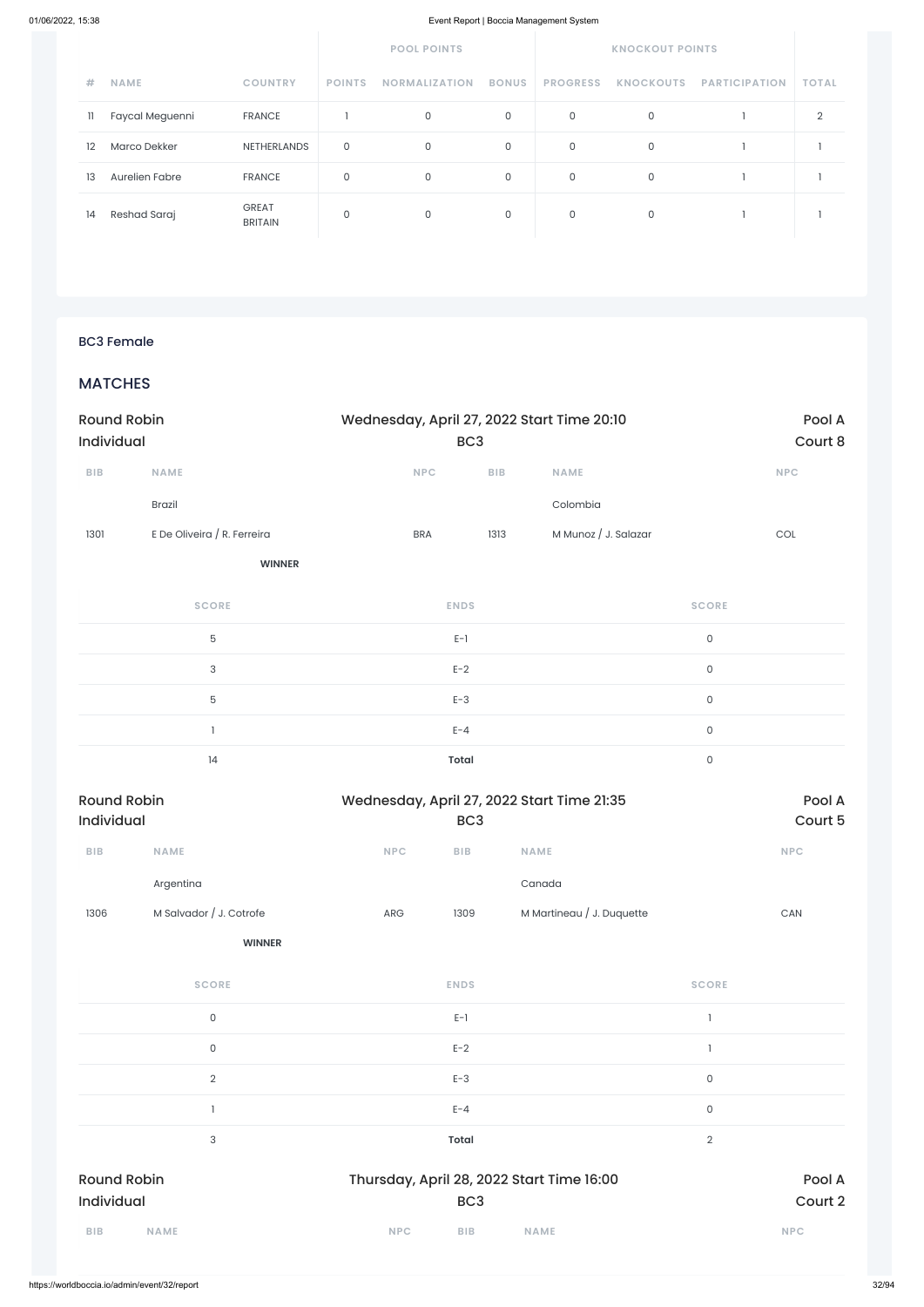|    |                       |                                | <b>POOL POINTS</b><br><b>KNOCKOUT POINTS</b> |                      |              |                 |                  |                      |              |
|----|-----------------------|--------------------------------|----------------------------------------------|----------------------|--------------|-----------------|------------------|----------------------|--------------|
| #  | <b>NAME</b>           | <b>COUNTRY</b>                 | <b>POINTS</b>                                | <b>NORMALIZATION</b> | <b>BONUS</b> | <b>PROGRESS</b> | <b>KNOCKOUTS</b> | <b>PARTICIPATION</b> | <b>TOTAL</b> |
| 11 | Faycal Meguenni       | <b>FRANCE</b>                  |                                              | 0                    | 0            | 0               | 0                |                      | ◠            |
| 12 | <b>Marco Dekker</b>   | <b>NETHERLANDS</b>             | 0                                            | 0                    | 0            | 0               | 0                |                      |              |
| 13 | <b>Aurelien Fabre</b> | <b>FRANCE</b>                  | 0                                            | 0                    | 0            | 0               | $\mathbf 0$      |                      |              |
| 14 | Reshad Saraj          | <b>GREAT</b><br><b>BRITAIN</b> | 0                                            | 0                    | 0            | 0               | 0                |                      |              |

### BC3 Female

### **MATCHES**

| <b>Round Robin</b><br>Individual |                             | Wednesday, April 27, 2022 Start Time 20:10<br>BC <sub>3</sub> |                         |                      |                     | Pool A<br>Court 8 |
|----------------------------------|-----------------------------|---------------------------------------------------------------|-------------------------|----------------------|---------------------|-------------------|
| ${\sf BIB}$                      | NAME                        | <b>NPC</b>                                                    | ${\sf B}{\sf I}{\sf B}$ | <b>NAME</b>          |                     | <b>NPC</b>        |
|                                  | Brazil                      |                                                               |                         | Colombia             |                     |                   |
| 1301                             | E De Oliveira / R. Ferreira | <b>BRA</b>                                                    | 1313                    | M Munoz / J. Salazar |                     | COL               |
|                                  | <b>WINNER</b>               |                                                               |                         |                      |                     |                   |
|                                  | <b>SCORE</b>                | <b>ENDS</b>                                                   |                         |                      | <b>SCORE</b>        |                   |
|                                  | $\mathbf 5$                 | $E-1$                                                         |                         |                      | $\mathsf{O}\xspace$ |                   |
|                                  | $\ensuremath{\mathsf{3}}$   | $E-2$                                                         |                         |                      | $\mathsf{O}$        |                   |
|                                  | $\mathbf 5$                 | $E-3$                                                         |                         |                      | $\mathsf{O}$        |                   |
|                                  |                             | $E - 4$                                                       |                         |                      | $\mathsf{O}$        |                   |
|                                  | 14                          | <b>Total</b>                                                  |                         |                      | $\mathsf{O}$        |                   |

| <b>Round Robin</b><br>Individual |                         |            | Wednesday, April 27, 2022 Start Time 21:35<br>BC <sub>3</sub> |                           |            |  |  |  |
|----------------------------------|-------------------------|------------|---------------------------------------------------------------|---------------------------|------------|--|--|--|
| <b>BIB</b>                       | <b>NAME</b>             | <b>NPC</b> | <b>BIB</b>                                                    | <b>NAME</b>               | <b>NPC</b> |  |  |  |
|                                  | Argentina               |            |                                                               | Canada                    |            |  |  |  |
| 1306                             | M Salvador / J. Cotrofe | <b>ARG</b> | 1309                                                          | M Martineau / J. Duquette | CAN        |  |  |  |
|                                  | <b>WINNER</b>           |            |                                                               |                           |            |  |  |  |

| 3                   | $E - 4$<br><b>Total</b> | 0<br>$\overline{2}$ |
|---------------------|-------------------------|---------------------|
| $\overline{2}$      | $E-3$                   | $\mathsf O$         |
| $\mathsf{O}\xspace$ | $E-2$                   |                     |
| $\mathsf O$         | $E-1$                   |                     |
|                     |                         |                     |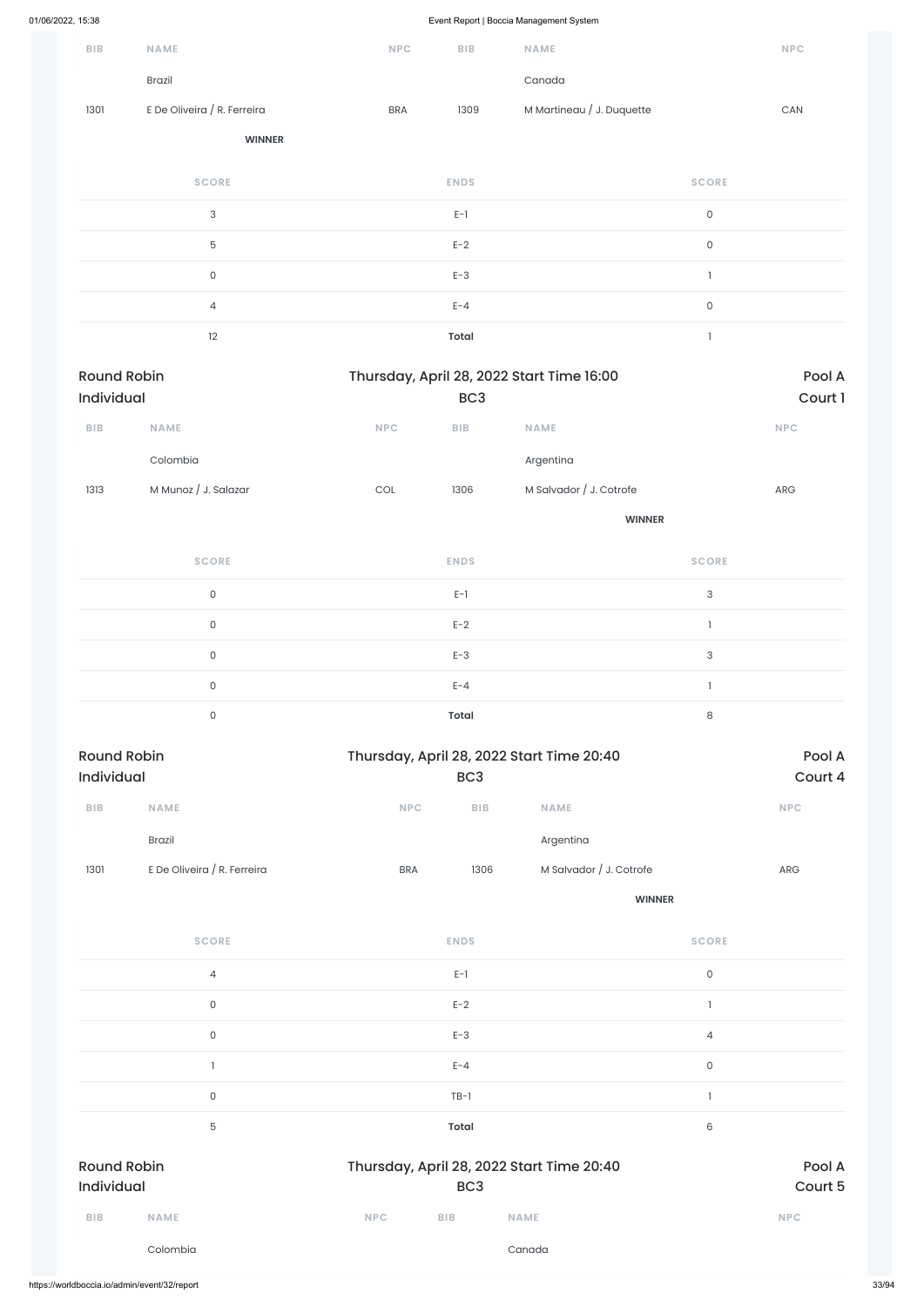| Brazil<br>Canada<br>E De Oliveira / R. Ferreira<br>M Martineau / J. Duquette<br>1301<br><b>BRA</b><br>1309<br>${\sf CAN}$<br><b>WINNER</b><br><b>SCORE</b><br><b>ENDS</b><br><b>SCORE</b><br>$\mathsf{3}$<br>$\mathsf{O}$<br>$E-1$<br>5<br>$E-2$<br>$\mathsf{O}$<br>$E-3$<br>$\mathsf O$<br>$\overline{\phantom{a}}$<br>$\mathsf{O}$<br>$E - 4$<br>$\overline{4}$<br>12<br><b>Total</b><br>$\mathbf{1}$<br><b>Round Robin</b><br>Pool A<br>Thursday, April 28, 2022 Start Time 16:00<br>Individual<br>Court 1<br>BC <sub>3</sub><br>NAME<br>BIB<br><b>NAME</b><br><b>NPC</b><br>BIB<br><b>NPC</b><br>Colombia<br>Argentina<br>M Salvador / J. Cotrofe<br>M Munoz / J. Salazar<br>1306<br>1313<br>$\mathop{\rm COL}\nolimits$<br>ARG<br><b>WINNER</b><br><b>SCORE</b><br><b>ENDS</b><br><b>SCORE</b><br>$\ensuremath{\mathsf{3}}$<br>$\mathsf O$<br>$E-1$<br>$E-2$<br>$\mathsf O$<br>$\overline{\phantom{a}}$<br>$\ensuremath{\mathsf{3}}$<br>$\mathsf O$<br>$E-3$<br>$E - 4$<br>$\mathsf O$<br>$\mathbf{I}$<br>$\,8\,$<br>$\mathsf O$<br><b>Total</b><br><b>Round Robin</b><br>Thursday, April 28, 2022 Start Time 20:40<br>Pool A<br>Court 4<br>Individual<br>BC <sub>3</sub><br>NAME<br><b>NPC</b><br>NAME<br><b>NPC</b><br>BIB<br>BIB<br>Argentina<br><b>Brazil</b><br>E De Oliveira / R. Ferreira<br>M Salvador / J. Cotrofe<br>1301<br>1306<br><b>BRA</b><br>${\sf ARG}$<br><b>WINNER</b><br><b>SCORE</b><br><b>SCORE</b><br><b>ENDS</b> | BIB | <b>NAME</b> | <b>NPC</b> | <b>BIB</b> | NAME | <b>NPC</b> |
|-----------------------------------------------------------------------------------------------------------------------------------------------------------------------------------------------------------------------------------------------------------------------------------------------------------------------------------------------------------------------------------------------------------------------------------------------------------------------------------------------------------------------------------------------------------------------------------------------------------------------------------------------------------------------------------------------------------------------------------------------------------------------------------------------------------------------------------------------------------------------------------------------------------------------------------------------------------------------------------------------------------------------------------------------------------------------------------------------------------------------------------------------------------------------------------------------------------------------------------------------------------------------------------------------------------------------------------------------------------------------------------------------------------------------------------------------|-----|-------------|------------|------------|------|------------|
|                                                                                                                                                                                                                                                                                                                                                                                                                                                                                                                                                                                                                                                                                                                                                                                                                                                                                                                                                                                                                                                                                                                                                                                                                                                                                                                                                                                                                                               |     |             |            |            |      |            |
|                                                                                                                                                                                                                                                                                                                                                                                                                                                                                                                                                                                                                                                                                                                                                                                                                                                                                                                                                                                                                                                                                                                                                                                                                                                                                                                                                                                                                                               |     |             |            |            |      |            |
|                                                                                                                                                                                                                                                                                                                                                                                                                                                                                                                                                                                                                                                                                                                                                                                                                                                                                                                                                                                                                                                                                                                                                                                                                                                                                                                                                                                                                                               |     |             |            |            |      |            |
|                                                                                                                                                                                                                                                                                                                                                                                                                                                                                                                                                                                                                                                                                                                                                                                                                                                                                                                                                                                                                                                                                                                                                                                                                                                                                                                                                                                                                                               |     |             |            |            |      |            |
|                                                                                                                                                                                                                                                                                                                                                                                                                                                                                                                                                                                                                                                                                                                                                                                                                                                                                                                                                                                                                                                                                                                                                                                                                                                                                                                                                                                                                                               |     |             |            |            |      |            |
|                                                                                                                                                                                                                                                                                                                                                                                                                                                                                                                                                                                                                                                                                                                                                                                                                                                                                                                                                                                                                                                                                                                                                                                                                                                                                                                                                                                                                                               |     |             |            |            |      |            |
|                                                                                                                                                                                                                                                                                                                                                                                                                                                                                                                                                                                                                                                                                                                                                                                                                                                                                                                                                                                                                                                                                                                                                                                                                                                                                                                                                                                                                                               |     |             |            |            |      |            |
|                                                                                                                                                                                                                                                                                                                                                                                                                                                                                                                                                                                                                                                                                                                                                                                                                                                                                                                                                                                                                                                                                                                                                                                                                                                                                                                                                                                                                                               |     |             |            |            |      |            |
|                                                                                                                                                                                                                                                                                                                                                                                                                                                                                                                                                                                                                                                                                                                                                                                                                                                                                                                                                                                                                                                                                                                                                                                                                                                                                                                                                                                                                                               |     |             |            |            |      |            |
|                                                                                                                                                                                                                                                                                                                                                                                                                                                                                                                                                                                                                                                                                                                                                                                                                                                                                                                                                                                                                                                                                                                                                                                                                                                                                                                                                                                                                                               |     |             |            |            |      |            |
|                                                                                                                                                                                                                                                                                                                                                                                                                                                                                                                                                                                                                                                                                                                                                                                                                                                                                                                                                                                                                                                                                                                                                                                                                                                                                                                                                                                                                                               |     |             |            |            |      |            |
|                                                                                                                                                                                                                                                                                                                                                                                                                                                                                                                                                                                                                                                                                                                                                                                                                                                                                                                                                                                                                                                                                                                                                                                                                                                                                                                                                                                                                                               |     |             |            |            |      |            |
|                                                                                                                                                                                                                                                                                                                                                                                                                                                                                                                                                                                                                                                                                                                                                                                                                                                                                                                                                                                                                                                                                                                                                                                                                                                                                                                                                                                                                                               |     |             |            |            |      |            |
|                                                                                                                                                                                                                                                                                                                                                                                                                                                                                                                                                                                                                                                                                                                                                                                                                                                                                                                                                                                                                                                                                                                                                                                                                                                                                                                                                                                                                                               |     |             |            |            |      |            |
|                                                                                                                                                                                                                                                                                                                                                                                                                                                                                                                                                                                                                                                                                                                                                                                                                                                                                                                                                                                                                                                                                                                                                                                                                                                                                                                                                                                                                                               |     |             |            |            |      |            |
|                                                                                                                                                                                                                                                                                                                                                                                                                                                                                                                                                                                                                                                                                                                                                                                                                                                                                                                                                                                                                                                                                                                                                                                                                                                                                                                                                                                                                                               |     |             |            |            |      |            |
|                                                                                                                                                                                                                                                                                                                                                                                                                                                                                                                                                                                                                                                                                                                                                                                                                                                                                                                                                                                                                                                                                                                                                                                                                                                                                                                                                                                                                                               |     |             |            |            |      |            |
|                                                                                                                                                                                                                                                                                                                                                                                                                                                                                                                                                                                                                                                                                                                                                                                                                                                                                                                                                                                                                                                                                                                                                                                                                                                                                                                                                                                                                                               |     |             |            |            |      |            |
|                                                                                                                                                                                                                                                                                                                                                                                                                                                                                                                                                                                                                                                                                                                                                                                                                                                                                                                                                                                                                                                                                                                                                                                                                                                                                                                                                                                                                                               |     |             |            |            |      |            |
|                                                                                                                                                                                                                                                                                                                                                                                                                                                                                                                                                                                                                                                                                                                                                                                                                                                                                                                                                                                                                                                                                                                                                                                                                                                                                                                                                                                                                                               |     |             |            |            |      |            |
|                                                                                                                                                                                                                                                                                                                                                                                                                                                                                                                                                                                                                                                                                                                                                                                                                                                                                                                                                                                                                                                                                                                                                                                                                                                                                                                                                                                                                                               |     |             |            |            |      |            |
|                                                                                                                                                                                                                                                                                                                                                                                                                                                                                                                                                                                                                                                                                                                                                                                                                                                                                                                                                                                                                                                                                                                                                                                                                                                                                                                                                                                                                                               |     |             |            |            |      |            |
|                                                                                                                                                                                                                                                                                                                                                                                                                                                                                                                                                                                                                                                                                                                                                                                                                                                                                                                                                                                                                                                                                                                                                                                                                                                                                                                                                                                                                                               |     |             |            |            |      |            |
|                                                                                                                                                                                                                                                                                                                                                                                                                                                                                                                                                                                                                                                                                                                                                                                                                                                                                                                                                                                                                                                                                                                                                                                                                                                                                                                                                                                                                                               |     |             |            |            |      |            |
|                                                                                                                                                                                                                                                                                                                                                                                                                                                                                                                                                                                                                                                                                                                                                                                                                                                                                                                                                                                                                                                                                                                                                                                                                                                                                                                                                                                                                                               |     |             |            |            |      |            |
|                                                                                                                                                                                                                                                                                                                                                                                                                                                                                                                                                                                                                                                                                                                                                                                                                                                                                                                                                                                                                                                                                                                                                                                                                                                                                                                                                                                                                                               |     |             |            |            |      |            |

4 E-1 0

|            |                     | $E-2$                                     |                 |            | $\mathsf{O}\xspace$ |             |                    |
|------------|---------------------|-------------------------------------------|-----------------|------------|---------------------|-------------|--------------------|
|            | 4                   |                                           | $E-3$           |            | $\mathsf{O}\xspace$ |             |                    |
|            | $\mathsf{O}\xspace$ |                                           | $E - 4$         |            |                     |             |                    |
|            |                     | $TB-1$                                    |                 |            | $\mathsf{O}\xspace$ |             |                    |
|            | 6                   | <b>Total</b>                              |                 |            | 5                   |             |                    |
| Pool A     |                     | Thursday, April 28, 2022 Start Time 20:40 |                 |            |                     |             | <b>Round Robin</b> |
| Court 5    |                     |                                           | BC <sub>3</sub> |            |                     |             | Individual         |
| <b>NPC</b> |                     | <b>NAME</b>                               | <b>BIB</b>      | <b>NPC</b> |                     | <b>NAME</b> | <b>BIB</b>         |
|            |                     | Canada                                    |                 |            |                     | Colombia    |                    |
|            |                     |                                           |                 |            |                     |             |                    |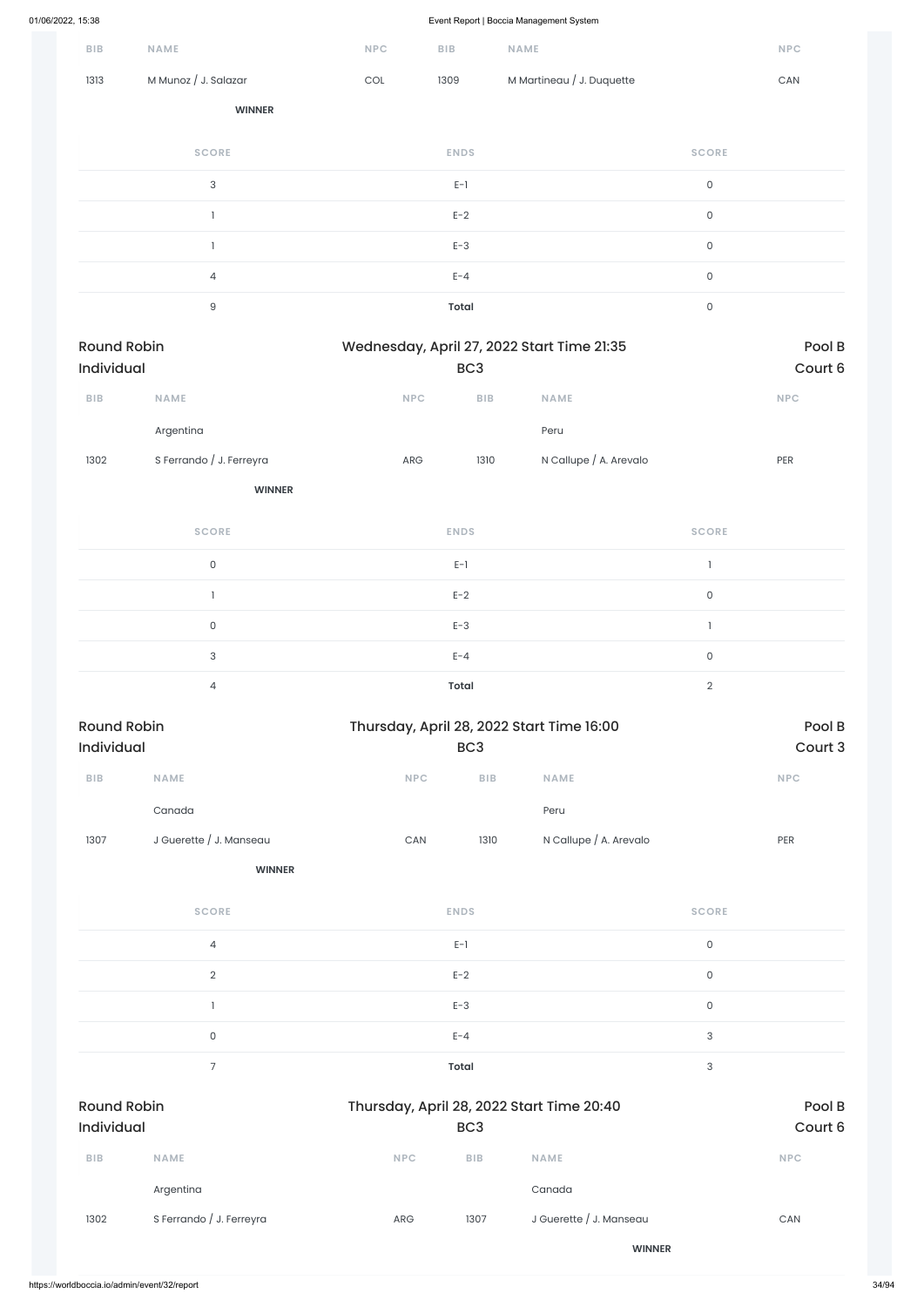| --,                              |                          |                             |                                |                                            |                     |                       |
|----------------------------------|--------------------------|-----------------------------|--------------------------------|--------------------------------------------|---------------------|-----------------------|
| ${\sf B}{\sf I}{\sf B}$          | NAME                     | NPC                         | ${\sf BIB}$                    | NAME                                       |                     | <b>NPC</b>            |
| 1313                             | M Munoz / J. Salazar     | $\mathop{\rm COL}\nolimits$ | 1309                           | M Martineau / J. Duquette                  |                     | $\mathsf{CAN}\xspace$ |
|                                  | <b>WINNER</b>            |                             |                                |                                            |                     |                       |
|                                  | <b>SCORE</b>             |                             | <b>ENDS</b>                    |                                            | <b>SCORE</b>        |                       |
|                                  | $\sqrt{3}$               |                             | $E-1$                          |                                            | $\mathsf{O}\xspace$ |                       |
|                                  | $\mathbf{I}$             |                             | $E-2$                          |                                            | $\mathsf{O}\xspace$ |                       |
|                                  | $\mathbf{I}$             |                             | $E-3$                          |                                            | $\mathsf{O}\xspace$ |                       |
|                                  | $\overline{4}$           |                             | $E - 4$                        |                                            | $\mathsf{O}\xspace$ |                       |
|                                  | $\mathsf g$              |                             | <b>Total</b>                   |                                            | $\mathsf{O}\xspace$ |                       |
| <b>Round Robin</b><br>Individual |                          |                             | BC <sub>3</sub>                | Wednesday, April 27, 2022 Start Time 21:35 |                     | Pool B<br>Court 6     |
| BIB                              | NAME                     | $\ensuremath{\mathsf{NPC}}$ | ${\sf B}{\sf I}{\sf B}$        | NAME                                       |                     | NPC                   |
|                                  | Argentina                |                             |                                | Peru                                       |                     |                       |
| 1302                             | S Ferrando / J. Ferreyra | ARG                         | 1310                           | N Callupe / A. Arevalo                     |                     | PER                   |
|                                  | <b>WINNER</b>            |                             |                                |                                            |                     |                       |
|                                  | <b>SCORE</b>             |                             | <b>ENDS</b>                    |                                            | <b>SCORE</b>        |                       |
|                                  | $\mathsf{O}$             |                             | $E-1$                          |                                            | $\mathbf{1}$        |                       |
|                                  | $\mathbf{I}$             |                             | $E-2$                          |                                            | $\mathsf{O}\xspace$ |                       |
|                                  | $\mathsf{O}$             |                             | $E-3$                          |                                            | $\mathbb{I}$        |                       |
|                                  | $\mathsf{3}$             |                             | $E - 4$                        |                                            | $\mathsf{O}\xspace$ |                       |
|                                  | $\overline{4}$           |                             | <b>Total</b>                   |                                            | $\sqrt{2}$          |                       |
| <b>Round Robin</b><br>Individual |                          |                             | BC <sub>3</sub>                | Thursday, April 28, 2022 Start Time 16:00  |                     | Pool B<br>Court 3     |
| ${\sf B}{\sf I}{\sf B}$          | NAME                     | $\ensuremath{\mathsf{NPC}}$ | ${\sf B}{\sf I}{\sf B}$        | <b>NAME</b>                                |                     | NPC                   |
|                                  | Canada                   |                             |                                | Peru                                       |                     |                       |
| 1307                             | J Guerette / J. Manseau  | $\mathsf{CAN}\xspace$       | 1310                           | N Callupe / A. Arevalo                     |                     | PER                   |
|                                  | <b>WINNER</b>            |                             |                                |                                            |                     |                       |
|                                  | <b>SCORE</b>             |                             | <b>ENDS</b>                    |                                            | <b>SCORE</b>        |                       |
|                                  | $\overline{4}$           |                             | $\mathsf{E}\text{-}\mathsf{I}$ |                                            | $\mathsf{O}\xspace$ |                       |
|                                  |                          |                             |                                |                                            |                     |                       |

2 and  $E-2$  and  $E-2$  and  $E-2$  and  $E-2$  and  $E-2$  and  $E-2$  and  $E-2$  and  $E-2$  and  $E-2$  and  $E-2$  and  $E-2$  and  $E-2$  and  $E-2$  and  $E-2$  and  $E-2$  and  $E-2$  and  $E-2$  and  $E-2$  and  $E-2$  and  $E-2$  and  $E-2$  and  $E-2$ 

|                                  |                          |            | $E-3$           |                                           | $\mathsf O$ |                   |
|----------------------------------|--------------------------|------------|-----------------|-------------------------------------------|-------------|-------------------|
|                                  | $\mathsf{O}\xspace$      |            | $E - 4$         |                                           | 3           |                   |
|                                  | 7                        |            | Total           |                                           | 3           |                   |
| <b>Round Robin</b><br>Individual |                          |            | BC <sub>3</sub> | Thursday, April 28, 2022 Start Time 20:40 |             | Pool B<br>Court 6 |
| <b>BIB</b>                       | <b>NAME</b>              | <b>NPC</b> | <b>BIB</b>      | <b>NAME</b>                               |             | <b>NPC</b>        |
|                                  | Argentina                |            |                 | Canada                                    |             |                   |
| 1302                             | S Ferrando / J. Ferreyra | ARG        | 1307            | J Guerette / J. Manseau                   |             | CAN               |
|                                  |                          |            |                 | <b>WINNER</b>                             |             |                   |
|                                  |                          |            |                 |                                           |             |                   |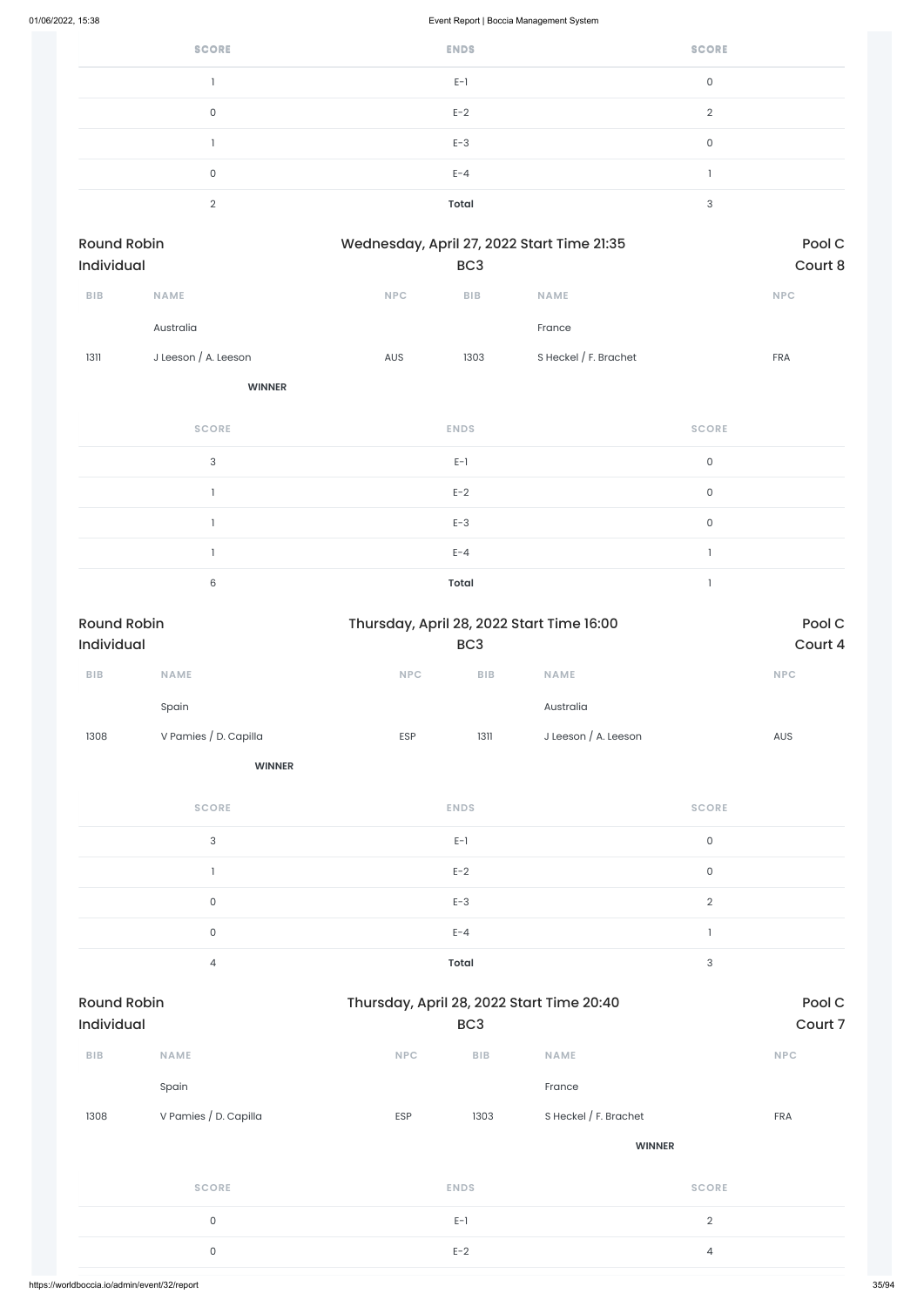| <b>SCORE</b> | <b>ENDS</b>  | <b>SCORE</b>  |
|--------------|--------------|---------------|
|              | $E-1$        | 0             |
| 0            | $E-2$        | $\mathcal{D}$ |
|              | $E-3$        | $\mathbf 0$   |
| 0            | $E - 4$      |               |
| ◠            | <b>Total</b> | 3             |

| Round Robin       |                      | Wednesday, April 27, 2022 Start Time 21:35 |                 | Pool C                  |            |
|-------------------|----------------------|--------------------------------------------|-----------------|-------------------------|------------|
| <b>Individual</b> |                      |                                            | BC <sub>3</sub> |                         | Court 8    |
| <b>BIB</b>        | <b>NAME</b>          | <b>NPC</b>                                 | <b>BIB</b>      | <b>NAME</b>             | <b>NPC</b> |
|                   | Australia            |                                            |                 | France                  |            |
| 1311              | J Leeson / A. Leeson | <b>AUS</b>                                 | 1303            | S Heckel $/$ F. Brachet | <b>FRA</b> |

**WINNER**

| <b>SCORE</b> | <b>ENDS</b>  | <b>SCORE</b> |
|--------------|--------------|--------------|
| 3            | $E-1$        | 0            |
|              | $E-2$        | $\mathbf 0$  |
|              | $E-3$        | 0            |
|              | $E - 4$      |              |
| 6            | <b>Total</b> |              |

| <b>Round Robin</b><br>Individual |                       |                                           | Thursday, April 28, 2022 Start Time 16:00<br>BC <sub>3</sub> |                       |                           | Pool C<br>Court 4 |
|----------------------------------|-----------------------|-------------------------------------------|--------------------------------------------------------------|-----------------------|---------------------------|-------------------|
| BIB                              | NAME                  | NPC                                       | ${\sf B}{\sf I}{\sf B}$                                      | <b>NAME</b>           |                           | NPC               |
|                                  | Spain                 |                                           |                                                              | Australia             |                           |                   |
| 1308                             | V Pamies / D. Capilla | ESP                                       | 1311                                                         | J Leeson / A. Leeson  |                           | AUS               |
|                                  | <b>WINNER</b>         |                                           |                                                              |                       |                           |                   |
|                                  | <b>SCORE</b>          |                                           | <b>ENDS</b>                                                  |                       | <b>SCORE</b>              |                   |
|                                  | 3                     |                                           | $\mathsf{E}\text{-}\mathsf{I}$                               |                       | $\mathsf{O}\xspace$       |                   |
|                                  | $\mathbf{I}$          |                                           | $E-2$                                                        |                       | $\mathsf{O}\xspace$       |                   |
|                                  | $\mathsf{O}\xspace$   |                                           | $E-3$                                                        |                       | $\overline{2}$            |                   |
|                                  | $\mathsf{O}\xspace$   |                                           | $E - 4$                                                      |                       | $\mathbf{I}$              |                   |
|                                  | $\overline{4}$        |                                           | <b>Total</b>                                                 |                       | $\ensuremath{\mathsf{3}}$ |                   |
| <b>Round Robin</b>               |                       | Thursday, April 28, 2022 Start Time 20:40 |                                                              |                       |                           | Pool C            |
| Individual                       |                       |                                           | BC <sub>3</sub>                                              |                       |                           | Court 7           |
| BIB                              | NAME                  | <b>NPC</b>                                | ${\sf B}{\sf I}{\sf B}$                                      | <b>NAME</b>           |                           | <b>NPC</b>        |
|                                  | Spain                 |                                           |                                                              | France                |                           |                   |
| 1308                             | V Pamies / D. Capilla | ESP                                       | 1303                                                         | S Heckel / F. Brachet |                           | FRA               |
|                                  |                       |                                           |                                                              | <b>WINNER</b>         |                           |                   |
|                                  | <b>SCORE</b>          |                                           | <b>ENDS</b>                                                  |                       | <b>SCORE</b>              |                   |
|                                  | $\mathsf{O}$          |                                           | $E-1$                                                        |                       | $\overline{2}$            |                   |
|                                  | $\mathsf{O}\xspace$   |                                           | $E-2$                                                        |                       | $\overline{4}$            |                   |
|                                  |                       |                                           |                                                              |                       |                           |                   |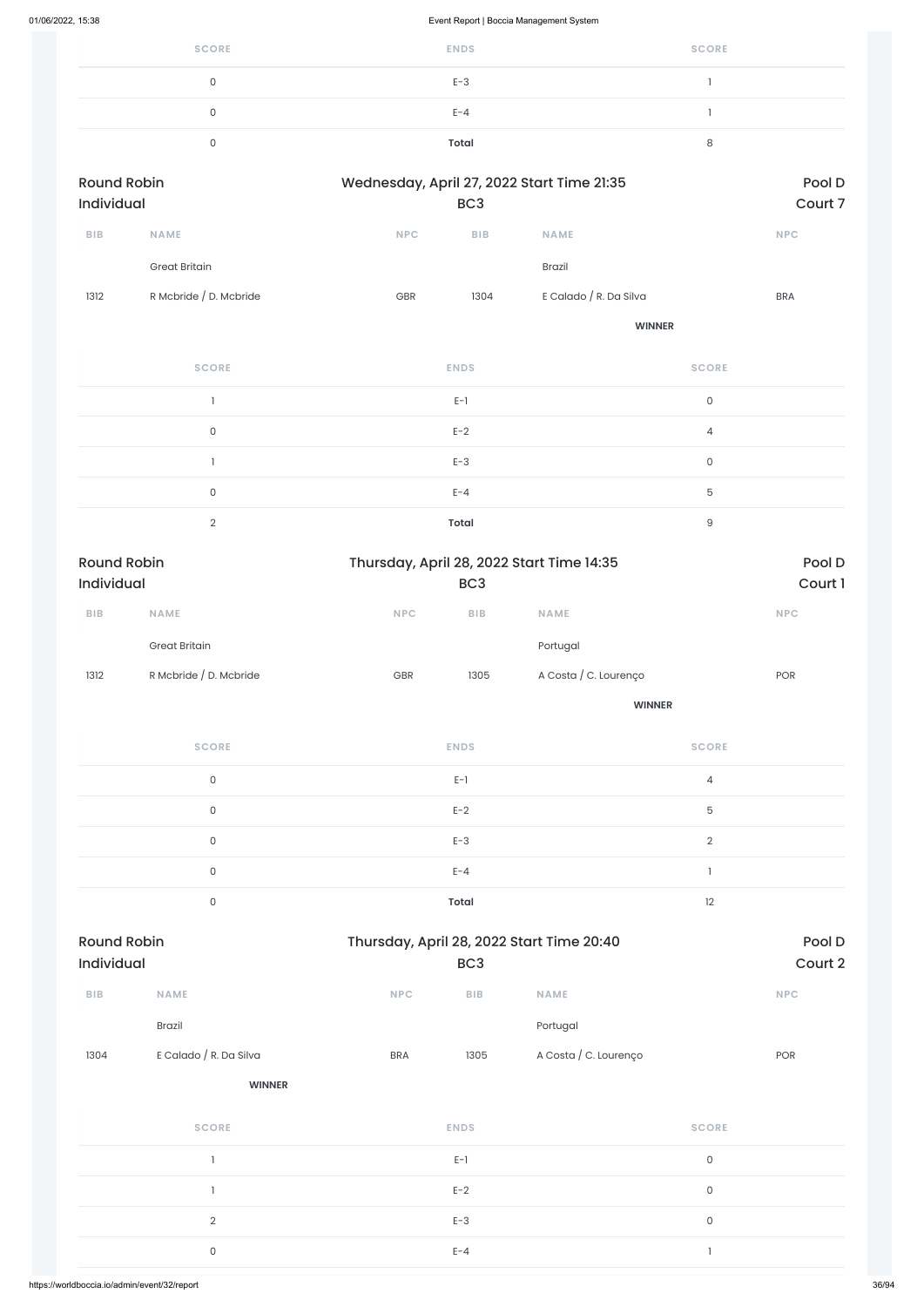| <b>SCORE</b> | <b>ENDS</b> | <b>SCORE</b> |
|--------------|-------------|--------------|
|              | $E-3$       |              |
|              | $E - 4$     |              |
|              | Total       |              |

| <b>Round Robin</b><br><b>Individual</b> |                        |            | Wednesday, April 27, 2022 Start Time 21:35<br>BC <sub>3</sub> |                        |            |
|-----------------------------------------|------------------------|------------|---------------------------------------------------------------|------------------------|------------|
| <b>BIB</b>                              | <b>NAME</b>            | <b>NPC</b> | <b>BIB</b>                                                    | <b>NAME</b>            | <b>NPC</b> |
|                                         | <b>Great Britain</b>   |            |                                                               | <b>Brazil</b>          |            |
| 1312                                    | R Mcbride / D. Mcbride | <b>GBR</b> | 1304                                                          | E Calado / R. Da Silva | <b>BRA</b> |

**WINNER**

| <b>SCORE</b> | <b>ENDS</b>  | <b>SCORE</b>   |
|--------------|--------------|----------------|
|              | $E-1$        | $\Omega$       |
| $\Omega$     | $E-2$        | $\overline{4}$ |
|              | $E-3$        | $\Omega$       |
| $\Omega$     | $E - 4$      | 5              |
| $\Omega$     | <b>Total</b> | 9              |

| <b>Round Robin</b><br><b>Individual</b><br>BC <sub>3</sub> |                        | Thursday, April 28, 2022 Start Time 14:35 |            | Pool D<br>Court 1     |            |
|------------------------------------------------------------|------------------------|-------------------------------------------|------------|-----------------------|------------|
| <b>BIB</b>                                                 | <b>NAME</b>            | <b>NPC</b>                                | <b>BIB</b> | <b>NAME</b>           | <b>NPC</b> |
|                                                            | <b>Great Britain</b>   |                                           |            | Portugal              |            |
| 1312                                                       | R Mcbride / D. Mcbride | <b>GBR</b>                                | 1305       | A Costa / C. Lourenço | <b>POR</b> |

**WINNER**

| <b>SCORE</b> | <b>ENDS</b>  | <b>SCORE</b>   |
|--------------|--------------|----------------|
| $\mathbf 0$  | $E-1$        | $\overline{4}$ |
| $\mathbf 0$  | $E-2$        | 5              |
| $\Omega$     | $E-3$        | $\mathcal{D}$  |
| $\mathbf 0$  | $E - 4$      |                |
| $\Omega$     | <b>Total</b> | 12             |

| ${\sf B}{\sf I}{\sf B}$ | <b>NAME</b>            | NPC        | ${\sf B}{\sf I}{\sf B}$ | NAME                  |                     | NPC |
|-------------------------|------------------------|------------|-------------------------|-----------------------|---------------------|-----|
|                         | Brazil                 |            |                         | Portugal              |                     |     |
| 1304                    | E Calado / R. Da Silva | <b>BRA</b> | 1305                    | A Costa / C. Lourenço |                     | POR |
|                         | <b>WINNER</b>          |            |                         |                       |                     |     |
|                         | <b>SCORE</b>           |            | <b>ENDS</b>             |                       | <b>SCORE</b>        |     |
|                         |                        |            | $E-1$                   |                       | $\mathsf{O}\xspace$ |     |
|                         |                        |            | $E-2$                   |                       | $\mathsf{O}\xspace$ |     |
|                         | $\mathbf{2}$           |            | $E-3$                   |                       | $\mathsf{O}\xspace$ |     |
|                         | 0                      |            | $E - 4$                 |                       |                     |     |
|                         |                        |            |                         |                       |                     |     |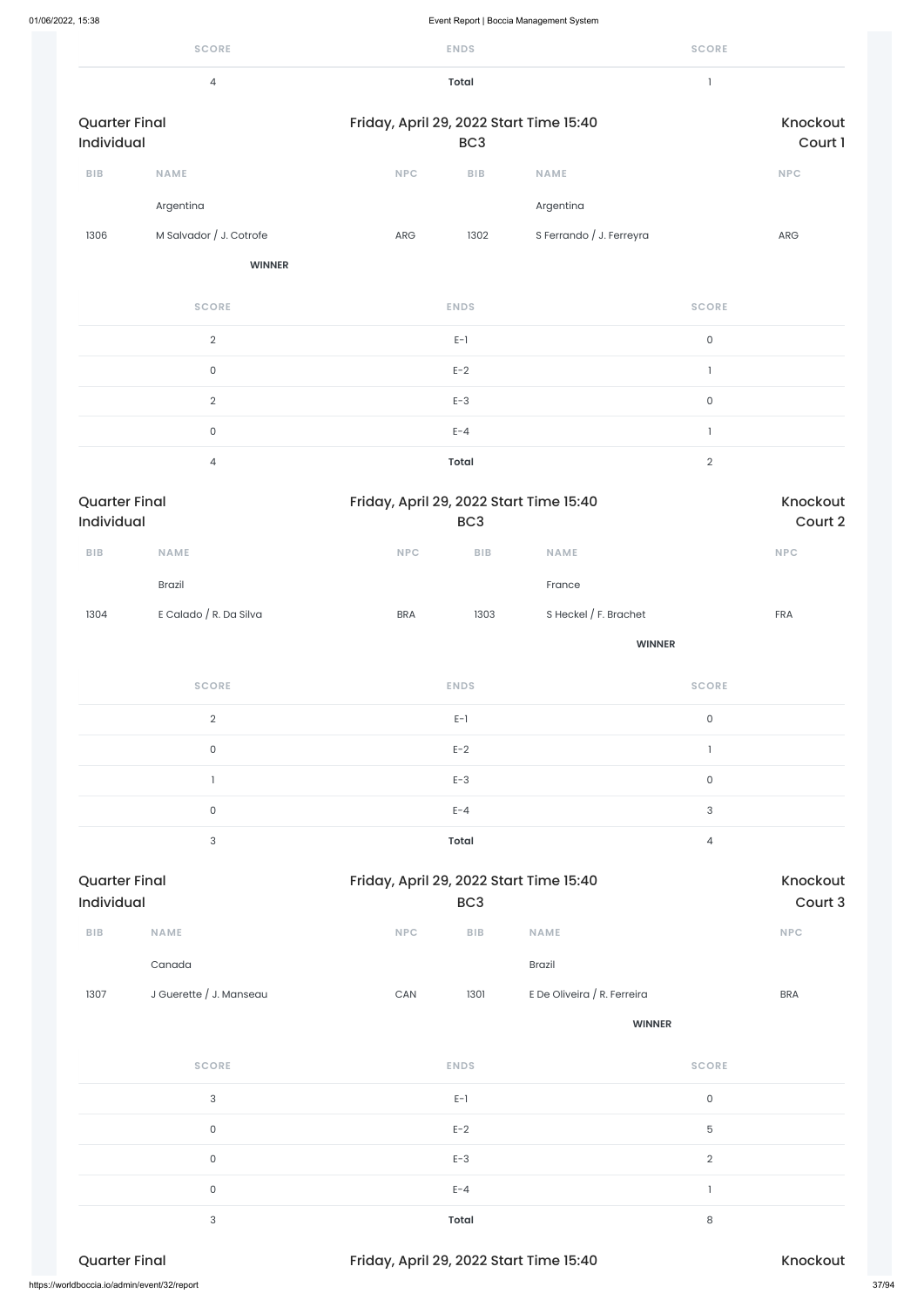|                                    | <b>SCORE</b>            |                                         | <b>ENDS</b>             |                          | <b>SCORE</b>        |                     |  |  |
|------------------------------------|-------------------------|-----------------------------------------|-------------------------|--------------------------|---------------------|---------------------|--|--|
|                                    | $\overline{4}$          |                                         | <b>Total</b>            |                          | $\mathbf{1}$        |                     |  |  |
| <b>Quarter Final</b><br>Individual |                         | Friday, April 29, 2022 Start Time 15:40 | BC <sub>3</sub>         |                          |                     | Knockout<br>Court 1 |  |  |
| BIB                                | <b>NAME</b>             | <b>NPC</b>                              | <b>BIB</b>              | <b>NAME</b>              |                     | <b>NPC</b>          |  |  |
|                                    | Argentina               |                                         |                         | Argentina                |                     |                     |  |  |
| 1306                               | M Salvador / J. Cotrofe | ARG                                     | 1302                    | S Ferrando / J. Ferreyra |                     | ARG                 |  |  |
|                                    | <b>WINNER</b>           |                                         |                         |                          |                     |                     |  |  |
|                                    | <b>SCORE</b>            |                                         | <b>ENDS</b>             |                          | <b>SCORE</b>        |                     |  |  |
|                                    | $\sqrt{2}$              |                                         | $E-1$                   |                          | $\mathsf{O}\xspace$ |                     |  |  |
|                                    | $\mathsf 0$             |                                         | $E-2$                   |                          | $\mathbf{1}$        |                     |  |  |
|                                    | $\sqrt{2}$              |                                         | $E-3$                   |                          | $\mathsf{O}\xspace$ |                     |  |  |
|                                    | $\mathsf{O}$            |                                         | $E - 4$                 |                          | $\mathbf{I}$        |                     |  |  |
|                                    | $\overline{4}$          |                                         | <b>Total</b>            |                          | $\mathbf{2}$        |                     |  |  |
| <b>Quarter Final</b><br>Individual |                         | Friday, April 29, 2022 Start Time 15:40 | BC <sub>3</sub>         |                          |                     | Knockout<br>Court 2 |  |  |
| ${\sf B}{\sf I}{\sf B}$            | NAME                    | <b>NPC</b>                              | ${\sf B}{\sf I}{\sf B}$ | NAME                     |                     | <b>NPC</b>          |  |  |
|                                    | Brazil                  |                                         |                         | France                   |                     |                     |  |  |
| 1304                               | E Calado / R. Da Silva  | <b>BRA</b>                              | 1303                    | S Heckel / F. Brachet    |                     | <b>FRA</b>          |  |  |
|                                    |                         |                                         |                         | <b>WINNER</b>            |                     |                     |  |  |
|                                    |                         |                                         |                         |                          |                     |                     |  |  |

| 1307                 | J Guerette / J. Manseau                      | CAN<br>1301                             | E De Oliveira / R. Ferreira | <b>BRA</b>     |       |
|----------------------|----------------------------------------------|-----------------------------------------|-----------------------------|----------------|-------|
|                      |                                              |                                         | <b>WINNER</b>               |                |       |
|                      | <b>SCORE</b>                                 | <b>ENDS</b>                             |                             | <b>SCORE</b>   |       |
|                      | $\sqrt{3}$                                   | $E-1$                                   |                             | $\mathsf O$    |       |
|                      | $\mathsf O$                                  | $E-2$                                   |                             | $\mathbf 5$    |       |
|                      | $\mathsf O$                                  | $E-3$                                   |                             | $\overline{2}$ |       |
|                      | $\mathsf O$                                  | $E - 4$                                 |                             |                |       |
|                      | $\sqrt{3}$                                   | <b>Total</b>                            |                             | 8              |       |
| <b>Quarter Final</b> |                                              | Friday, April 29, 2022 Start Time 15:40 |                             | Knockout       |       |
|                      | https://worldboccia.io/admin/event/32/report |                                         |                             |                | 37/94 |

| <b>Quarter Final</b> | Friday, April 29, 2022 Start Time 15:40 |                | Knockout |
|----------------------|-----------------------------------------|----------------|----------|
| 3                    | Total                                   | $\overline{4}$ |          |
| 0                    | $E - 4$                                 | 3              |          |
|                      | $E-3$                                   | 0              |          |
| 0                    | $E-2$                                   |                |          |
| $\overline{2}$       | $E-1$                                   | 0              |          |
| <b>SCORE</b>         | <b>ENDS</b>                             | <b>SCORE</b>   |          |

| <b>Quarter Final</b> |             |            | Friday, April 29, 2022 Start Time 15:40 |             |            |  |  |  |  |
|----------------------|-------------|------------|-----------------------------------------|-------------|------------|--|--|--|--|
| <b>Individual</b>    |             |            | BC <sub>3</sub>                         |             |            |  |  |  |  |
| <b>BIB</b>           | <b>NAME</b> | <b>NPC</b> | <b>BIB</b>                              | <b>NAME</b> | <b>NPC</b> |  |  |  |  |

Canada Brazil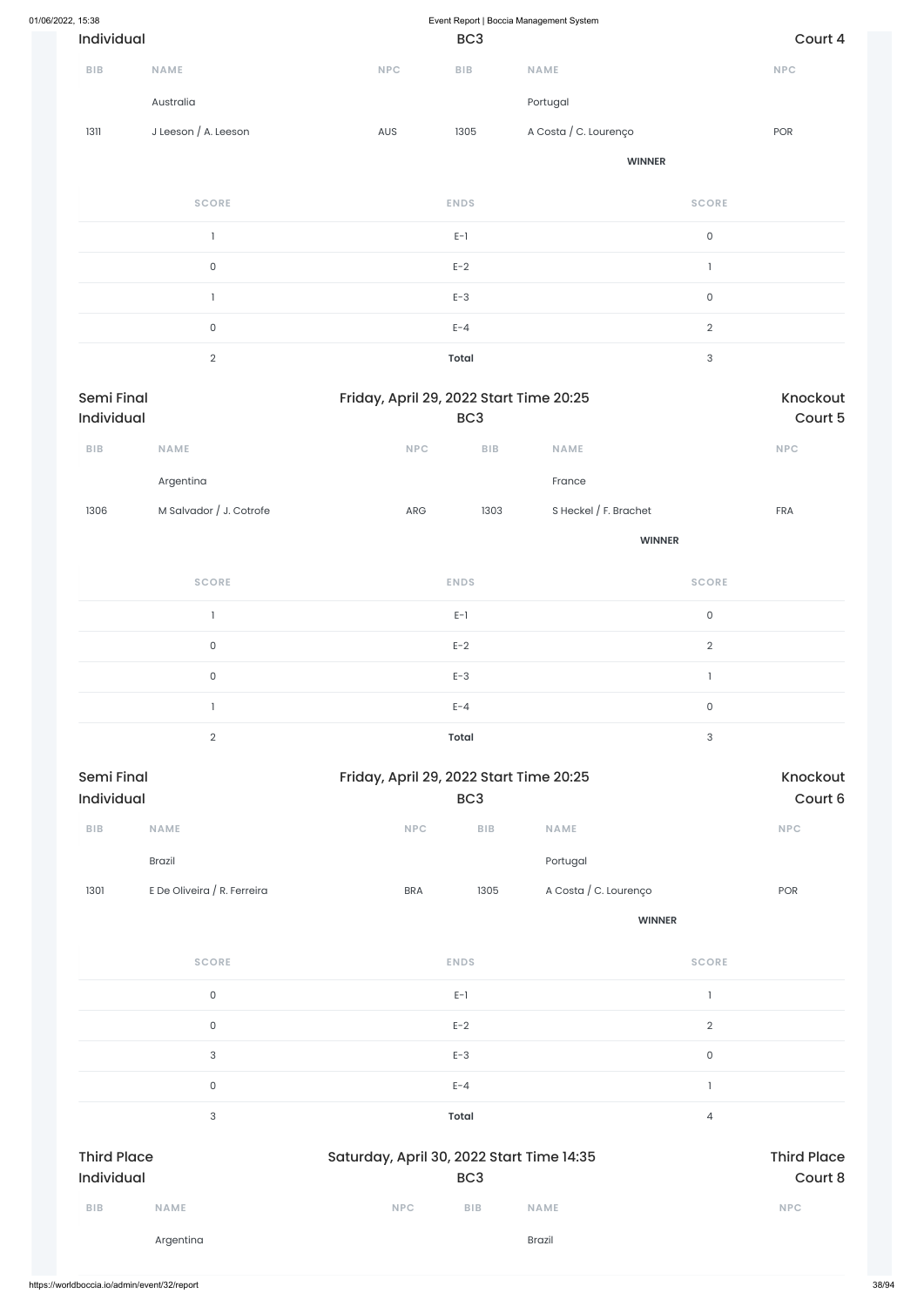| 01/06/2022, 15:38        |                             |                                         | Event Report   Boccia Management System |                       |                           |                             |  |  |  |
|--------------------------|-----------------------------|-----------------------------------------|-----------------------------------------|-----------------------|---------------------------|-----------------------------|--|--|--|
| Individual               |                             |                                         | BC <sub>3</sub>                         |                       |                           | Court 4                     |  |  |  |
| BIB                      | <b>NAME</b>                 | <b>NPC</b>                              | $B$   $B$                               | <b>NAME</b>           |                           | NPC                         |  |  |  |
|                          | Australia                   |                                         |                                         | Portugal              |                           |                             |  |  |  |
| 1311                     | J Leeson / A. Leeson        | AUS                                     | 1305                                    | A Costa / C. Lourenço |                           | POR                         |  |  |  |
|                          |                             |                                         |                                         | <b>WINNER</b>         |                           |                             |  |  |  |
|                          | <b>SCORE</b>                |                                         | <b>ENDS</b>                             |                       | <b>SCORE</b>              |                             |  |  |  |
|                          | $\mathbf{I}$                |                                         | $E-1$                                   |                       | $\mathsf{O}\xspace$       |                             |  |  |  |
|                          | $\mathsf{O}\xspace$         |                                         | $E-2$                                   |                       | $\mathbf{I}$              |                             |  |  |  |
|                          | $\mathbf{I}$                |                                         | $E-3$                                   |                       | $\mathsf{O}\xspace$       |                             |  |  |  |
|                          | $\mathsf{O}\xspace$         |                                         | $E - 4$                                 |                       | $\overline{2}$            |                             |  |  |  |
|                          | $\overline{2}$              |                                         | <b>Total</b>                            |                       | 3                         |                             |  |  |  |
| Semi Final<br>Individual |                             | Friday, April 29, 2022 Start Time 20:25 | BC <sub>3</sub>                         |                       | Knockout<br>Court 5       |                             |  |  |  |
| <b>BIB</b>               | NAME                        | <b>NPC</b>                              | ${\sf B}{\sf I}{\sf B}$                 | NAME                  |                           | $\ensuremath{\mathsf{NPC}}$ |  |  |  |
|                          | Argentina                   |                                         |                                         | France                |                           |                             |  |  |  |
| 1306                     | M Salvador / J. Cotrofe     | ${\sf ARG}$                             | 1303                                    | S Heckel / F. Brachet |                           | ${\sf FRA}$                 |  |  |  |
|                          |                             |                                         |                                         |                       | <b>WINNER</b>             |                             |  |  |  |
|                          | <b>SCORE</b>                |                                         | <b>ENDS</b>                             |                       | <b>SCORE</b>              |                             |  |  |  |
|                          | $\mathbf{I}$                |                                         | $E-1$                                   |                       | $\mathsf{O}\xspace$       |                             |  |  |  |
|                          | $\mathsf{O}\xspace$         |                                         | $E-2$                                   |                       | $\overline{2}$            |                             |  |  |  |
|                          | $\mathsf{O}\xspace$         |                                         | $E-3$                                   |                       | $\mathbf{1}$              |                             |  |  |  |
|                          | $\mathbf{I}$                |                                         | $E - 4$                                 |                       | $\mathsf{O}\xspace$       |                             |  |  |  |
|                          | $\overline{2}$              |                                         | <b>Total</b>                            |                       | $\ensuremath{\mathsf{3}}$ |                             |  |  |  |
| Semi Final<br>Individual |                             | Friday, April 29, 2022 Start Time 20:25 | BC <sub>3</sub>                         |                       |                           | Knockout<br>Court 6         |  |  |  |
| ${\sf B}{\sf I}{\sf B}$  | NAME                        | NPC                                     | ${\sf B}{\sf I}{\sf B}$                 | NAME                  |                           | NPC                         |  |  |  |
|                          | Brazil                      |                                         |                                         | Portugal              |                           |                             |  |  |  |
| 1301                     | E De Oliveira / R. Ferreira | <b>BRA</b>                              | 1305                                    | A Costa / C. Lourenço |                           | POR                         |  |  |  |
|                          |                             |                                         |                                         |                       | <b>WINNER</b>             |                             |  |  |  |

**SCORE ENDS SCORE**

| $\mathsf{O}\xspace$              | $E-1$                                                        |                               |  |  |
|----------------------------------|--------------------------------------------------------------|-------------------------------|--|--|
| $\mathsf{O}$                     | $E-2$                                                        | $\sqrt{2}$                    |  |  |
| $\mathbf{3}$                     | $E-3$                                                        | $\mathsf{O}\xspace$           |  |  |
| $\mathsf{O}\xspace$              | $E - 4$                                                      |                               |  |  |
| 3                                | <b>Total</b>                                                 | $\overline{4}$                |  |  |
| <b>Third Place</b><br>Individual | Saturday, April 30, 2022 Start Time 14:35<br>BC <sub>3</sub> | <b>Third Place</b><br>Court 8 |  |  |
| <b>BIB</b><br><b>NAME</b>        | BIB<br><b>NPC</b><br><b>NAME</b>                             | <b>NPC</b>                    |  |  |
| Argentina                        | Brazil                                                       |                               |  |  |
|                                  |                                                              |                               |  |  |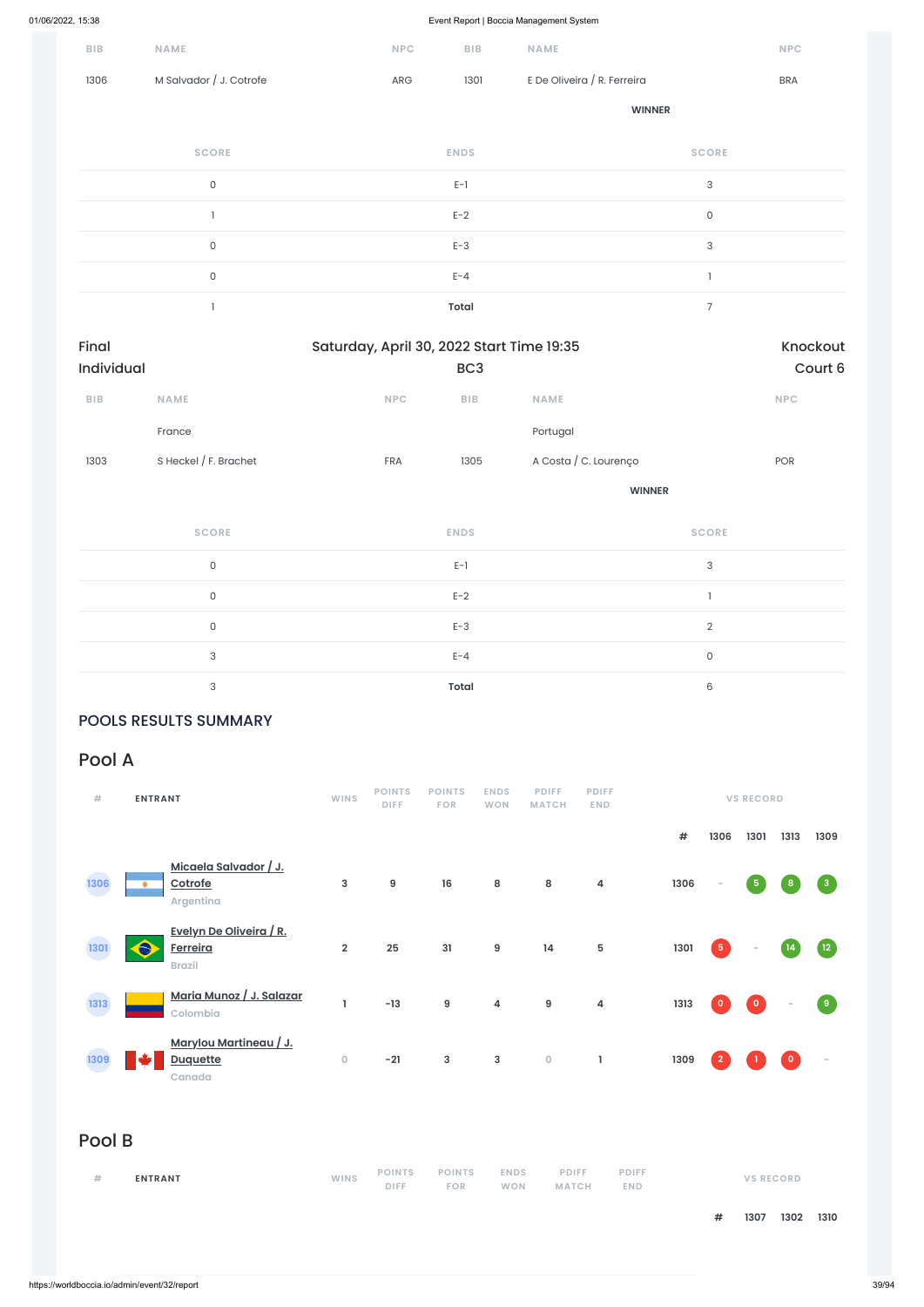| <b>BIB</b> | NAME                    | <b>NPC</b> | BIB          | NAME                        | $\ensuremath{\mathsf{NPC}}$ |
|------------|-------------------------|------------|--------------|-----------------------------|-----------------------------|
| 1306       | M Salvador / J. Cotrofe | ARG        | 1301         | E De Oliveira / R. Ferreira | <b>BRA</b>                  |
|            |                         |            |              | <b>WINNER</b>               |                             |
|            | <b>SCORE</b>            |            | <b>ENDS</b>  |                             | <b>SCORE</b>                |
|            | $\mathsf O$             |            | $E-1$        |                             | $\sqrt{3}$                  |
|            |                         |            | $E-2$        |                             | $\mathsf O$                 |
|            | 0                       |            | $E-3$        |                             | $\ensuremath{\mathsf{3}}$   |
|            | $\mathsf O$             |            | $E - 4$      |                             | $\overline{\phantom{a}}$    |
|            |                         |            | <b>Total</b> |                             | $\overline{7}$              |

| Final      |                       |            | Saturday, April 30, 2022 Start Time 19:35 |                       |            |  |  |  |  |
|------------|-----------------------|------------|-------------------------------------------|-----------------------|------------|--|--|--|--|
| Individual |                       |            | BC <sub>3</sub>                           |                       |            |  |  |  |  |
| <b>BIB</b> | <b>NAME</b>           | <b>NPC</b> | <b>BIB</b>                                | <b>NAME</b>           | <b>NPC</b> |  |  |  |  |
|            | France                |            |                                           | Portugal              |            |  |  |  |  |
| 1303       | S Heckel / F. Brachet | <b>FRA</b> | 1305                                      | A Costa / C. Lourenço | <b>POR</b> |  |  |  |  |
|            |                       |            |                                           | <b>WINNER</b>         |            |  |  |  |  |

| <b>SCORE</b> | <b>ENDS</b>  | <b>SCORE</b> |
|--------------|--------------|--------------|
| $\mathbf{0}$ | $E-1$        | 3            |
| $\Omega$     | $E-2$        |              |
| 0            | $E-3$        | $\Omega$     |
| 3            | $E - 4$      | 0            |
| ◠            | <b>Total</b> | 6            |

### POOLS RESULTS SUMMARY

# Pool A

| #    | <b>ENTRANT</b>                                              | <b>WINS</b>    | <b>POINTS</b><br><b>DIFF</b> | <b>POINTS</b><br><b>FOR</b> | <b>ENDS</b><br><b>WON</b> | <b>PDIFF</b><br><b>MATCH</b> | <b>PDIFF</b><br><b>END</b> |      |            | <b>VS RECORD</b> |                  |                                               |
|------|-------------------------------------------------------------|----------------|------------------------------|-----------------------------|---------------------------|------------------------------|----------------------------|------|------------|------------------|------------------|-----------------------------------------------|
|      |                                                             |                |                              |                             |                           |                              |                            | #    | 1306       | 1301             | 1313             | 1309                                          |
| 1306 | <u>Micaela Salvador / J.</u><br>Cotrofe<br>۰<br>Argentina   | 3              | 9                            | 16                          | 8                         | 8                            | 4                          | 1306 | $\sim$     | $\sqrt{5}$       | $\boldsymbol{8}$ | $\begin{array}{c} \circ \\ \circ \end{array}$ |
| 1301 | Evelyn De Oliveira / R.<br><b>Ferreira</b><br><b>Brazil</b> | $\overline{2}$ | 25                           | 31                          | 9                         | 14                           | 5                          | 1301 | $\sqrt{5}$ | $\sim$           | 14               | (12)                                          |

| 1313   | <u> Maria Munoz / J. Salazar</u><br>Colombia        |             | $-13$                        | 9                    | $\overline{\mathbf{4}}$   | 9                            | 4                          | 1313 | $\bullet$                    | $\bullet$        | $\sim$                  | $\left( 9\right)$ |
|--------|-----------------------------------------------------|-------------|------------------------------|----------------------|---------------------------|------------------------------|----------------------------|------|------------------------------|------------------|-------------------------|-------------------|
| 1309   | Marylou Martineau / J.<br><b>Duquette</b><br>Canada | $\mathbf 0$ | $-21$                        | 3                    | 3                         | $\mathbf 0$                  | L.                         | 1309 | $\left  \frac{2}{2} \right $ |                  | $\overline{\mathbf{0}}$ | $\sim$            |
| Pool B |                                                     |             |                              |                      |                           |                              |                            |      |                              |                  |                         |                   |
| $\#$   | <b>ENTRANT</b>                                      | <b>WINS</b> | <b>POINTS</b><br><b>DIFF</b> | <b>POINTS</b><br>FOR | <b>ENDS</b><br><b>WON</b> | <b>PDIFF</b><br><b>MATCH</b> | <b>PDIFF</b><br><b>END</b> |      |                              | <b>VS RECORD</b> |                         |                   |
|        |                                                     |             |                              |                      |                           |                              |                            |      | $\pmb{\#}$                   | 1307             | 1302                    | 1310              |
|        |                                                     |             |                              |                      |                           |                              |                            |      |                              |                  |                         |                   |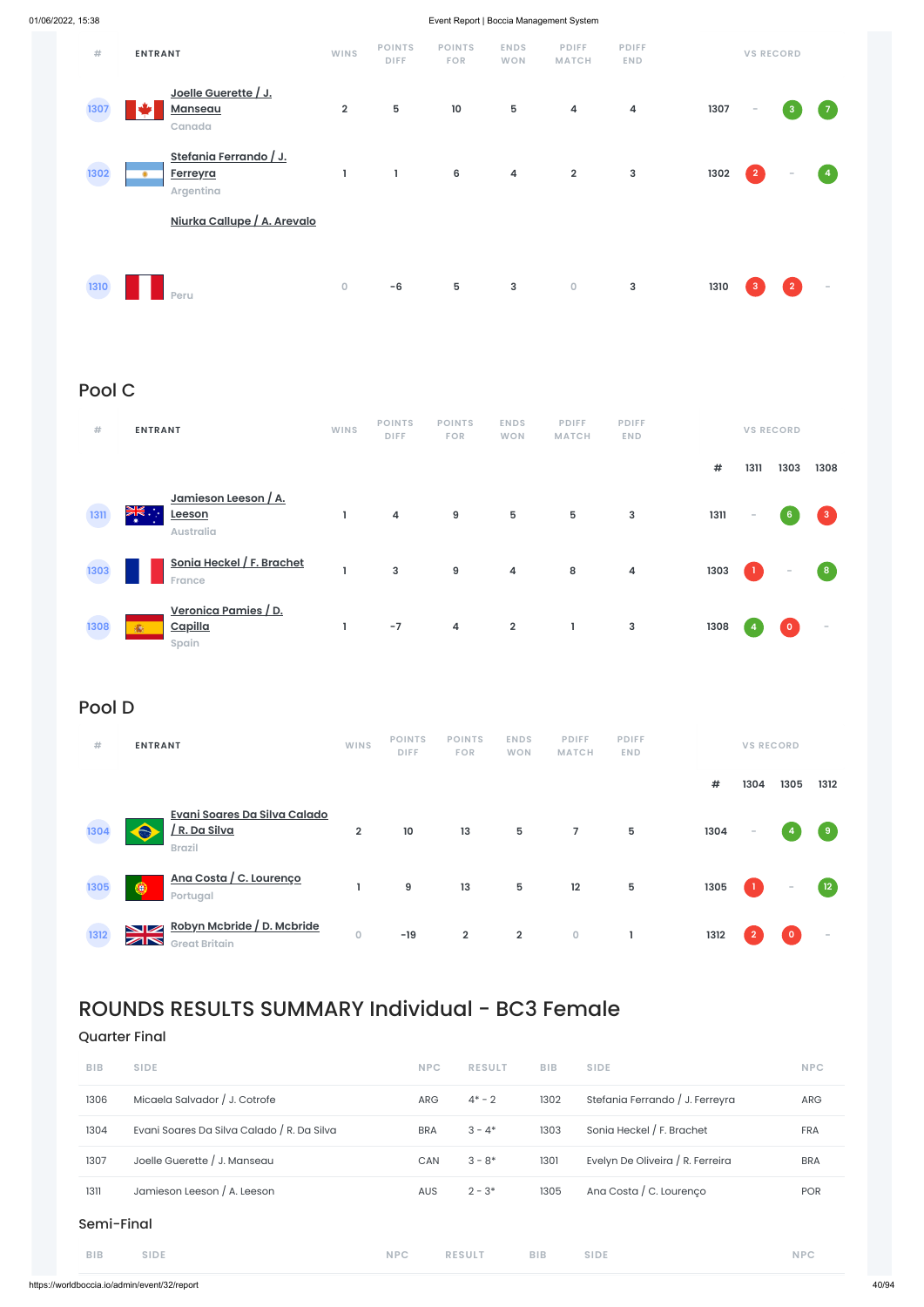| #    | <b>ENTRANT</b>                                                | <b>WINS</b>    | <b>POINTS</b><br><b>DIFF</b> | <b>POINTS</b><br><b>FOR</b> | <b>ENDS</b><br><b>WON</b> | <b>PDIFF</b><br><b>MATCH</b> | <b>PDIFF</b><br><b>END</b> |      |                | <b>VS RECORD</b> |                |
|------|---------------------------------------------------------------|----------------|------------------------------|-----------------------------|---------------------------|------------------------------|----------------------------|------|----------------|------------------|----------------|
| 1307 | Joelle Guerette / J.<br><b>Manseau</b><br>Canada              | $\overline{2}$ | 5                            | 10                          | 5                         | $\overline{4}$               | $\overline{\mathbf{4}}$    | 1307 | $\sim$         | $\mathbf{3}$     | $\overline{7}$ |
| 1302 | Stefania Ferrando / J.<br><b>Ferreyra</b><br><b>Argentina</b> | L              | L                            | $6\phantom{a}$              | $\overline{\mathbf{4}}$   | $\overline{2}$               | $\mathsf 3$                | 1302 | $\overline{2}$ | $\sim$           | $\overline{4}$ |
|      | Niurka Callupe / A. Arevalo                                   |                |                              |                             |                           |                              |                            |      |                |                  |                |
| 1310 | Peru                                                          | $\mathsf O$    | $-6$                         | $5\phantom{.0}$             | 3                         | $\mathbf 0$                  | $\mathsf 3$                | 1310 | -3             | $\overline{2}$   | $\sim$         |

# Pool C

| #    | <b>ENTRANT</b>                                                  | <b>WINS</b> | <b>POINTS</b><br><b>DIFF</b> | <b>POINTS</b><br><b>FOR</b> | <b>ENDS</b><br><b>WON</b> | <b>PDIFF</b><br><b>MATCH</b> | <b>PDIFF</b><br><b>END</b> |      |        | <b>VS RECORD</b>         |                         |
|------|-----------------------------------------------------------------|-------------|------------------------------|-----------------------------|---------------------------|------------------------------|----------------------------|------|--------|--------------------------|-------------------------|
|      |                                                                 |             |                              |                             |                           |                              |                            | #    | 1311   | 1303                     | 1308                    |
| 1311 | Jamieson Leeson / A.<br>्<br>भू≤्<br>Leeson<br><b>Australia</b> |             | 4                            | 9                           | 5                         | 5                            | $\mathsf 3$                | 1311 | $\sim$ | 6 <sup>°</sup>           | $\overline{\mathbf{3}}$ |
| 1303 | Sonia Heckel / F. Brachet<br>France                             |             | 3                            | 9                           | 4                         | 8                            | $\overline{\mathbf{4}}$    | 1303 |        | $\overline{\phantom{a}}$ | $\boldsymbol{8}$        |
| 1308 | <u>Veronica Pamies / D.</u><br>Capilla<br>渝<br>Spain            |             | $-7$                         | 4                           | $\overline{\mathbf{2}}$   | L                            | $\mathsf 3$                | 1308 |        | $\circ$                  | $\equiv$                |

# Pool D

| #    | <b>ENTRANT</b>                                                                                          | <b>WINS</b>    | <b>POINTS</b><br><b>DIFF</b> | <b>POINTS</b><br><b>FOR</b> | <b>ENDS</b><br><b>WON</b> | <b>PDIFF</b><br><b>MATCH</b> | <b>PDIFF</b><br><b>END</b> |      | <b>VS RECORD</b> |                          |                          |
|------|---------------------------------------------------------------------------------------------------------|----------------|------------------------------|-----------------------------|---------------------------|------------------------------|----------------------------|------|------------------|--------------------------|--------------------------|
|      |                                                                                                         |                |                              |                             |                           |                              |                            | #    | 1304             | 1305                     | 1312                     |
| 1304 | Evani Soares Da Silva Calado<br>R. Da Silva<br><b>Brazil</b>                                            | $\overline{2}$ | 10                           | 13                          | 5                         | $\overline{7}$               | 5                          | 1304 | -                |                          | 9                        |
| 1305 | <u>Ana Costa / C. Lourenço</u><br>◉<br>Portugal                                                         |                | 9                            | 13                          | 5                         | 12                           | 5                          | 1305 |                  | $\overline{\phantom{a}}$ | $\sqrt{12}$              |
| 1312 | Robyn Mcbride / D. Mcbride<br>$\blacktriangleright$ $\blacktriangleright$<br>ZR<br><b>Great Britain</b> | $\circ$        | $-19$                        | $\overline{2}$              | $\overline{2}$            | $\circ$                      |                            | 1312 | $\overline{2}$   | $\mathbf{0}$             | $\overline{\phantom{a}}$ |

# ROUNDS RESULTS SUMMARY Individual - BC3 Female

### Quarter Final

| <b>BIB</b> | <b>SIDE</b>                                | <b>NPC</b> | <b>RESULT</b> | <b>BIB</b> | <b>SIDE</b>                      | <b>NPC</b> |
|------------|--------------------------------------------|------------|---------------|------------|----------------------------------|------------|
| 1306       | Micaela Salvador / J. Cotrofe              | <b>ARG</b> | $4^* - 2$     | 1302       | Stefania Ferrando / J. Ferreyra  | ARG        |
| 1304       | Evani Soares Da Silva Calado / R. Da Silva | <b>BRA</b> | $3 - 4*$      | 1303       | Sonia Heckel / F. Brachet        | <b>FRA</b> |
| 1307       | Joelle Guerette / J. Manseau               | <b>CAN</b> | $3 - 8*$      | 1301       | Evelyn De Oliveira / R. Ferreira | <b>BRA</b> |
| 1311       | Jamieson Leeson / A. Leeson                | <b>AUS</b> | $2 - 3*$      | 1305       | Ana Costa / C. Lourenço          | <b>POR</b> |
| Semi-Final |                                            |            |               |            |                                  |            |
| <b>BIB</b> | <b>SIDE</b>                                | <b>NPC</b> | <b>RESULT</b> | <b>BIB</b> | <b>SIDE</b>                      | <b>NPC</b> |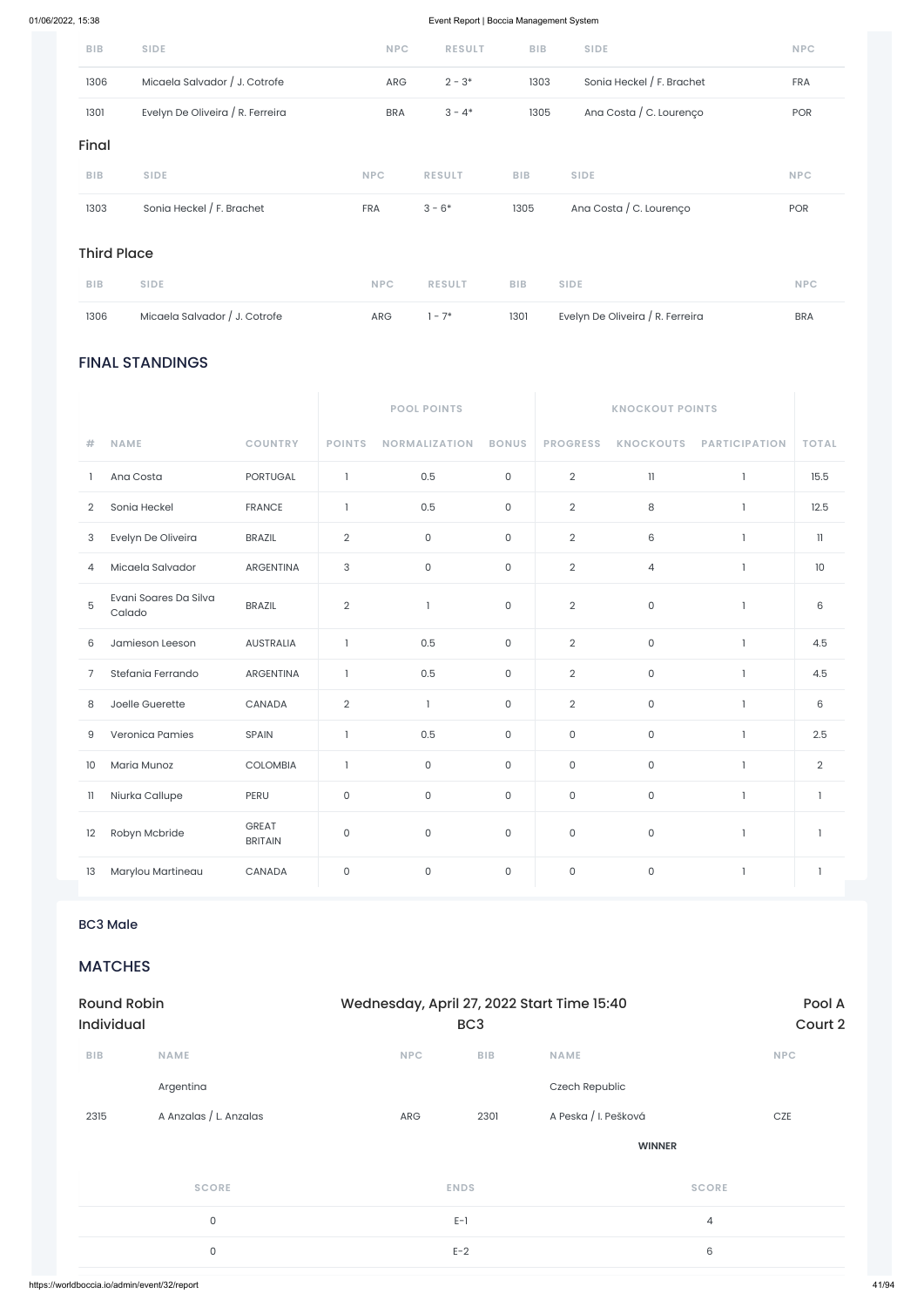### FINAL STANDINGS

|                |                                 |                         | <b>POOL POINTS</b>        |                      |                     |                     |                          |                      |                |
|----------------|---------------------------------|-------------------------|---------------------------|----------------------|---------------------|---------------------|--------------------------|----------------------|----------------|
| #              | <b>NAME</b>                     | <b>COUNTRY</b>          | <b>POINTS</b>             | <b>NORMALIZATION</b> | <b>BONUS</b>        | <b>PROGRESS</b>     | <b>KNOCKOUTS</b>         | <b>PARTICIPATION</b> | <b>TOTAL</b>   |
| 1              | Ana Costa                       | PORTUGAL                | $\mathbf{1}$              | 0.5                  | $\mathsf{O}\xspace$ | $\overline{2}$      | $\ensuremath{\text{11}}$ | $\mathbf{1}$         | 15.5           |
| $\overline{2}$ | Sonia Heckel                    | <b>FRANCE</b>           | $\mathbf{I}$              | 0.5                  | $\mathsf O$         | $\mathbf{2}$        | $\,8\,$                  | $\mathbf{1}$         | 12.5           |
| 3              | Evelyn De Oliveira              | <b>BRAZIL</b>           | $\mathbf{2}$              | 0                    | $\mathsf{O}\xspace$ | $\mathbf{2}$        | 6                        | $\mathbf{1}$         | $\mathbb{I}$   |
| 4              | Micaela Salvador                | ARGENTINA               | $\ensuremath{\mathsf{3}}$ | 0                    | $\mathsf{O}\xspace$ | $\overline{2}$      | $\overline{4}$           | $\mathbf{1}$         | $10$           |
| 5              | Evani Soares Da Silva<br>Calado | <b>BRAZIL</b>           | $\overline{2}$            | $\mathbf{1}$         | $\mathsf O$         | $\mathbf{2}$        | $\mathsf{O}\xspace$      | $\mathbf{1}$         | $6\,$          |
| 6              | Jamieson Leeson                 | <b>AUSTRALIA</b>        | $\mathbf{1}$              | 0.5                  | $\mathsf{O}$        | $\overline{2}$      | $\mathsf{O}\xspace$      | 1                    | 4.5            |
| 7              | Stefania Ferrando               | <b>ARGENTINA</b>        | $\mathbf{1}$              | 0.5                  | $\mathsf{O}$        | $\overline{2}$      | $\mathsf O$              | $\mathbf{1}$         | 4.5            |
| 8              | Joelle Guerette                 | CANADA                  | $\overline{2}$            | $\mathbf{1}$         | $\mathsf{O}\xspace$ | $\overline{2}$      | $\mathsf{O}\xspace$      | $\mathbf{1}$         | $6\,$          |
| 9              | Veronica Pamies                 | SPAIN                   | 1                         | 0.5                  | $\mathsf{O}$        | $\mathsf{O}\xspace$ | $\mathsf{O}\xspace$      | $\mathbf{1}$         | 2.5            |
| 10             | Maria Munoz                     | <b>COLOMBIA</b>         | $\mathbf{1}$              | 0                    | $\mathsf{O}$        | $\mathsf O$         | $\mathsf O$              | $\mathbf{1}$         | $\overline{2}$ |
| $\mathbf{1}$   | Niurka Callupe                  | PERU                    | $\mathsf{O}\xspace$       | 0                    | $\mathsf{O}\xspace$ | $\mathsf{O}\xspace$ | $\mathsf{O}\xspace$      | $\mathbf{1}$         | $\mathbf{1}$   |
| 12             | Robyn Mcbride                   | GREAT<br><b>BRITAIN</b> | $\mathsf{O}\xspace$       | 0                    | $\mathsf{O}$        | $\mathsf O$         | $\mathsf{O}\xspace$      | $\mathbf{1}$         | $\mathbf{1}$   |
| 13             | Marylou Martineau               | CANADA                  | $\mathsf{O}\xspace$       | 0                    | $\mathsf{O}$        | $\mathsf O$         | $\mathsf{O}$             | $\mathbf{1}$         | $\mathbf{1}$   |

| <b>BIB</b> | <b>SIDE</b>                      | <b>NPC</b> | <b>RESULT</b> | <b>BIB</b> | <b>SIDE</b>               | <b>NPC</b> |
|------------|----------------------------------|------------|---------------|------------|---------------------------|------------|
| 1306       | Micaela Salvador / J. Cotrofe    | <b>ARG</b> | $2 - 3*$      | 1303       | Sonia Heckel / F. Brachet | <b>FRA</b> |
| 1301       | Evelyn De Oliveira / R. Ferreira | <b>BRA</b> | $3 - 4*$      | 1305       | Ana Costa / C. Lourenço   | <b>POR</b> |
| Final      |                                  |            |               |            |                           |            |
| <b>BIB</b> | <b>SIDE</b>                      | <b>NPC</b> | <b>RESULT</b> | <b>BIB</b> | <b>SIDE</b>               | <b>NPC</b> |
| 1303       | Sonia Heckel / F. Brachet        | <b>FRA</b> | $3 - 6*$      | 1305       | Ana Costa / C. Lourenço   | <b>POR</b> |
|            |                                  |            |               |            |                           |            |

### Third Place

| <b>BIB</b> | <b>SIDE</b>                   | NPC | <b>RESULT</b> | <b>BIB</b> | <b>SIDE</b>                      | NPC.       |
|------------|-------------------------------|-----|---------------|------------|----------------------------------|------------|
| 1306       | Micaela Salvador / J. Cotrofe | ARG | $1 - 7^*$     | 1301       | Evelyn De Oliveira / R. Ferreira | <b>BRA</b> |

### BC3 Male

MATCHES

| <b>Round Robin</b><br><b>Individual</b> |                        |            | Wednesday, April 27, 2022 Start Time 15:40<br>BC <sub>3</sub> |                      |                |  |
|-----------------------------------------|------------------------|------------|---------------------------------------------------------------|----------------------|----------------|--|
| <b>BIB</b>                              | <b>NAME</b>            | <b>NPC</b> | <b>BIB</b>                                                    | <b>NAME</b>          | <b>NPC</b>     |  |
|                                         | Argentina              |            |                                                               | Czech Republic       |                |  |
| 2315                                    | A Anzalas / L. Anzalas | ARG        | 2301                                                          | A Peska / I. Pešková | CZE            |  |
|                                         |                        |            |                                                               | <b>WINNER</b>        |                |  |
|                                         | <b>SCORE</b>           |            | <b>ENDS</b>                                                   |                      | <b>SCORE</b>   |  |
|                                         | $\mathsf O$            |            | $E-1$                                                         |                      | $\overline{4}$ |  |
|                                         | $\mathsf{O}$           |            | $E-2$                                                         |                      | $\,6\,$        |  |
|                                         |                        |            |                                                               |                      |                |  |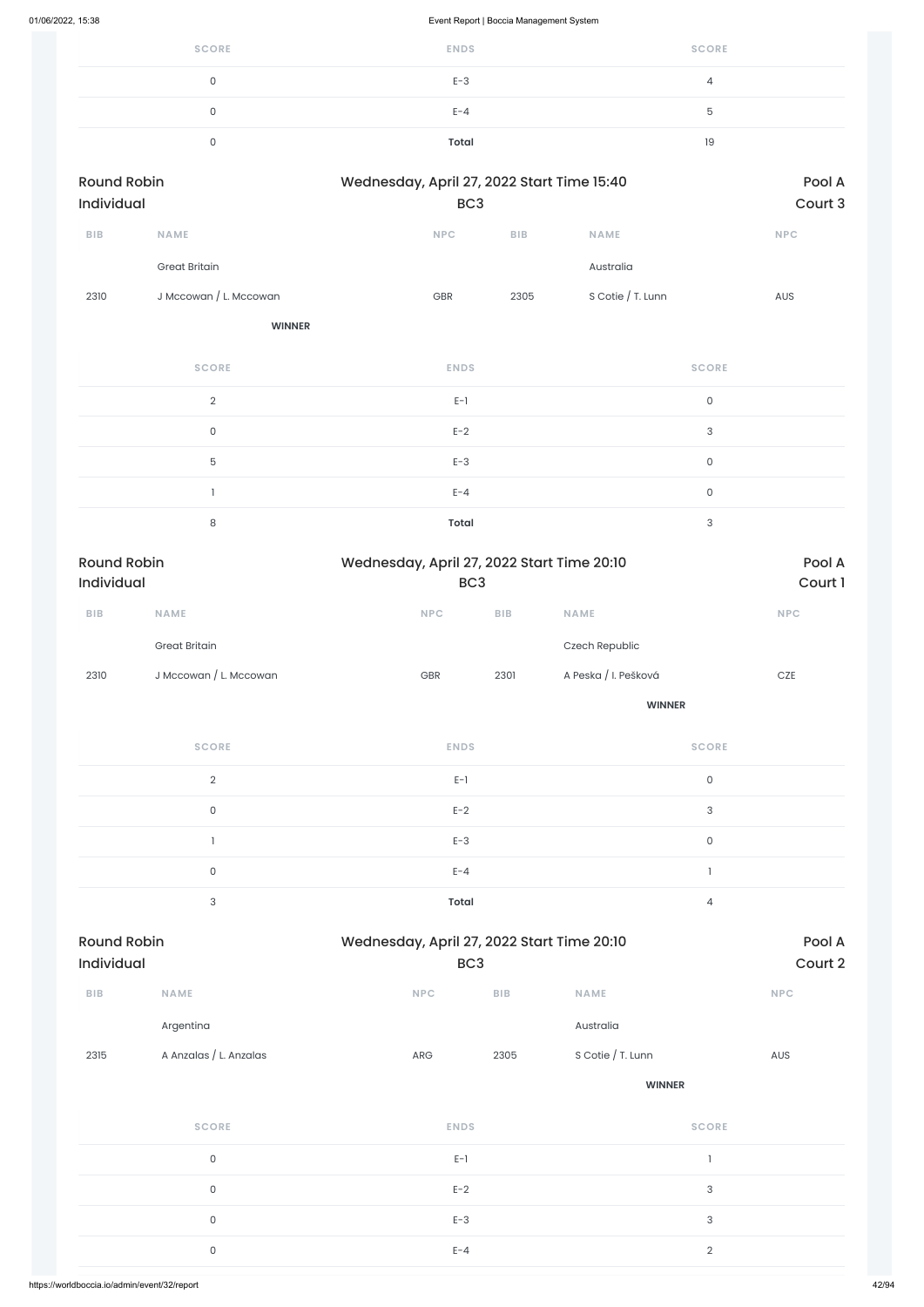| <b>SCORE</b> | <b>ENDS</b> | <b>SCORE</b> |
|--------------|-------------|--------------|
|              | $E-3$       |              |
|              | $E - 4$     |              |
|              | Total       | 19           |

| <b>Round Robin</b><br><b>Individual</b> |                        |            | Wednesday, April 27, 2022 Start Time 15:40<br>BC <sub>3</sub> |                     |            |  |  |
|-----------------------------------------|------------------------|------------|---------------------------------------------------------------|---------------------|------------|--|--|
|                                         |                        |            |                                                               |                     |            |  |  |
| <b>BIB</b>                              | <b>NAME</b>            | <b>NPC</b> | <b>BIB</b>                                                    | <b>NAME</b>         | <b>NPC</b> |  |  |
|                                         | <b>Great Britain</b>   |            |                                                               | Australia           |            |  |  |
| 2310                                    | J Mccowan / L. Mccowan | <b>GBR</b> | 2305                                                          | S Cotie $/$ T. Lunn | <b>AUS</b> |  |  |

**WINNER**

| <b>SCORE</b> | <b>ENDS</b>  | <b>SCORE</b> |
|--------------|--------------|--------------|
| $\Omega$     | $E-1$        | $\mathbf 0$  |
| $\Omega$     | $E-2$        | 3            |
| 5            | $E-3$        | $\mathbf 0$  |
|              | $E - 4$      | $\Omega$     |
| $\circ$      | <b>Total</b> | հ            |

| <b>Round Robin</b><br><b>Individual</b> |                        |            | Wednesday, April 27, 2022 Start Time 20:10<br>BC <sub>3</sub> |                      |            |  |
|-----------------------------------------|------------------------|------------|---------------------------------------------------------------|----------------------|------------|--|
| <b>BIB</b>                              | <b>NAME</b>            | <b>NPC</b> | <b>BIB</b>                                                    | <b>NAME</b>          | <b>NPC</b> |  |
|                                         | <b>Great Britain</b>   |            |                                                               | Czech Republic       |            |  |
| 2310                                    | J Mccowan / L. Mccowan | <b>GBR</b> | 2301                                                          | A Peska / I. Pešková | <b>CZE</b> |  |

| <b>SCORE</b> | <b>ENDS</b>  | <b>SCORE</b> |
|--------------|--------------|--------------|
| $\Omega$     | $E-1$        | 0            |
| $\Omega$     | $E-2$        | 3            |
|              | $E-3$        | 0            |
| $\Omega$     | $E - 4$      |              |
| $\sim$       | <b>Total</b> | 4            |

| BIB  | <b>NAME</b>            | NPC         | BIB<br><b>NAME</b>        | <b>NPC</b>    |  |
|------|------------------------|-------------|---------------------------|---------------|--|
|      | Argentina              |             | Australia                 |               |  |
| 2315 | A Anzalas / L. Anzalas | ${\sf ARG}$ | S Cotie / T. Lunn<br>2305 | AUS           |  |
|      |                        |             |                           | <b>WINNER</b> |  |
|      | <b>SCORE</b>           | <b>ENDS</b> |                           | <b>SCORE</b>  |  |
|      | $\mathsf{O}$           | $E-1$       |                           | $\mathbf{I}$  |  |
|      | $\mathsf O$            | $E-2$       |                           | $\sqrt{3}$    |  |
|      | $\mathsf{O}$           | $E-3$       |                           | $\sqrt{3}$    |  |
|      | $\mathsf O$            | $E - 4$     |                           | $\sqrt{2}$    |  |
|      |                        |             |                           |               |  |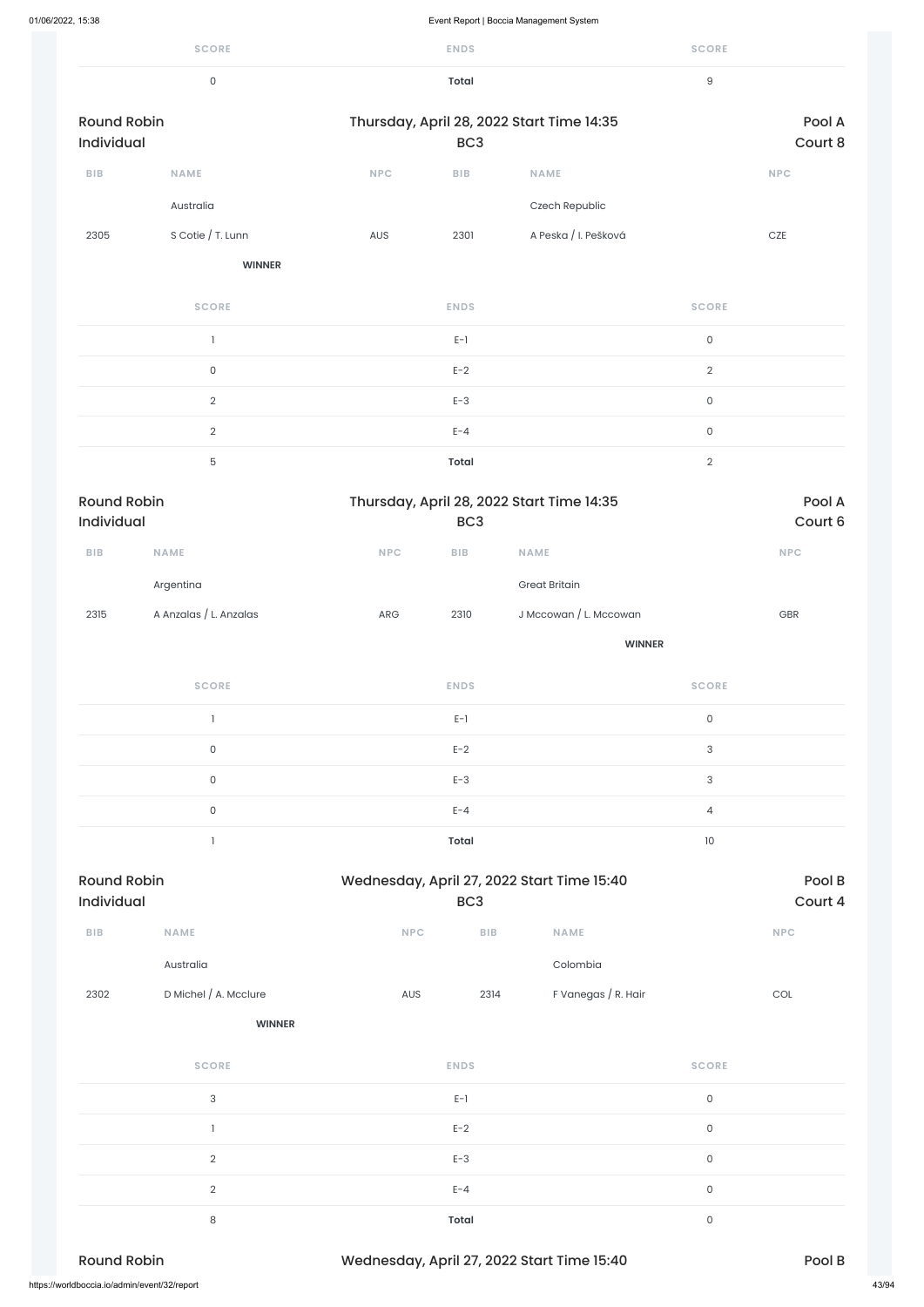|                                  | <b>SCORE</b>           |                             | <b>ENDS</b>             |                                           | <b>SCORE</b>        |                     |
|----------------------------------|------------------------|-----------------------------|-------------------------|-------------------------------------------|---------------------|---------------------|
|                                  | $\mathsf{O}\xspace$    |                             | <b>Total</b>            |                                           | $\mathsf 9$         |                     |
| <b>Round Robin</b><br>Individual |                        |                             | BC <sub>3</sub>         | Thursday, April 28, 2022 Start Time 14:35 |                     | Pool A<br>Court 8   |
| <b>BIB</b>                       | <b>NAME</b>            | <b>NPC</b>                  | ${\sf B}{\sf I}{\sf B}$ | <b>NAME</b>                               |                     | NPC                 |
|                                  | Australia              |                             |                         | Czech Republic                            |                     |                     |
| 2305                             | S Cotie / T. Lunn      | AUS                         | 2301                    | A Peska / I. Pešková                      |                     | $CZE$               |
|                                  | <b>WINNER</b>          |                             |                         |                                           |                     |                     |
|                                  | <b>SCORE</b>           |                             | <b>ENDS</b>             |                                           | <b>SCORE</b>        |                     |
|                                  | $\mathbf{1}$           |                             | $E-1$                   |                                           | $\mathsf{O}$        |                     |
|                                  | $\mathsf{O}\xspace$    |                             | $E-2$                   |                                           | $\overline{2}$      |                     |
|                                  | $\overline{2}$         |                             | $E-3$                   |                                           | $\mathsf{O}\xspace$ |                     |
|                                  | $\sqrt{2}$             |                             | $E - 4$                 |                                           | $\mathsf{O}\xspace$ |                     |
|                                  | $\mathbf 5$            |                             | <b>Total</b>            |                                           | $\sqrt{2}$          |                     |
| <b>Round Robin</b><br>Individual |                        |                             | BC <sub>3</sub>         | Thursday, April 28, 2022 Start Time 14:35 |                     | Pool A<br>Court 6   |
| <b>BIB</b>                       | NAME                   | $\ensuremath{\mathsf{NPC}}$ | ${\sf B}{\sf I}{\sf B}$ | NAME                                      |                     | NPC                 |
|                                  | Argentina              |                             |                         | <b>Great Britain</b>                      |                     |                     |
| 2315                             | A Anzalas / L. Anzalas | ${\sf ARG}$                 | 2310                    | J Mccowan / L. Mccowan                    |                     | $\mbox{\small GBR}$ |

| 2302                                         | D Michel / A. Mcclure | 2314<br>AUS                                | F Vanegas / R. Hair | $\mathop{\rm COL}\nolimits$ |       |
|----------------------------------------------|-----------------------|--------------------------------------------|---------------------|-----------------------------|-------|
|                                              | <b>WINNER</b>         |                                            |                     |                             |       |
|                                              | <b>SCORE</b>          | <b>ENDS</b>                                |                     | <b>SCORE</b>                |       |
|                                              | 3                     | $E-1$                                      |                     | $\circ$                     |       |
|                                              |                       | $E-2$                                      |                     | $\mathsf{O}$                |       |
|                                              | $\overline{2}$        | $E-3$                                      |                     | $\mathsf O$                 |       |
|                                              | $\overline{2}$        | $E - 4$                                    |                     | $\mathsf O$                 |       |
|                                              | 8                     | <b>Total</b>                               |                     | 0                           |       |
| <b>Round Robin</b>                           |                       | Wednesday, April 27, 2022 Start Time 15:40 |                     | Pool B                      |       |
| https://worldboccia.io/admin/event/32/report |                       |                                            |                     |                             | 43/94 |

**WINNER**

| <b>SCORE</b>                     | <b>ENDS</b>                                                   | <b>SCORE</b>              |
|----------------------------------|---------------------------------------------------------------|---------------------------|
|                                  | $E-1$                                                         | $\mathsf O$               |
| 0                                | $E-2$                                                         | $\ensuremath{\mathsf{3}}$ |
| $\mathsf O$                      | $E-3$                                                         | $\ensuremath{\mathsf{3}}$ |
| 0                                | $E - 4$                                                       | 4                         |
|                                  | <b>Total</b>                                                  | 10                        |
| <b>Round Robin</b><br>Individual | Wednesday, April 27, 2022 Start Time 15:40<br>BC <sub>3</sub> | Pool B<br>Court 4         |

**BIB NAME NPC BIB NAME NPC**

Australia Colombia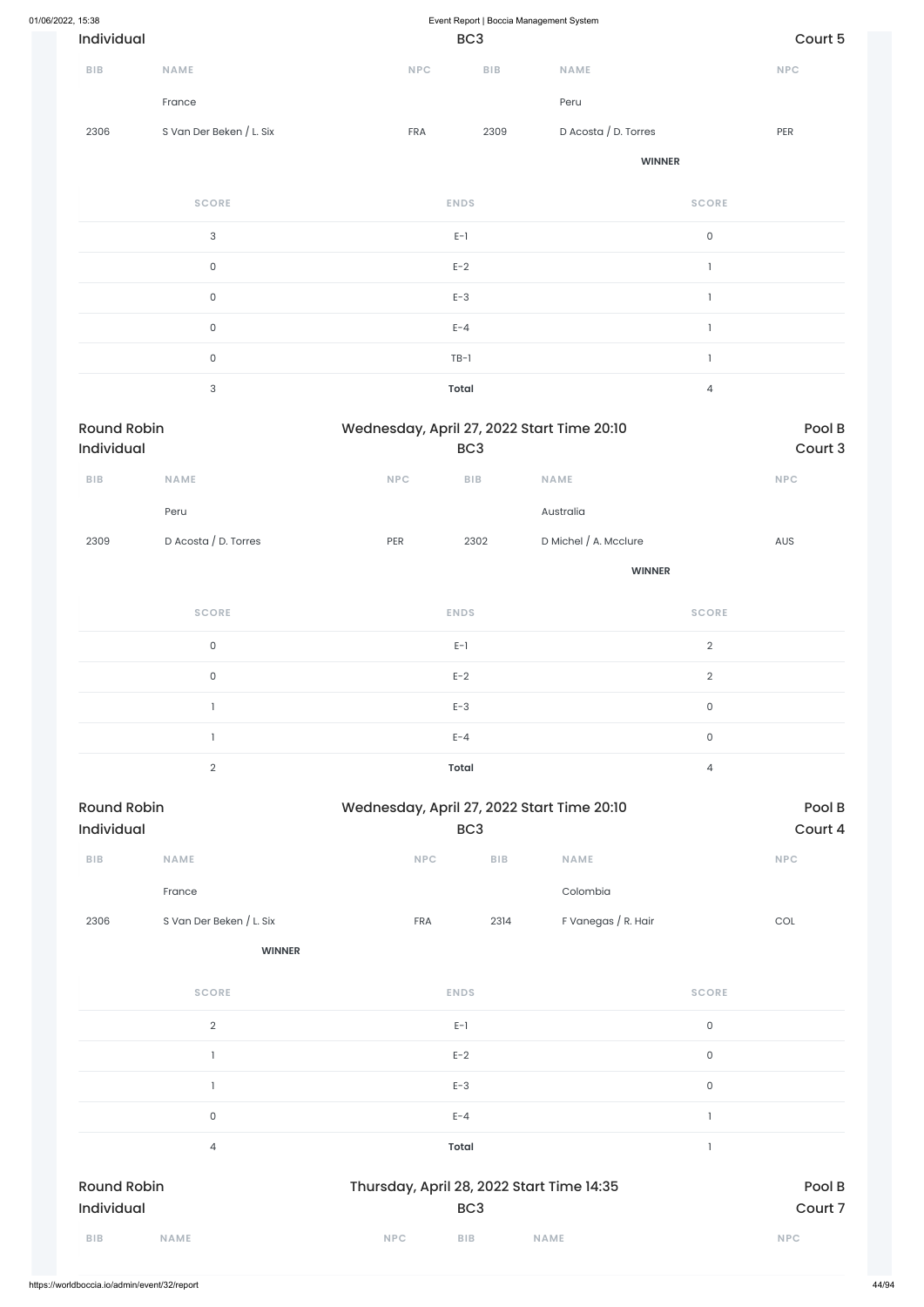| 01/06/2022, 15:38                |                           | Event Report   Boccia Management System    |                         |                       |                     |                             |
|----------------------------------|---------------------------|--------------------------------------------|-------------------------|-----------------------|---------------------|-----------------------------|
| Individual                       |                           |                                            | BC <sub>3</sub>         |                       |                     | Court 5                     |
| <b>BIB</b>                       | <b>NAME</b>               | NPC                                        | <b>BIB</b>              | <b>NAME</b>           |                     | $\ensuremath{\mathsf{NPC}}$ |
|                                  | France                    |                                            |                         | Peru                  |                     |                             |
| 2306                             | S Van Der Beken / L. Six  | FRA                                        | 2309                    | D Acosta / D. Torres  |                     | PER                         |
|                                  |                           |                                            |                         | <b>WINNER</b>         |                     |                             |
|                                  | <b>SCORE</b>              |                                            | <b>ENDS</b>             |                       | <b>SCORE</b>        |                             |
|                                  | $\ensuremath{\mathsf{3}}$ |                                            | $E-1$                   |                       | $\mathsf{O}$        |                             |
|                                  | $\mathsf{O}\xspace$       |                                            | $E-2$                   |                       | $\mathbf{I}$        |                             |
|                                  | $\mathsf{O}\xspace$       |                                            | $E-3$                   |                       | $\mathbf{1}$        |                             |
|                                  | $\mathsf{O}\xspace$       |                                            | $E - 4$                 |                       | 1                   |                             |
|                                  | $\mathsf{O}\xspace$       |                                            | $TB-1$                  |                       | $\mathbf{1}$        |                             |
|                                  | $\ensuremath{\mathsf{3}}$ |                                            | <b>Total</b>            |                       | $\overline{4}$      |                             |
| <b>Round Robin</b><br>Individual |                           | Wednesday, April 27, 2022 Start Time 20:10 | BC <sub>3</sub>         |                       |                     | Pool B<br>Court 3           |
| BIB                              | NAME                      | <b>NPC</b>                                 | ${\sf B}{\sf I}{\sf B}$ | <b>NAME</b>           |                     | <b>NPC</b>                  |
|                                  | Peru                      |                                            |                         | Australia             |                     |                             |
| 2309                             | D Acosta / D. Torres      | PER                                        | 2302                    | D Michel / A. Mcclure |                     | AUS                         |
|                                  |                           |                                            |                         | <b>WINNER</b>         |                     |                             |
|                                  | <b>SCORE</b>              |                                            | <b>ENDS</b>             |                       | <b>SCORE</b>        |                             |
|                                  | $\mathsf{O}\xspace$       |                                            | $E-1$                   |                       | $\overline{2}$      |                             |
|                                  | $\mathsf{O}\xspace$       |                                            | $E-2$                   |                       | $\overline{2}$      |                             |
|                                  | $\mathbf{I}$              |                                            | $E-3$                   |                       | $\mathsf{O}\xspace$ |                             |
|                                  | $\mathbf{1}$              |                                            | $E - 4$                 |                       | $\mathsf{O}\xspace$ |                             |
|                                  | $\overline{2}$            |                                            | <b>Total</b>            |                       | $\overline{4}$      |                             |
| <b>Round Robin</b><br>Individual |                           | Wednesday, April 27, 2022 Start Time 20:10 | BC <sub>3</sub>         |                       |                     | Pool B<br>Court 4           |
| ${\sf B}{\sf I}{\sf B}$          | <b>NAME</b>               | <b>NPC</b>                                 | BIB                     | <b>NAME</b>           |                     | <b>NPC</b>                  |
|                                  | France                    |                                            |                         | Colombia              |                     |                             |

2306 S Van Der Beken / L. Six FRA 2314 F Vanegas / R. Hair COL

| <b>SCORE</b>              | <b>ENDS</b>                               | <b>SCORE</b> |
|---------------------------|-------------------------------------------|--------------|
| $\sqrt{2}$                | $E-1$                                     | $\mathsf O$  |
|                           | $E-2$                                     | 0            |
|                           | $E-3$                                     | $\mathsf O$  |
| $\mathsf{O}$              | $E - 4$                                   |              |
| 4                         | Total                                     |              |
| <b>Round Robin</b>        | Thursday, April 28, 2022 Start Time 14:35 | Pool B       |
| Individual                | BC <sub>3</sub>                           | Court 7      |
| <b>BIB</b><br><b>NAME</b> | <b>NPC</b><br><b>BIB</b><br><b>NAME</b>   | <b>NPC</b>   |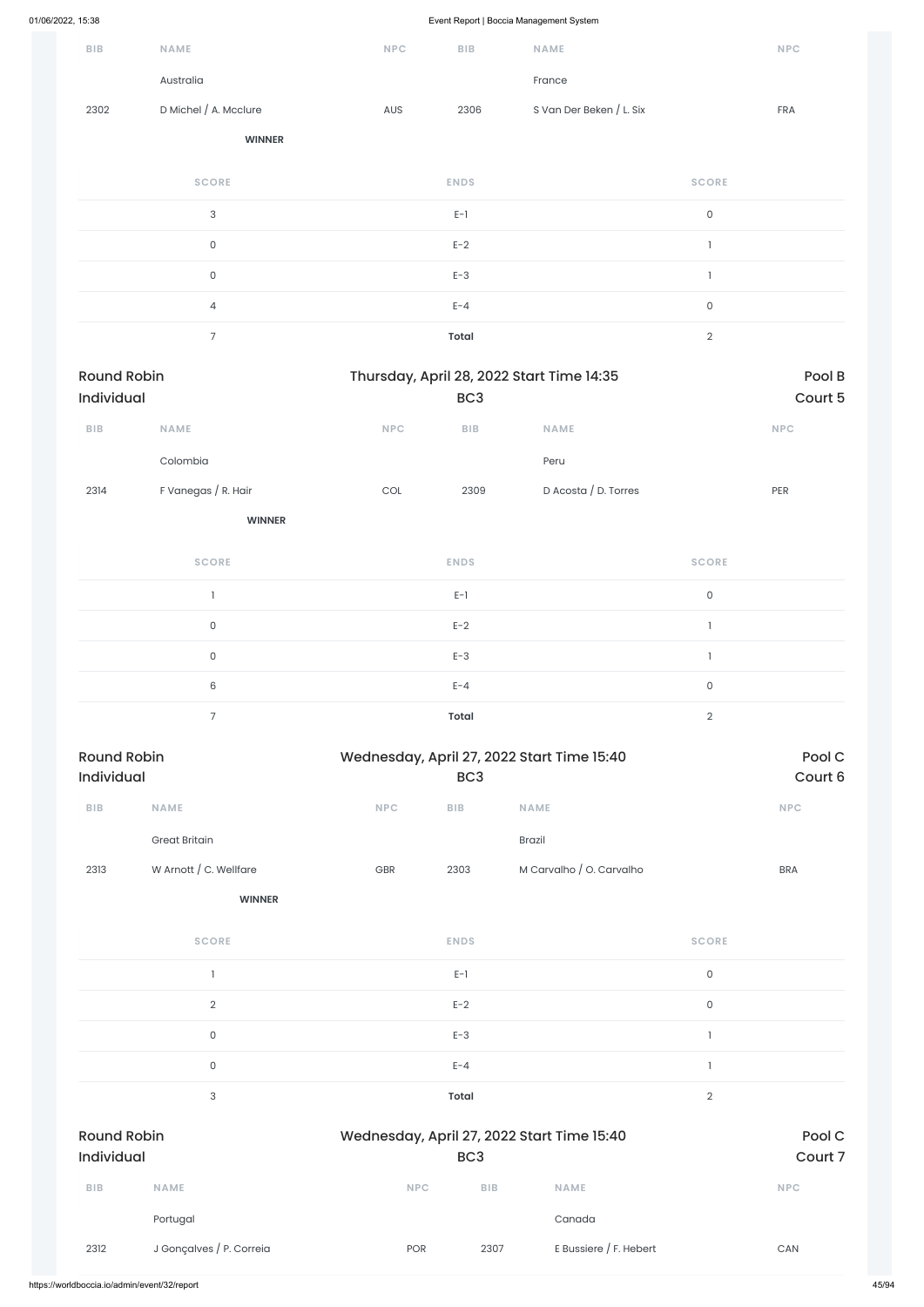| BIB                              | <b>NAME</b>              | <b>NPC</b> | BIB             | NAME                                       |                | <b>NPC</b>        |
|----------------------------------|--------------------------|------------|-----------------|--------------------------------------------|----------------|-------------------|
|                                  | Australia                |            |                 | France                                     |                |                   |
| 2302                             | D Michel / A. Mcclure    | AUS        | 2306            | S Van Der Beken / L. Six                   |                | FRA               |
|                                  | <b>WINNER</b>            |            |                 |                                            |                |                   |
|                                  | <b>SCORE</b>             |            | <b>ENDS</b>     |                                            | <b>SCORE</b>   |                   |
|                                  | $\mathsf{3}$             |            | $E-1$           |                                            | $\mathsf{O}$   |                   |
|                                  | $\mathsf{O}$             |            | $E-2$           |                                            | $\mathbf{1}$   |                   |
|                                  | $\mathsf O$              |            | $E-3$           |                                            | $\mathbf{1}$   |                   |
|                                  | $\overline{4}$           |            | $E - 4$         |                                            | $\mathsf{O}$   |                   |
|                                  | $\overline{7}$           |            | <b>Total</b>    |                                            | $\sqrt{2}$     |                   |
| <b>Round Robin</b><br>Individual |                          |            | BC <sub>3</sub> | Thursday, April 28, 2022 Start Time 14:35  |                | Pool B<br>Court 5 |
| BIB                              | NAME                     | <b>NPC</b> | <b>BIB</b>      | <b>NAME</b>                                |                | <b>NPC</b>        |
|                                  | Colombia                 |            |                 | Peru                                       |                |                   |
| 2314                             | F Vanegas / R. Hair      | COL        | 2309            | D Acosta / D. Torres                       |                | PER               |
|                                  | <b>WINNER</b>            |            |                 |                                            |                |                   |
|                                  | <b>SCORE</b>             |            | <b>ENDS</b>     |                                            | <b>SCORE</b>   |                   |
|                                  | $\overline{\phantom{a}}$ |            | $E-1$           |                                            | $\mathsf{O}$   |                   |
|                                  | $\mathsf O$              |            | $E-2$           |                                            | $\mathbf{1}$   |                   |
|                                  | $\mathsf{O}$             |            | $E-3$           |                                            | $\mathbf{1}$   |                   |
|                                  | $\,6\,$                  |            | $E - 4$         |                                            | $\mathsf{O}$   |                   |
|                                  | $\overline{7}$           |            | <b>Total</b>    |                                            | $\overline{2}$ |                   |
| <b>Round Robin</b><br>Individual |                          |            | BC <sub>3</sub> | Wednesday, April 27, 2022 Start Time 15:40 |                | Pool C<br>Court 6 |
| ${\sf B}{\sf I}{\sf B}$          | NAME                     | NPC        | ${\sf BIB}$     | NAME                                       |                | <b>NPC</b>        |
|                                  | <b>Great Britain</b>     |            |                 | Brazil                                     |                |                   |
| 2313                             | W Arnott / C. Wellfare   | GBR        | 2303            | M Carvalho / O. Carvalho                   |                | <b>BRA</b>        |
|                                  | <b>WINNER</b>            |            |                 |                                            |                |                   |
|                                  | <b>SCORE</b>             |            | <b>ENDS</b>     |                                            | <b>SCORE</b>   |                   |

 $E-1$  0

|                                  | $\overline{2}$           | $E-2$                                      |                 |                          | $\mathsf{O}$   |                   |
|----------------------------------|--------------------------|--------------------------------------------|-----------------|--------------------------|----------------|-------------------|
|                                  | $\mathsf{O}$             | $E-3$                                      |                 |                          |                |                   |
|                                  | $\mathsf{O}$             | $E - 4$                                    |                 |                          |                |                   |
|                                  | 3                        | Total                                      |                 |                          | $\overline{2}$ |                   |
| <b>Round Robin</b><br>Individual |                          | Wednesday, April 27, 2022 Start Time 15:40 | BC <sub>3</sub> |                          |                | Pool C<br>Court 7 |
| <b>BIB</b>                       | <b>NAME</b>              | <b>NPC</b>                                 | <b>BIB</b>      | <b>NAME</b>              |                | <b>NPC</b>        |
|                                  | Portugal                 |                                            |                 | Canada                   |                |                   |
| 2312                             | J Gonçalves / P. Correia | <b>POR</b>                                 | 2307            | E Bussiere $/$ F. Hebert |                | CAN               |
|                                  |                          |                                            |                 |                          |                |                   |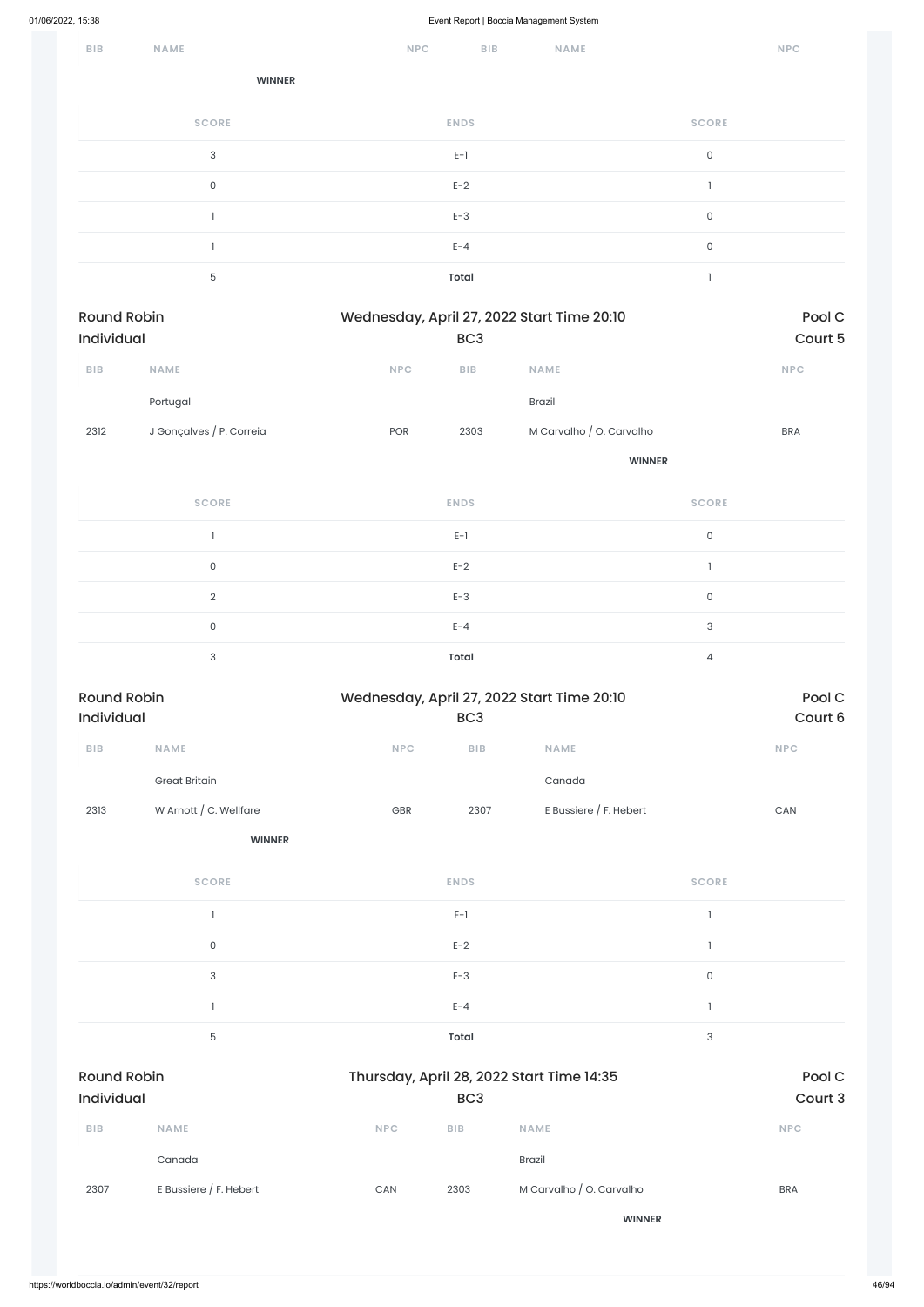| 01/06/2022, 15:38                |                           |                             |                 | Event Report   Boccia Management System    |                     |                             |
|----------------------------------|---------------------------|-----------------------------|-----------------|--------------------------------------------|---------------------|-----------------------------|
| <b>BIB</b>                       | <b>NAME</b>               | <b>NPC</b>                  | BIB             | <b>NAME</b>                                |                     | <b>NPC</b>                  |
|                                  | <b>WINNER</b>             |                             |                 |                                            |                     |                             |
|                                  | <b>SCORE</b>              |                             | <b>ENDS</b>     |                                            | <b>SCORE</b>        |                             |
|                                  | $\sqrt{3}$                |                             | $E-1$           |                                            | $\mathsf{O}\xspace$ |                             |
|                                  | $\mathsf{O}\xspace$       |                             | $E-2$           |                                            | $\mathbf{I}$        |                             |
|                                  | $\mathbf{1}$              |                             | $E-3$           |                                            | $\mathsf{O}\xspace$ |                             |
|                                  | $\mathbf{1}$              |                             | $E - 4$         |                                            | $\mathsf{O}\xspace$ |                             |
|                                  | 5                         |                             | Total           |                                            | $\mathbf{I}$        |                             |
| <b>Round Robin</b><br>Individual |                           |                             | BC <sub>3</sub> | Wednesday, April 27, 2022 Start Time 20:10 |                     | Pool C<br>Court 5           |
| <b>BIB</b>                       | NAME                      | NPC                         | BIB             | <b>NAME</b>                                |                     | NPC                         |
|                                  | Portugal                  |                             |                 | <b>Brazil</b>                              |                     |                             |
| 2312                             | J Gonçalves / P. Correia  | POR                         | 2303            | M Carvalho / O. Carvalho                   |                     | <b>BRA</b>                  |
|                                  |                           |                             |                 |                                            | <b>WINNER</b>       |                             |
|                                  | <b>SCORE</b>              |                             | <b>ENDS</b>     |                                            | <b>SCORE</b>        |                             |
|                                  | $\mathbf{I}$              |                             | $E-1$           |                                            | $\mathsf{O}$        |                             |
|                                  | $\mathsf{O}\xspace$       |                             | $E-2$           |                                            | $\mathbf{I}$        |                             |
|                                  | $\sqrt{2}$                |                             | $E-3$           |                                            | $\mathsf{O}\xspace$ |                             |
|                                  | $\mathsf{O}\xspace$       |                             | $E - 4$         |                                            | $\sqrt{3}$          |                             |
|                                  | $\ensuremath{\mathsf{3}}$ |                             | <b>Total</b>    |                                            | $\overline{4}$      |                             |
| <b>Round Robin</b><br>Individual |                           |                             | BC <sub>3</sub> | Wednesday, April 27, 2022 Start Time 20:10 |                     | Pool C<br>Court 6           |
| <b>BIB</b>                       | NAME                      | $\ensuremath{\mathsf{NPC}}$ | ${\sf BIB}$     | NAME                                       |                     | $\ensuremath{\mathsf{NPC}}$ |
|                                  | <b>Great Britain</b>      |                             |                 | Canada                                     |                     |                             |
| 2313                             | W Arnott / C. Wellfare    | GBR                         | 2307            | E Bussiere / F. Hebert                     |                     | $\mathsf{CAN}\xspace$       |
|                                  | <b>WINNER</b>             |                             |                 |                                            |                     |                             |

| <b>SCORE</b> | <b>ENDS</b> | <b>SCORE</b> |
|--------------|-------------|--------------|
|              | $E-1$       |              |
|              | $E-2$       |              |
|              | $E-3$       |              |

|                                         |                          |            | $E - 4$         |                                           |            |                   |
|-----------------------------------------|--------------------------|------------|-----------------|-------------------------------------------|------------|-------------------|
|                                         | $\mathbf 5$              |            | <b>Total</b>    |                                           | $\sqrt{3}$ |                   |
| <b>Round Robin</b><br><b>Individual</b> |                          |            | BC <sub>3</sub> | Thursday, April 28, 2022 Start Time 14:35 |            | Pool C<br>Court 3 |
| <b>BIB</b>                              | <b>NAME</b>              | <b>NPC</b> | <b>BIB</b>      | <b>NAME</b>                               |            | <b>NPC</b>        |
|                                         | Canada                   |            |                 | <b>Brazil</b>                             |            |                   |
| 2307                                    | E Bussiere $/$ F. Hebert | CAN        | 2303            | M Carvalho / O. Carvalho                  |            | <b>BRA</b>        |
|                                         |                          |            |                 | <b>WINNER</b>                             |            |                   |
|                                         |                          |            |                 |                                           |            |                   |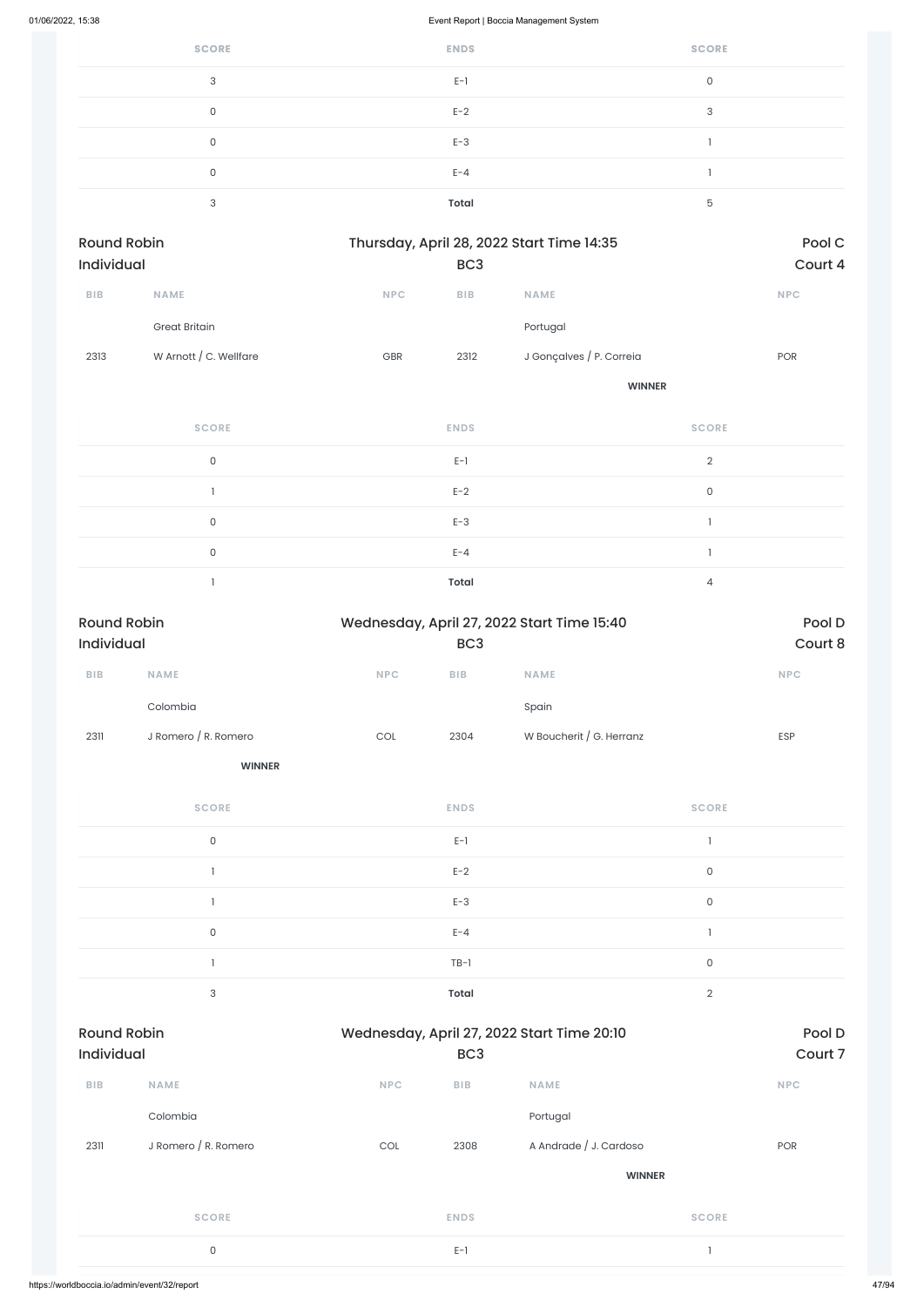| <b>SCORE</b> | <b>ENDS</b> | <b>SCORE</b> |
|--------------|-------------|--------------|
| 3            | $E-1$       | 0            |
| O            | $E-2$       | 3            |
| $\Omega$     | $E-3$       |              |
| 0            | $E - 4$     |              |
| $\sim$       | Total       | 5            |

| <b>Round Robin</b><br><b>Individual</b> |                        | Thursday, April 28, 2022 Start Time 14:35<br>BC <sub>3</sub> |      |                          | Pool C<br>Court 4 |
|-----------------------------------------|------------------------|--------------------------------------------------------------|------|--------------------------|-------------------|
|                                         |                        |                                                              |      |                          |                   |
|                                         | <b>Great Britain</b>   |                                                              |      | Portugal                 |                   |
| 2313                                    | W Arnott / C. Wellfare | <b>GBR</b>                                                   | 2312 | J Gonçalves / P. Correia | POR               |
|                                         |                        |                                                              |      | <b>WINNER</b>            |                   |

| <b>SCORE</b> | <b>ENDS</b>  | <b>SCORE</b>   |
|--------------|--------------|----------------|
| $\Omega$     | $E-1$        | $\mathcal{D}$  |
|              | $E-2$        | $\mathbf 0$    |
| $\cap$       | $E-3$        |                |
| $\Omega$     | $E - 4$      |                |
|              | <b>Total</b> | $\overline{4}$ |

| <b>Round Robin</b><br>Individual |                           |                             | Wednesday, April 27, 2022 Start Time 15:40<br>BC <sub>3</sub> |                                            |                     | Pool D<br>Court 8           |
|----------------------------------|---------------------------|-----------------------------|---------------------------------------------------------------|--------------------------------------------|---------------------|-----------------------------|
| ${\sf B}{\sf I}{\sf B}$          | <b>NAME</b>               | $\ensuremath{\mathsf{NPC}}$ | BIB                                                           | <b>NAME</b>                                |                     | $\ensuremath{\mathsf{NPC}}$ |
|                                  | Colombia                  |                             |                                                               | Spain                                      |                     |                             |
| 2311                             | J Romero / R. Romero      | $_{\rm COL}$                | 2304                                                          | W Boucherit / G. Herranz                   |                     | ESP                         |
|                                  | <b>WINNER</b>             |                             |                                                               |                                            |                     |                             |
|                                  | <b>SCORE</b>              |                             | <b>ENDS</b>                                                   |                                            | <b>SCORE</b>        |                             |
|                                  | $\mathsf{O}$              |                             | $E-1$                                                         |                                            | $\mathbf{I}$        |                             |
|                                  | $\overline{\phantom{a}}$  |                             | $E-2$                                                         |                                            | $\mathsf{O}$        |                             |
|                                  | $\mathbf{I}$              |                             | $E-3$                                                         |                                            | $\mathsf{O}\xspace$ |                             |
|                                  | $\mathsf{O}\xspace$       |                             | $E - 4$                                                       |                                            | $\mathbf{I}$        |                             |
|                                  | $\overline{\phantom{a}}$  |                             | $TB-1$                                                        |                                            | $\mathsf{O}\xspace$ |                             |
|                                  | $\ensuremath{\mathsf{3}}$ |                             | <b>Total</b>                                                  |                                            | $\overline{2}$      |                             |
| <b>Round Robin</b><br>Individual |                           |                             | BC <sub>3</sub>                                               | Wednesday, April 27, 2022 Start Time 20:10 |                     | Pool D<br>Court 7           |
| BIB                              | <b>NAME</b>               | NPC                         | BIB                                                           | NAME                                       |                     | NPC                         |
|                                  | Colombia                  |                             |                                                               | Portugal                                   |                     |                             |
| 2311                             | J Romero / R. Romero      | $\mathop{\rm COL}\nolimits$ | 2308                                                          | A Andrade / J. Cardoso                     |                     | POR                         |
|                                  |                           |                             |                                                               | <b>WINNER</b>                              |                     |                             |
|                                  | <b>SCORE</b>              |                             | <b>ENDS</b>                                                   |                                            | <b>SCORE</b>        |                             |
|                                  | $\mathsf{O}\xspace$       |                             | $E-1$                                                         |                                            | $\mathbf{I}$        |                             |
|                                  |                           |                             |                                                               |                                            |                     |                             |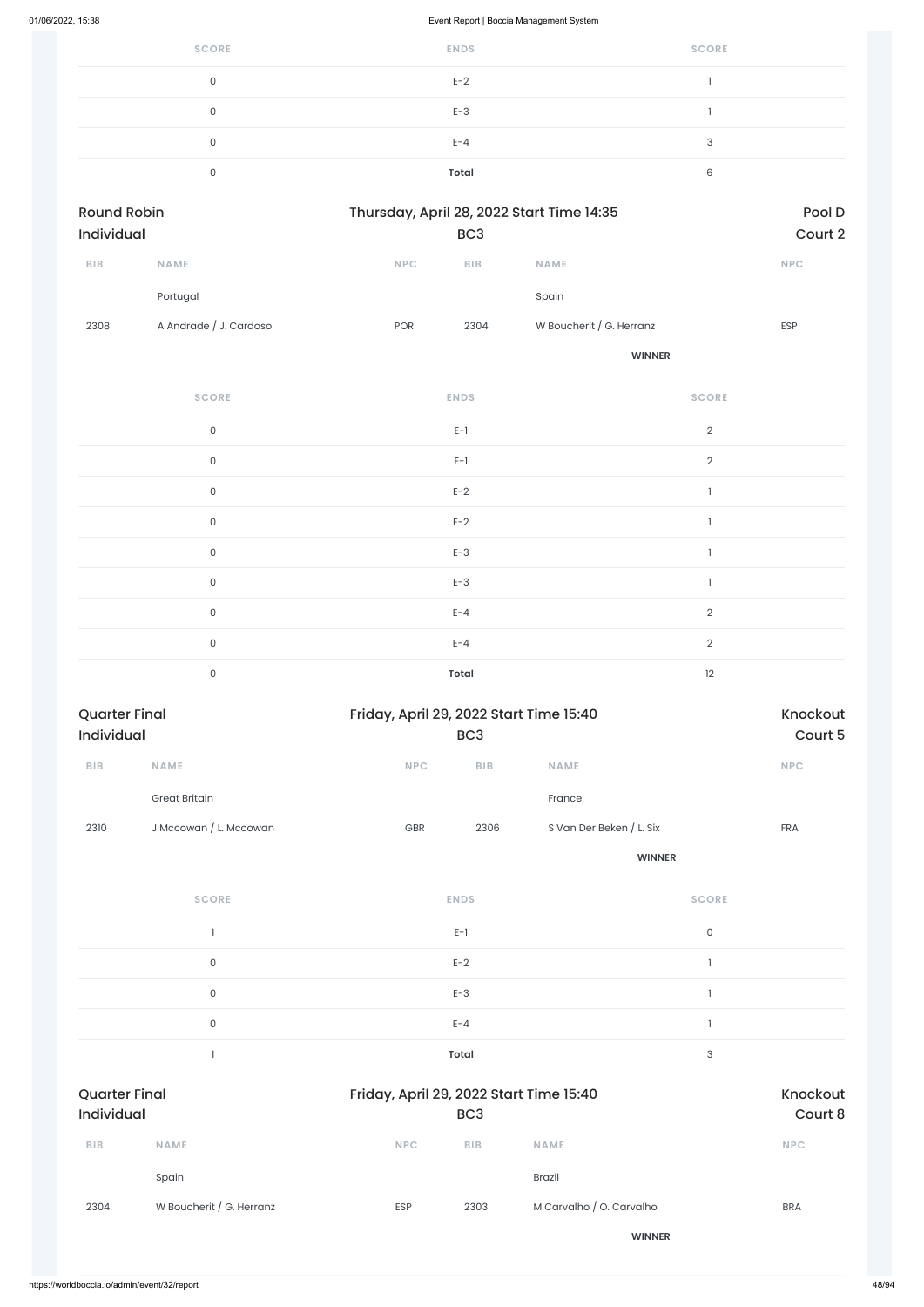| <b>SCORE</b> | <b>ENDS</b>  | <b>SCORE</b> |
|--------------|--------------|--------------|
| 0            | $E-2$        |              |
| 0            | $E-3$        |              |
| 0            | $E - 4$      | 3            |
| 0            | <b>Total</b> | 6            |
|              |              |              |

| Round Robin<br><b>Individual</b> |                        |            | Thursday, April 28, 2022 Start Time 14:35<br>BC <sub>3</sub> |                          |            |
|----------------------------------|------------------------|------------|--------------------------------------------------------------|--------------------------|------------|
| <b>BIB</b>                       | <b>NAME</b>            | <b>NPC</b> | <b>BIB</b>                                                   | <b>NAME</b>              | <b>NPC</b> |
|                                  | Portugal               |            |                                                              | Spain                    |            |
| 2308                             | A Andrade / J. Cardoso | <b>POR</b> | 2304                                                         | W Boucherit / G. Herranz | ESP        |
|                                  |                        |            |                                                              |                          |            |

| <b>SCORE</b>        | <b>ENDS</b>  | <b>SCORE</b>   |
|---------------------|--------------|----------------|
| $\mathsf{O}$        | $E-1$        | $\sqrt{2}$     |
| $\mathsf{O}$        | $E-1$        | $\overline{2}$ |
| $\mathsf O$         | $E-2$        |                |
| $\mathsf O$         | $E-2$        |                |
| $\mathsf{O}\xspace$ | $E-3$        |                |
| $\mathsf O$         | $E-3$        |                |
| $\mathsf{O}\xspace$ | $E - 4$      | $\overline{2}$ |
| $\mathsf{O}\xspace$ | $E - 4$      | $\overline{2}$ |
| $\mathsf{O}\xspace$ | <b>Total</b> | 12             |

| <b>Quarter Final</b><br><b>Individual</b> |                        |            | Friday, April 29, 2022 Start Time 15:40<br>BC <sub>3</sub> |                          |            |  |
|-------------------------------------------|------------------------|------------|------------------------------------------------------------|--------------------------|------------|--|
| <b>BIB</b>                                | <b>NAME</b>            | <b>NPC</b> | <b>BIB</b>                                                 | <b>NAME</b>              | <b>NPC</b> |  |
|                                           | <b>Great Britain</b>   |            |                                                            | France                   |            |  |
| 2310                                      | J Mccowan / L. Mccowan | <b>GBR</b> | 2306                                                       | S Van Der Beken / L. Six | <b>FRA</b> |  |
|                                           |                        |            |                                                            | <b>WINNER</b>            |            |  |
|                                           | <b>SCORE</b>           |            | <b>ENDS</b>                                                | <b>SCORE</b>             |            |  |

| $\begin{array}{c} \circ \\ \circ \\ \circ \end{array}$ | ------ | $\begin{array}{c} \circ \\ \circ \\ \circ \end{array}$ |
|--------------------------------------------------------|--------|--------------------------------------------------------|
|                                                        | $E-1$  |                                                        |
|                                                        | $E-2$  |                                                        |

|            | 0                                         |                                         | $E-3$           |                          |                           |                     |
|------------|-------------------------------------------|-----------------------------------------|-----------------|--------------------------|---------------------------|---------------------|
|            | $\mathsf{O}$                              |                                         | $E - 4$         |                          |                           |                     |
|            |                                           |                                         | <b>Total</b>    |                          | $\ensuremath{\mathsf{3}}$ |                     |
|            | <b>Quarter Final</b><br><b>Individual</b> | Friday, April 29, 2022 Start Time 15:40 | BC <sub>3</sub> |                          |                           | Knockout<br>Court 8 |
| <b>BIB</b> | <b>NAME</b>                               | <b>NPC</b>                              | BIB             | <b>NAME</b>              |                           | <b>NPC</b>          |
|            | Spain                                     |                                         |                 | <b>Brazil</b>            |                           |                     |
| 2304       | W Boucherit / G. Herranz                  | ESP                                     | 2303            | M Carvalho / O. Carvalho |                           | <b>BRA</b>          |
|            |                                           |                                         |                 | <b>WINNER</b>            |                           |                     |
|            |                                           |                                         |                 |                          |                           |                     |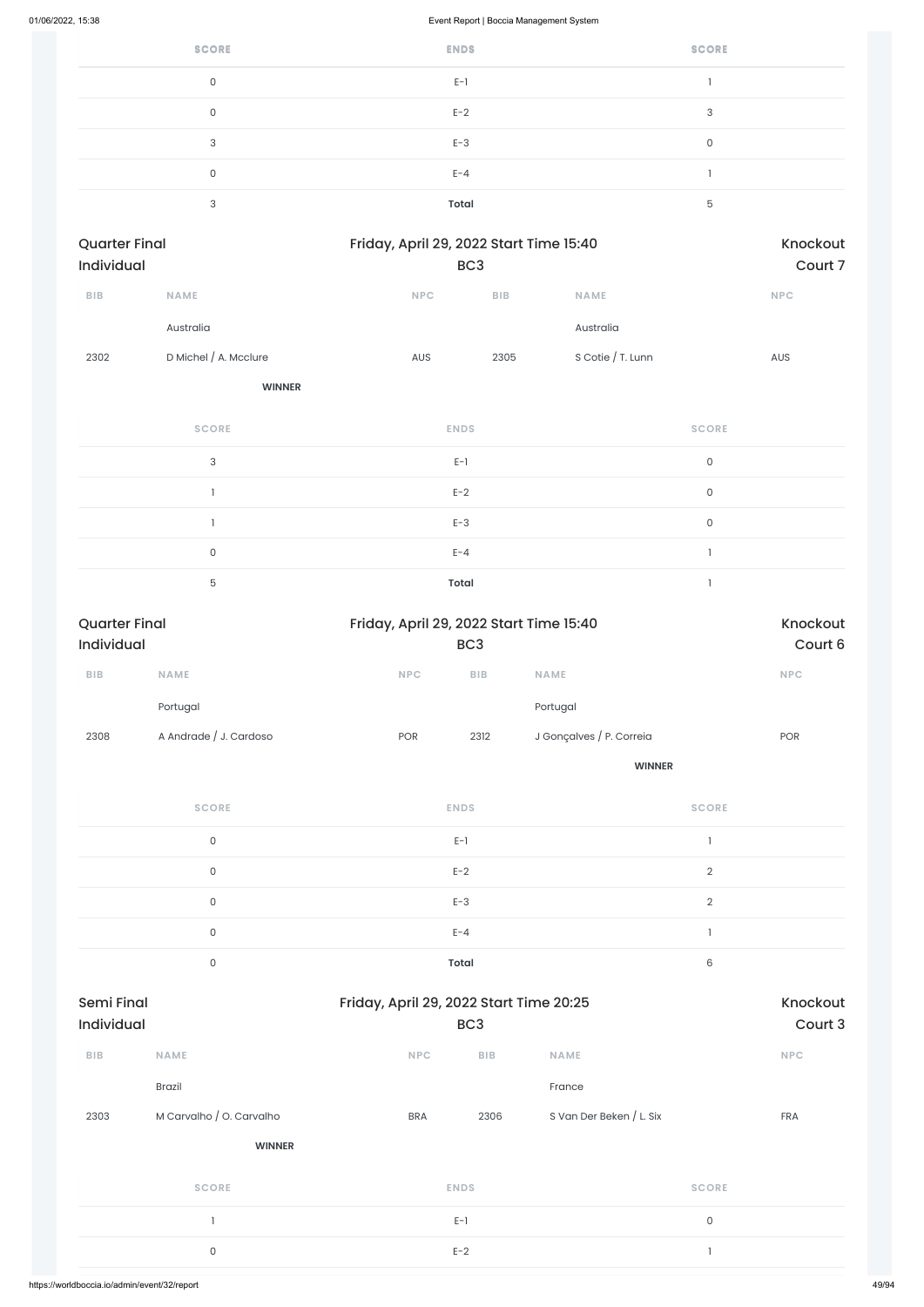| <b>SCORE</b> | <b>ENDS</b> | <b>SCORE</b> |
|--------------|-------------|--------------|
| $\mathbf 0$  | $E-1$       |              |
| $\mathbf 0$  | $E-2$       | 3            |
| 3            | $E-3$       | 0            |
| 0            | $E - 4$     |              |
| 3            | Total       | 5            |

| <b>Quarter Final</b><br><b>Individual</b> |                       |             | Friday, April 29, 2022 Start Time 15:40<br>BC <sub>3</sub> |                   |              |  |
|-------------------------------------------|-----------------------|-------------|------------------------------------------------------------|-------------------|--------------|--|
| <b>BIB</b>                                | <b>NAME</b>           | <b>NPC</b>  | <b>BIB</b>                                                 | <b>NAME</b>       | <b>NPC</b>   |  |
|                                           | Australia             |             |                                                            | Australia         |              |  |
| 2302                                      | D Michel / A. Mcclure | AUS         | 2305                                                       | S Cotie / T. Lunn | <b>AUS</b>   |  |
|                                           | <b>WINNER</b>         |             |                                                            |                   |              |  |
|                                           | <b>SCORE</b>          | <b>ENDS</b> |                                                            |                   | <b>SCORE</b> |  |
|                                           |                       |             |                                                            |                   |              |  |

|  | $E-1$        |  |
|--|--------------|--|
|  | $E-2$        |  |
|  | $E-3$        |  |
|  | $E - 4$      |  |
|  | <b>Total</b> |  |

| Court 6    |  |
|------------|--|
| <b>NPC</b> |  |
|            |  |
| <b>POR</b> |  |
|            |  |
|            |  |
|            |  |

| $E-1$        |  |
|--------------|--|
| $E-2$        |  |
| $E-3$        |  |
| $E - 4$      |  |
| <b>Total</b> |  |

| <b>Semi Final</b><br>Individual |                          | Friday, April 29, 2022 Start Time 20:25 | BC <sub>3</sub> |                          |              |  |  |
|---------------------------------|--------------------------|-----------------------------------------|-----------------|--------------------------|--------------|--|--|
| <b>BIB</b>                      | <b>NAME</b>              | <b>NPC</b>                              | <b>BIB</b>      | <b>NAME</b>              | <b>NPC</b>   |  |  |
|                                 | <b>Brazil</b>            |                                         |                 | France                   |              |  |  |
| 2303                            | M Carvalho / O. Carvalho | <b>BRA</b>                              | 2306            | S Van Der Beken / L. Six | <b>FRA</b>   |  |  |
|                                 | <b>WINNER</b>            |                                         |                 |                          |              |  |  |
|                                 | <b>SCORE</b>             |                                         | <b>ENDS</b>     | <b>SCORE</b>             |              |  |  |
|                                 |                          |                                         | $E-1$           |                          | $\mathsf{O}$ |  |  |
|                                 | $\mathsf{O}$             |                                         |                 |                          | $\mathbf{I}$ |  |  |
|                                 |                          |                                         |                 |                          |              |  |  |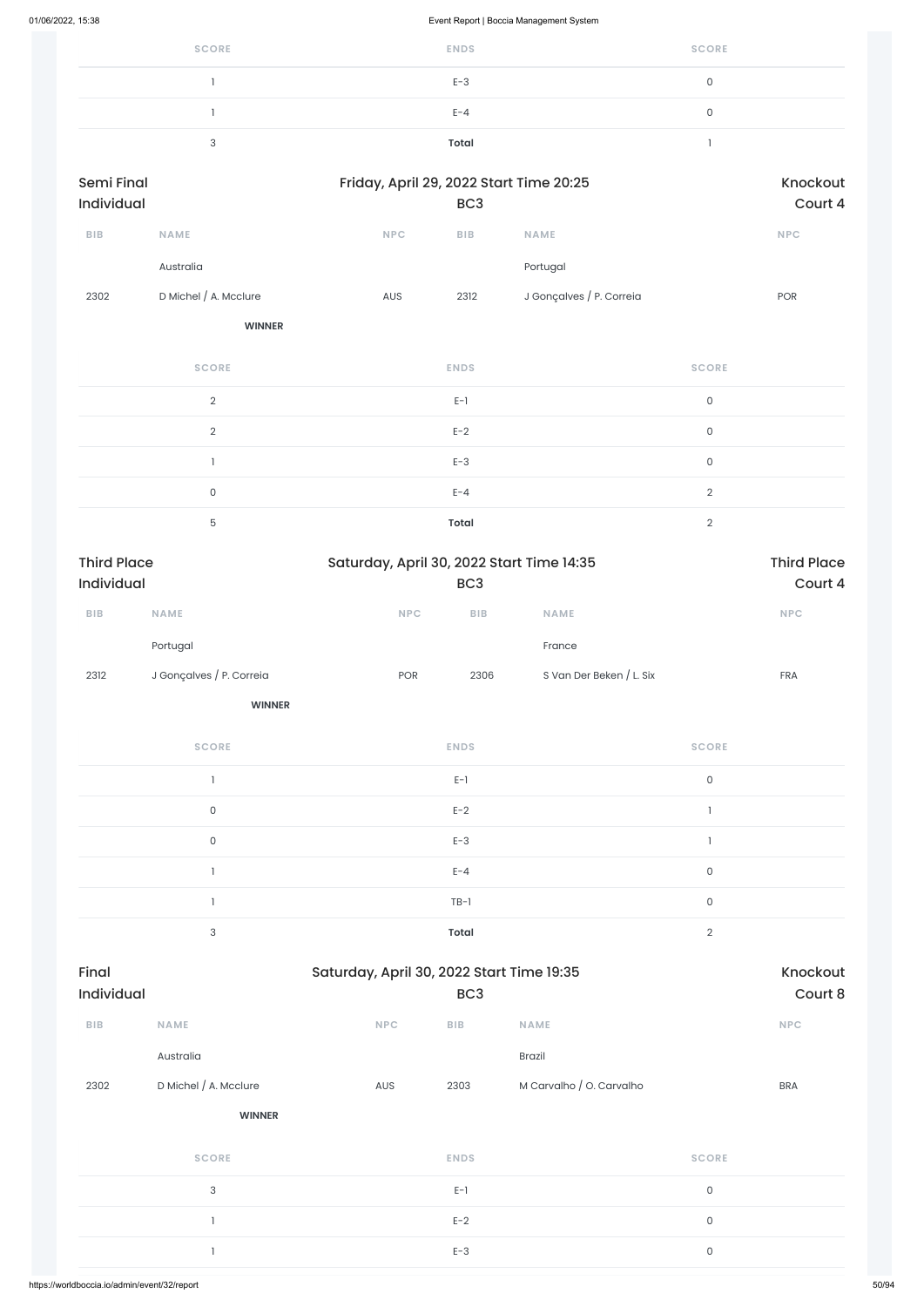| <b>SCORE</b> | <b>ENDS</b> | <b>SCORE</b> |
|--------------|-------------|--------------|
|              | $E-3$       | u            |
|              | $E - 4$     |              |
|              | Total       |              |

| Semi Final<br>Individual |                       |            | Friday, April 29, 2022 Start Time 20:25<br>BC <sub>3</sub> |                          |            |  |  |  |
|--------------------------|-----------------------|------------|------------------------------------------------------------|--------------------------|------------|--|--|--|
| <b>BIB</b>               | <b>NAME</b>           | <b>NPC</b> | <b>BIB</b>                                                 | <b>NAME</b>              | <b>NPC</b> |  |  |  |
|                          | Australia             |            |                                                            | Portugal                 |            |  |  |  |
| 2302                     | D Michel / A. Mcclure | <b>AUS</b> | 2312                                                       | J Gonçalves / P. Correia | <b>POR</b> |  |  |  |
|                          | <b>WINNER</b>         |            |                                                            |                          |            |  |  |  |

| <b>SCORE</b> | <b>ENDS</b>  | <b>SCORE</b> |
|--------------|--------------|--------------|
| $\Omega$     | $E-1$        | $\mathbf{0}$ |
| $\Omega$     | $E-2$        | $\Omega$     |
|              | $E-3$        | $\Omega$     |
| $\mathbf{0}$ | $E - 4$      | $\cap$       |
| 5            | <b>Total</b> | $\cap$       |

| <b>Third Place</b> |                          | Saturday, April 30, 2022 Start Time 14:35 | <b>Third Place</b><br>Court 4 |                          |            |
|--------------------|--------------------------|-------------------------------------------|-------------------------------|--------------------------|------------|
| <b>Individual</b>  |                          |                                           |                               |                          |            |
| <b>BIB</b>         | <b>NAME</b>              | <b>NPC</b>                                | <b>BIB</b>                    | <b>NAME</b>              | <b>NPC</b> |
|                    | Portugal                 |                                           |                               | France                   |            |
| 2312               | J Gonçalves / P. Correia | <b>POR</b>                                | 2306                          | S Van Der Beken / L. Six | <b>FRA</b> |

| <b>SCORE</b> | <b>ENDS</b>  | <b>SCORE</b> |
|--------------|--------------|--------------|
|              | $E-1$        | $\mathsf 0$  |
| 0            | $E-2$        |              |
| $\mathbf{0}$ | $E-3$        |              |
|              | $E - 4$      | 0            |
|              | $TB-1$       | $\mathbf 0$  |
| 3            | <b>Total</b> | $\Omega$     |

| Individual |                           |            | BC <sub>3</sub>         |                          |                     | Court 8    |
|------------|---------------------------|------------|-------------------------|--------------------------|---------------------|------------|
| BIB        | <b>NAME</b>               | <b>NPC</b> | ${\sf B}{\sf I}{\sf B}$ | <b>NAME</b>              |                     | <b>NPC</b> |
|            | Australia                 |            |                         | Brazil                   |                     |            |
| 2302       | D Michel / A. Mcclure     | AUS        | 2303                    | M Carvalho / O. Carvalho |                     | <b>BRA</b> |
|            | <b>WINNER</b>             |            |                         |                          |                     |            |
|            | <b>SCORE</b>              |            | <b>ENDS</b>             |                          | <b>SCORE</b>        |            |
|            | $\ensuremath{\mathsf{3}}$ |            | $E-1$                   |                          | $\mathsf{O}\xspace$ |            |
|            |                           |            | $E-2$                   |                          | $\mathsf{O}\xspace$ |            |
|            |                           |            | $E-3$                   |                          | $\mathsf{O}\xspace$ |            |
|            |                           |            |                         |                          |                     |            |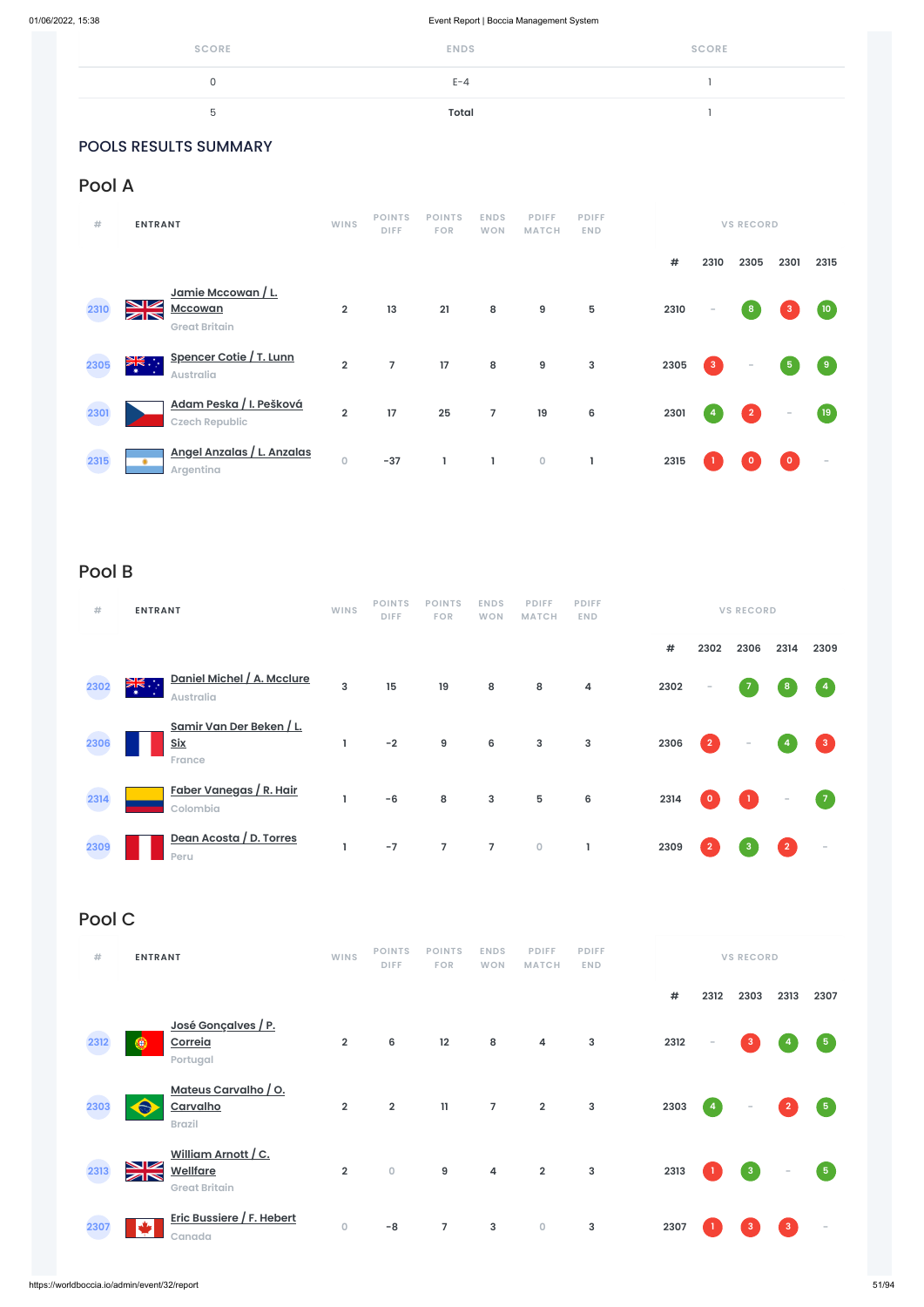| <b>SCORE</b> | <b>ENDS</b>  | <b>SCORE</b> |
|--------------|--------------|--------------|
| 0            | $E - 4$      |              |
| ხ            | <b>Total</b> |              |

### POOLS RESULTS SUMMARY

## Pool A

| #    | <b>ENTRANT</b>                                                                                | <b>WINS</b>    | <b>POINTS</b><br><b>DIFF</b> | <b>POINTS</b><br><b>FOR</b> | <b>ENDS</b><br><b>WON</b> | <b>PDIFF</b><br><b>MATCH</b> | <b>PDIFF</b><br><b>END</b> |      |             | <b>VS RECORD</b> |                          |        |
|------|-----------------------------------------------------------------------------------------------|----------------|------------------------------|-----------------------------|---------------------------|------------------------------|----------------------------|------|-------------|------------------|--------------------------|--------|
|      |                                                                                               |                |                              |                             |                           |                              |                            | #    | 2310        | 2305             | 2301                     | 2315   |
| 2310 | Jamie Mccowan / L.<br>↘☑<br><b>Mccowan</b><br>$\mathbb{Z} \mathbb{N}$<br><b>Great Britain</b> | $\overline{2}$ | 13                           | 21                          | $\bf 8$                   | 9                            | 5                          | 2310 | $\sim$      | $\boldsymbol{8}$ |                          | (10)   |
| 2305 | Spencer Cotie / T. Lunn<br>≱ਵ∵<br><b>A</b><br><b>Australia</b>                                | $\overline{2}$ | $\overline{7}$               | 17                          | $\bf 8$                   | $\boldsymbol{9}$             | $\mathsf 3$                | 2305 | $\mathsf 3$ | $\sim$           | 5 <sub>1</sub>           | 9      |
| 2301 | Adam Peska / I. Pešková<br><b>Czech Republic</b>                                              | $\overline{2}$ | 17                           | 25                          | $\overline{7}$            | 19                           | $\bf 6$                    | 2301 | 4           | $\overline{2}$   | $\overline{\phantom{a}}$ | (19)   |
| 2315 | Angel Anzalas / L. Anzalas<br>Argentina                                                       | $\mathbf 0$    | $-37$                        | 1                           | ı                         | $\mathsf O$                  | L                          | 2315 |             |                  | $\mathbf{0}$             | $\sim$ |

# Pool B

| #    | <b>ENTRANT</b>                                       | <b>WINS</b> | <b>POINTS</b><br><b>DIFF</b> | <b>POINTS</b><br><b>FOR</b> | <b>ENDS</b><br><b>WON</b> | <b>PDIFF</b><br><b>MATCH</b> | <b>PDIFF</b><br><b>END</b> |      |                | <b>VS RECORD</b>         |                |                          |
|------|------------------------------------------------------|-------------|------------------------------|-----------------------------|---------------------------|------------------------------|----------------------------|------|----------------|--------------------------|----------------|--------------------------|
|      |                                                      |             |                              |                             |                           |                              |                            | $\#$ | 2302           | 2306                     | 2314           | 2309                     |
| 2302 | Daniel Michel / A. Mcclure<br>≫.<br><b>Australia</b> | 3           | 15                           | 19                          | 8                         | 8                            | 4                          | 2302 | $\sim$         | 7                        | 8              | $\overline{4}$           |
| 2306 | Samir Van Der Beken / L.<br><b>Six</b><br>France     | L           | $-2$                         | 9                           | 6                         | $\mathbf{3}$                 | 3                          | 2306 | $\overline{2}$ | $\overline{\phantom{a}}$ |                | $\mathbf{3}$             |
| 2314 | <u>Faber Vanegas / R. Hair</u><br>Colombia           | L.          | $-6$                         | ${\bf 8}$                   | 3                         | 5                            | 6                          | 2314 | $\mathbf 0$    |                          | ÷              |                          |
| 2309 | Dean Acosta / D. Torres<br>Peru                      | L           | $-7$                         | $\overline{7}$              | $\overline{7}$            | $\mathsf{O}\xspace$          |                            | 2309 | $\overline{2}$ | 3                        | $\overline{2}$ | $\overline{\phantom{a}}$ |

# Pool C

| <b>ENTRANT</b> | WIN: |             |  | POINTS POINTS ENDS PDIFF PDIFF |  |
|----------------|------|-------------|--|--------------------------------|--|
|                |      | <b>DIFF</b> |  | FOR WON MATCH END              |  |

**# 2312 2303 2313 2307 José Gonçalves / P. 2312 Correia** ۵ **2 6 12 8 4 3 2312 - 3 4 5 Portugal Mateus Carvalho / O.**  $\hat{\bullet}$ **2303 Carvalho 2 2 11 7 2 3 2303 4 - 2 5 Brazil William Arnott / C.** NK<br>AK **Wellfare 2313 2 0 9 4 2 3 2313 1 3 - 5 Great Britain Eric Bussiere / F. Hebert 23070 -8 7 3 0 3 2307 1 3 3 - Canada**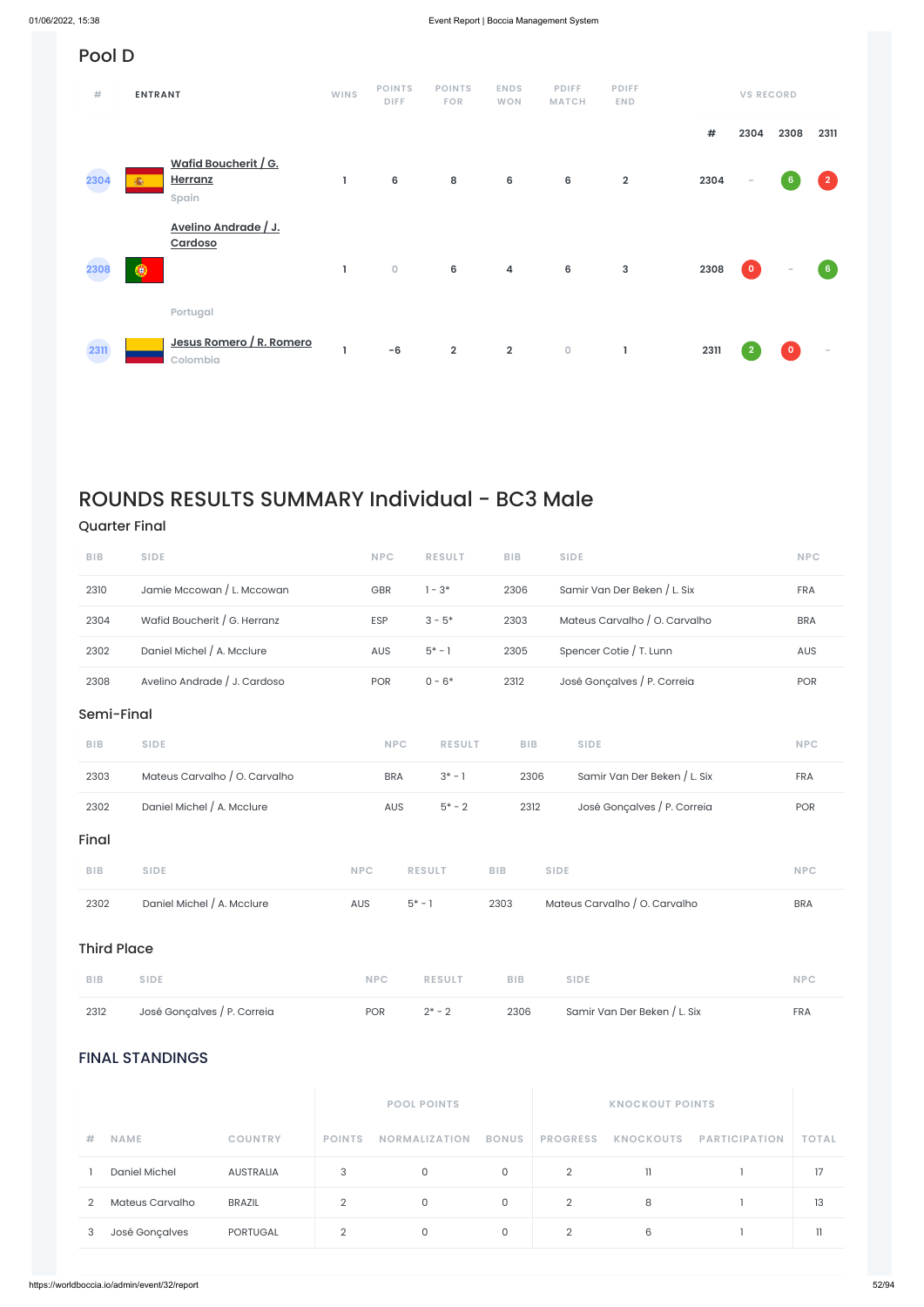### FINAL STANDINGS

|   |                 |                |               | <b>POOL POINTS</b>   |              |                 | <b>KNOCKOUT POINTS</b> |                      |              |
|---|-----------------|----------------|---------------|----------------------|--------------|-----------------|------------------------|----------------------|--------------|
| # | <b>NAME</b>     | <b>COUNTRY</b> | <b>POINTS</b> | <b>NORMALIZATION</b> | <b>BONUS</b> | <b>PROGRESS</b> | <b>KNOCKOUTS</b>       | <b>PARTICIPATION</b> | <b>TOTAL</b> |
|   | Daniel Michel   | AUSTRALIA      | 3             | $\circ$              | 0            | 2               | 11                     |                      | 17           |
| 2 | Mateus Carvalho | <b>BRAZIL</b>  | 2             | $\Omega$             | 0            | 2               | 8                      |                      | 13           |
| 3 | José Gonçalves  | PORTUGAL       | 2             | $\circ$              | 0            | 2               | 6                      |                      | 11           |

#### Pool D **POINTS POINTS ENDS PDIFF PDIFF # ENTRANT WINS VS RECORD DIFF FOR WON MATCH END # 2304 2308 2311 Wafid Boucherit / G. Herranz 2304** ä. **1 6 8 6 6 2 2304 - 6 2 Spain Avelino Andrade / J. Cardoso 2308** ⊛ **1 0 6 4 6 3 2308 0 - 6 Portugal Jesus Romero / R. Romero 2311 1 -6 2 2 0 1 2311 2 0 - Colombia**

# ROUNDS RESULTS SUMMARY Individual - BC3 Male

### Quarter Final

| <b>BIB</b> | <b>SIDE</b>                   | <b>NPC</b> |            | <b>RESULT</b> | <b>BIB</b> |            | <b>SIDE</b>                   | <b>NPC</b> |
|------------|-------------------------------|------------|------------|---------------|------------|------------|-------------------------------|------------|
| 2310       | Jamie Mccowan / L. Mccowan    | GBR        |            | $1 - 3*$      |            | 2306       | Samir Van Der Beken / L. Six  | <b>FRA</b> |
| 2304       | Wafid Boucherit / G. Herranz  | ESP        |            | $3 - 5*$      |            | 2303       | Mateus Carvalho / O. Carvalho | <b>BRA</b> |
| 2302       | Daniel Michel / A. Mcclure    | AUS        |            | $5* - 1$      |            | 2305       | Spencer Cotie / T. Lunn       | AUS        |
| 2308       | Avelino Andrade / J. Cardoso  | <b>POR</b> |            | $0 - 6*$      |            | 2312       | José Gonçalves / P. Correia   | <b>POR</b> |
| Semi-Final |                               |            |            |               |            |            |                               |            |
| <b>BIB</b> | <b>SIDE</b>                   |            | <b>NPC</b> | <b>RESULT</b> |            | <b>BIB</b> | <b>SIDE</b>                   | <b>NPC</b> |
| 2303       | Mateus Carvalho / O. Carvalho |            | <b>BRA</b> | $3^* - 1$     |            | 2306       | Samir Van Der Beken / L. Six  | <b>FRA</b> |
| 2302       | Daniel Michel / A. Mcclure    |            | AUS        | $5* - 2$      |            | 2312       | José Gonçalves / P. Correia   | <b>POR</b> |
| Final      |                               |            |            |               |            |            |                               |            |
| <b>BIB</b> | <b>SIDE</b>                   | <b>NPC</b> |            | <b>RESULT</b> | <b>BIB</b> |            | <b>SIDE</b>                   | <b>NPC</b> |
| 2302       | Daniel Michel / A. Mcclure    | AUS        | $5* - 1$   |               | 2303       |            | Mateus Carvalho / O. Carvalho | <b>BRA</b> |
|            |                               |            |            |               |            |            |                               |            |

### Third Place

| BIB SIDE |  | NPC RESULT BIB SIDE |  | <b>NPC</b> |
|----------|--|---------------------|--|------------|
|          |  |                     |  |            |

|  | 2312 José Gonçalves / P. Correia | <b>POR</b> | $2^*$ – 2 |  | 2306              Samir Van Der Beken / L. Six<br>the contract of the contract of the contract of the contract of the contract of the contract of the contract of | <b>FRA</b> |
|--|----------------------------------|------------|-----------|--|-------------------------------------------------------------------------------------------------------------------------------------------------------------------|------------|
|--|----------------------------------|------------|-----------|--|-------------------------------------------------------------------------------------------------------------------------------------------------------------------|------------|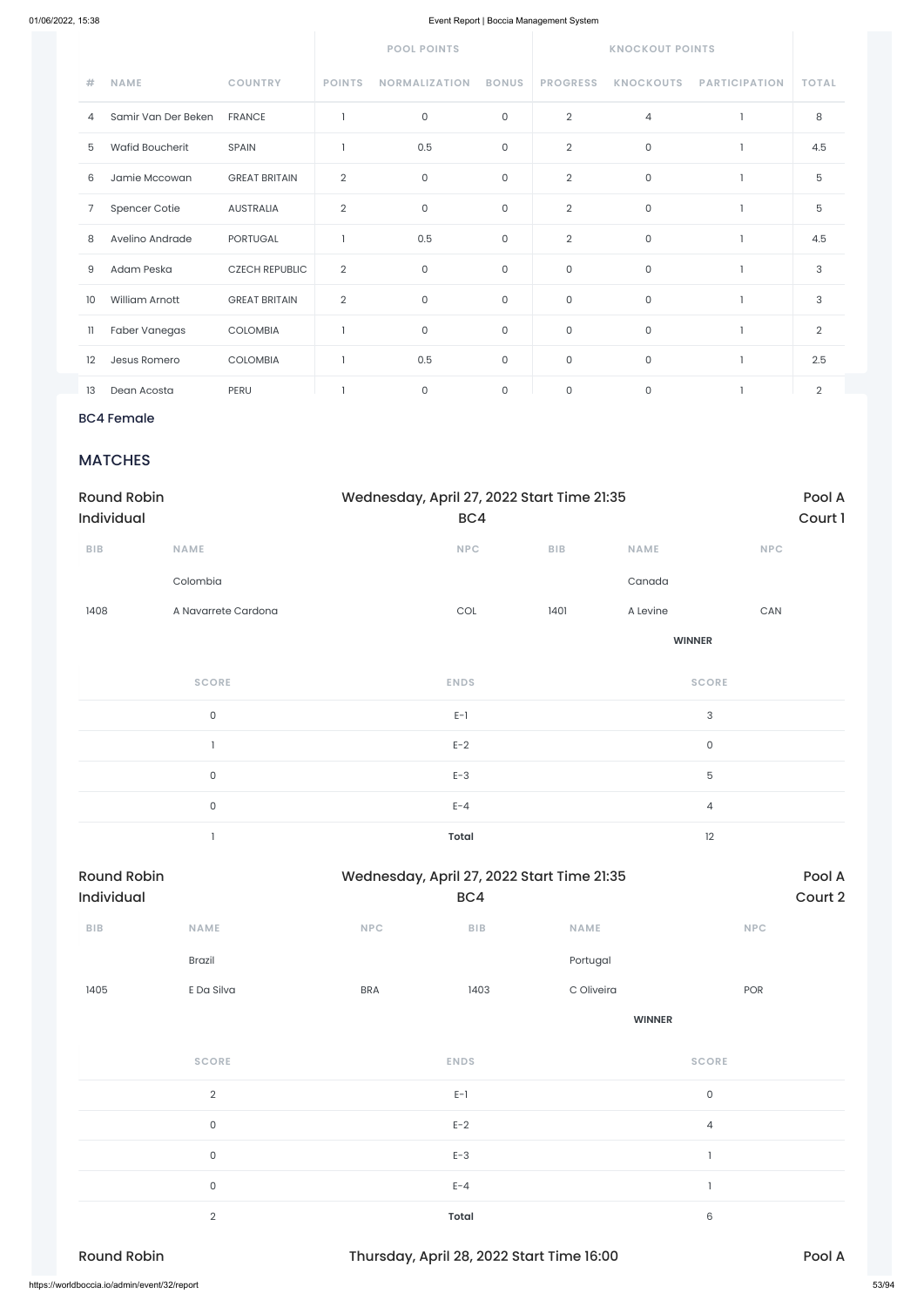|              |                        |                       |                | <b>POOL POINTS</b>   |              |                 | <b>KNOCKOUT POINTS</b> |                      |                |
|--------------|------------------------|-----------------------|----------------|----------------------|--------------|-----------------|------------------------|----------------------|----------------|
| #            | <b>NAME</b>            | <b>COUNTRY</b>        | <b>POINTS</b>  | <b>NORMALIZATION</b> | <b>BONUS</b> | <b>PROGRESS</b> | <b>KNOCKOUTS</b>       | <b>PARTICIPATION</b> | <b>TOTAL</b>   |
| 4            | Samir Van Der Beken    | <b>FRANCE</b>         |                | $\mathsf O$          | $\mathsf{O}$ | $\overline{2}$  | $\overline{4}$         |                      | 8              |
| 5            | <b>Wafid Boucherit</b> | <b>SPAIN</b>          |                | 0.5                  | $\mathsf{O}$ | $\overline{2}$  | $\mathsf O$            |                      | 4.5            |
| 6            | Jamie Mccowan          | <b>GREAT BRITAIN</b>  | $\overline{2}$ | $\mathsf{O}$         | $\mathsf{O}$ | $\overline{2}$  | $\mathsf{O}$           |                      | 5              |
| 7            | Spencer Cotie          | <b>AUSTRALIA</b>      | $\overline{2}$ | $\mathsf{O}$         | $\mathsf{O}$ | $\overline{2}$  | 0                      |                      | 5              |
| 8            | Avelino Andrade        | <b>PORTUGAL</b>       |                | 0.5                  | $\mathsf{O}$ | $\overline{2}$  | $\mathsf{O}\xspace$    |                      | 4.5            |
| 9            | Adam Peska             | <b>CZECH REPUBLIC</b> | $\overline{2}$ | $\mathbf 0$          | $\mathsf{O}$ | $\mathsf{O}$    | $\mathsf{O}\xspace$    | 1                    | 3              |
| 10           | William Arnott         | <b>GREAT BRITAIN</b>  | $\overline{2}$ | $\mathsf{O}$         | $\mathsf{O}$ | $\mathsf{O}$    | $\mathsf{O}\xspace$    | $\mathbf{1}$         | 3              |
| $\mathbf{1}$ | Faber Vanegas          | COLOMBIA              |                | $\mathsf{O}$         | $\mathsf O$  | $\mathsf{O}$    | $\mathsf{O}\xspace$    |                      | $\overline{2}$ |
| 12           | Jesus Romero           | <b>COLOMBIA</b>       |                | 0.5                  | $\mathsf{O}$ | $\mathsf{O}$    | $\mathsf O$            |                      | 2.5            |
| 13           | Dean Acosta            | PFRU                  |                | $\Omega$             | $\Omega$     | $\Omega$        | $\Omega$               |                      | $\mathfrak{D}$ |

| 1405<br>E Da Silva                           | <b>BRA</b> | 1403         | C Oliveira                                | POR          |        |       |
|----------------------------------------------|------------|--------------|-------------------------------------------|--------------|--------|-------|
|                                              |            |              | <b>WINNER</b>                             |              |        |       |
| <b>SCORE</b>                                 |            | <b>ENDS</b>  |                                           | <b>SCORE</b> |        |       |
| $\overline{2}$                               |            | $E-1$        |                                           | $\mathsf O$  |        |       |
| $\mathsf O$                                  |            | $E-2$        |                                           | 4            |        |       |
| $\mathsf O$                                  |            | $E-3$        |                                           |              |        |       |
| $\mathsf O$                                  |            | $E - 4$      |                                           |              |        |       |
| $\sqrt{2}$                                   |            | <b>Total</b> |                                           | 6            |        |       |
| <b>Round Robin</b>                           |            |              | Thursday, April 28, 2022 Start Time 16:00 |              | Pool A |       |
| https://worldboccia.io/admin/event/32/report |            |              |                                           |              |        | 53/94 |

#### 14 Eric Bussiere CANADA 0 0 0 0 0 1 1 BC4 Female

#### $157 \times 100$ **MATCHES**

| <b>Round Robin</b><br>Individual |                     |            | Wednesday, April 27, 2022 Start Time 21:35<br>BC4 |             |                           |            | Pool A<br>Court 1 |
|----------------------------------|---------------------|------------|---------------------------------------------------|-------------|---------------------------|------------|-------------------|
| BIB                              | NAME                |            | <b>NPC</b>                                        | BIB         | NAME                      | <b>NPC</b> |                   |
|                                  | Colombia            |            |                                                   |             | Canada                    |            |                   |
| 1408                             | A Navarrete Cardona |            | COL                                               | 1401        | A Levine                  | CAN        |                   |
|                                  |                     |            |                                                   |             | <b>WINNER</b>             |            |                   |
|                                  | <b>SCORE</b>        |            | <b>ENDS</b>                                       |             | <b>SCORE</b>              |            |                   |
|                                  | $\mathsf{O}\xspace$ |            | $E-1$                                             |             | $\ensuremath{\mathsf{3}}$ |            |                   |
|                                  | $\mathbf{I}$        |            | $E-2$                                             |             | $\mathsf{O}\xspace$       |            |                   |
|                                  | $\mathsf{O}\xspace$ |            | $E-3$                                             |             | 5                         |            |                   |
|                                  | $\mathsf{O}\xspace$ |            | $E - 4$                                           |             | $\overline{4}$            |            |                   |
|                                  | $\mathbb{I}$        |            | <b>Total</b>                                      |             | 12                        |            |                   |
| <b>Round Robin</b>               |                     |            | Wednesday, April 27, 2022 Start Time 21:35        |             |                           |            | Pool A            |
| Individual                       |                     |            | BC4                                               |             |                           |            | Court 2           |
| BIB                              | <b>NAME</b>         | <b>NPC</b> | ${\sf B}{\sf I}{\sf B}$                           | <b>NAME</b> |                           | <b>NPC</b> |                   |
|                                  | <b>Brazil</b>       |            |                                                   | Portugal    |                           |            |                   |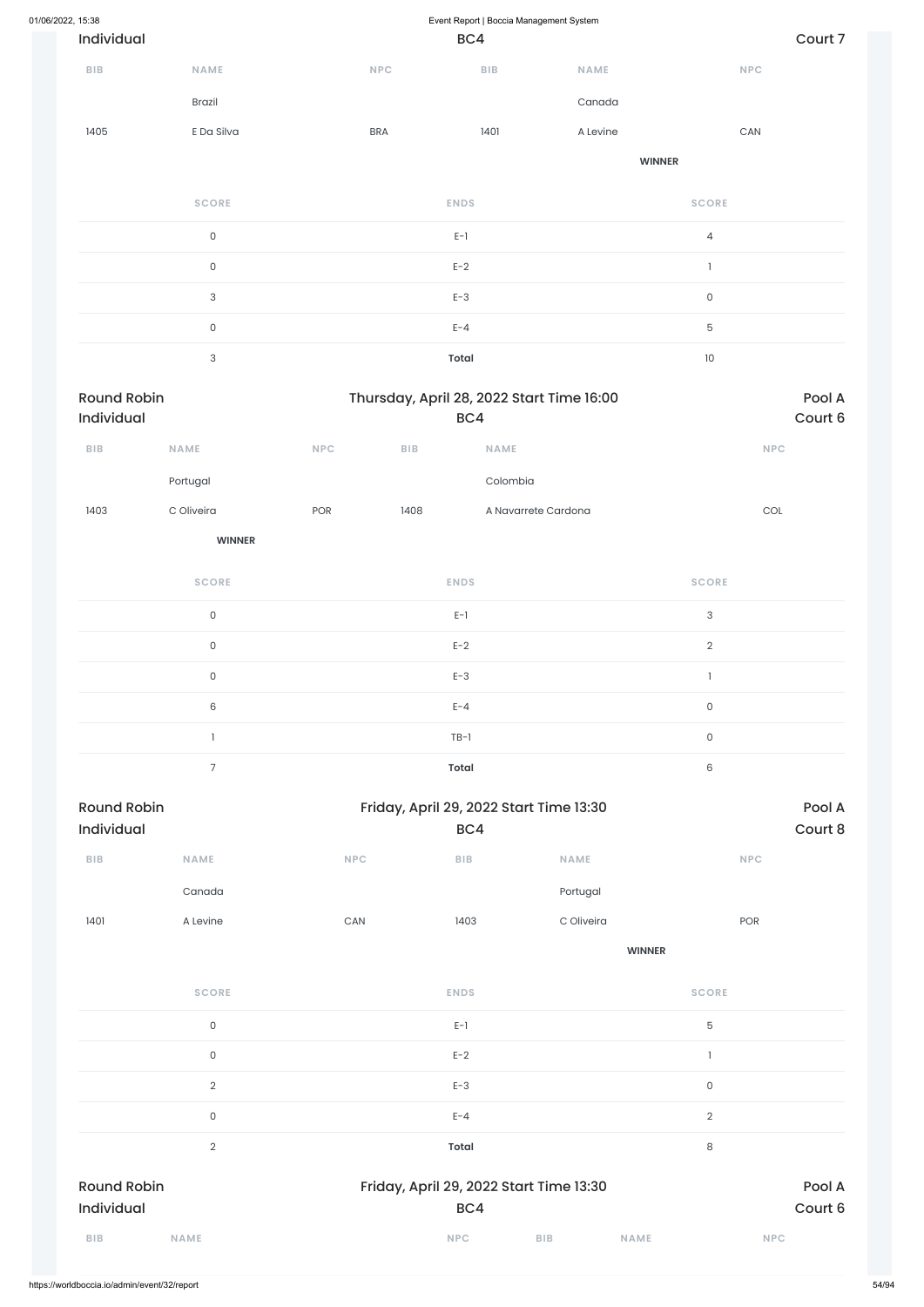| 01/06/2022, 15:38 | Individual         |                           |     |            | BC4          | Event Report   Boccia Management System   |          |                     |                           | Court 7 |
|-------------------|--------------------|---------------------------|-----|------------|--------------|-------------------------------------------|----------|---------------------|---------------------------|---------|
|                   | BIB                | NAME                      |     | NPC        |              | BIB                                       | NAME     |                     | <b>NPC</b>                |         |
|                   |                    | Brazil                    |     |            |              |                                           | Canada   |                     |                           |         |
|                   | 1405               | E Da Silva                |     | <b>BRA</b> |              | 1401                                      |          |                     | ${\sf CAN}$               |         |
|                   |                    |                           |     |            |              |                                           | A Levine |                     |                           |         |
|                   |                    |                           |     |            |              |                                           |          | <b>WINNER</b>       |                           |         |
|                   |                    | <b>SCORE</b>              |     |            | <b>ENDS</b>  |                                           |          | <b>SCORE</b>        |                           |         |
|                   |                    | $\mathsf{O}\xspace$       |     |            | $E-1$        |                                           |          | $\overline{4}$      |                           |         |
|                   |                    | $\mathsf{O}\xspace$       |     |            | $E-2$        |                                           |          | $\mathbf{I}$        |                           |         |
|                   |                    | $\ensuremath{\mathsf{3}}$ |     |            | $E-3$        |                                           |          | $\mathsf{O}\xspace$ |                           |         |
|                   |                    | $\mathsf{O}\xspace$       |     |            | $E - 4$      |                                           |          | $\mathbf 5$         |                           |         |
|                   |                    | $\ensuremath{\mathsf{3}}$ |     |            | <b>Total</b> |                                           |          | $10\,$              |                           |         |
|                   | <b>Round Robin</b> |                           |     |            |              | Thursday, April 28, 2022 Start Time 16:00 |          |                     |                           | Pool A  |
|                   | Individual         |                           |     |            | BC4          |                                           |          |                     |                           | Court 6 |
|                   | <b>BIB</b>         | NAME                      | NPC | BIB        |              | NAME                                      |          |                     | <b>NPC</b>                |         |
|                   |                    | Portugal                  |     |            |              | Colombia                                  |          |                     |                           |         |
|                   | 1403               | C Oliveira                | POR | 1408       |              | A Navarrete Cardona                       |          |                     | $\ensuremath{\text{COL}}$ |         |
|                   |                    | <b>WINNER</b>             |     |            |              |                                           |          |                     |                           |         |
|                   |                    | <b>SCORE</b>              |     |            | <b>ENDS</b>  |                                           |          | <b>SCORE</b>        |                           |         |
|                   |                    | $\mathsf{O}\xspace$       |     |            | $E-1$        |                                           |          | $\mathsf{3}$        |                           |         |
|                   |                    | $\mathsf{O}\xspace$       |     |            | $E-2$        |                                           |          | $\overline{2}$      |                           |         |
|                   |                    | $\mathsf{O}\xspace$       |     |            | $E-3$        |                                           |          | $\mathbb{L}$        |                           |         |
|                   |                    | $\,6\,$                   |     |            | $E - 4$      |                                           |          | $\mathsf{O}\xspace$ |                           |         |
|                   |                    | $\mathbf{1}$              |     |            | $TB-1$       |                                           |          | $\mathsf{O}\xspace$ |                           |         |
|                   |                    | $\overline{7}$            |     |            | Total        |                                           |          | $\,6$               |                           |         |
|                   |                    |                           |     |            |              |                                           |          |                     |                           |         |

Round Robin **Robin** Friday, April 29, 2022 Start Time 13:30 Individual BC4 Court 8 **BIB NAME NPC BIB NAME NPC** Canada Portugal 1401 A Levine CAN 1403 C Oliveira POR

| <b>SCORE</b>                     | <b>ENDS</b>                                    | <b>SCORE</b>              |
|----------------------------------|------------------------------------------------|---------------------------|
| $\mathsf O$                      | $E-1$                                          | 5                         |
| $\mathsf O$                      | $E-2$                                          |                           |
| $\overline{2}$                   | $E-3$                                          | $\mathsf O$               |
| 0                                | $E - 4$                                        | $\sqrt{2}$                |
| $\overline{2}$                   | Total                                          | 8                         |
| <b>Round Robin</b><br>Individual | Friday, April 29, 2022 Start Time 13:30<br>BC4 | Pool A<br>Court 6         |
| <b>BIB</b><br><b>NAME</b>        | <b>BIB</b><br><b>NPC</b>                       | <b>NAME</b><br><b>NPC</b> |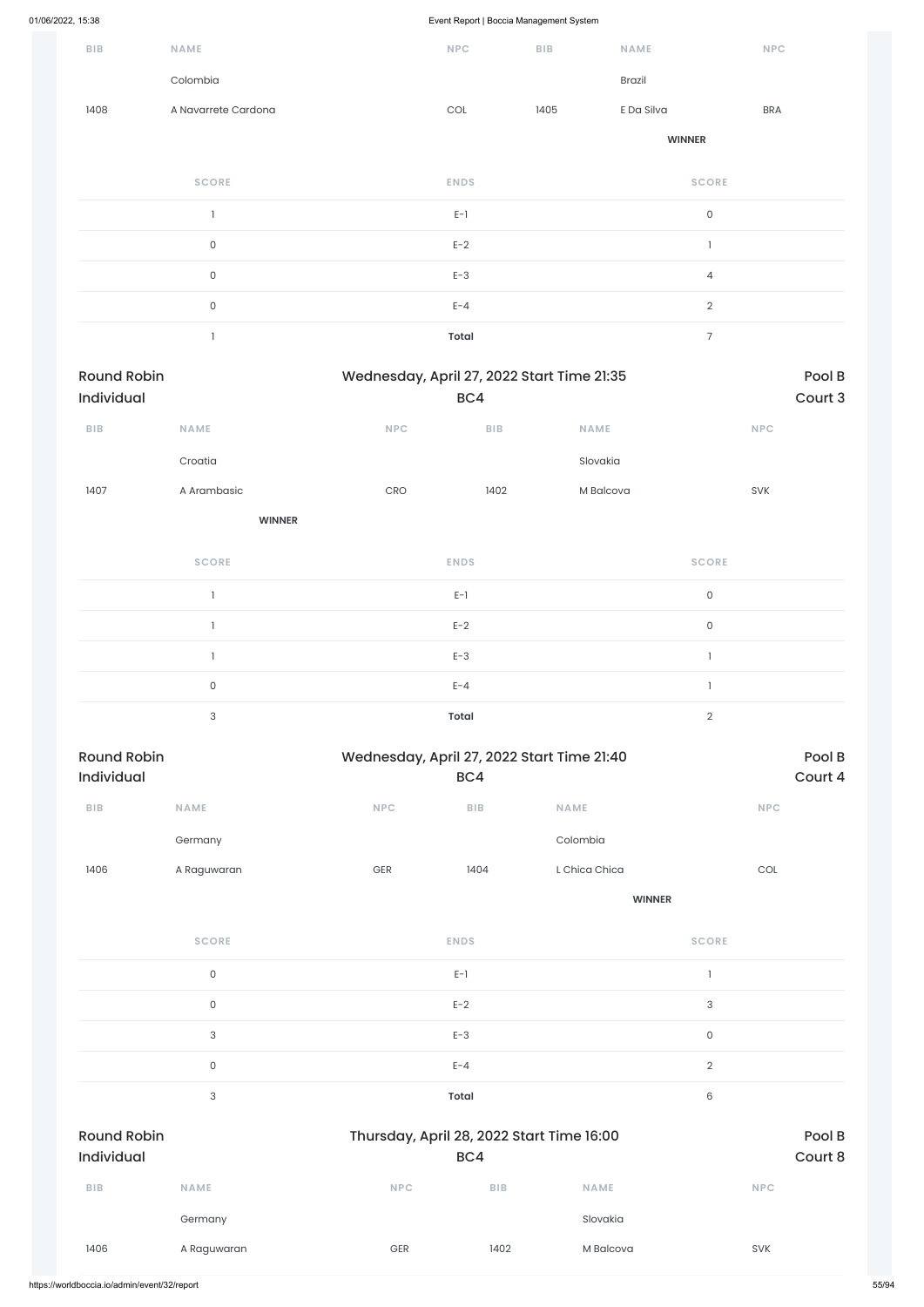|                                  |                           |                                            |                             | $\check{\phantom{a}}$ |               |                     |                   |
|----------------------------------|---------------------------|--------------------------------------------|-----------------------------|-----------------------|---------------|---------------------|-------------------|
| BIB                              | NAME                      |                                            | NPC                         | BIB                   | NAME          | <b>NPC</b>          |                   |
|                                  | Colombia                  |                                            |                             |                       | Brazil        |                     |                   |
| 1408                             | A Navarrete Cardona       |                                            | $\mathop{\rm COL}\nolimits$ | 1405                  | E Da Silva    | <b>BRA</b>          |                   |
|                                  |                           |                                            |                             |                       | <b>WINNER</b> |                     |                   |
|                                  | <b>SCORE</b>              |                                            | <b>ENDS</b>                 |                       |               | <b>SCORE</b>        |                   |
|                                  | $\mathbf{I}$              |                                            | $E-1$                       |                       |               | $\mathsf{O}\xspace$ |                   |
|                                  | $\mathsf{O}\xspace$       |                                            | $E-2$                       |                       |               | $\mathbf{I}$        |                   |
|                                  | $\mathsf{O}\xspace$       |                                            | $E-3$                       |                       |               | $\overline{4}$      |                   |
|                                  | $\mathsf{O}\xspace$       |                                            | $E - 4$                     |                       |               | $\overline{2}$      |                   |
|                                  | $\mathbf{I}$              |                                            | <b>Total</b>                |                       |               | $\boldsymbol{7}$    |                   |
| <b>Round Robin</b><br>Individual |                           | Wednesday, April 27, 2022 Start Time 21:35 | BC4                         |                       |               |                     | Pool B<br>Court 3 |
| ${\sf B}{\sf I}{\sf B}$          | <b>NAME</b>               | NPC                                        | BIB                         | NAME                  |               | NPC                 |                   |
|                                  | Croatia                   |                                            |                             | Slovakia              |               |                     |                   |
| 1407                             | A Arambasic               | CRO                                        | 1402                        |                       | M Balcova     | SVK                 |                   |
|                                  | <b>WINNER</b>             |                                            |                             |                       |               |                     |                   |
|                                  | <b>SCORE</b>              |                                            | <b>ENDS</b>                 |                       |               | <b>SCORE</b>        |                   |
|                                  | $\mathbf{1}$              |                                            | $E-1$                       |                       |               | $\mathsf{O}\xspace$ |                   |
|                                  | $\mathbf{1}$              |                                            | $E-2$                       |                       |               | $\mathsf{O}\xspace$ |                   |
|                                  | $\mathbf{I}$              |                                            | $E-3$                       |                       |               | $\mathbf{I}$        |                   |
|                                  | $\mathsf{O}\xspace$       |                                            | $E - 4$                     |                       |               | $\mathbf{I}$        |                   |
|                                  | $\ensuremath{\mathsf{3}}$ |                                            | <b>Total</b>                |                       |               | $\sqrt{2}$          |                   |
| <b>Round Robin</b><br>Individual |                           | Wednesday, April 27, 2022 Start Time 21:40 | BC4                         |                       |               |                     | Pool B<br>Court 4 |
| ${\sf B}{\sf I}{\sf B}$          | NAME                      | <b>NPC</b>                                 | ${\sf B}{\sf I}{\sf B}$     | NAME                  |               | <b>NPC</b>          |                   |
|                                  | Germany                   |                                            |                             | Colombia              |               |                     |                   |
| 1406                             | A Raguwaran               | GER                                        | 1404                        | L Chica Chica         |               | COL                 |                   |
|                                  |                           |                                            |                             |                       | <b>WINNER</b> |                     |                   |
|                                  | <b>SCORE</b>              |                                            | <b>ENDS</b>                 |                       |               | <b>SCORE</b>        |                   |

 $E-1$  and  $E-1$  and  $E-1$  and  $E-1$  and  $E-1$  and  $E-1$  and  $E-1$  and  $E-1$  and  $E-1$  and  $E-1$  and  $E-1$  and  $E-1$  and  $E-1$  and  $E-1$  and  $E-1$  and  $E-1$  and  $E-1$  and  $E-1$  and  $E-1$  and  $E-1$  and  $E-1$  and  $E-1$  and

|                                  | $\mathsf{O}\xspace$       |                                           | $E-2$      |             | $\sqrt{3}$     |                   |
|----------------------------------|---------------------------|-------------------------------------------|------------|-------------|----------------|-------------------|
|                                  | $\ensuremath{\mathsf{3}}$ |                                           | $E-3$      |             | $\mathsf O$    |                   |
|                                  | $\mathsf{O}\xspace$       |                                           | $E - 4$    |             | $\overline{2}$ |                   |
|                                  | 3                         |                                           | Total      |             | 6              |                   |
| <b>Round Robin</b><br>Individual |                           | Thursday, April 28, 2022 Start Time 16:00 | BC4        |             |                | Pool B<br>Court 8 |
| <b>BIB</b>                       | <b>NAME</b>               | <b>NPC</b>                                | <b>BIB</b> | <b>NAME</b> |                | <b>NPC</b>        |
|                                  | Germany                   |                                           |            | Slovakia    |                |                   |
| 1406                             | A Raguwaran               | <b>GER</b>                                | 1402       | M Balcova   |                | <b>SVK</b>        |
|                                  |                           |                                           |            |             |                |                   |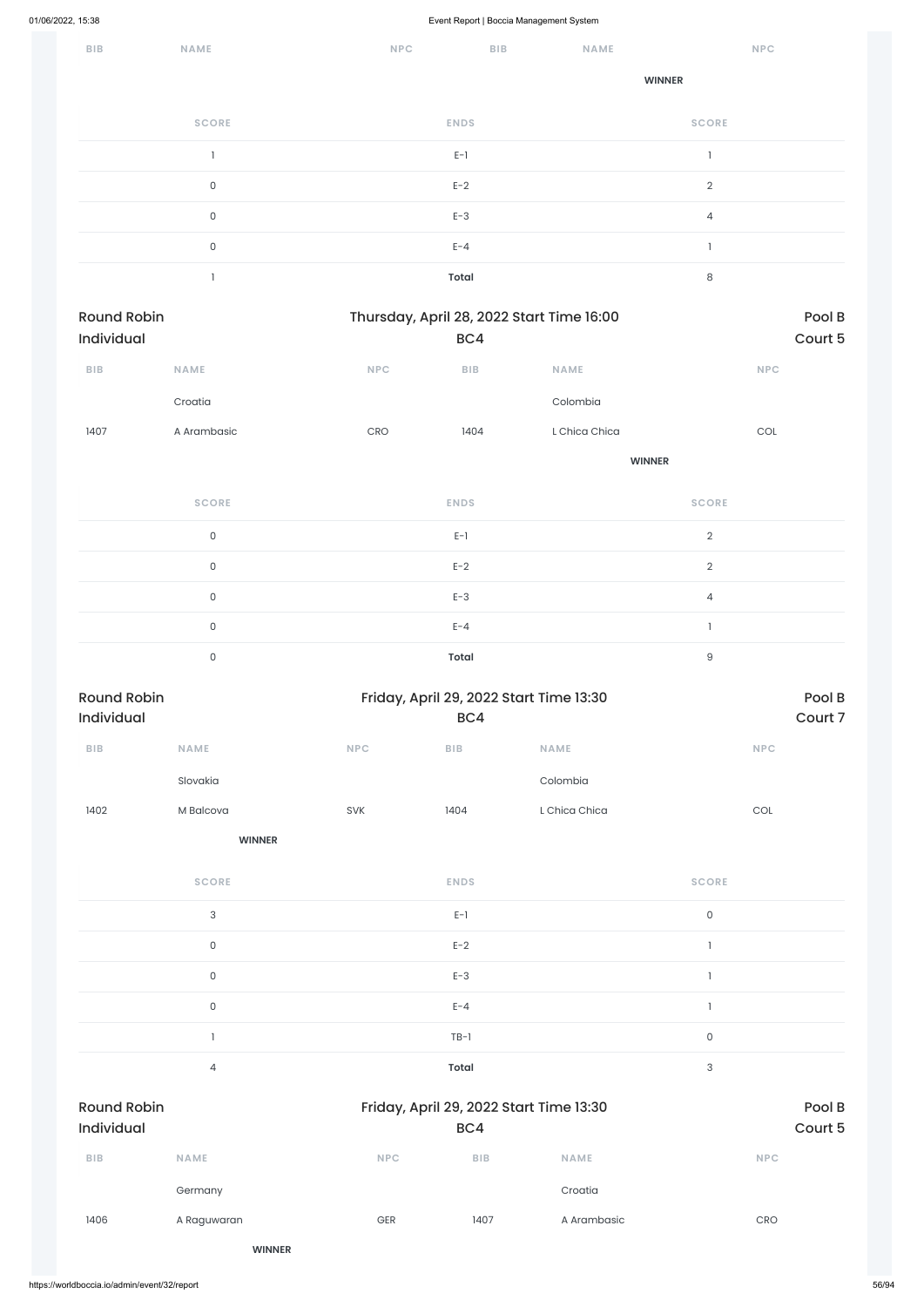| ${\sf B}{\sf I}{\sf B}$ | NAME         | <b>NPC</b>   | BIB<br><b>NAME</b> |                | NPC |
|-------------------------|--------------|--------------|--------------------|----------------|-----|
|                         |              |              |                    | <b>WINNER</b>  |     |
|                         | <b>SCORE</b> | <b>ENDS</b>  |                    | <b>SCORE</b>   |     |
|                         |              | $E-1$        |                    |                |     |
|                         | $\mathsf O$  | $E-2$        |                    | $\overline{2}$ |     |
|                         | $\mathsf O$  | $E-3$        |                    | $\overline{4}$ |     |
|                         | $\mathsf O$  | $E - 4$      |                    |                |     |
|                         |              | <b>Total</b> |                    | 8              |     |

| Round Robin<br>Individual        |                     |                                  | BC4          | Thursday, April 28, 2022 Start Time 16:00 | Pool B<br>Court 5           |                   |  |
|----------------------------------|---------------------|----------------------------------|--------------|-------------------------------------------|-----------------------------|-------------------|--|
| BIB                              | NAME                | $\ensuremath{\mathsf{NPC}}$      | BIB          | NAME                                      | NPC                         |                   |  |
|                                  |                     |                                  |              |                                           |                             |                   |  |
|                                  | Croatia             |                                  |              | Colombia                                  |                             |                   |  |
| 1407                             | A Arambasic         | $\mathsf{C}\mathsf{R}\mathsf{O}$ | 1404         | L Chica Chica                             | $\mathop{\rm COL}\nolimits$ |                   |  |
|                                  |                     |                                  |              | <b>WINNER</b>                             |                             |                   |  |
|                                  | <b>SCORE</b>        |                                  | <b>ENDS</b>  |                                           | <b>SCORE</b>                |                   |  |
|                                  | $\mathsf{O}\xspace$ |                                  | $E-1$        |                                           | $\overline{2}$              |                   |  |
|                                  | $\mathsf{O}\xspace$ |                                  | $E-2$        |                                           | $\overline{2}$              |                   |  |
|                                  | $\mathsf{O}\xspace$ |                                  | $E-3$        |                                           | $\overline{4}$              |                   |  |
|                                  | $\mathsf{O}\xspace$ |                                  | $E - 4$      |                                           | $\mathbf{I}$                |                   |  |
|                                  | $\mathsf{O}\xspace$ |                                  | <b>Total</b> |                                           | $\hbox{9}$                  |                   |  |
| <b>Round Robin</b><br>Individual |                     |                                  | BC4          | Friday, April 29, 2022 Start Time 13:30   |                             | Pool B<br>Court 7 |  |
| BIB                              | NAME                | <b>NPC</b>                       | BIB          | <b>NAME</b>                               | <b>NPC</b>                  |                   |  |
|                                  | Slovakia            |                                  |              | Colombia                                  |                             |                   |  |
| 1402                             | M Balcova           | SVK                              | 1404         | L Chica Chica                             | $\mathop{\rm COL}\nolimits$ |                   |  |
|                                  | <b>WINNER</b>       |                                  |              |                                           |                             |                   |  |
|                                  | <b>SCORE</b>        |                                  | <b>ENDS</b>  |                                           | <b>SCORE</b>                |                   |  |
|                                  | $\sqrt{3}$          |                                  | $E-1$        |                                           | $\mathsf O$                 |                   |  |
|                                  | $\mathsf{O}\xspace$ |                                  | $E-2$        |                                           | $\mathbf{I}$                |                   |  |
|                                  |                     |                                  |              |                                           |                             |                   |  |

|                                         | $\mathsf{O}\xspace$ |            | $E - 4$                                        |             | $\mathbf{1}$        |                   |
|-----------------------------------------|---------------------|------------|------------------------------------------------|-------------|---------------------|-------------------|
|                                         | n,                  |            | $TB-1$                                         |             | $\mathsf{O}\xspace$ |                   |
|                                         | 4                   |            | Total                                          |             | 3                   |                   |
| <b>Round Robin</b><br><b>Individual</b> |                     |            | Friday, April 29, 2022 Start Time 13:30<br>BC4 |             |                     | Pool B<br>Court 5 |
| BIB                                     | <b>NAME</b>         | <b>NPC</b> | BIB                                            | <b>NAME</b> |                     | <b>NPC</b>        |
|                                         | Germany             |            |                                                | Croatia     |                     |                   |
| 1406                                    | A Raguwaran         | GER        | 1407                                           | A Arambasic |                     | CRO               |
|                                         | <b>WINNER</b>       |            |                                                |             |                     |                   |
|                                         |                     |            |                                                |             |                     |                   |

 $E-3$  and  $E-3$  1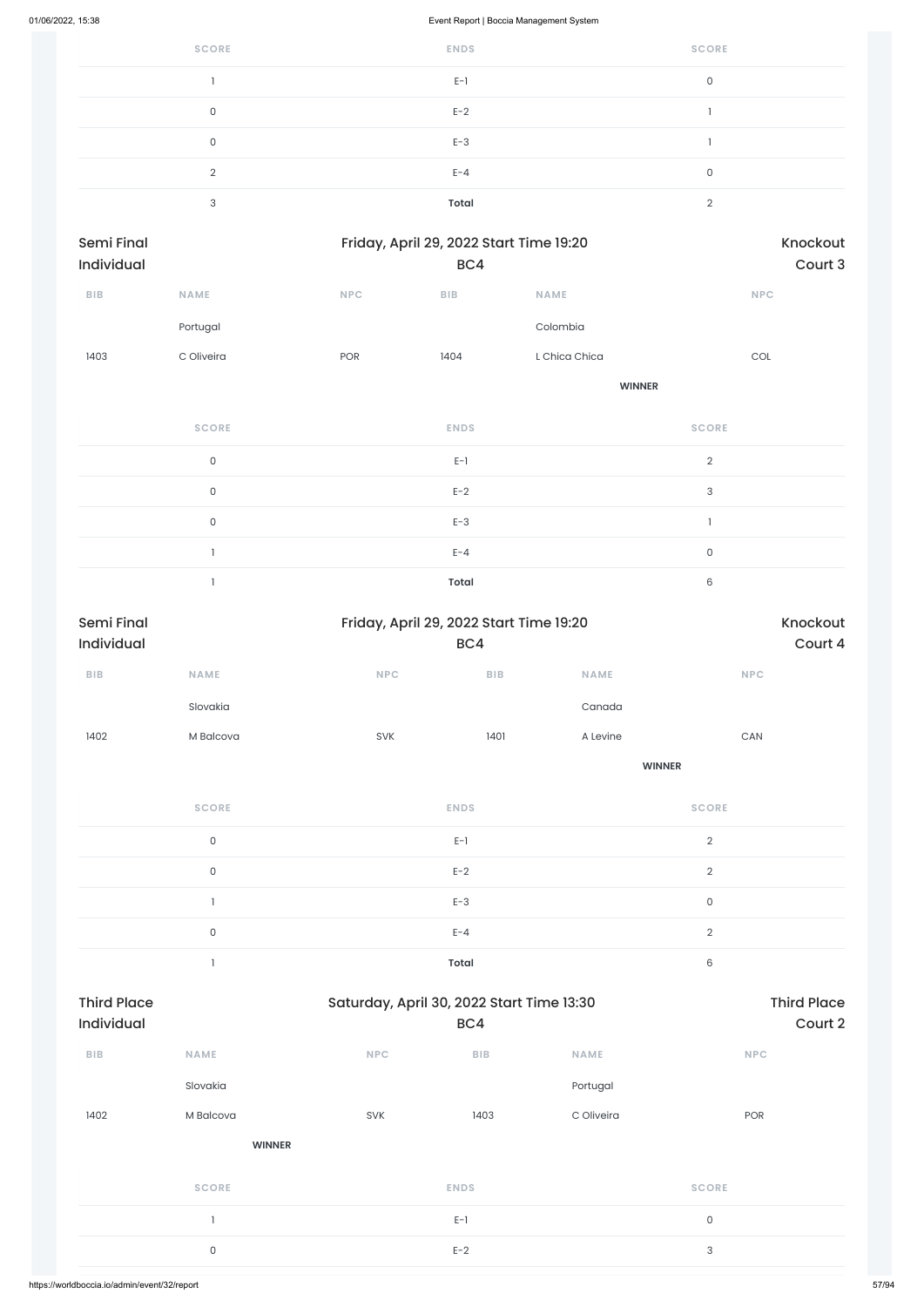| <b>SCORE</b> | <b>ENDS</b>  | <b>SCORE</b> |
|--------------|--------------|--------------|
|              | $E-1$        | 0            |
| 0            | $E-2$        |              |
| 0            | $E-3$        |              |
| ◠            | $E - 4$      | $\Omega$     |
| २            | <b>Total</b> | $\Omega$     |

| Friday, April 29, 2022 Start Time 19:20<br>Semi Final<br>Individual<br>BC4 |                     |     | Knockout<br>Court 3     |               |                     |
|----------------------------------------------------------------------------|---------------------|-----|-------------------------|---------------|---------------------|
| BIB                                                                        | <b>NAME</b>         | NPC | ${\sf B}{\sf I}{\sf B}$ | <b>NAME</b>   | NPC                 |
|                                                                            | Portugal            |     |                         | Colombia      |                     |
| 1403                                                                       | C Oliveira          | POR | 1404                    | L Chica Chica | COL                 |
|                                                                            |                     |     |                         | <b>WINNER</b> |                     |
|                                                                            | <b>SCORE</b>        |     | <b>ENDS</b>             |               | <b>SCORE</b>        |
|                                                                            | $\mathsf{O}$        |     | $E-1$                   |               | $\mathbf{2}$        |
|                                                                            | $\mathsf{O}\xspace$ |     | $E-2$                   |               | $\mathsf 3$         |
|                                                                            | $\mathsf{O}\xspace$ |     | $E-3$                   |               | $\mathbf{1}$        |
|                                                                            |                     |     | $E - 4$                 |               | $\mathsf{O}\xspace$ |

1 **Total** 6

| Semi Final<br>Individual | Friday, April 29, 2022 Start Time 19:20<br>BC4 |             |      |               |                       |
|--------------------------|------------------------------------------------|-------------|------|---------------|-----------------------|
| ${\sf B}{\sf I}{\sf B}$  | NAME                                           | NPC         | BIB  | NAME          | NPC                   |
|                          | Slovakia                                       |             |      | Canada        |                       |
| 1402                     | M Balcova                                      | SVK         | 1401 | A Levine      | $\mathsf{CAN}\xspace$ |
|                          |                                                |             |      | <b>WINNER</b> |                       |
|                          | <b>SCORE</b>                                   | <b>ENDS</b> |      |               | <b>SCORE</b>          |
|                          | $\mathsf{O}$                                   | $E-1$       |      |               | $\sqrt{2}$            |
|                          | $\mathsf{O}$                                   | $E-2$       |      |               | $\overline{2}$        |
|                          | $\overline{\phantom{a}}$                       | $E-3$       |      |               | $\mathsf{O}\xspace$   |
|                          | $\mathsf{O}$                                   | $E - 4$     |      |               | $\sqrt{2}$            |
|                          |                                                | Total       |      |               | $\mathsf 6$           |

| <b>Third Place</b><br><b>Individual</b> |               | Saturday, April 30, 2022 Start Time 13:30 | BC4         |             | <b>Third Place</b><br>Court 2 |
|-----------------------------------------|---------------|-------------------------------------------|-------------|-------------|-------------------------------|
| <b>BIB</b>                              | <b>NAME</b>   | <b>NPC</b>                                | BIB         | <b>NAME</b> | <b>NPC</b>                    |
|                                         | Slovakia      |                                           |             | Portugal    |                               |
| 1402                                    | M Balcova     | <b>SVK</b>                                | 1403        | C Oliveira  | POR                           |
|                                         | <b>WINNER</b> |                                           |             |             |                               |
|                                         | <b>SCORE</b>  |                                           | <b>ENDS</b> |             | <b>SCORE</b>                  |
|                                         |               |                                           | $E-1$       |             | $\mathsf{O}$                  |
|                                         | $\mathsf{O}$  |                                           | $E-2$       |             | 3                             |
|                                         |               |                                           |             |             |                               |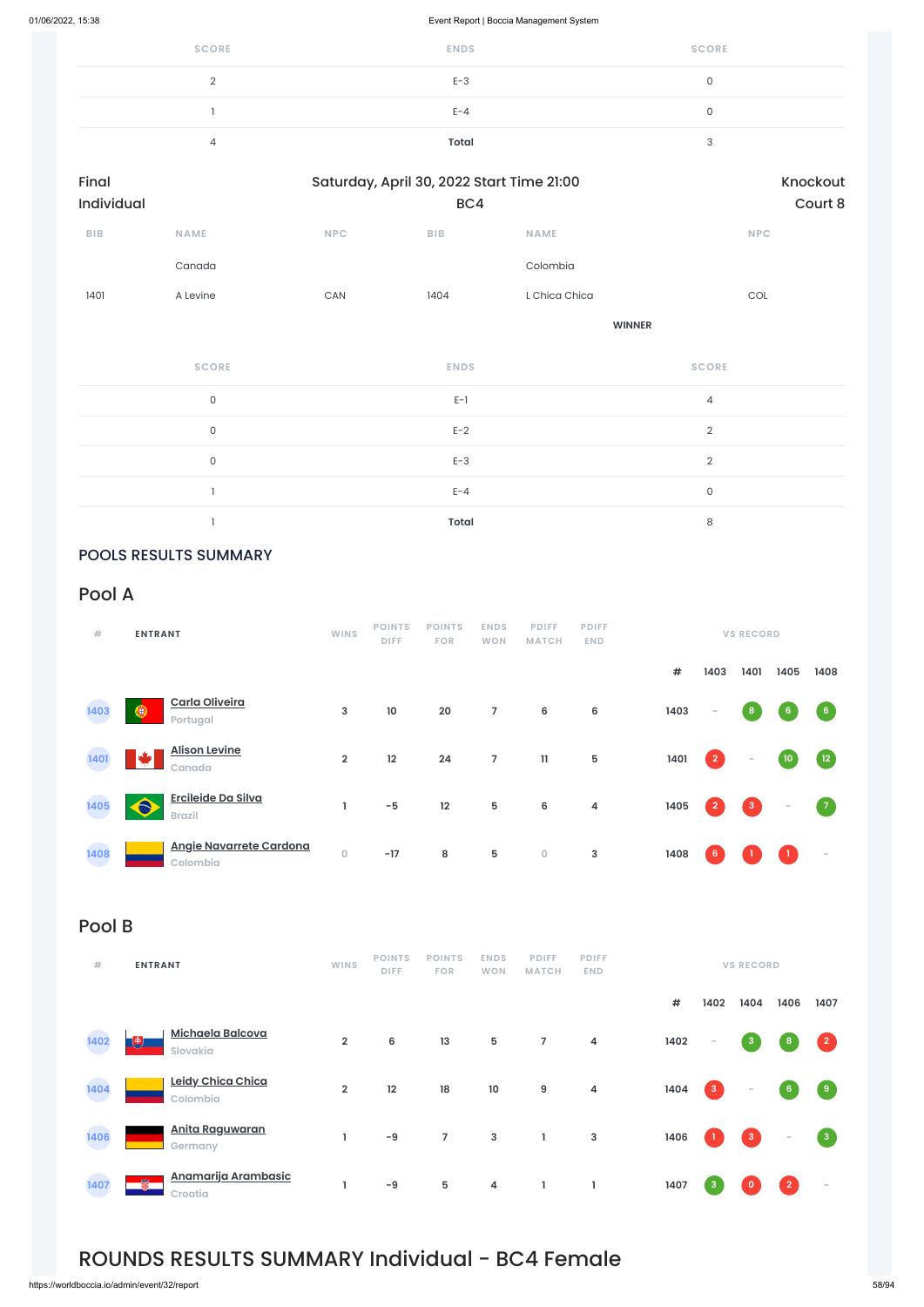https://worldboccia.io/admin/event/32/report 58/94

| <b>SCORE</b> | <b>ENDS</b>  | <b>SCORE</b> |
|--------------|--------------|--------------|
|              | $E-3$        |              |
|              | $E - 4$      |              |
|              | <b>Total</b> |              |

| Final      |             |            | Saturday, April 30, 2022 Start Time 21:00 |               | Knockout   |  |  |
|------------|-------------|------------|-------------------------------------------|---------------|------------|--|--|
| Individual |             | BC4        |                                           |               | Court 8    |  |  |
| <b>BIB</b> | <b>NAME</b> | <b>NPC</b> | <b>BIB</b>                                | <b>NAME</b>   | <b>NPC</b> |  |  |
|            | Canada      |            |                                           | Colombia      |            |  |  |
| 1401       | A Levine    | <b>CAN</b> | 1404                                      | L Chica Chica | COL        |  |  |
|            |             |            |                                           | <b>WINNER</b> |            |  |  |

| <b>SCORE</b> | <b>ENDS</b>  | <b>SCORE</b>   |
|--------------|--------------|----------------|
| $\mathbf{0}$ | $E-1$        | $\overline{4}$ |
| $\Omega$     | $E-2$        | $\Omega$       |
| $\mathbf{0}$ | $E-3$        | $\Omega$       |
|              | $E - 4$      | 0              |
|              | <b>Total</b> | 8              |

## POOLS RESULTS SUMMARY

# Pool A

| #    | <b>ENTRANT</b>                             | <b>WINS</b>    | <b>POINTS</b><br><b>DIFF</b> | <b>POINTS</b><br><b>FOR</b> | <b>ENDS</b><br><b>WON</b> | <b>PDIFF</b><br><b>MATCH</b> | <b>PDIFF</b><br><b>END</b> |      |                | <b>VS RECORD</b> |                          |                          |
|------|--------------------------------------------|----------------|------------------------------|-----------------------------|---------------------------|------------------------------|----------------------------|------|----------------|------------------|--------------------------|--------------------------|
|      |                                            |                |                              |                             |                           |                              |                            | #    | 1403           | 1401             | 1405                     | 1408                     |
| 1403 | <b>Carla Oliveira</b><br>۰<br>Portugal     | 3              | $10$                         | 20                          | $\overline{7}$            | 6                            | 6                          | 1403 | $\sim$         | 8                | 6                        | $6\phantom{.}6$          |
| 1401 | <b>Alison Levine</b><br>مك<br>T<br>Canada  | $\overline{2}$ | 12                           | 24                          | $\overline{7}$            | $\mathbf{1}$                 | 5                          | 1401 | $\vert$ 2      | $\sim$           | 10 <sub>10</sub>         | $\sqrt{12}$              |
| 1405 | Ercileide Da Silva<br>€<br><b>Brazil</b>   | ı              | $-5$                         | 12                          | ${\bf 5}$                 | 6                            | 4                          | 1405 | $\overline{2}$ | $\mathbf{3}$     | $\overline{\phantom{a}}$ | $\sqrt{7}$               |
| 1408 | <b>Angie Navarrete Cardona</b><br>Colombia | $\circ$        | $-17$                        | 8                           | $\mathbf 5$               | $\mathsf{O}\xspace$          | $\mathbf{3}$               | 1408 | 6              |                  |                          | $\overline{\phantom{a}}$ |

# Pool B

| # | <b>ENTRANT</b> | WINS |             |  | POINTS POINTS ENDS PDIFF PDIFF | <b>VS RECORD</b> |
|---|----------------|------|-------------|--|--------------------------------|------------------|
|   |                |      | <b>DIFF</b> |  | FOR WON MATCH END              |                  |

**# 1402 1404 1406 1407**

| 1402 | <b>Michaela Balcova</b><br>庚<br>Slovakia | $\overline{2}$ | 6    | 13             | 5            | 7                | 4            | 1402 | $\sim$       | $\overline{\mathbf{3}}$  | 8                        | $\begin{array}{ c c }\n\hline\n2\n\end{array}$        |
|------|------------------------------------------|----------------|------|----------------|--------------|------------------|--------------|------|--------------|--------------------------|--------------------------|-------------------------------------------------------|
| 1404 | Leidy Chica Chica<br>Colombia            | $\overline{2}$ | 12   | 18             | 10           | $\boldsymbol{9}$ | 4            | 1404 | $\mathbf{3}$ | $\overline{\phantom{a}}$ | 6                        | 9                                                     |
| 1406 | <u> Anita Raguwaran</u><br>Germany       |                | $-9$ | $\overline{7}$ | $\mathbf{3}$ | $\mathbf{1}$     | $\mathbf{3}$ | 1406 |              | $\overline{3}$           | $\overline{\phantom{a}}$ | $\begin{array}{ c c } \hline 3 \\ \hline \end{array}$ |
| 1407 | Anamarija Arambasic<br>圈<br>Croatia      |                | $-9$ | 5              | 4            |                  |              | 1407 | $\mathbf{3}$ |                          | $\overline{2}$           | $\sim$                                                |

# ROUNDS RESULTS SUMMARY Individual - BC4 Female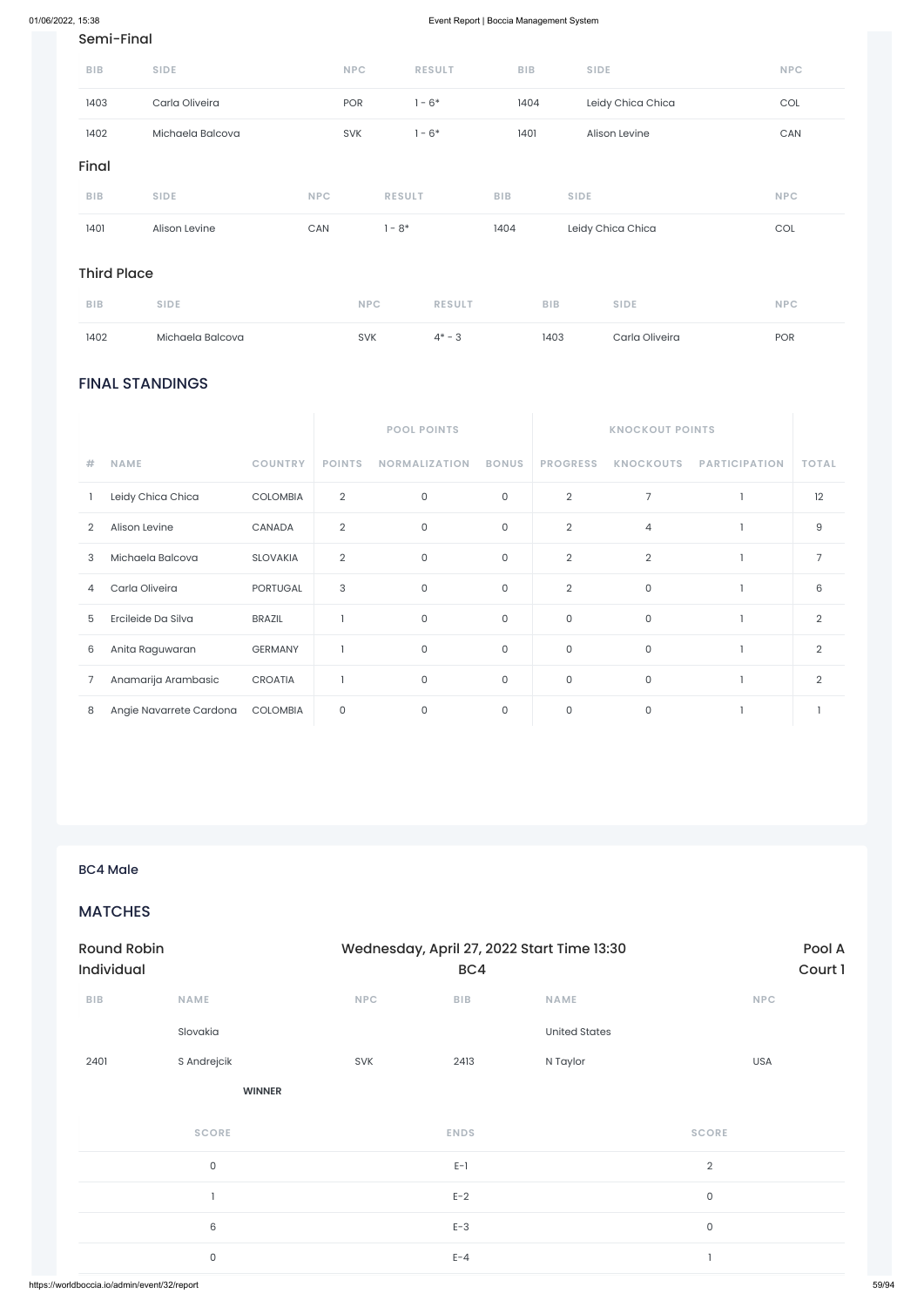### FINAL STANDINGS

|   |                         |                 |                | <b>POOL POINTS</b>   |                     |                     | <b>KNOCKOUT POINTS</b> |                      |                |  |
|---|-------------------------|-----------------|----------------|----------------------|---------------------|---------------------|------------------------|----------------------|----------------|--|
| # | <b>NAME</b>             | <b>COUNTRY</b>  | <b>POINTS</b>  | <b>NORMALIZATION</b> | <b>BONUS</b>        | <b>PROGRESS</b>     | <b>KNOCKOUTS</b>       | <b>PARTICIPATION</b> | <b>TOTAL</b>   |  |
|   | Leidy Chica Chica       | <b>COLOMBIA</b> | $\overline{2}$ | $\mathsf{O}$         | $\mathsf O$         | $\overline{2}$      | 7                      |                      | 12             |  |
| 2 | Alison Levine           | CANADA          | $\overline{2}$ | $\mathsf{O}$         | 0                   | $\overline{2}$      | $\overline{4}$         |                      | 9              |  |
| 3 | Michaela Balcova        | <b>SLOVAKIA</b> | $\overline{2}$ | $\mathsf{O}$         | $\mathsf{O}$        | $\overline{2}$      | $\overline{2}$         |                      | $\overline{7}$ |  |
| 4 | Carla Oliveira          | <b>PORTUGAL</b> | 3              | $\mathsf{O}$         | 0                   | $\overline{2}$      | 0                      |                      | 6              |  |
| 5 | Ercileide Da Silva      | <b>BRAZIL</b>   |                | $\mathbf 0$          | $\mathsf{O}$        | $\mathsf{O}\xspace$ | $\mathsf O$            |                      | $\overline{2}$ |  |
| 6 | Anita Raguwaran         | <b>GERMANY</b>  |                | 0                    | $\mathsf O$         | 0                   | $\mathsf O$            |                      | 2              |  |
| 7 | Anamarija Arambasic     | <b>CROATIA</b>  |                | $\mathsf{O}$         | $\mathsf{O}\xspace$ | $\mathsf{O}\xspace$ | $\mathsf O$            |                      | $\overline{2}$ |  |
| 8 | Angie Navarrete Cardona | <b>COLOMBIA</b> | $\mathbf 0$    | $\mathsf{O}$         | 0                   | $\mathsf{O}\xspace$ | 0                      |                      |                |  |

### Semi-Final

| 1401       | Alison Levine    | <b>CAN</b> | $-8*$         | 1404       | Leidy Chica Chica | <b>COL</b> |
|------------|------------------|------------|---------------|------------|-------------------|------------|
| <b>BIB</b> | <b>SIDE</b>      | <b>NPC</b> | <b>RESULT</b> | <b>BIB</b> | <b>SIDE</b>       | <b>NPC</b> |
| Final      |                  |            |               |            |                   |            |
| 1402       | Michaela Balcova | <b>SVK</b> | $1 - 6*$      | 1401       | Alison Levine     | CAN        |
| 1403       | Carla Oliveira   | <b>POR</b> | $1 - 6*$      | 1404       | Leidy Chica Chica | <b>COL</b> |
| <b>BIB</b> | <b>SIDE</b>      | <b>NPC</b> | <b>RESULT</b> | <b>BIB</b> | <b>SIDE</b>       | <b>NPC</b> |

### Third Place

| <b>BIB</b> | <b>SIDE</b>      | <b>NPC</b> | <b>RESULT</b> | <b>BIB</b> | <b>SIDE</b>    | <b>NPC</b> |
|------------|------------------|------------|---------------|------------|----------------|------------|
| 1402       | Michaela Balcova | <b>SVK</b> | $4* - 3$      | 1403       | Carla Oliveira | <b>POR</b> |

BC4 Male

### MATCHES

| ${\sf B}{\sf I}{\sf B}$ | NAME                | <b>NPC</b> | BIB         | NAME                 | <b>NPC</b>          |
|-------------------------|---------------------|------------|-------------|----------------------|---------------------|
|                         | Slovakia            |            |             | <b>United States</b> |                     |
| 2401                    | S Andrejcik         | SVK        | 2413        | N Taylor             | USA                 |
|                         | <b>WINNER</b>       |            |             |                      |                     |
|                         | <b>SCORE</b>        |            | <b>ENDS</b> |                      | <b>SCORE</b>        |
|                         | $\mathsf{O}\xspace$ |            | $E-1$       |                      | $\sqrt{2}$          |
|                         | п.                  |            | $E-2$       |                      | $\mathsf{O}\xspace$ |
|                         | 6                   |            | $E-3$       |                      | $\mathsf{O}\xspace$ |
|                         | $\mathsf{O}\xspace$ |            | $E - 4$     |                      | п.                  |
|                         |                     |            |             |                      |                     |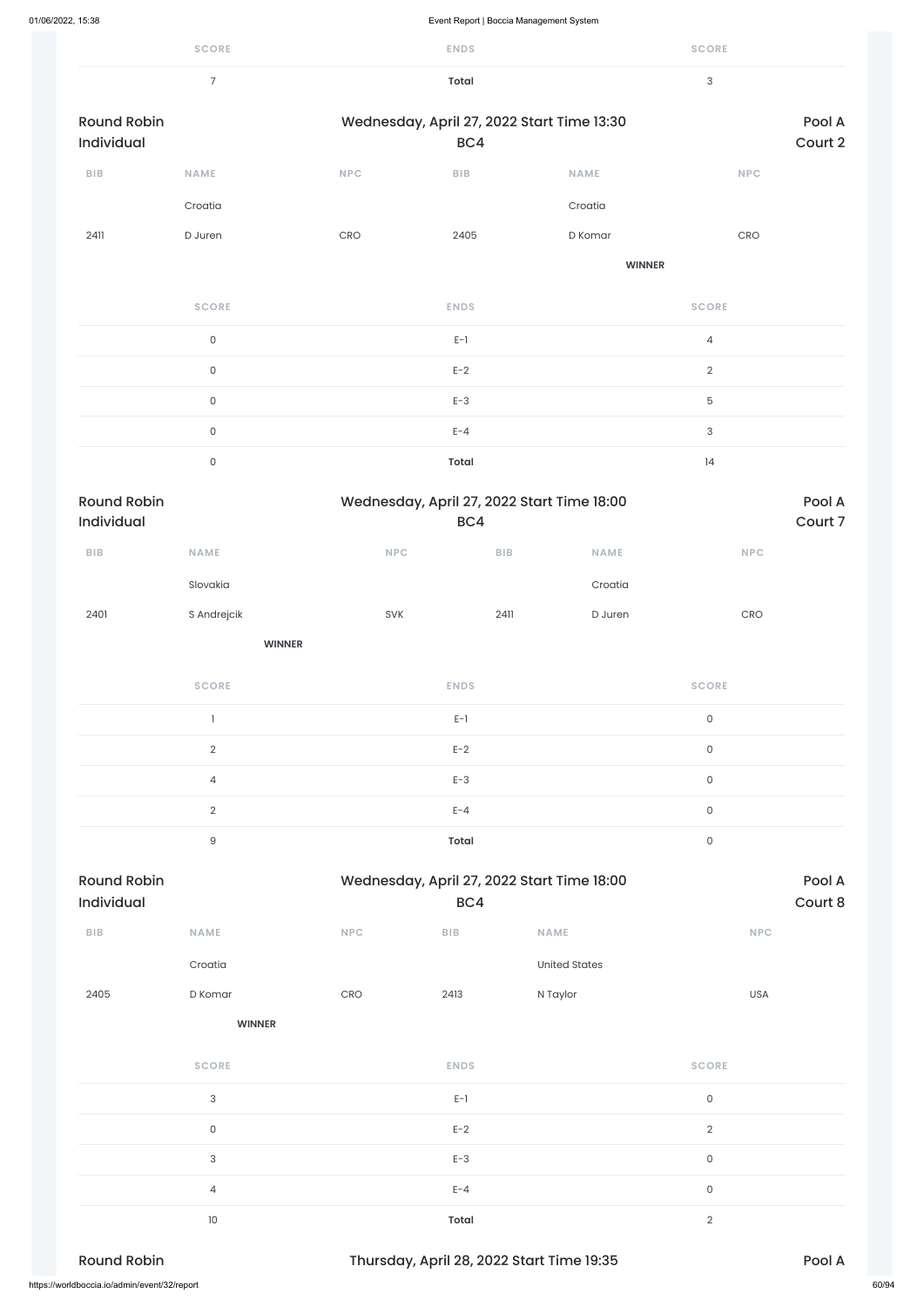|                                  | <b>SCORE</b>        |     | <b>ENDS</b>                                       |               | <b>SCORE</b>                     |                   |
|----------------------------------|---------------------|-----|---------------------------------------------------|---------------|----------------------------------|-------------------|
|                                  | $\overline{7}$      |     | <b>Total</b>                                      |               | $\ensuremath{\mathsf{3}}$        |                   |
| <b>Round Robin</b><br>Individual |                     |     | Wednesday, April 27, 2022 Start Time 13:30<br>BC4 |               |                                  | Pool A<br>Court 2 |
| BIB                              | <b>NAME</b>         | NPC | ${\sf B}{\sf I}{\sf B}$                           | <b>NAME</b>   | NPC                              |                   |
|                                  | Croatia             |     |                                                   | Croatia       |                                  |                   |
| 2411                             | D Juren             | CRO | 2405                                              | D Komar       | CRO                              |                   |
|                                  |                     |     |                                                   | <b>WINNER</b> |                                  |                   |
|                                  | <b>SCORE</b>        |     | <b>ENDS</b>                                       |               | <b>SCORE</b>                     |                   |
|                                  | $\mathsf{O}\xspace$ |     | $E-1$                                             |               | $\overline{4}$                   |                   |
|                                  | $\mathsf O$         |     | $E-2$                                             |               | $\overline{2}$                   |                   |
|                                  | $\mathsf O$         |     | $E-3$                                             |               | $\mathbf 5$                      |                   |
|                                  | $\mathsf O$         |     | $E - 4$                                           |               | $\ensuremath{\mathsf{3}}$        |                   |
|                                  | $\mathsf O$         |     | <b>Total</b>                                      |               | 4                                |                   |
|                                  |                     |     |                                                   |               |                                  |                   |
| <b>Round Robin</b><br>Individual |                     |     | Wednesday, April 27, 2022 Start Time 18:00<br>BC4 |               |                                  | Pool A<br>Court 7 |
| ${\bf B} {\sf I} {\bf B}$        | <b>NAME</b>         | NPC | ${\sf B}{\sf I}{\sf B}$                           | <b>NAME</b>   | <b>NPC</b>                       |                   |
|                                  | Slovakia            |     |                                                   | Croatia       |                                  |                   |
| 2401                             | S Andrejcik         | SVK | 2411                                              | D Juren       | $\mathsf{C}\mathsf{R}\mathsf{O}$ |                   |
|                                  | <b>WINNER</b>       |     |                                                   |               |                                  |                   |
|                                  | <b>SCORE</b>        |     | <b>ENDS</b>                                       |               | <b>SCORE</b>                     |                   |
|                                  | $\mathbf{I}$        |     | $E-1$                                             |               | $\mathsf{O}\xspace$              |                   |
|                                  | $\overline{2}$      |     | $E-2$                                             |               | $\mathsf{O}\xspace$              |                   |
|                                  | 4                   |     | $E-3$                                             |               | $\mathsf{O}\xspace$              |                   |
|                                  | $\overline{2}$      |     | $E - 4$                                           |               | $\mathsf{O}\xspace$              |                   |
|                                  | $\hbox{9}$          |     | <b>Total</b>                                      |               | $\mathsf{O}\xspace$              |                   |
| <b>Round Robin</b><br>Individual |                     |     | Wednesday, April 27, 2022 Start Time 18:00<br>BC4 |               |                                  | Pool A<br>Court 8 |

| 2405                                         | D Komar                   | CRO | 2413         | N Taylor                                  | <b>USA</b>     |        |       |
|----------------------------------------------|---------------------------|-----|--------------|-------------------------------------------|----------------|--------|-------|
|                                              | <b>WINNER</b>             |     |              |                                           |                |        |       |
|                                              | <b>SCORE</b>              |     | <b>ENDS</b>  |                                           | <b>SCORE</b>   |        |       |
|                                              | $\sqrt{3}$                |     | $E-1$        |                                           | $\mathsf O$    |        |       |
|                                              | $\mathsf O$               |     | $E-2$        |                                           | $\overline{2}$ |        |       |
|                                              | $\ensuremath{\mathsf{3}}$ |     | $E-3$        |                                           | $\mathsf O$    |        |       |
|                                              | $\overline{4}$            |     | $E - 4$      |                                           | $\mathsf O$    |        |       |
|                                              | 10 <sup>°</sup>           |     | <b>Total</b> |                                           | $\overline{2}$ |        |       |
| <b>Round Robin</b>                           |                           |     |              | Thursday, April 28, 2022 Start Time 19:35 |                | Pool A |       |
| https://worldboccia.io/admin/event/32/report |                           |     |              |                                           |                |        | 60/94 |

Croatia United States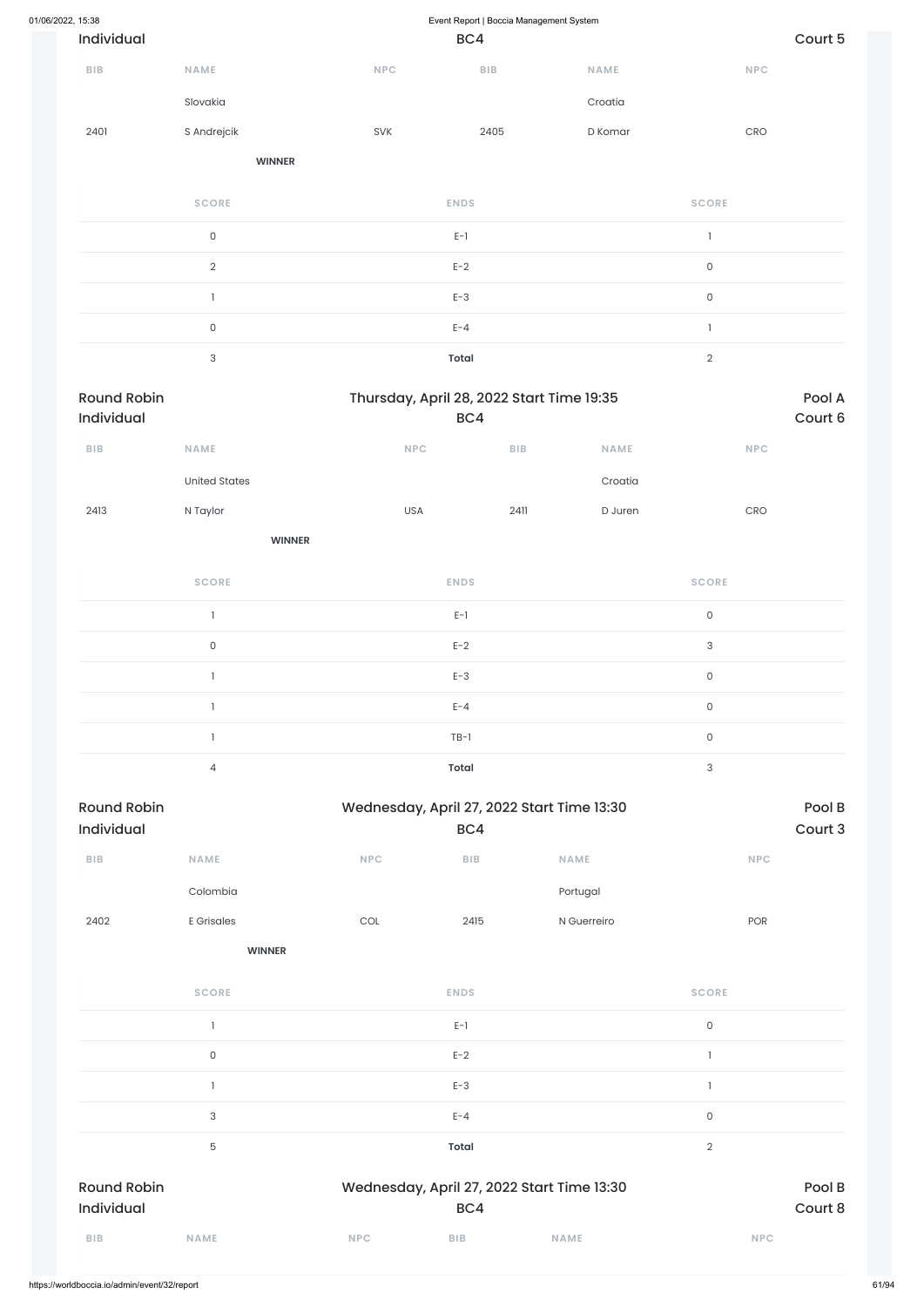| 01/06/2022, 15:38 |                                  |                      |                                           | Event Report   Boccia Management System |         |                                  |         |
|-------------------|----------------------------------|----------------------|-------------------------------------------|-----------------------------------------|---------|----------------------------------|---------|
|                   | Individual                       |                      |                                           | BC4                                     |         |                                  | Court 5 |
|                   | ${\sf BIB}$                      | NAME                 | <b>NPC</b>                                | BIB                                     | NAME    | $\sf{NPC}$                       |         |
|                   |                                  | Slovakia             |                                           |                                         | Croatia |                                  |         |
|                   | 2401                             | S Andrejcik          | SVK                                       | 2405                                    | D Komar | $\mathsf{C}\mathsf{R}\mathsf{O}$ |         |
|                   |                                  | <b>WINNER</b>        |                                           |                                         |         |                                  |         |
|                   |                                  | <b>SCORE</b>         |                                           | <b>ENDS</b>                             |         | <b>SCORE</b>                     |         |
|                   |                                  | $\mathsf{O}\xspace$  |                                           | $E-1$                                   |         | $\mathbf{I}$                     |         |
|                   |                                  | $\overline{2}$       |                                           | $E-2$                                   |         | $\mathsf{O}\xspace$              |         |
|                   |                                  | $\mathbf{1}$         |                                           | $E-3$                                   |         | $\mathsf{O}\xspace$              |         |
|                   |                                  | $\mathsf{O}\xspace$  |                                           | $E - 4$                                 |         | $\mathbbm{1}$                    |         |
|                   | $\ensuremath{\mathsf{3}}$        |                      |                                           | <b>Total</b>                            |         | $\overline{2}$                   |         |
|                   | <b>Round Robin</b><br>Individual |                      | Thursday, April 28, 2022 Start Time 19:35 | BC4                                     |         |                                  |         |
|                   | <b>BIB</b>                       | NAME                 | NPC                                       | ${\sf B}{\sf I}{\sf B}$                 | NAME    | NPC                              |         |
|                   |                                  | <b>United States</b> |                                           |                                         | Croatia |                                  |         |
|                   | 2413                             | N Taylor             | USA                                       | 2411                                    | D Juren | $\mathsf{C}\mathsf{R}\mathsf{O}$ |         |
|                   |                                  | <b>WINNER</b>        |                                           |                                         |         |                                  |         |
|                   |                                  | <b>SCORE</b>         |                                           | <b>ENDS</b>                             |         | <b>SCORE</b>                     |         |
|                   |                                  | $\mathbf{1}$         |                                           | $E-1$                                   |         | $\mathsf{O}\xspace$              |         |
|                   |                                  | $\mathsf{O}\xspace$  |                                           | $E-2$                                   |         | $\mathsf 3$                      |         |
|                   |                                  | $\mathbf{1}$         |                                           | $E-3$                                   |         | $\mathsf{O}\xspace$              |         |
|                   |                                  | $\mathbf{1}$         |                                           | $E - 4$                                 |         | $\mathsf{O}\xspace$              |         |
|                   |                                  | 1                    |                                           | $TB-1$                                  |         | $\mathsf{O}\xspace$              |         |
|                   |                                  | $\overline{4}$       |                                           | Total                                   |         | $\mathbf{3}$                     |         |

| <b>Round Robin</b> |             |            | Wednesday, April 27, 2022 Start Time 13:30 |             |            |  |  |
|--------------------|-------------|------------|--------------------------------------------|-------------|------------|--|--|
| <b>Individual</b>  |             |            | BC4                                        |             | Court 3    |  |  |
| <b>BIB</b>         | <b>NAME</b> | <b>NPC</b> | <b>BIB</b>                                 | <b>NAME</b> | <b>NPC</b> |  |  |
|                    | Colombia    |            |                                            | Portugal    |            |  |  |
| 2402               | E Grisales  | COL        | 2415                                       | N Guerreiro | <b>POR</b> |  |  |

|                    | <b>SCORE</b> |            | <b>ENDS</b>  |                                            | <b>SCORE</b>        |         |
|--------------------|--------------|------------|--------------|--------------------------------------------|---------------------|---------|
|                    |              |            | $E-1$        |                                            | $\mathsf{O}\xspace$ |         |
|                    | 0            |            | $E-2$        |                                            |                     |         |
|                    |              |            | $E-3$        |                                            |                     |         |
|                    | 3            |            | $E - 4$      |                                            | $\mathsf O$         |         |
|                    | 5            |            | <b>Total</b> |                                            | $\overline{2}$      |         |
| <b>Round Robin</b> |              |            |              | Wednesday, April 27, 2022 Start Time 13:30 |                     | Pool B  |
| Individual         |              |            | BC4          |                                            |                     | Court 8 |
| <b>BIB</b>         | <b>NAME</b>  | <b>NPC</b> | <b>BIB</b>   | <b>NAME</b>                                | <b>NPC</b>          |         |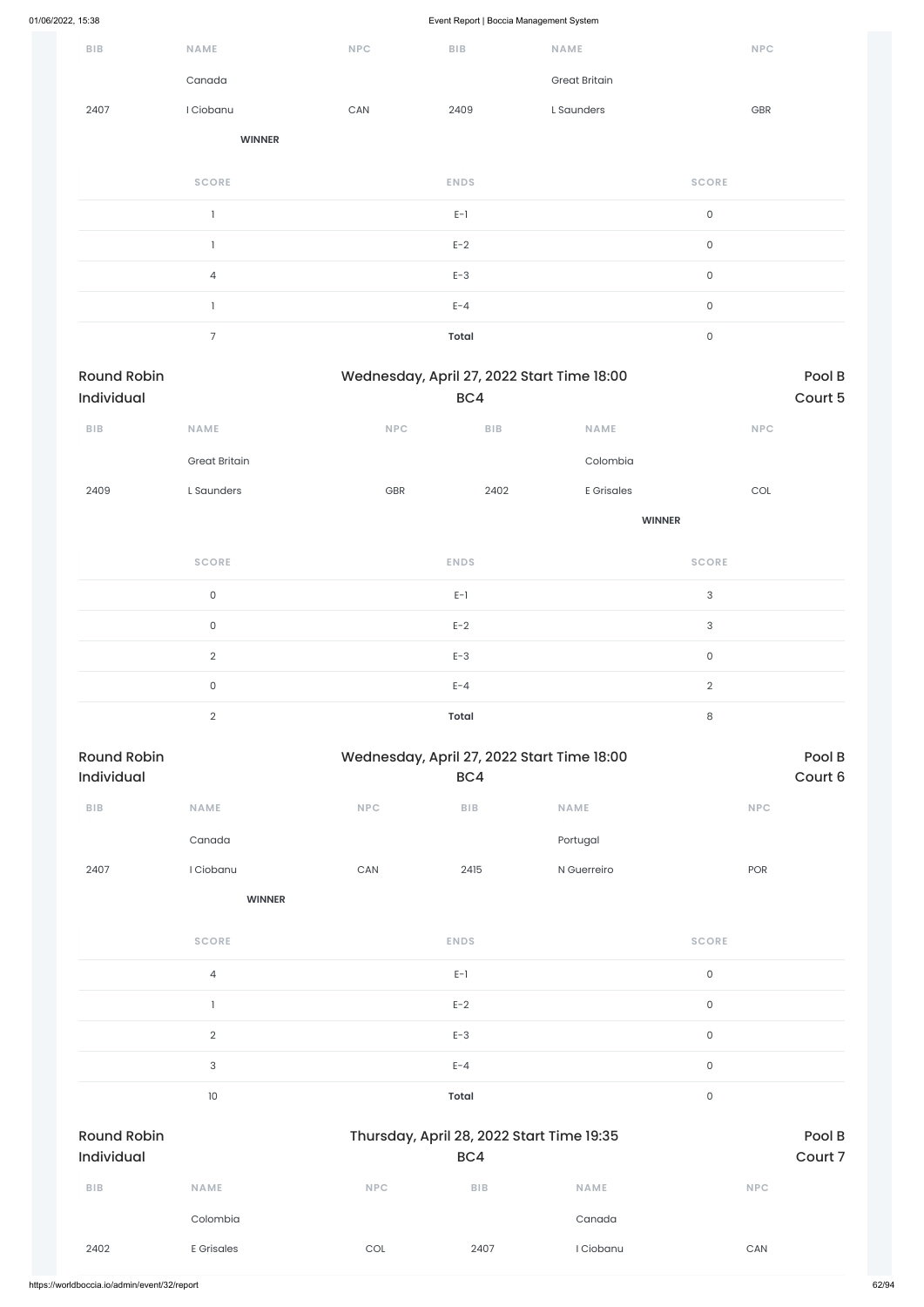| $B$   $B$                        | <b>NAME</b>          | <b>NPC</b>            | BIB                     | NAME                                       | <b>NPC</b>          |                   |
|----------------------------------|----------------------|-----------------------|-------------------------|--------------------------------------------|---------------------|-------------------|
|                                  | Canada               |                       |                         | <b>Great Britain</b>                       |                     |                   |
| 2407                             | I Ciobanu            | CAN                   | 2409                    | L Saunders                                 | GBR                 |                   |
|                                  | <b>WINNER</b>        |                       |                         |                                            |                     |                   |
|                                  | <b>SCORE</b>         |                       | <b>ENDS</b>             |                                            | <b>SCORE</b>        |                   |
|                                  | $\mathbf{I}$         |                       | $E-1$                   |                                            | $\mathsf{O}\xspace$ |                   |
|                                  | $\mathbf{1}$         |                       | $E-2$                   |                                            | $\mathsf{O}\xspace$ |                   |
|                                  | $\overline{4}$       |                       | $E-3$                   |                                            | $\mathsf{O}\xspace$ |                   |
|                                  | $\mathbf{I}$         |                       | $E - 4$                 |                                            | $\mathsf{O}\xspace$ |                   |
|                                  | $\overline{7}$       |                       | <b>Total</b>            |                                            | $\mathsf{O}\xspace$ |                   |
| <b>Round Robin</b><br>Individual |                      |                       | BC4                     | Wednesday, April 27, 2022 Start Time 18:00 |                     | Pool B<br>Court 5 |
| $B$   $B$                        | <b>NAME</b>          | <b>NPC</b>            | $B$   $B$               | <b>NAME</b>                                | <b>NPC</b>          |                   |
|                                  | <b>Great Britain</b> |                       |                         | Colombia                                   |                     |                   |
| 2409                             | L Saunders           | GBR                   | 2402                    | <b>E</b> Grisales                          | COL                 |                   |
|                                  |                      |                       |                         | <b>WINNER</b>                              |                     |                   |
|                                  | <b>SCORE</b>         |                       | <b>ENDS</b>             |                                            | <b>SCORE</b>        |                   |
|                                  | $\mathsf{O}\xspace$  |                       | $E-1$                   |                                            | $\sqrt{3}$          |                   |
|                                  | $\mathsf{O}\xspace$  |                       | $E-2$                   |                                            | $\mathsf{3}$        |                   |
|                                  | $\overline{2}$       |                       | $E-3$                   |                                            | $\mathsf O$         |                   |
|                                  | $\mathsf{O}$         |                       | $E - 4$                 |                                            | $\overline{2}$      |                   |
|                                  | $\overline{2}$       |                       | <b>Total</b>            |                                            | $\,8\,$             |                   |
| <b>Round Robin</b><br>Individual |                      |                       |                         | Wednesday, April 27, 2022 Start Time 18:00 |                     | Pool B            |
|                                  |                      |                       | BC4                     |                                            |                     |                   |
| ${\sf B}{\sf I}{\sf B}$          | NAME                 | NPC                   | ${\sf B}{\sf I}{\sf B}$ | NAME                                       | <b>NPC</b>          |                   |
|                                  | Canada               |                       |                         | Portugal                                   |                     |                   |
| 2407                             | I Ciobanu            | $\mathsf{CAN}\xspace$ | 2415                    | N Guerreiro                                | POR                 | Court 6           |
|                                  | <b>WINNER</b>        |                       |                         |                                            |                     |                   |

4 E-1 0

|                                  |                           |            | $E-2$                                            |             | $\mathsf{O}\xspace$ |                   |
|----------------------------------|---------------------------|------------|--------------------------------------------------|-------------|---------------------|-------------------|
|                                  | $\sqrt{2}$                |            | $E-3$                                            |             | $\mathsf{O}\xspace$ |                   |
|                                  | $\ensuremath{\mathsf{3}}$ |            | $E - 4$                                          |             | $\mathsf{O}$        |                   |
|                                  | 10                        |            | <b>Total</b>                                     |             | $\mathsf O$         |                   |
| <b>Round Robin</b><br>Individual |                           |            | Thursday, April 28, 2022 Start Time 19:35<br>BC4 |             |                     | Pool B<br>Court 7 |
| <b>BIB</b>                       | <b>NAME</b>               | <b>NPC</b> | <b>BIB</b>                                       | <b>NAME</b> | <b>NPC</b>          |                   |
|                                  | Colombia                  |            |                                                  | Canada      |                     |                   |
| 2402                             | <b>E</b> Grisales         | COL        | 2407                                             | I Ciobanu   | CAN                 |                   |
|                                  |                           |            |                                                  |             |                     |                   |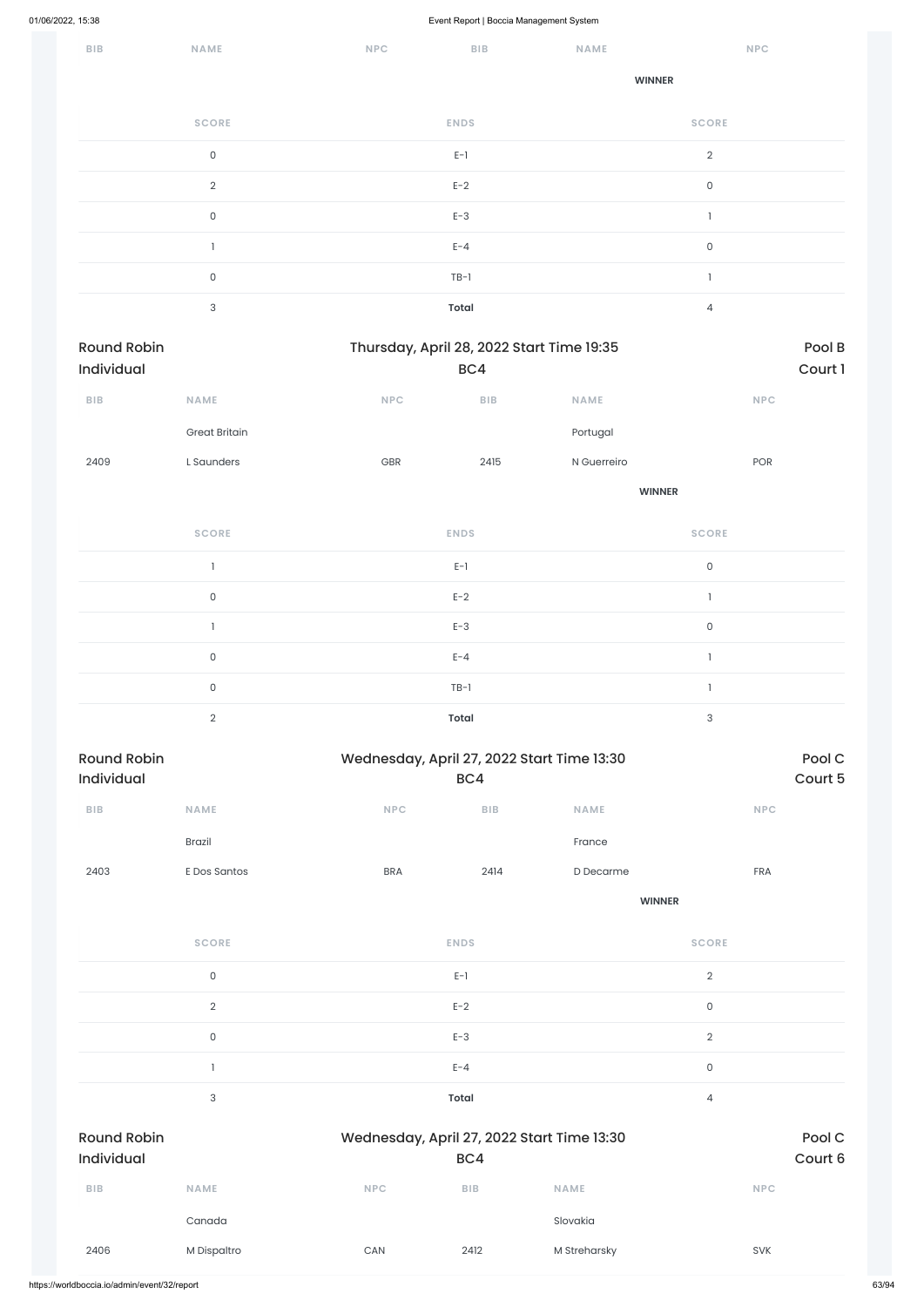| 01/06/2022, 15:38                |                      |                                            | Event Report   Boccia Management System          |               |                           |            |                   |
|----------------------------------|----------------------|--------------------------------------------|--------------------------------------------------|---------------|---------------------------|------------|-------------------|
| <b>BIB</b>                       | NAME                 | $\ensuremath{\mathsf{NPC}}$                | BIB                                              | <b>NAME</b>   |                           | NPC        |                   |
|                                  |                      |                                            |                                                  | <b>WINNER</b> |                           |            |                   |
|                                  | <b>SCORE</b>         |                                            | <b>ENDS</b>                                      |               | <b>SCORE</b>              |            |                   |
|                                  | $\mathsf{O}\xspace$  |                                            | $\mathsf{E}\text{-}\mathsf{1}$                   |               | $\overline{2}$            |            |                   |
|                                  | $\overline{2}$       |                                            | $E-2$                                            |               | $\mathsf O$               |            |                   |
|                                  | $\mathsf{O}\xspace$  |                                            | $E-3$                                            |               | $\overline{\phantom{a}}$  |            |                   |
|                                  | $\mathbf{1}$         |                                            | $E - 4$                                          |               | $\mathsf{O}$              |            |                   |
|                                  | $\mathsf{O}\xspace$  |                                            | $TB-1$                                           |               | $\overline{\phantom{a}}$  |            |                   |
|                                  | $\sqrt{3}$           |                                            | <b>Total</b>                                     |               | $\overline{4}$            |            |                   |
| <b>Round Robin</b><br>Individual |                      |                                            | Thursday, April 28, 2022 Start Time 19:35<br>BC4 |               |                           |            | Pool B<br>Court 1 |
| BIB                              | NAME                 | <b>NPC</b>                                 | ${\sf B}{\sf I}{\sf B}$                          | NAME          |                           | NPC        |                   |
|                                  | <b>Great Britain</b> |                                            |                                                  | Portugal      |                           |            |                   |
| 2409                             | L Saunders           | GBR                                        | 2415                                             | N Guerreiro   |                           | POR        |                   |
|                                  |                      |                                            |                                                  | <b>WINNER</b> |                           |            |                   |
|                                  | <b>SCORE</b>         |                                            | <b>ENDS</b>                                      |               | <b>SCORE</b>              |            |                   |
|                                  | $\mathbf{1}$         |                                            | $E-1$                                            |               | $\mathsf O$               |            |                   |
|                                  | $\mathsf{O}\xspace$  |                                            | $E-2$                                            |               | $\mathbf{I}$              |            |                   |
|                                  | 1                    |                                            | $E-3$                                            |               | $\mathsf O$               |            |                   |
|                                  | $\mathsf{O}\xspace$  |                                            | $E - 4$                                          |               | $\mathbf{1}$              |            |                   |
|                                  | $\mathsf{O}\xspace$  |                                            | $TB-1$                                           |               | $\mathbf{I}$              |            |                   |
|                                  | $\overline{2}$       |                                            | <b>Total</b>                                     |               | $\ensuremath{\mathsf{3}}$ |            |                   |
| <b>Round Robin</b><br>Individual |                      | Wednesday, April 27, 2022 Start Time 13:30 | BC4                                              |               |                           |            | Pool C<br>Court 5 |
| BIB                              | <b>NAME</b>          | NPC                                        | ${\sf BIB}$                                      | <b>NAME</b>   |                           | <b>NPC</b> |                   |
|                                  | <b>Brazil</b>        |                                            |                                                  | France        |                           |            |                   |
| 2403                             | E Dos Santos         | <b>BRA</b>                                 | 2414                                             | D Decarme     |                           | FRA        |                   |
|                                  |                      |                                            |                                                  | <b>WINNER</b> |                           |            |                   |

 $E-1$  and  $E-1$  and  $E-1$  and  $E-1$  and  $E-1$  and  $E-1$  and  $E-1$  and  $E-1$  and  $E-1$  and  $E-1$  and  $E-1$  and  $E-1$  and  $E-1$  and  $E-1$  and  $E-1$  and  $E-1$  and  $E-1$  and  $E-1$  and  $E-1$  and  $E-1$  and  $E-1$  and  $E-1$  and

**SCORE ENDS SCORE**

|                                  | $\sqrt{2}$  |            | $E-2$        |                                            | $\mathsf{O}$        |                   |
|----------------------------------|-------------|------------|--------------|--------------------------------------------|---------------------|-------------------|
|                                  | $\mathsf O$ |            | $E-3$        |                                            | $\sqrt{2}$          |                   |
|                                  |             |            | $E - 4$      |                                            | $\mathsf{O}\xspace$ |                   |
|                                  | $\sqrt{3}$  |            | <b>Total</b> |                                            | $\sqrt{4}$          |                   |
| <b>Round Robin</b><br>Individual |             |            | BC4          | Wednesday, April 27, 2022 Start Time 13:30 |                     | Pool C<br>Court 6 |
| <b>BIB</b>                       | <b>NAME</b> | <b>NPC</b> | <b>BIB</b>   | <b>NAME</b>                                |                     | <b>NPC</b>        |
|                                  | Canada      |            |              | Slovakia                                   |                     |                   |
| 2406                             | M Dispaltro | CAN        | 2412         | M Streharsky                               |                     | <b>SVK</b>        |
|                                  |             |            |              |                                            |                     |                   |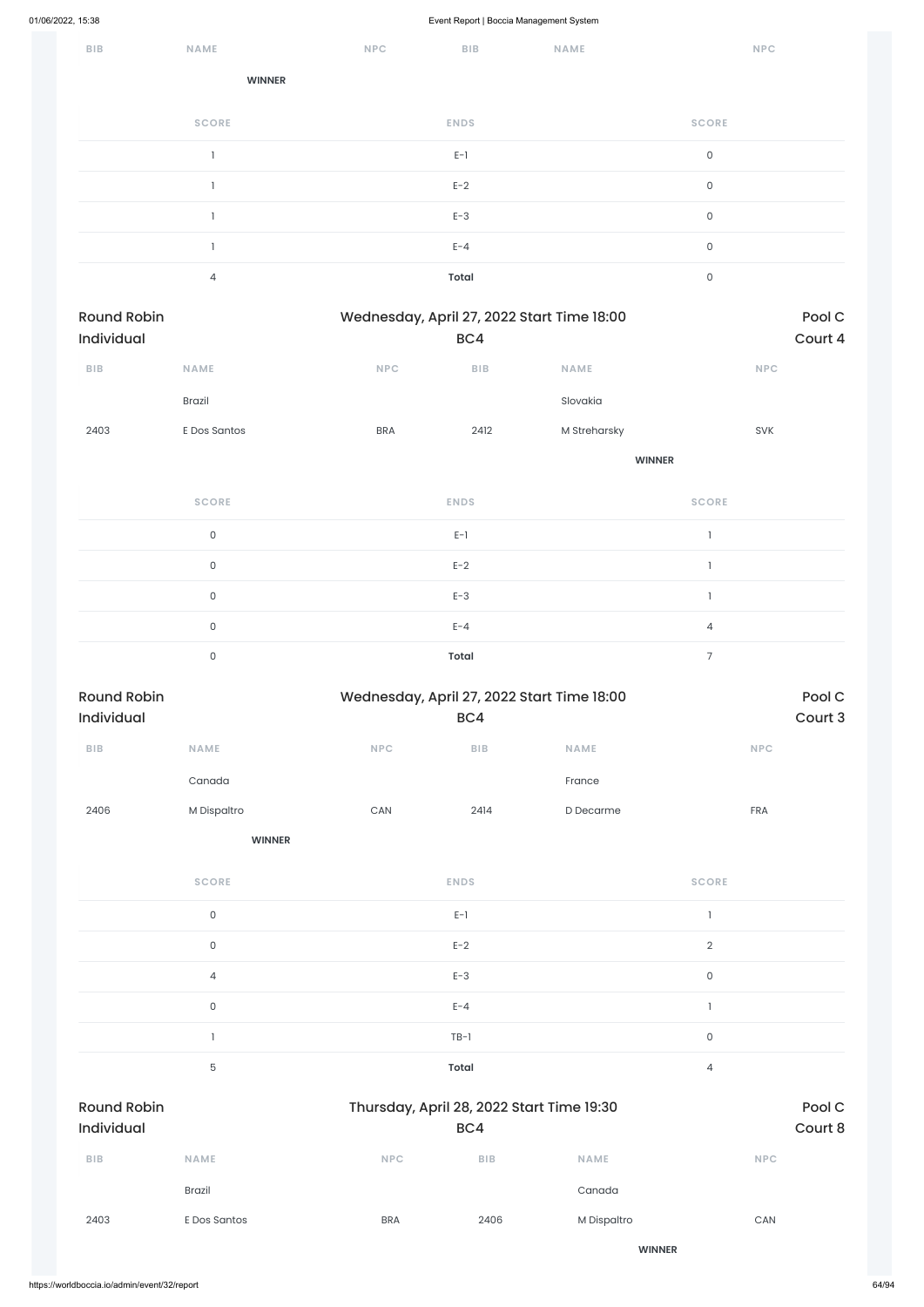| BIB | NAME          | NPC | <b>BIB</b>  | NAME | NPC          |
|-----|---------------|-----|-------------|------|--------------|
|     | <b>WINNER</b> |     |             |      |              |
|     | <b>SCORE</b>  |     | <b>ENDS</b> |      | <b>SCORE</b> |
|     |               |     | $E-1$       |      | $\mathsf{O}$ |
|     |               |     | $E-2$       |      | $\mathsf O$  |
|     |               |     | $E-3$       |      | $\mathsf O$  |
|     |               |     | $E - 4$     |      | $\mathsf O$  |
|     | 4             |     | Total       |      | $\mathsf O$  |

| Wednesday, April 27, 2022 Start Time 18:00<br><b>Round Robin</b> |                     |                       |                         |                                            | Pool C         |         |
|------------------------------------------------------------------|---------------------|-----------------------|-------------------------|--------------------------------------------|----------------|---------|
| Individual                                                       |                     |                       | BC4                     |                                            |                | Court 4 |
| ${\sf B}{\sf I}{\sf B}$                                          | NAME                | <b>NPC</b>            | BIB                     | <b>NAME</b>                                | <b>NPC</b>     |         |
|                                                                  | Brazil              |                       |                         | Slovakia                                   |                |         |
| 2403                                                             | E Dos Santos        | <b>BRA</b>            | 2412                    | M Streharsky                               | SVK            |         |
|                                                                  |                     |                       |                         | <b>WINNER</b>                              |                |         |
|                                                                  | <b>SCORE</b>        |                       | <b>ENDS</b>             |                                            | <b>SCORE</b>   |         |
|                                                                  | $\mathsf{O}\xspace$ |                       | $E-1$                   |                                            | $\mathbf{1}$   |         |
|                                                                  | $\mathsf{O}\xspace$ |                       | $E-2$                   |                                            | $\mathbf{I}$   |         |
|                                                                  | $\mathsf{O}\xspace$ |                       | $E-3$                   |                                            | $\mathbf{I}$   |         |
|                                                                  | $\mathsf{O}\xspace$ |                       | $E - 4$                 |                                            | $\overline{4}$ |         |
|                                                                  | $\mathsf{O}$        |                       | <b>Total</b>            |                                            | $\overline{7}$ |         |
| <b>Round Robin</b>                                               |                     |                       |                         | Wednesday, April 27, 2022 Start Time 18:00 |                | Pool C  |
| Individual                                                       |                     |                       | BC4                     |                                            |                | Court 3 |
| ${\sf B}{\sf I}{\sf B}$                                          | <b>NAME</b>         | NPC                   | ${\sf B}{\sf I}{\sf B}$ | <b>NAME</b>                                | <b>NPC</b>     |         |
|                                                                  | Canada              |                       |                         | France                                     |                |         |
| 2406                                                             | M Dispaltro         | $\mathsf{CAN}\xspace$ | 2414                    | D Decarme                                  | FRA            |         |
|                                                                  | <b>WINNER</b>       |                       |                         |                                            |                |         |
|                                                                  | <b>SCORE</b>        |                       | <b>ENDS</b>             |                                            | <b>SCORE</b>   |         |
|                                                                  | $\mathsf{O}\xspace$ |                       | $E-1$                   |                                            | $\mathbb{I}$   |         |
|                                                                  | $\mathsf{O}\xspace$ |                       | $E-2$                   |                                            | $\overline{2}$ |         |
|                                                                  |                     |                       |                         |                                            |                |         |

4 E-3 0

|                                  | $\mathsf{O}$  |                                           | $E - 4$    |               |                     |                   |
|----------------------------------|---------------|-------------------------------------------|------------|---------------|---------------------|-------------------|
|                                  |               |                                           | $TB-1$     |               | $\mathsf{O}\xspace$ |                   |
|                                  | $\mathbf 5$   |                                           | Total      |               | $\overline{4}$      |                   |
| <b>Round Robin</b><br>Individual |               | Thursday, April 28, 2022 Start Time 19:30 | BC4        |               |                     | Pool C<br>Court 8 |
| <b>BIB</b>                       | <b>NAME</b>   | <b>NPC</b>                                | <b>BIB</b> | <b>NAME</b>   | <b>NPC</b>          |                   |
|                                  | <b>Brazil</b> |                                           |            | Canada        |                     |                   |
| 2403                             | E Dos Santos  | <b>BRA</b>                                | 2406       | M Dispaltro   | CAN                 |                   |
|                                  |               |                                           |            | <b>WINNER</b> |                     |                   |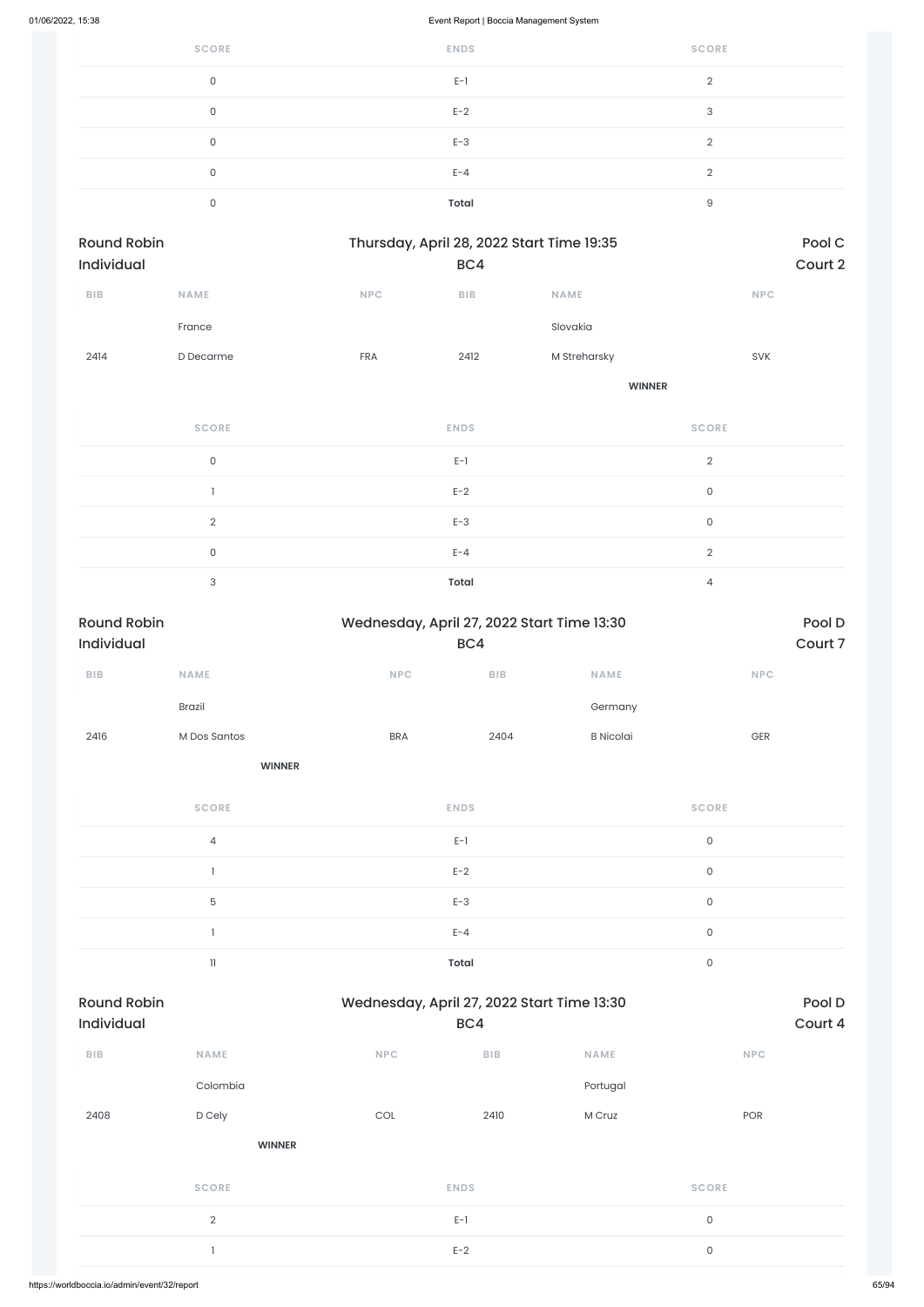| <b>SCORE</b> | <b>ENDS</b>  | <b>SCORE</b>  |
|--------------|--------------|---------------|
| $\mathbf 0$  | $E-1$        | $\Omega$<br>∠ |
| 0            | $E-2$        | 3             |
| $\mathbf 0$  | $E-3$        | $\Omega$      |
| 0            | $E - 4$      | $\Omega$      |
| $\Omega$     | <b>Total</b> | 9             |

| <b>Round Robin</b><br><b>Individual</b> |             | Thursday, April 28, 2022 Start Time 19:35 | BC4        |               | Pool C<br>Court 2 |
|-----------------------------------------|-------------|-------------------------------------------|------------|---------------|-------------------|
| <b>BIB</b>                              | <b>NAME</b> | <b>NPC</b>                                | <b>BIB</b> | <b>NAME</b>   | <b>NPC</b>        |
|                                         | France      |                                           |            | Slovakia      |                   |
| 2414                                    | D Decarme   | <b>FRA</b>                                | 2412       | M Streharsky  | <b>SVK</b>        |
|                                         |             |                                           |            | <b>WINNER</b> |                   |
|                                         |             |                                           |            |               |                   |

| <b>SCORE</b> | <b>ENDS</b>  | <b>SCORE</b>  |
|--------------|--------------|---------------|
| $\mathbf{0}$ | $E-1$        | $\mathcal{D}$ |
|              | $E-2$        | $\Omega$      |
| $\Omega$     | $E-3$        | $\Omega$      |
| $\Omega$     | $E - 4$      | $\Omega$      |
| $\mathbf{z}$ | <b>Total</b> | 4             |

| <b>Round Robin</b> | Wednesday, April 27, 2022 Start Time 13:30 |              |      | Pool D           |                     |
|--------------------|--------------------------------------------|--------------|------|------------------|---------------------|
| Individual         |                                            | BC4          |      |                  | Court 7             |
| BIB                | <b>NAME</b>                                | NPC          | BIB  | <b>NAME</b>      | <b>NPC</b>          |
|                    | Brazil                                     |              |      | Germany          |                     |
| 2416               | M Dos Santos                               | <b>BRA</b>   | 2404 | <b>B</b> Nicolai | GER                 |
|                    | <b>WINNER</b>                              |              |      |                  |                     |
|                    | <b>SCORE</b>                               | <b>ENDS</b>  |      |                  | <b>SCORE</b>        |
|                    | $\sqrt{4}$                                 | $E-1$        |      |                  | $\mathsf{O}\xspace$ |
|                    |                                            | $E-2$        |      |                  | $\mathsf{O}\xspace$ |
|                    | 5                                          | $E-3$        |      |                  | $\mathsf{O}\xspace$ |
|                    |                                            | $E - 4$      |      |                  | $\mathsf{O}\xspace$ |
|                    | $\ensuremath{\mathsf{11}}$                 | <b>Total</b> |      |                  | $\mathsf{O}\xspace$ |

| <b>Round Robin</b><br><b>Individual</b> |               | Wednesday, April 27, 2022 Start Time 13:30 | BC4         |             |              | Pool D<br>Court 4 |
|-----------------------------------------|---------------|--------------------------------------------|-------------|-------------|--------------|-------------------|
| <b>BIB</b>                              | <b>NAME</b>   | <b>NPC</b>                                 | BIB         | <b>NAME</b> | <b>NPC</b>   |                   |
|                                         | Colombia      |                                            |             | Portugal    |              |                   |
| 2408                                    | D Cely        | <b>COL</b>                                 | 2410        | M Cruz      | POR          |                   |
|                                         | <b>WINNER</b> |                                            |             |             |              |                   |
|                                         | <b>SCORE</b>  |                                            | <b>ENDS</b> |             | <b>SCORE</b> |                   |
|                                         | $\sqrt{2}$    |                                            | $E-1$       |             | $\mathsf{O}$ |                   |
|                                         |               |                                            | $E-2$       |             | $\mathsf{O}$ |                   |
|                                         |               |                                            |             |             |              |                   |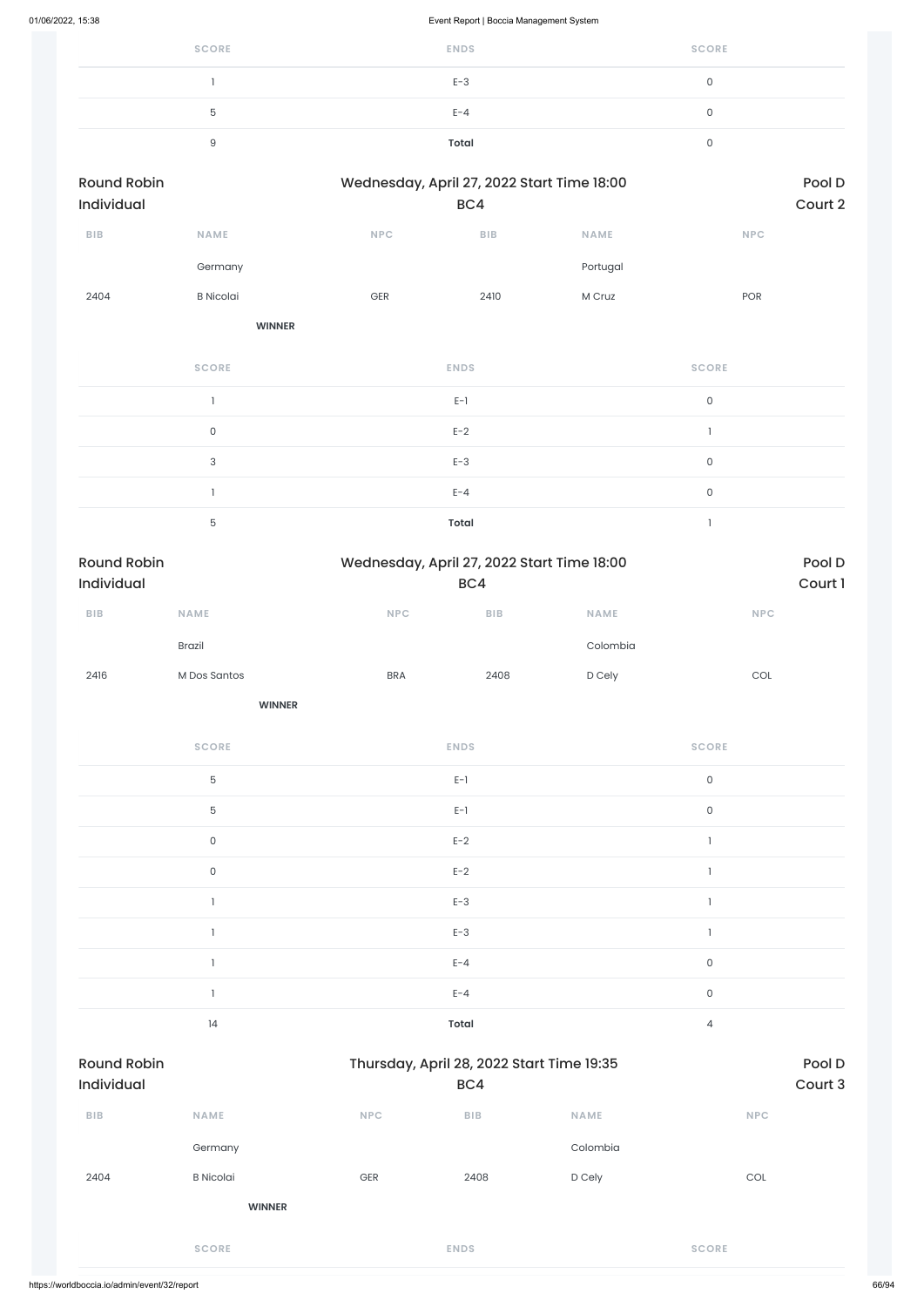| <b>SCORE</b> | <b>ENDS</b>  | <b>SCORE</b> |
|--------------|--------------|--------------|
|              | $E-3$        | 0            |
| b            | $E - 4$      |              |
| u            | <b>Total</b> |              |

| <b>Round Robin</b><br>Individual |                  |            | Wednesday, April 27, 2022 Start Time 18:00<br>BC4 |             |            |
|----------------------------------|------------------|------------|---------------------------------------------------|-------------|------------|
| <b>BIB</b>                       | <b>NAME</b>      | <b>NPC</b> | <b>BIB</b>                                        | <b>NAME</b> | <b>NPC</b> |
|                                  | Germany          |            |                                                   | Portugal    |            |
| 2404                             | <b>B</b> Nicolai | <b>GER</b> | 2410                                              | M Cruz      | <b>POR</b> |
|                                  | <b>WINNER</b>    |            |                                                   |             |            |

**SCORE ENDS SCORE**  $E-1$  0 0 between the set of  $E-2$  and  $E-2$  and  $E-2$  and  $E-2$  and  $E-2$  and  $E-2$  and  $E-2$  and  $E-2$  and  $E-2$  and  $E-2$  and  $E-2$  and  $E-2$  and  $E-2$  and  $E-2$  and  $E-2$  and  $E-2$  and  $E-2$  and  $E-2$  and  $E-2$  and  $E-2$  and  $E-3$  Define the contract of the contract of the contract of the contract of the contract of the contract of the contract of the contract of the contract of the contract of the contract of the contract of the contract of  $E-A$  0 5 **Total** 1

| <b>Round Robin</b><br><b>Individual</b> |               | Wednesday, April 27, 2022 Start Time 18:00<br>BC4 | Pool D<br>Court 1 |             |            |
|-----------------------------------------|---------------|---------------------------------------------------|-------------------|-------------|------------|
| <b>BIB</b>                              | <b>NAME</b>   | <b>NPC</b>                                        | <b>BIB</b>        | <b>NAME</b> | <b>NPC</b> |
|                                         | <b>Brazil</b> |                                                   |                   | Colombia    |            |
| 2416                                    | M Dos Santos  | <b>BRA</b>                                        | 2408              | D Cely      | COL        |

| <b>SCORE</b> | <b>ENDS</b> | <b>SCORE</b> |
|--------------|-------------|--------------|
| 5            | $E-1$       | $\mathsf{O}$ |
| 5            | $E-1$       | $\mathsf O$  |
| $\mathsf O$  | $E-2$       |              |
| $\mathsf{O}$ | $E-2$       |              |
|              | $E-3$       |              |
|              | $E-3$       |              |
|              | $E - 4$     | $\mathbf 0$  |

|                                  |                  |            | $E - 4$                                          |             | $\mathsf O$  |                   |
|----------------------------------|------------------|------------|--------------------------------------------------|-------------|--------------|-------------------|
|                                  | 14               |            | Total                                            |             | 4            |                   |
| <b>Round Robin</b><br>Individual |                  |            | Thursday, April 28, 2022 Start Time 19:35<br>BC4 |             |              | Pool D<br>Court 3 |
| BIB                              | <b>NAME</b>      | <b>NPC</b> | BIB                                              | <b>NAME</b> | <b>NPC</b>   |                   |
|                                  | Germany          |            |                                                  | Colombia    |              |                   |
| 2404                             | <b>B</b> Nicolai | GER        | 2408                                             | D Cely      | COL          |                   |
|                                  | <b>WINNER</b>    |            |                                                  |             |              |                   |
|                                  | <b>SCORE</b>     |            | <b>ENDS</b>                                      |             | <b>SCORE</b> |                   |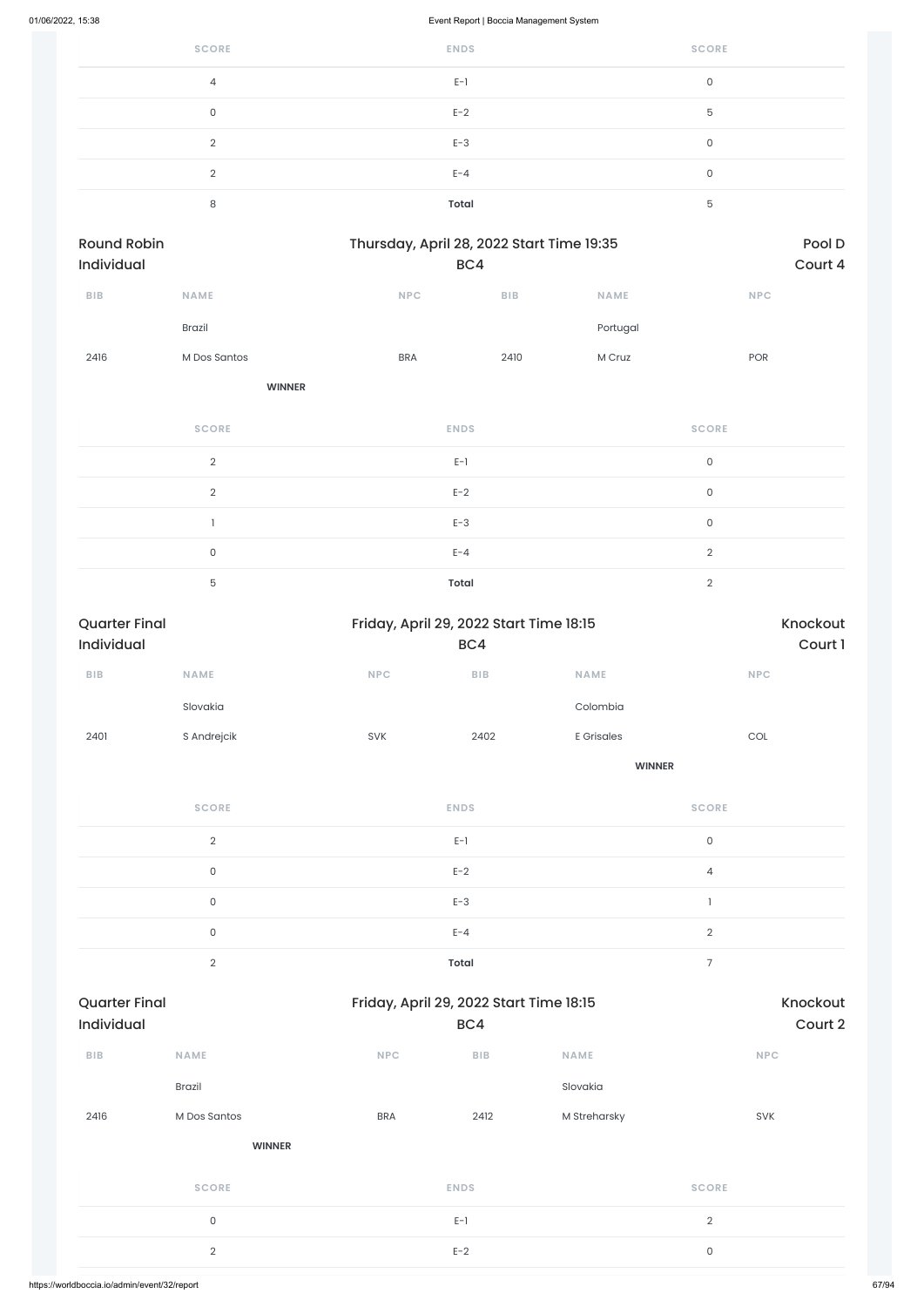| <b>SCORE</b>   | <b>ENDS</b>  | <b>SCORE</b> |
|----------------|--------------|--------------|
| $\overline{4}$ | $E-1$        | 0            |
| 0              | $E-2$        | 5            |
| $\Omega$       | $E-3$        | 0            |
| $\mathcal{D}$  | $E - 4$      | 0            |
| 8              | <b>Total</b> | 5            |

| Round Robin<br>Individual |                     |             | Thursday, April 28, 2022 Start Time 19:35<br>BC4 |          |                     | Pool D<br>Court 4 |
|---------------------------|---------------------|-------------|--------------------------------------------------|----------|---------------------|-------------------|
| BIB                       | <b>NAME</b>         | <b>NPC</b>  | ${\sf B}{\sf I}{\sf B}$                          | NAME     | NPC                 |                   |
|                           | Brazil              |             |                                                  | Portugal |                     |                   |
| 2416                      | M Dos Santos        | <b>BRA</b>  | 2410                                             | M Cruz   | POR                 |                   |
|                           | <b>WINNER</b>       |             |                                                  |          |                     |                   |
|                           | <b>SCORE</b>        | <b>ENDS</b> |                                                  |          | <b>SCORE</b>        |                   |
|                           | $\sqrt{2}$          | $E-1$       |                                                  |          | $\mathsf{O}\xspace$ |                   |
|                           | $\sqrt{2}$          | $E-2$       |                                                  |          | $\mathsf{O}\xspace$ |                   |
|                           | $\overline{1}$      | $E-3$       |                                                  |          | $\mathsf{O}\xspace$ |                   |
|                           | $\mathsf{O}\xspace$ | $E - 4$     |                                                  |          | $\overline{2}$      |                   |
|                           | $\sqrt{5}$          | Total       |                                                  |          | $\sqrt{2}$          |                   |

| <b>Quarter Final</b> |                     |            | Friday, April 29, 2022 Start Time 18:15 |                   |                             | Knockout |
|----------------------|---------------------|------------|-----------------------------------------|-------------------|-----------------------------|----------|
| Individual<br>BC4    |                     |            |                                         |                   | Court 1                     |          |
| BIB                  | <b>NAME</b>         | NPC        | <b>BIB</b>                              | <b>NAME</b>       | NPC                         |          |
|                      | Slovakia            |            |                                         | Colombia          |                             |          |
| 2401                 | S Andrejcik         | SVK        | 2402                                    | <b>E</b> Grisales | $\mathop{\rm COL}\nolimits$ |          |
|                      |                     |            |                                         | <b>WINNER</b>     |                             |          |
|                      | <b>SCORE</b>        |            | <b>ENDS</b>                             |                   | <b>SCORE</b>                |          |
|                      | $\overline{2}$      |            | $E-1$                                   |                   | $\mathsf{O}\xspace$         |          |
|                      | $\mathsf{O}\xspace$ |            | $E-2$                                   |                   | $\overline{4}$              |          |
|                      | $\mathsf O$         |            | $E-3$                                   |                   | $\mathbf{I}$                |          |
|                      | $\mathsf{O}\xspace$ |            | $E - 4$                                 |                   | $\overline{2}$              |          |
|                      | $\overline{2}$      |            | <b>Total</b>                            |                   | $\overline{7}$              |          |
| <b>Quarter Final</b> |                     |            | Friday, April 29, 2022 Start Time 18:15 |                   |                             | Knockout |
| Individual           |                     |            | BC4                                     |                   |                             | Court 2  |
| BIB                  | NAME                | <b>NPC</b> | ${\sf B}{\sf I}{\sf B}$                 | NAME              | <b>NPC</b>                  |          |
|                      | Brazil              |            |                                         | Slovakia          |                             |          |
| 2416                 | M Dos Santos        | <b>BRA</b> | 2412                                    | M Streharsky      | SVK                         |          |
|                      | <b>WINNER</b>       |            |                                         |                   |                             |          |
|                      | <b>SCORE</b>        |            | <b>ENDS</b>                             |                   | <b>SCORE</b>                |          |
|                      | $\mathsf O$         |            | $E-1$                                   |                   | $\overline{2}$              |          |
|                      | $\overline{2}$      |            | $E-2$                                   |                   | $\mathsf{O}\xspace$         |          |
|                      |                     |            |                                         |                   |                             |          |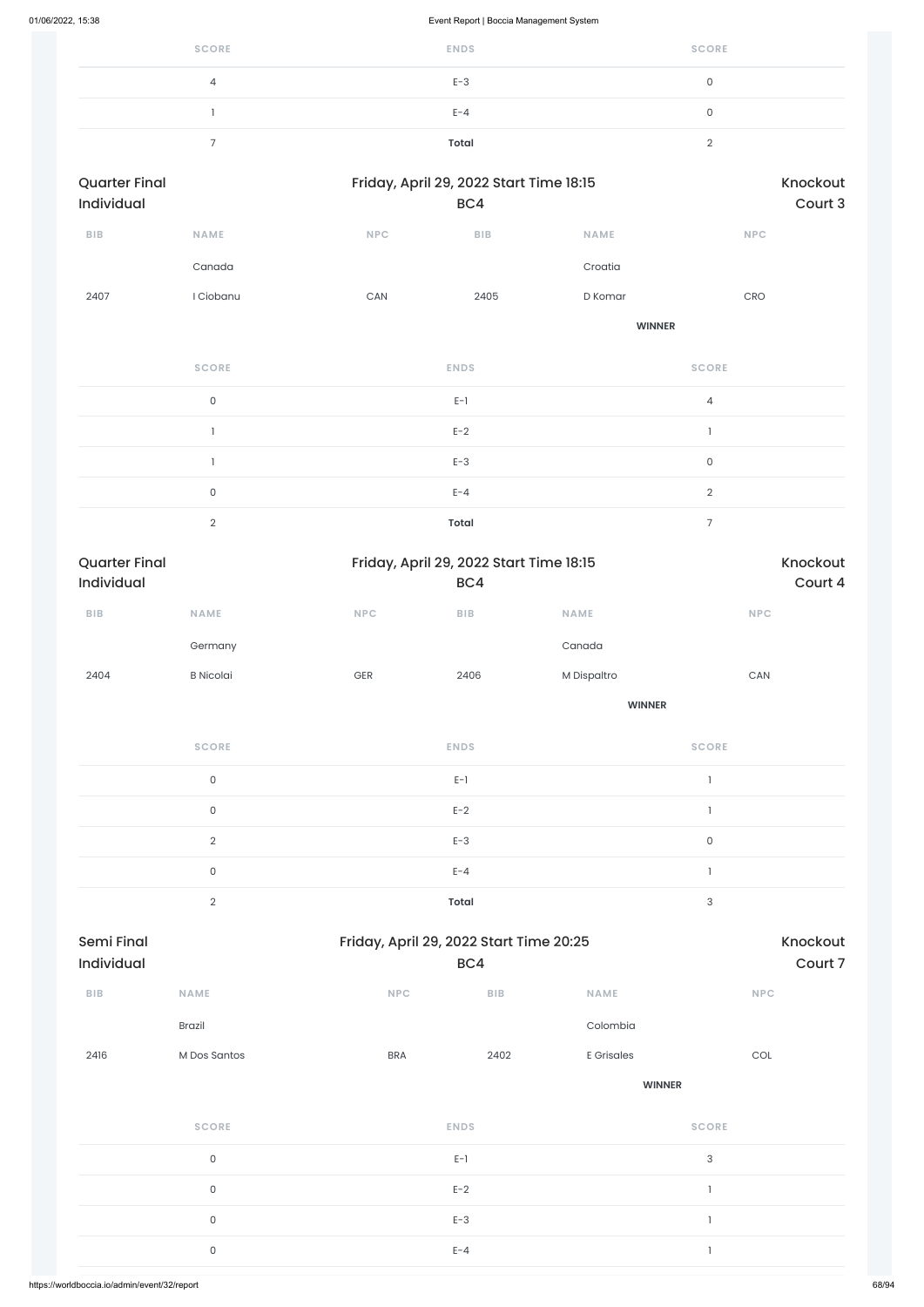| <b>SCORE</b> | <b>ENDS</b>  | <b>SCORE</b> |
|--------------|--------------|--------------|
| 4            | $E-3$        |              |
|              | $E - 4$      |              |
|              | <b>Total</b> |              |

| <b>Quarter Final</b><br><b>Individual</b> |              | Friday, April 29, 2022 Start Time 18:15 |             | Knockout<br>Court 3 |              |  |
|-------------------------------------------|--------------|-----------------------------------------|-------------|---------------------|--------------|--|
| <b>BIB</b>                                | <b>NAME</b>  | <b>NPC</b>                              | <b>BIB</b>  | <b>NAME</b>         | <b>NPC</b>   |  |
|                                           | Canada       |                                         |             | Croatia             |              |  |
| 2407                                      | I Ciobanu    | CAN                                     | 2405        | D Komar             | <b>CRO</b>   |  |
|                                           |              |                                         |             | <b>WINNER</b>       |              |  |
|                                           | <b>SCORE</b> |                                         | <b>ENDS</b> |                     | <b>SCORE</b> |  |

| $\cap$ | $E-1$        |  |
|--------|--------------|--|
|        | $E-2$        |  |
|        | $E-3$        |  |
|        | $E - 4$      |  |
|        | <b>Total</b> |  |

| <b>Quarter Final</b><br>Individual |                     |     | Friday, April 29, 2022 Start Time 18:15<br>BC4 |               | Knockout<br>Court 4      |
|------------------------------------|---------------------|-----|------------------------------------------------|---------------|--------------------------|
| ${\sf B}{\sf I}{\sf B}$            | <b>NAME</b>         | NPC | ${\sf B}{\sf I}{\sf B}$                        | <b>NAME</b>   | <b>NPC</b>               |
|                                    | Germany             |     |                                                | Canada        |                          |
| 2404                               | <b>B</b> Nicolai    | GER | 2406                                           | M Dispaltro   | ${\sf CAN}$              |
|                                    |                     |     |                                                | <b>WINNER</b> |                          |
|                                    | <b>SCORE</b>        |     | <b>ENDS</b>                                    |               | <b>SCORE</b>             |
|                                    | $\mathsf{O}$        |     | $E-1$                                          |               | $\overline{\phantom{a}}$ |
|                                    | $\mathsf{O}\xspace$ |     | $E-2$                                          |               | $\mathbf{I}$             |
|                                    | $\mathbf{2}$        |     | $E-3$                                          |               | $\mathsf{O}\xspace$      |
|                                    | $\mathsf{O}\xspace$ |     | $E - 4$                                        |               | $\mathbf{I}$             |
|                                    |                     |     |                                                |               |                          |

2 **Total** 3

| ${\sf B}{\sf I}{\sf B}$ | <b>NAME</b>         | <b>NPC</b>  | ${\sf B}{\sf I}{\sf B}$ | <b>NAME</b>   | NPC                       |
|-------------------------|---------------------|-------------|-------------------------|---------------|---------------------------|
|                         | Brazil              |             |                         | Colombia      |                           |
| 2416                    | M Dos Santos        | <b>BRA</b>  | 2402                    | E Grisales    | COL                       |
|                         |                     |             |                         | <b>WINNER</b> |                           |
|                         | <b>SCORE</b>        | <b>ENDS</b> |                         |               | <b>SCORE</b>              |
|                         | $\mathsf{O}\xspace$ | $E-1$       |                         |               | $\ensuremath{\mathsf{3}}$ |
|                         | $\mathsf{O}\xspace$ | $E-2$       |                         |               | ÷,                        |
|                         | $\mathsf{O}\xspace$ |             | $E-3$                   |               |                           |
|                         | $\mathsf{O}\xspace$ |             | $E - 4$                 |               |                           |
|                         |                     |             |                         |               |                           |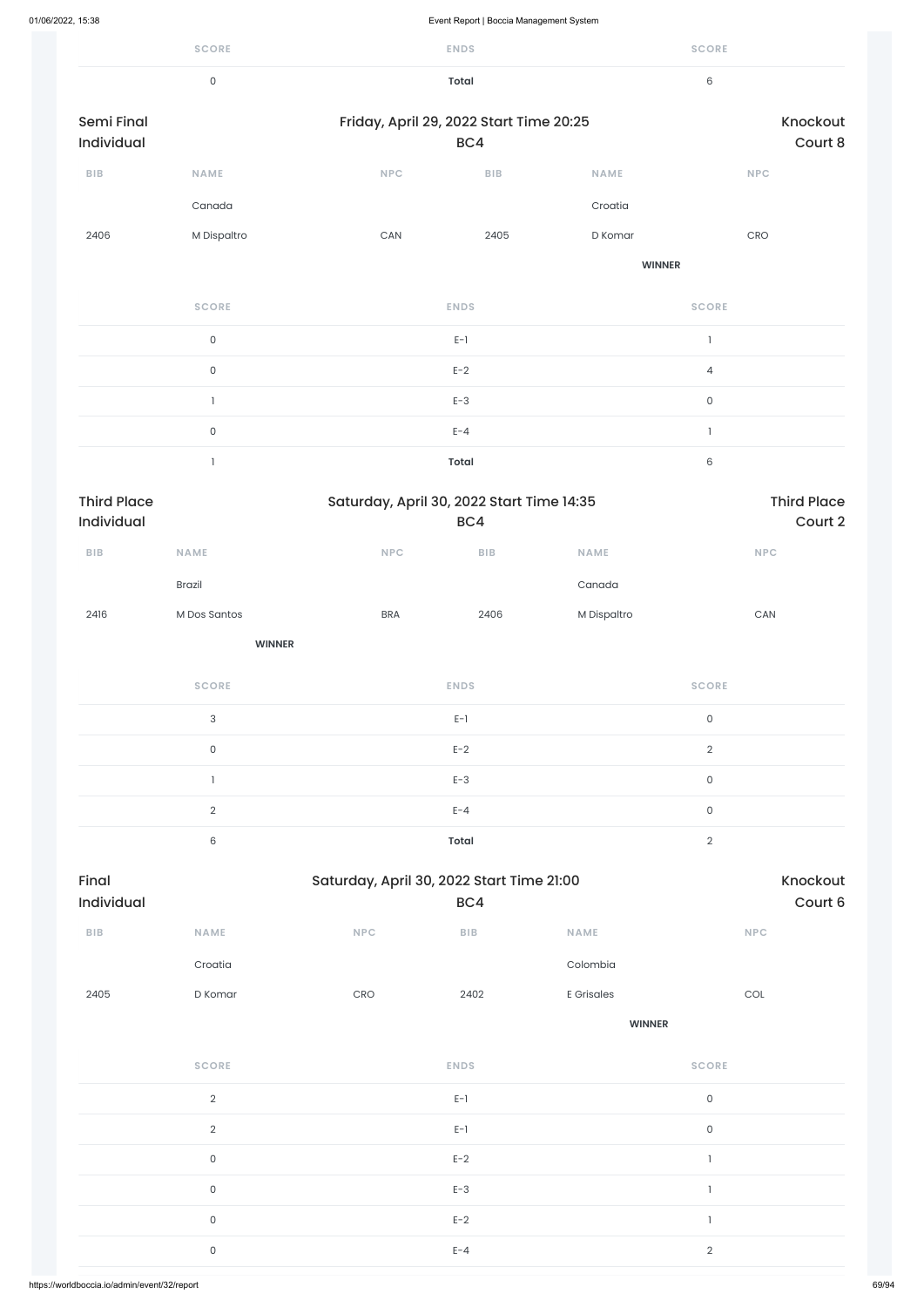| 01/06/2022, 15:38                |                           |                                           | Event Report   Boccia Management System |               |                          |                               |
|----------------------------------|---------------------------|-------------------------------------------|-----------------------------------------|---------------|--------------------------|-------------------------------|
|                                  | <b>SCORE</b>              |                                           | <b>ENDS</b>                             |               | <b>SCORE</b>             |                               |
|                                  | $\mathsf{O}$              |                                           | <b>Total</b>                            |               | $\,6\,$                  |                               |
| Semi Final                       |                           | Friday, April 29, 2022 Start Time 20:25   |                                         |               |                          | Knockout                      |
| Individual                       |                           |                                           | BC4                                     |               |                          | Court 8                       |
| <b>BIB</b>                       | NAME                      | <b>NPC</b>                                | ${\sf B}{\sf I}{\sf B}$                 | <b>NAME</b>   |                          | NPC                           |
|                                  | Canada                    |                                           |                                         | Croatia       |                          |                               |
| 2406                             | M Dispaltro               | CAN                                       | 2405                                    | D Komar       |                          | CRO                           |
|                                  |                           |                                           |                                         | <b>WINNER</b> |                          |                               |
|                                  | <b>SCORE</b>              |                                           | <b>ENDS</b>                             |               | <b>SCORE</b>             |                               |
|                                  | $\mathsf{O}$              |                                           | $E-1$                                   |               | $\overline{\phantom{a}}$ |                               |
|                                  | $\mathsf{O}$              |                                           | $E-2$                                   |               | $\overline{4}$           |                               |
|                                  | $\mathbf{I}$              |                                           | $E-3$                                   |               | $\mathsf{O}$             |                               |
|                                  | $\mathsf{O}$              |                                           | $E - 4$                                 |               | $\overline{\phantom{a}}$ |                               |
|                                  | $\mathbf{I}$              |                                           | <b>Total</b>                            |               | $\,6\,$                  |                               |
| <b>Third Place</b><br>Individual |                           | Saturday, April 30, 2022 Start Time 14:35 | BC4                                     |               |                          | <b>Third Place</b><br>Court 2 |
| ${\bf B} {\sf I} {\bf B}$        | NAME                      | NPC                                       | ${\sf B}{\sf I}{\sf B}$                 | NAME          |                          | <b>NPC</b>                    |
|                                  | Brazil                    |                                           |                                         | Canada        |                          |                               |
| 2416                             | M Dos Santos              | <b>BRA</b>                                | 2406                                    | M Dispaltro   |                          | $\mathsf{CAN}\xspace$         |
|                                  | <b>WINNER</b>             |                                           |                                         |               |                          |                               |
|                                  | <b>SCORE</b>              |                                           | <b>ENDS</b>                             |               | <b>SCORE</b>             |                               |
|                                  | $\ensuremath{\mathsf{3}}$ |                                           | $E-1$                                   |               | $\mathsf{O}\xspace$      |                               |
|                                  | $\mathsf{O}\xspace$       |                                           | $E-2$                                   |               | $\overline{2}$           |                               |
|                                  | $\mathbbm{1}$             |                                           | $E-3$                                   |               | $\mathsf{O}\xspace$      |                               |
|                                  | $\overline{2}$            |                                           | $E - 4$                                 |               | $\mathsf{O}\xspace$      |                               |
|                                  | $\mathsf 6$               |                                           | <b>Total</b>                            |               | $\overline{2}$           |                               |
| Final                            |                           | Saturday, April 30, 2022 Start Time 21:00 |                                         |               |                          | Knockout                      |

| Final             |             |            | Saturday, April 30, 2022 Start Time 21:00 |             |            |  |  |  |
|-------------------|-------------|------------|-------------------------------------------|-------------|------------|--|--|--|
| <b>Individual</b> |             |            | BC4                                       |             | Court 6    |  |  |  |
| <b>BIB</b>        | <b>NAME</b> | <b>NPC</b> | <b>BIB</b>                                | <b>NAME</b> | <b>NPC</b> |  |  |  |

Croatia Colombia

| 2405<br>D Komar | CRO | 2402        | <b>E</b> Grisales | COL          |
|-----------------|-----|-------------|-------------------|--------------|
|                 |     |             | <b>WINNER</b>     |              |
| <b>SCORE</b>    |     | <b>ENDS</b> |                   | <b>SCORE</b> |
| $\sqrt{2}$      |     | $E-1$       |                   | $\mathsf O$  |
| $\overline{2}$  |     | $E-1$       |                   | $\mathsf O$  |
| $\mathsf O$     |     | $E-2$       |                   |              |
| $\mathsf O$     |     | $E-3$       |                   |              |
| $\mathsf O$     |     | $E-2$       |                   |              |
| $\mathsf O$     |     | $E - 4$     |                   | $\sqrt{2}$   |
|                 |     |             |                   |              |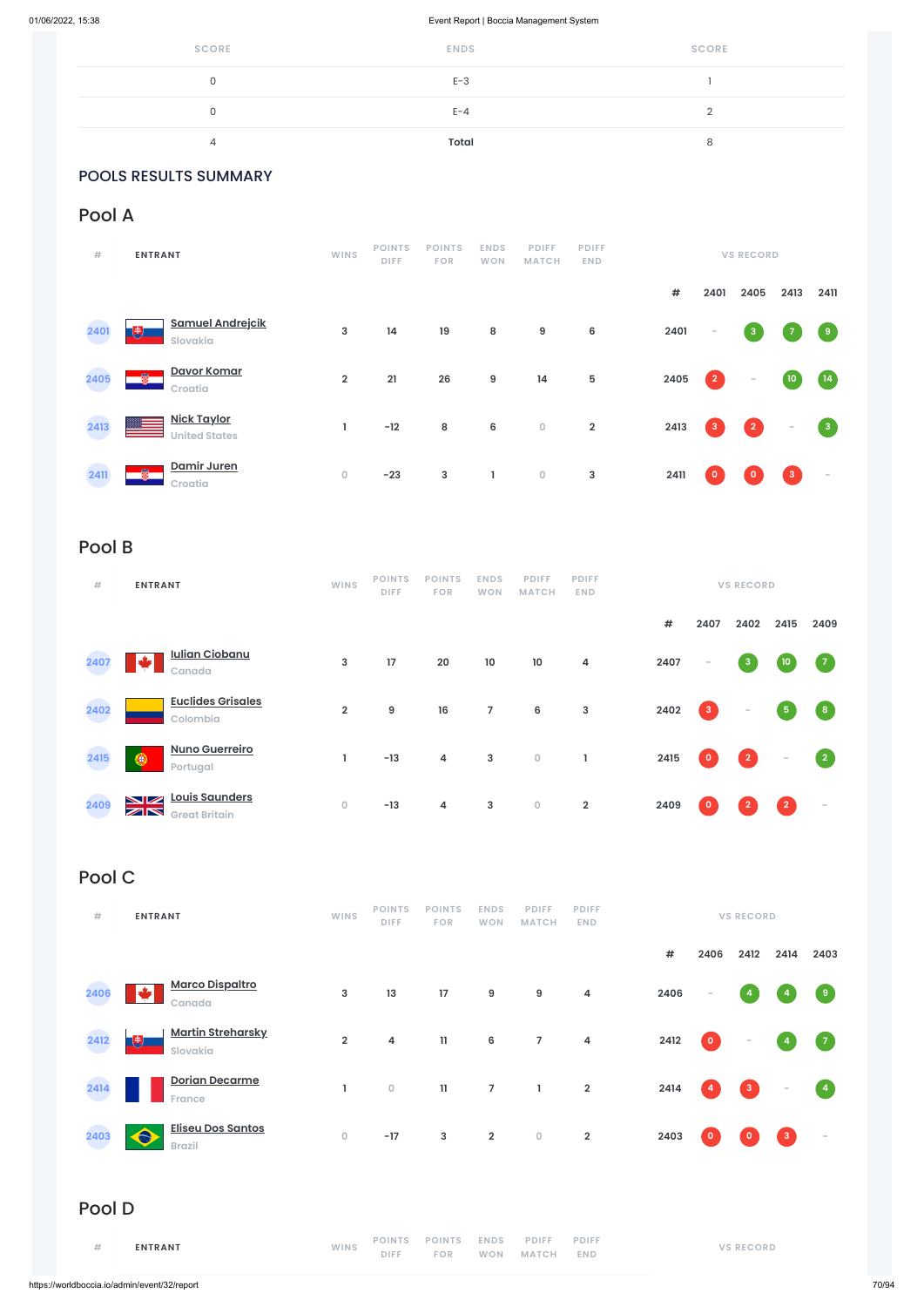| <b>SCORE</b> | <b>ENDS</b> | <b>SCORE</b> |
|--------------|-------------|--------------|
| 0            | $E-3$       |              |
|              | $E - 4$     |              |
| 4            | Total       |              |

### POOLS RESULTS SUMMARY

## Pool A

| #    | <b>ENTRANT</b>                           | <b>WINS</b>             | <b>POINTS</b><br><b>DIFF</b> | <b>POINTS</b><br><b>FOR</b> | <b>ENDS</b><br><b>WON</b> | <b>PDIFF</b><br><b>MATCH</b> | <b>PDIFF</b><br><b>END</b> |      |              | <b>VS RECORD</b>         |                 |                |
|------|------------------------------------------|-------------------------|------------------------------|-----------------------------|---------------------------|------------------------------|----------------------------|------|--------------|--------------------------|-----------------|----------------|
|      |                                          |                         |                              |                             |                           |                              |                            | #    | 2401         | 2405                     | 2413            | 2411           |
| 2401 | <b>Samuel Andrejcik</b><br>曵<br>Slovakia | 3                       | 14                           | 19                          | 8                         | $\boldsymbol{9}$             | 6                          | 2401 | $\sim$       | $\overline{\mathbf{3}}$  |                 | $\overline{9}$ |
| 2405 | Davor Komar<br>÷<br>Croatia              | $\overline{\mathbf{2}}$ | 21                           | 26                          | $\boldsymbol{9}$          | 14                           | 5                          | 2405 | $\vert$ 2    | $\overline{\phantom{a}}$ | 10 <sub>o</sub> | (14)           |
| 2413 | Nick Taylor<br><b>United States</b>      |                         | $-12$                        | 8                           | $\boldsymbol{6}$          | $\mathbf 0$                  | $\mathbf 2$                | 2413 | $\mathbf{3}$ | $\boxed{2}$              | $\sim$          | $\mathbf{3}$   |
| 2411 | Damir Juren<br>釁<br>Croatia              | $\mathsf{O}\xspace$     | $-23$                        | $\mathbf{3}$                | J,                        | $\mathsf O$                  | $\mathsf 3$                | 2411 | $\circ$      | $\mathbf{0}$             | 3 <sup>°</sup>  | $\sim$         |

# Pool B

| #    | <b>ENTRANT</b>                                                          | <b>WINS</b>    | <b>POINTS</b><br><b>DIFF</b> | <b>POINTS</b><br><b>FOR</b> | <b>ENDS</b><br><b>WON</b> | <b>PDIFF</b><br><b>MATCH</b> | <b>PDIFF</b><br>END. |      |              | <b>VS RECORD</b>         |                |                    |
|------|-------------------------------------------------------------------------|----------------|------------------------------|-----------------------------|---------------------------|------------------------------|----------------------|------|--------------|--------------------------|----------------|--------------------|
|      |                                                                         |                |                              |                             |                           |                              |                      | #    | 2407         | 2402                     | 2415           | 2409               |
| 2407 | <b>Iulian Ciobanu</b><br>Canada                                         | $\mathbf{3}$   | 17                           | 20                          | $10\,$                    | $10\,$                       | 4                    | 2407 | $\sim$       | $\mathbf{3}$             | 10             | $\sqrt{7}$         |
| 2402 | <b>Euclides Grisales</b><br>Colombia                                    | $\overline{2}$ | 9                            | 16                          | $\overline{7}$            | $6\phantom{1}6$              | $\mathsf 3$          | 2402 | $\mathbf{3}$ | $\overline{\phantom{a}}$ | ${\bf 5}$      | $\left  \right $ 8 |
| 2415 | <b>Nuno Guerreiro</b><br>۵<br>Portugal                                  |                | $-13$                        | $\overline{\mathbf{4}}$     | $\mathbf{3}$              | $\circ$                      | ı                    | 2415 | $\circ$      | $\vert$ 2                | $\sim$         | $\sqrt{2}$         |
| 2409 | Louis Saunders<br>VZ<br>$\mathbb{Z} \mathbb{N}$<br><b>Great Britain</b> | $\circ$        | $-13$                        | 4                           | 3                         | $\bullet$                    | $\overline{2}$       | 2409 | $\circ$      | $\overline{2}$           | $\overline{2}$ | $\sim$             |

# Pool C

| ENTRANT | <b>WINS</b> | POINTS POINTS ENDS PDIFF PDIFF<br>DIFF FOR WON MATCH END |  |  | <b>VS RECORD</b> |
|---------|-------------|----------------------------------------------------------|--|--|------------------|
|         |             |                                                          |  |  |                  |

**# 2406 2412 2414 2403**



| 2406   | <u>Marco Dispaitro</u><br>◆<br>Canada          | 3                   | 13                           | 17                          | 9                         | $\boldsymbol{9}$             | $\overline{\mathbf{4}}$    | 2406 | $\sim$         | $\overline{4}$   | $\overline{4}$           | $\overline{9}$           |
|--------|------------------------------------------------|---------------------|------------------------------|-----------------------------|---------------------------|------------------------------|----------------------------|------|----------------|------------------|--------------------------|--------------------------|
| 2412   | <b>Martin Streharsky</b><br>曳<br>Slovakia      | $\overline{2}$      | 4                            | $\mathbf{11}$               | $6\phantom{a}$            | $\overline{7}$               | $\overline{\mathbf{4}}$    | 2412 | $\mathbf 0$    | $\sim$           | $\overline{a}$           | $\sqrt{7}$               |
| 2414   | <b>Dorian Decarme</b><br><b>France</b>         | ı                   | $\mathsf O$                  | $\mathbf{11}$               | $\overline{7}$            | 1                            | $\mathbf 2$                | 2414 | $\overline{4}$ | $\vert 3 \vert$  | $\overline{\phantom{a}}$ | $\blacktriangleleft$     |
| 2403   | <b>Eliseu Dos Santos</b><br>⋒<br><b>Brazil</b> | $\mathsf{O}\xspace$ | $-17$                        | $\mathbf{3}$                | $\overline{2}$            | $\mathsf{O}\xspace$          | $\overline{\mathbf{2}}$    | 2403 | $\mathbf 0$    | $\circ$          | $\mathbf{3}$             | $\overline{\phantom{a}}$ |
| Pool D |                                                |                     |                              |                             |                           |                              |                            |      |                |                  |                          |                          |
| #      | <b>ENTRANT</b>                                 | <b>WINS</b>         | <b>POINTS</b><br><b>DIFF</b> | <b>POINTS</b><br><b>FOR</b> | <b>ENDS</b><br><b>WON</b> | <b>PDIFF</b><br><b>MATCH</b> | <b>PDIFF</b><br><b>END</b> |      |                | <b>VS RECORD</b> |                          |                          |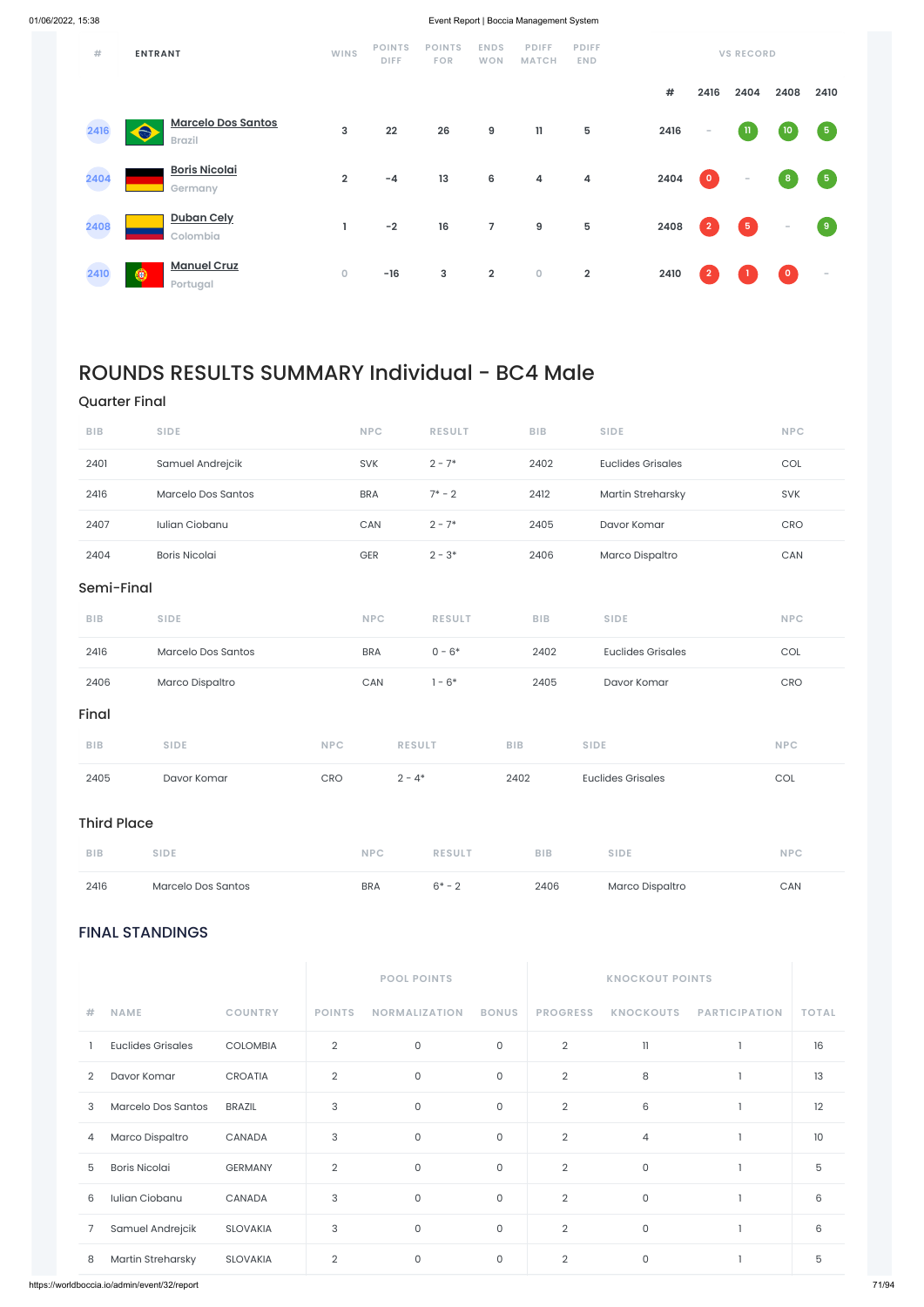### FINAL STANDINGS

| <b>POOL POINTS</b> | <b>KNOCKOUT POINTS</b> |
|--------------------|------------------------|
|                    |                        |

| # | <b>NAME</b>              | <b>COUNTRY</b>  | <b>POINTS</b>  | <b>NORMALIZATION</b> | <b>BONUS</b> | <b>PROGRESS</b> | <b>KNOCKOUTS</b> | <b>PARTICIPATION</b> | <b>TOTAL</b> |
|---|--------------------------|-----------------|----------------|----------------------|--------------|-----------------|------------------|----------------------|--------------|
|   | <b>Euclides Grisales</b> | <b>COLOMBIA</b> | $\overline{2}$ | $\mathsf O$          | 0            | $\overline{2}$  | $\mathbf{1}$     |                      | 16           |
| 2 | Davor Komar              | <b>CROATIA</b>  | $\overline{2}$ | 0                    | $\mathbf{0}$ | $\overline{2}$  | 8                |                      | 13           |
| 3 | Marcelo Dos Santos       | <b>BRAZIL</b>   | 3              | $\mathsf O$          | $\mathbf{0}$ | $\overline{2}$  | 6                |                      | 12           |
| 4 | Marco Dispaltro          | CANADA          | 3              | $\mathsf O$          | $\mathbf{0}$ | $\overline{2}$  | $\overline{4}$   |                      | 10           |
| 5 | <b>Boris Nicolai</b>     | <b>GERMANY</b>  | $\overline{2}$ | $\mathsf O$          | 0            | $\overline{2}$  | $\mathsf{O}$     |                      | 5            |
| 6 | Iulian Ciobanu           | <b>CANADA</b>   | 3              | $\mathsf O$          | $\mathsf{O}$ | $\overline{2}$  | $\mathsf{O}$     |                      | 6            |
| 7 | Samuel Andrejcik         | <b>SLOVAKIA</b> | 3              | $\mathsf O$          | 0            | $\overline{2}$  | $\mathsf O$      |                      | 6            |
| 8 | Martin Streharsky        | <b>SLOVAKIA</b> | $\overline{2}$ | 0                    | $\mathbf{0}$ | $\overline{2}$  | $\mathsf{O}$     |                      | 5            |

| #    | <b>ENTRANT</b>                                  | <b>WINS</b>    | <b>POINTS</b><br><b>DIFF</b> | <b>POINTS</b><br><b>FOR</b> | <b>ENDS</b><br><b>WON</b> | <b>PDIFF</b><br><b>MATCH</b> | <b>PDIFF</b><br><b>END</b> |      |                | <b>VS RECORD</b> |           |            |
|------|-------------------------------------------------|----------------|------------------------------|-----------------------------|---------------------------|------------------------------|----------------------------|------|----------------|------------------|-----------|------------|
|      |                                                 |                |                              |                             |                           |                              |                            | #    | 2416           | 2404             | 2408      | 2410       |
| 2416 | <b>Marcelo Dos Santos</b><br>€<br><b>Brazil</b> | $\mathbf{3}$   | 22                           | 26                          | 9                         | 11                           | 5                          | 2416 | $\sim$         | $\, {\bf n}$     | 10        | $\sqrt{5}$ |
| 2404 | <b>Boris Nicolai</b><br>Germany                 | $\overline{2}$ | $-4$                         | 13                          | 6                         | 4                            | 4                          | 2404 | $\bullet$      | $\sim$           | 8         | $\sqrt{5}$ |
| 2408 | <b>Duban Cely</b><br>Colombia                   | L              | $-2$                         | 16                          | $\overline{7}$            | $\boldsymbol{9}$             | $\overline{5}$             | 2408 | $\overline{2}$ | $\sqrt{5}$       | $\sim$    | $\bullet$  |
| 2410 | <b>Manuel Cruz</b><br>◉<br>Portugal             | $\mathsf O$    | $-16$                        | 3                           | $\overline{2}$            | $\bullet$                    | $\overline{2}$             | 2410 | $\overline{2}$ |                  | $\bullet$ | $\sim$     |

# ROUNDS RESULTS SUMMARY Individual - BC4 Male

### Quarter Final

| <b>BIB</b>         | <b>SIDE</b>          | <b>NPC</b> | <b>RESULT</b> | <b>BIB</b> | <b>SIDE</b>              | <b>NPC</b>                  |
|--------------------|----------------------|------------|---------------|------------|--------------------------|-----------------------------|
| 2401               | Samuel Andrejcik     | SVK        | $2 - 7*$      | 2402       | <b>Euclides Grisales</b> | $\mathop{\rm COL}\nolimits$ |
| 2416               | Marcelo Dos Santos   | <b>BRA</b> | $7* - 2$      | 2412       | Martin Streharsky        | SVK                         |
| 2407               | Iulian Ciobanu       | CAN        | $2 - 7*$      | 2405       | Davor Komar              | CRO                         |
| 2404               | <b>Boris Nicolai</b> | GER        | $2 - 3*$      | 2406       | Marco Dispaltro          | CAN                         |
| Semi-Final         |                      |            |               |            |                          |                             |
| <b>BIB</b>         | <b>SIDE</b>          | <b>NPC</b> | <b>RESULT</b> | <b>BIB</b> | <b>SIDE</b>              | <b>NPC</b>                  |
| 2416               | Marcelo Dos Santos   | <b>BRA</b> | $0 - 6*$      | 2402       | <b>Euclides Grisales</b> | COL                         |
| 2406               | Marco Dispaltro      | CAN        | $1 - 6*$      | 2405       | Davor Komar              | CRO                         |
| Final              |                      |            |               |            |                          |                             |
| <b>BIB</b>         | <b>SIDE</b>          | <b>NPC</b> | <b>RESULT</b> | <b>BIB</b> | <b>SIDE</b>              | <b>NPC</b>                  |
| 2405               | Davor Komar          | CRO        | $2 - 4*$      | 2402       | <b>Euclides Grisales</b> | COL                         |
| <b>Third Place</b> |                      |            |               |            |                          |                             |

| <b>BIB</b> | <b>SIDE</b>        | <b>NPC</b> | <b>RESULT</b> | <b>BIB</b> | <b>SIDE</b>     | <b>NPC</b> |
|------------|--------------------|------------|---------------|------------|-----------------|------------|
| 2416       | Marcelo Dos Santos | <b>BRA</b> | $6* - 2$      | 2406       | Marco Dispaltro | <b>CAN</b> |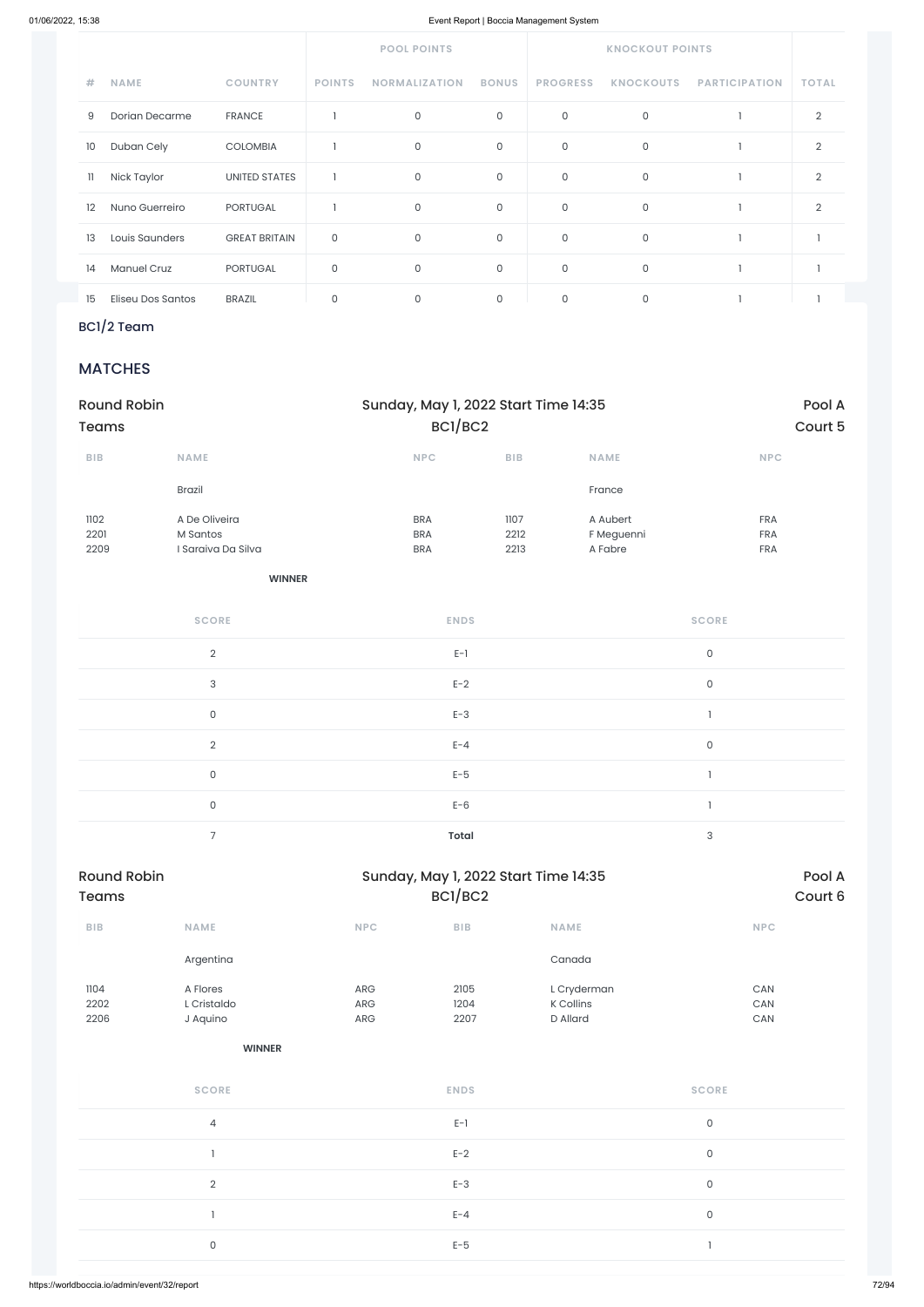|    |                    |                      | <b>POOL POINTS</b> |                      |              | <b>KNOCKOUT POINTS</b> |                  |                      |                |
|----|--------------------|----------------------|--------------------|----------------------|--------------|------------------------|------------------|----------------------|----------------|
| #  | <b>NAME</b>        | <b>COUNTRY</b>       | <b>POINTS</b>      | <b>NORMALIZATION</b> | <b>BONUS</b> | <b>PROGRESS</b>        | <b>KNOCKOUTS</b> | <b>PARTICIPATION</b> | <b>TOTAL</b>   |
| 9  | Dorian Decarme     | <b>FRANCE</b>        |                    | $\mathsf O$          | 0            | $\mathsf O$            | $\mathsf O$      |                      | 2              |
| 10 | Duban Cely         | <b>COLOMBIA</b>      |                    | $\mathsf O$          | 0            | $\mathsf O$            | $\mathsf O$      |                      | $\overline{2}$ |
| 11 | Nick Taylor        | <b>UNITED STATES</b> |                    | $\mathsf O$          | 0            | $\mathsf{O}$           | $\mathsf O$      |                      | $\overline{2}$ |
| 12 | Nuno Guerreiro     | <b>PORTUGAL</b>      |                    | $\mathsf O$          | 0            | $\mathsf{O}$           | $\mathsf O$      |                      | $\overline{2}$ |
| 13 | Louis Saunders     | <b>GREAT BRITAIN</b> | $\mathsf O$        | $\mathsf{O}\xspace$  | 0            | $\mathsf{O}$           | $\mathsf O$      |                      |                |
| 14 | <b>Manuel Cruz</b> | <b>PORTUGAL</b>      | $\mathsf{O}$       | $\mathsf{O}\xspace$  | 0            | $\mathsf{O}\xspace$    | $\mathsf O$      |                      |                |
| 15 | Eliseu Dos Santos  | <b>BRAZIL</b>        | $\mathbf 0$        | $\mathbf{0}$         | 0            | $\mathbf{0}$           | $\mathbf{0}$     |                      |                |

# BC1/2 Team

### **MATCHES**

| <b>Round Robin</b><br><b>Teams</b> |                                                 |                                        | Sunday, May 1, 2022 Start Time 14:35<br>BC1/BC2 |                                   |                                        |  |
|------------------------------------|-------------------------------------------------|----------------------------------------|-------------------------------------------------|-----------------------------------|----------------------------------------|--|
| <b>BIB</b>                         | <b>NAME</b>                                     | <b>NPC</b>                             | <b>BIB</b>                                      | <b>NAME</b>                       | <b>NPC</b>                             |  |
|                                    | <b>Brazil</b>                                   |                                        |                                                 | France                            |                                        |  |
| 1102<br>2201<br>2209               | A De Oliveira<br>M Santos<br>I Saraiva Da Silva | <b>BRA</b><br><b>BRA</b><br><b>BRA</b> | 1107<br>2212<br>2213                            | A Aubert<br>F Meguenni<br>A Fabre | <b>FRA</b><br><b>FRA</b><br><b>FRA</b> |  |

| <b>SCORE</b>   | <b>ENDS</b>  | <b>SCORE</b> |
|----------------|--------------|--------------|
| $\overline{2}$ | $E-1$        | $\mathsf O$  |
| 3              | $E-2$        | $\mathsf O$  |
| $\mathsf{O}$   | $E-3$        |              |
| 2              | $E - 4$      | $\mathsf O$  |
| $\mathsf O$    | $E-5$        |              |
| $\mathsf{O}$   | $E-6$        |              |
| $\overline{7}$ | <b>Total</b> | 3            |

| Round Robin<br><b>Teams</b> |             |            | Sunday, May 1, 2022 Start Time 14:35<br>BCI/BC2 | Pool A<br>Court 6 |            |
|-----------------------------|-------------|------------|-------------------------------------------------|-------------------|------------|
| <b>BIB</b>                  | <b>NAME</b> | <b>NPC</b> | <b>BIB</b>                                      | <b>NAME</b>       | <b>NPC</b> |
|                             | Argentina   |            |                                                 | Canada            |            |

| 1104 | A Flores            | ARG | 2105        | L Cryderman | CAN                 |  |
|------|---------------------|-----|-------------|-------------|---------------------|--|
| 2202 | L Cristaldo         | ARG | 1204        | K Collins   | CAN                 |  |
| 2206 | J Aquino            | ARG | 2207        | D Allard    | CAN                 |  |
|      | <b>WINNER</b>       |     |             |             |                     |  |
|      | <b>SCORE</b>        |     | <b>ENDS</b> |             | <b>SCORE</b>        |  |
|      | $\overline{4}$      |     | $E-1$       |             | $\mathsf{O}\xspace$ |  |
|      |                     |     | $E-2$       |             | $\mathsf{O}\xspace$ |  |
|      | $\overline{2}$      |     | $E-3$       |             | $\mathsf{O}\xspace$ |  |
|      |                     |     | $E - 4$     |             | $\mathsf{O}\xspace$ |  |
|      | $\mathsf{O}\xspace$ |     | $E-5$       |             | n,                  |  |
|      |                     |     |             |             |                     |  |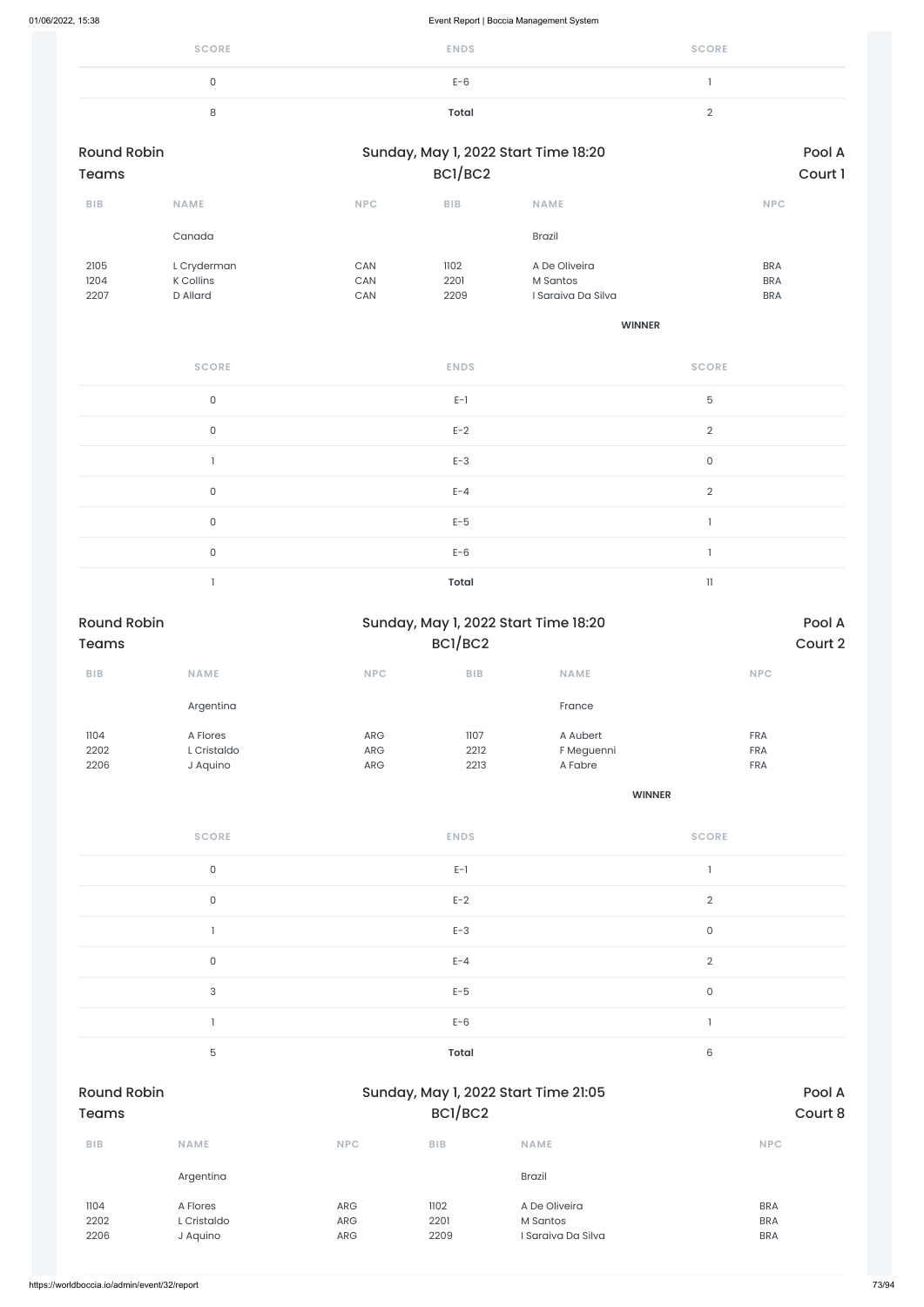| <b>SCORE</b> | <b>ENDS</b> | <b>SCORE</b> |
|--------------|-------------|--------------|
|              | $E-6$       |              |
|              | Total       | -            |

| <b>Round Robin</b><br>Teams |                                      |                   | Sunday, May 1, 2022 Start Time 18:20<br>BCI/BC2 |                                                 |                                        |
|-----------------------------|--------------------------------------|-------------------|-------------------------------------------------|-------------------------------------------------|----------------------------------------|
| <b>BIB</b>                  | <b>NAME</b>                          | <b>NPC</b>        | <b>BIB</b>                                      | <b>NAME</b>                                     | <b>NPC</b>                             |
|                             | Canada                               |                   |                                                 | Brazil                                          |                                        |
| 2105<br>1204<br>2207        | L Cryderman<br>K Collins<br>D Allard | CAN<br>CAN<br>CAN | 1102<br>2201<br>2209                            | A De Oliveira<br>M Santos<br>I Saraiya Da Silya | <b>BRA</b><br><b>BRA</b><br><b>BRA</b> |

**WINNER**

| <b>SCORE</b> | <b>ENDS</b>  | <b>SCORE</b>   |
|--------------|--------------|----------------|
| $\mathsf{O}$ | $E-1$        | 5              |
| $\mathsf O$  | $E-2$        | $\overline{2}$ |
|              | $E-3$        | $\mathsf O$    |
| $\mathsf{O}$ | $E - 4$      | $\overline{2}$ |
| $\mathsf O$  | $E-5$        |                |
| $\mathsf O$  | $E-6$        |                |
|              | <b>Total</b> | 11             |

| <b>Round Robin</b> |             |            | Sunday, May 1, 2022 Start Time 18:20 |             |            |  |
|--------------------|-------------|------------|--------------------------------------|-------------|------------|--|
| <b>Teams</b>       |             |            | BCI/BC2                              | Court 2     |            |  |
| <b>BIB</b>         | <b>NAME</b> | <b>NPC</b> | <b>BIB</b>                           | <b>NAME</b> | <b>NPC</b> |  |
|                    | Argentina   |            |                                      | France      |            |  |
| 1104               | A Flores    | <b>ARG</b> | 1107                                 | A Aubert    | <b>FRA</b> |  |
| 2202               | L Cristaldo | ARG        | 2212                                 | F Meguenni  | <b>FRA</b> |  |
| 2206               | J Aquino    | ARG        | 2213                                 | A Fabre     | <b>FRA</b> |  |
|                    |             |            |                                      |             |            |  |

| <b>SCORE</b> | <b>ENDS</b> | <b>SCORE</b> |
|--------------|-------------|--------------|
| $\Omega$     | $E-1$       |              |
| $\cap$       | $E-2$       |              |
|              | $E-3$       |              |
|              | $E - 4$     |              |

|                      | 3                                   |                   | $E-5$                |                                                 | 0 |                                        |
|----------------------|-------------------------------------|-------------------|----------------------|-------------------------------------------------|---|----------------------------------------|
|                      |                                     |                   | $E-6$                |                                                 |   |                                        |
|                      | 5                                   |                   | Total                |                                                 | 6 |                                        |
| <b>Round Robin</b>   |                                     |                   |                      | Sunday, May 1, 2022 Start Time 21:05            |   | Pool A                                 |
| <b>Teams</b>         |                                     |                   | BC1/BC2              |                                                 |   | Court 8                                |
| <b>BIB</b>           | <b>NAME</b>                         | <b>NPC</b>        | <b>BIB</b>           | <b>NAME</b>                                     |   | <b>NPC</b>                             |
|                      | Argentina                           |                   |                      | <b>Brazil</b>                                   |   |                                        |
| 1104<br>2202<br>2206 | A Flores<br>L Cristaldo<br>J Aquino | ARG<br>ARG<br>ARG | 1102<br>2201<br>2209 | A De Oliveira<br>M Santos<br>I Saraiva Da Silva |   | <b>BRA</b><br><b>BRA</b><br><b>BRA</b> |
|                      |                                     |                   |                      |                                                 |   |                                        |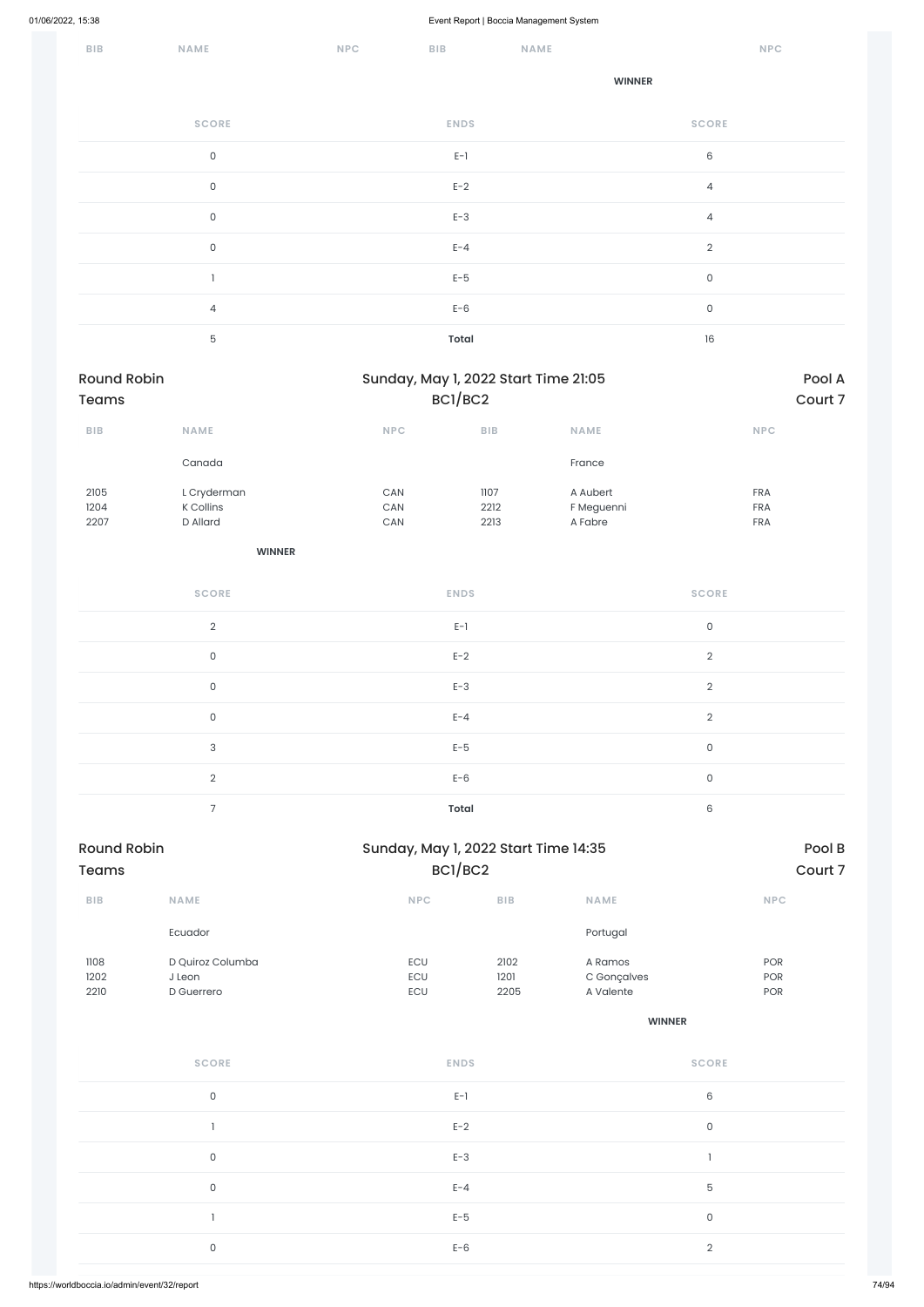| BIB                                | NAME                       | <b>NPC</b>            | BIB                                             | NAME                   |                | NPC        |                   |
|------------------------------------|----------------------------|-----------------------|-------------------------------------------------|------------------------|----------------|------------|-------------------|
|                                    |                            |                       |                                                 | <b>WINNER</b>          |                |            |                   |
|                                    | <b>SCORE</b>               |                       | <b>ENDS</b>                                     |                        | <b>SCORE</b>   |            |                   |
|                                    | $\mathsf{O}\xspace$        |                       | $E-1$                                           |                        | $\mathsf 6$    |            |                   |
|                                    | $\mathsf{O}\xspace$        |                       | $E-2$                                           |                        | $\overline{4}$ |            |                   |
|                                    | $\mathsf{O}\xspace$        |                       | $E-3$                                           |                        | $\overline{4}$ |            |                   |
|                                    | $\mathsf{O}\xspace$        |                       | $E - 4$                                         |                        | $\overline{2}$ |            |                   |
|                                    | $\mathbf{I}$               |                       | $E-5$                                           |                        | $\mathsf O$    |            |                   |
|                                    | $\overline{4}$             |                       | $E-6$                                           |                        | $\mathsf O$    |            |                   |
|                                    | $\mathbf 5$                |                       | <b>Total</b>                                    |                        | $16\,$         |            |                   |
| <b>Round Robin</b><br><b>Teams</b> |                            |                       | Sunday, May 1, 2022 Start Time 21:05<br>BC1/BC2 |                        |                |            | Pool A<br>Court 7 |
| BIB                                | NAME                       | NPC                   | <b>BIB</b>                                      | NAME                   |                | <b>NPC</b> |                   |
|                                    | Canada                     |                       |                                                 | France                 |                |            |                   |
| 2105                               | L Cryderman                | $\mathsf{CAN}\xspace$ | 1107                                            | A Aubert               |                | FRA        |                   |
| 1204                               | <b>K</b> Collins           | $\mathsf{CAN}\xspace$ | 2212                                            | F Meguenni             |                | <b>FRA</b> |                   |
| 2207                               | D Allard                   | CAN                   | 2213                                            | A Fabre                |                | FRA        |                   |
|                                    | <b>WINNER</b>              |                       |                                                 |                        |                |            |                   |
|                                    | <b>SCORE</b>               |                       | <b>ENDS</b>                                     |                        | <b>SCORE</b>   |            |                   |
|                                    | $\overline{2}$             |                       | $E-1$                                           |                        | $\mathsf O$    |            |                   |
|                                    | $\mathsf O$                |                       | $E-2$                                           |                        | $\overline{2}$ |            |                   |
|                                    | $\mathsf{O}$               |                       | $E-3$                                           |                        | $\overline{2}$ |            |                   |
|                                    | $\mathsf O$                |                       | $E - 4$                                         |                        | $\overline{2}$ |            |                   |
|                                    | $\mathsf{3}$               |                       | $E-5$                                           |                        | $\mathsf{O}$   |            |                   |
|                                    | $\overline{2}$             |                       | $E-6$                                           |                        | $\mathsf O$    |            |                   |
|                                    | $\overline{7}$             |                       | <b>Total</b>                                    |                        | $\,6\,$        |            |                   |
| <b>Round Robin</b><br><b>Teams</b> |                            |                       | Sunday, May 1, 2022 Start Time 14:35<br>BC1/BC2 |                        |                |            | Pool B<br>Court 7 |
| <b>BIB</b>                         | NAME                       | NPC                   | BIB                                             | NAME                   |                | NPC        |                   |
|                                    | Ecuador                    |                       |                                                 | Portugal               |                |            |                   |
| 1108<br>1202                       | D Quiroz Columba<br>J Leon | ECU<br>ECU            | 2102<br>1201                                    | A Ramos<br>C Gonçalves |                | POR<br>POR |                   |

| 2210 | D Guerrero   | ECU                            | 2205 | A Valente     | POR                 |
|------|--------------|--------------------------------|------|---------------|---------------------|
|      |              |                                |      | <b>WINNER</b> |                     |
|      | <b>SCORE</b> | <b>ENDS</b>                    |      |               | <b>SCORE</b>        |
|      | $\mathsf O$  | $\mathsf{E}\text{-}\mathsf{I}$ |      |               | $\,6\,$             |
|      |              | $E-2$                          |      |               | $\mathsf{O}\xspace$ |
|      | $\mathsf O$  | $E-3$                          |      |               | $\mathbf{1}$        |
|      | $\mathsf O$  | $E - 4$                        |      |               | $\mathbf 5$         |
|      |              | $E-5$                          |      |               | $\mathsf{O}\xspace$ |
|      | $\mathsf O$  | $E-6$                          |      |               | $\sqrt{2}$          |
|      |              |                                |      |               |                     |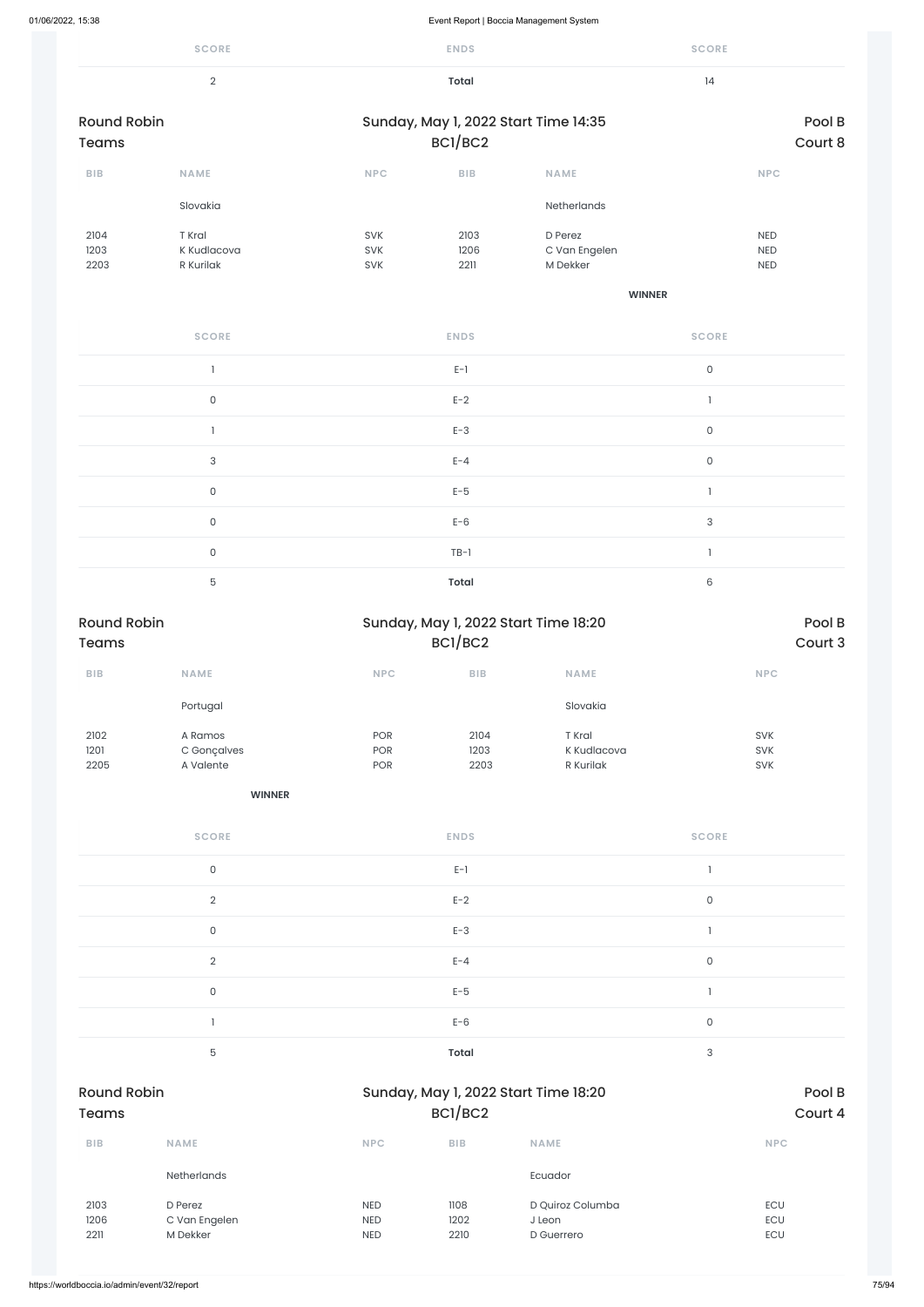|                                    | <b>SCORE</b>                       |                   | <b>ENDS</b>          |                                      | <b>SCORE</b>        |                                 |
|------------------------------------|------------------------------------|-------------------|----------------------|--------------------------------------|---------------------|---------------------------------|
|                                    | $\overline{2}$                     |                   | <b>Total</b>         |                                      | 4                   |                                 |
| <b>Round Robin</b><br><b>Teams</b> |                                    |                   | BCI/BC2              | Sunday, May 1, 2022 Start Time 14:35 |                     | Pool B<br>Court 8               |
| BIB                                | <b>NAME</b>                        | NPC               | $B$   $B$            | <b>NAME</b>                          |                     | <b>NPC</b>                      |
|                                    | Slovakia                           |                   |                      | Netherlands                          |                     |                                 |
| 2104<br>1203<br>2203               | T Kral<br>K Kudlacova<br>R Kurilak | SVK<br>SVK<br>SVK | 2103<br>1206<br>2211 | D Perez<br>C Van Engelen<br>M Dekker |                     | <b>NED</b><br>NED<br><b>NED</b> |
|                                    |                                    |                   |                      | <b>WINNER</b>                        |                     |                                 |
|                                    | <b>SCORE</b>                       |                   | <b>ENDS</b>          |                                      | <b>SCORE</b>        |                                 |
|                                    | $\mathbf{I}$                       |                   | $E-1$                |                                      | $\mathsf{O}$        |                                 |
|                                    | $\mathsf{O}$                       |                   | $E-2$                |                                      | $\mathbf{I}$        |                                 |
|                                    | $\mathbf{I}$                       |                   | $E-3$                |                                      | $\mathsf{O}$        |                                 |
|                                    | $\ensuremath{\mathsf{3}}$          |                   | $E - 4$              |                                      | $\mathsf{O}\xspace$ |                                 |
|                                    | $\mathsf{O}$                       |                   | $E-5$                |                                      | $\mathbf{I}$        |                                 |
|                                    | $\mathsf{O}$                       |                   | $E-6$                |                                      | 3                   |                                 |
|                                    | $\mathsf{O}$                       |                   | $TB-1$               |                                      | $\mathbb{I}$        |                                 |
|                                    | $\mathbf 5$                        |                   | <b>Total</b>         |                                      | $\,6\,$             |                                 |
| <b>Round Robin</b><br><b>Teams</b> |                                    |                   | BCI/BC2              | Sunday, May 1, 2022 Start Time 18:20 |                     | Pool B<br>Court 3               |
| BIB                                | NAME                               | NPC               | BIB                  | <b>NAME</b>                          |                     | NPC                             |
|                                    | Portugal                           |                   |                      | Slovakia                             |                     |                                 |
| 2102                               | A Ramos                            | POR               | 2104                 | T Kral                               |                     | SVK                             |

1201 2205 C Gonçalves A Valente

POR POR

1203 2203 K Kudlacova R Kurilak

SVK SVK

| <b>SCORE</b> | <b>ENDS</b> | <b>SCORE</b> |
|--------------|-------------|--------------|
| C            | $E-1$       |              |
|              | $E-2$       |              |
|              | $E-3$       |              |
|              | $F - 4$     |              |

| $E-6$<br>$\mathsf{O}$<br>$\overline{5}$<br>3<br>Total<br>Pool B<br><b>Round Robin</b><br>Sunday, May 1, 2022 Start Time 18:20<br>BCI/BC2<br>Court 4<br><b>Teams</b><br><b>BIB</b><br><b>NPC</b><br><b>BIB</b><br><b>NAME</b><br><b>NPC</b><br><b>NAME</b><br>Netherlands<br>Ecuador<br>1108<br>D Quiroz Columba<br>ECU<br>2103<br>D Perez<br><b>NED</b><br>1206<br>C Van Engelen<br>1202<br><b>NED</b><br>J Leon<br>ECU<br>M Dekker<br>2211<br>2210<br>ECU<br><b>NED</b><br>D Guerrero | 0 | $E-5$ |  |  |
|----------------------------------------------------------------------------------------------------------------------------------------------------------------------------------------------------------------------------------------------------------------------------------------------------------------------------------------------------------------------------------------------------------------------------------------------------------------------------------------|---|-------|--|--|
|                                                                                                                                                                                                                                                                                                                                                                                                                                                                                        |   |       |  |  |
|                                                                                                                                                                                                                                                                                                                                                                                                                                                                                        |   |       |  |  |
|                                                                                                                                                                                                                                                                                                                                                                                                                                                                                        |   |       |  |  |
|                                                                                                                                                                                                                                                                                                                                                                                                                                                                                        |   |       |  |  |
|                                                                                                                                                                                                                                                                                                                                                                                                                                                                                        |   |       |  |  |
|                                                                                                                                                                                                                                                                                                                                                                                                                                                                                        |   |       |  |  |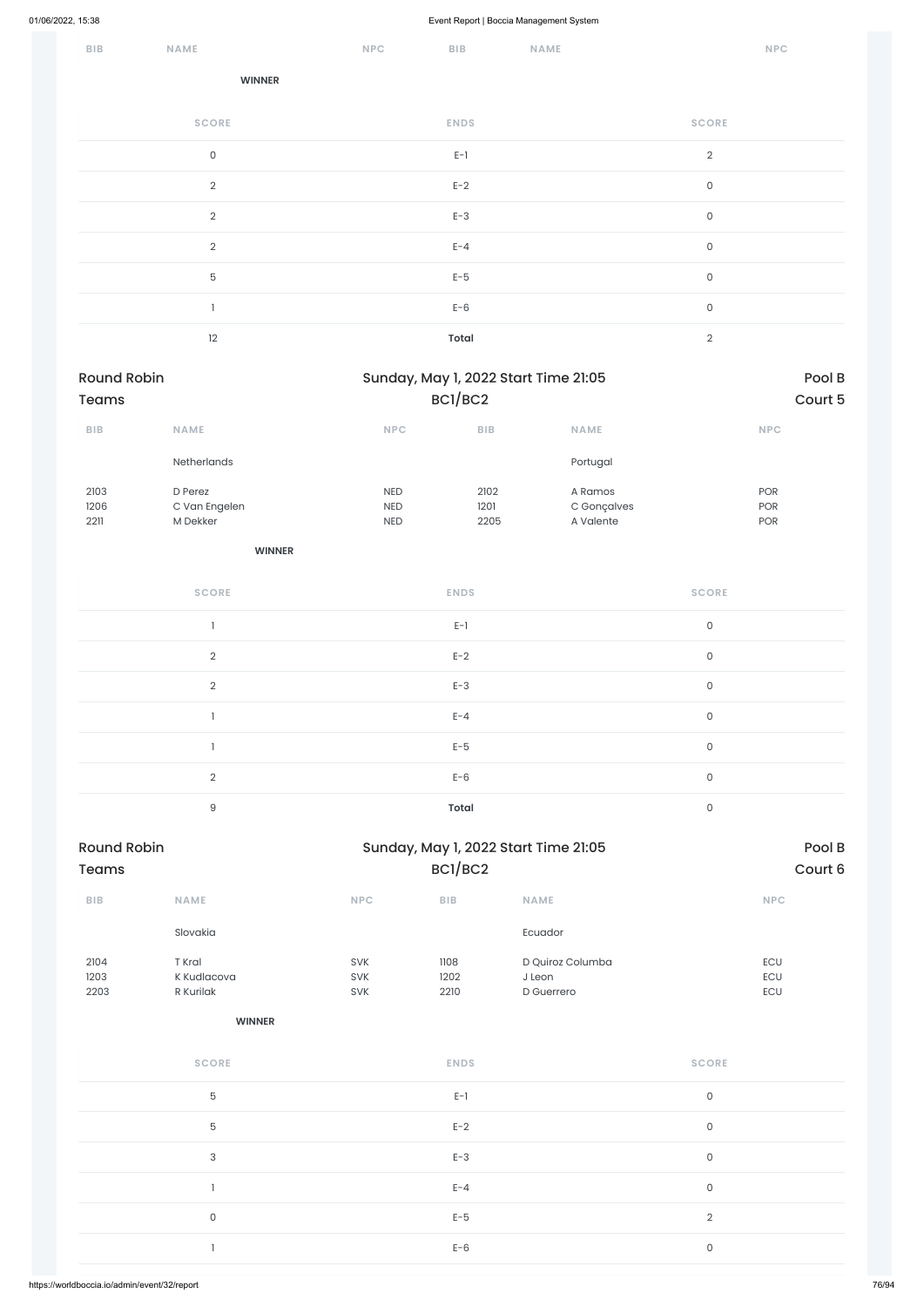| <b>SCORE</b>      |
|-------------------|
|                   |
|                   |
|                   |
|                   |
|                   |
|                   |
|                   |
| Pool B<br>Court 5 |
| <b>NPC</b>        |
|                   |
| POR<br>POR<br>POR |
|                   |
| <b>SCORE</b>      |
|                   |
|                   |
|                   |
|                   |
|                   |
|                   |
|                   |
| Pool B<br>Court 6 |
| <b>NPC</b>        |
|                   |
| ECU<br>ECU<br>ECU |
|                   |
| <b>SCORE</b>      |
|                   |
|                   |
|                   |
|                   |
|                   |
|                   |
|                   |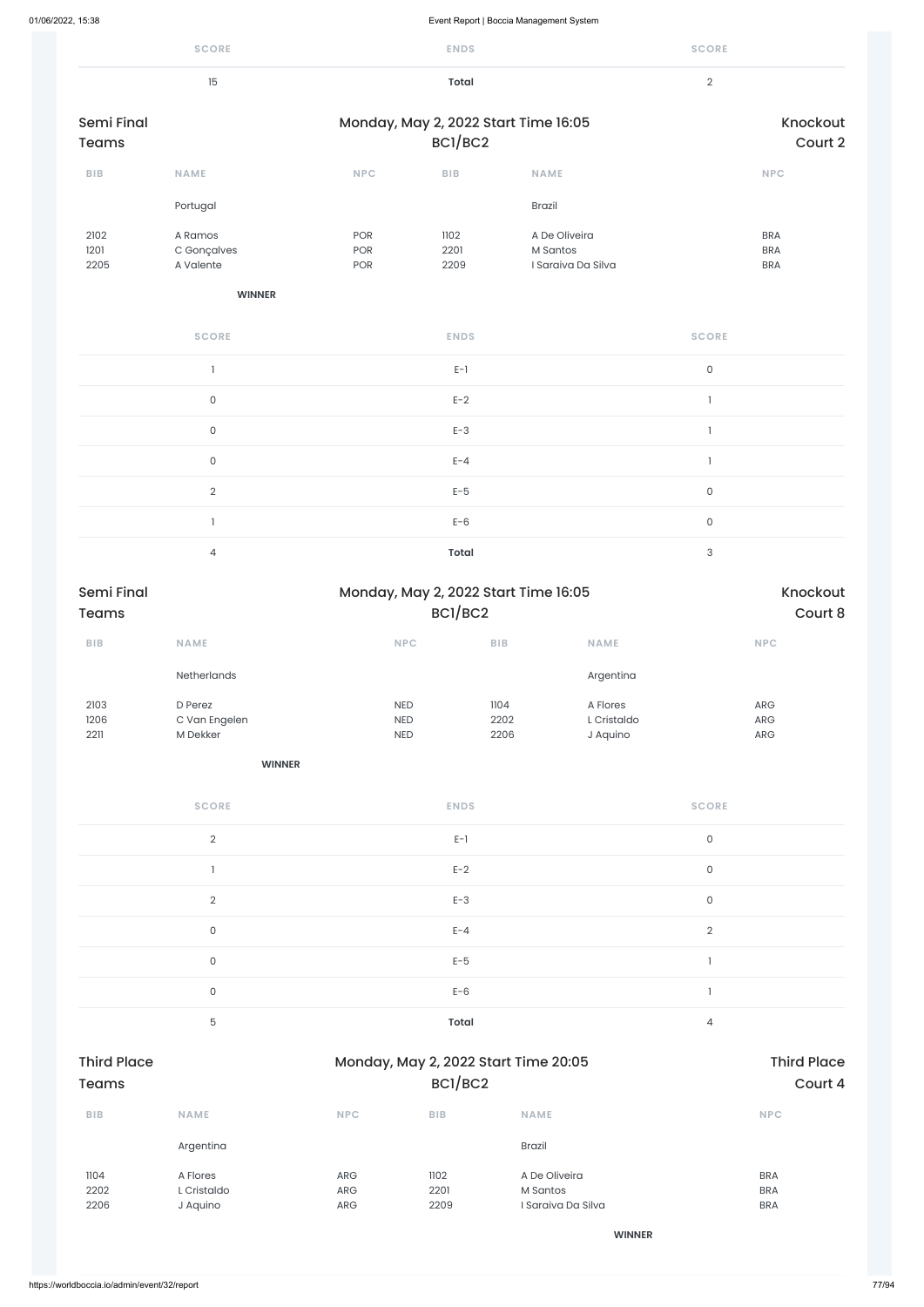|                                   | <b>SCORE</b>                         |                                        | <b>ENDS</b>             |                                                 |                                     | <b>SCORE</b>              |                                           |
|-----------------------------------|--------------------------------------|----------------------------------------|-------------------------|-------------------------------------------------|-------------------------------------|---------------------------|-------------------------------------------|
|                                   | 15                                   |                                        | <b>Total</b>            |                                                 |                                     | $\overline{2}$            |                                           |
| <b>Semi Final</b><br><b>Teams</b> |                                      |                                        | BC1/BC2                 | Monday, May 2, 2022 Start Time 16:05            |                                     |                           | Knockout<br>Court 2                       |
| ${\sf B}{\sf I}{\sf B}$           | <b>NAME</b>                          | <b>NPC</b>                             | ${\sf B}{\sf I}{\sf B}$ | <b>NAME</b>                                     |                                     |                           | <b>NPC</b>                                |
|                                   | Portugal                             |                                        |                         | Brazil                                          |                                     |                           |                                           |
| 2102<br>1201<br>2205              | A Ramos<br>C Gonçalves<br>A Valente  | POR<br>POR<br>POR                      | 1102<br>2201<br>2209    | A De Oliveira<br>M Santos<br>I Saraiva Da Silva |                                     |                           | <b>BRA</b><br><b>BRA</b><br><b>BRA</b>    |
|                                   | <b>WINNER</b>                        |                                        |                         |                                                 |                                     |                           |                                           |
|                                   | <b>SCORE</b>                         |                                        | <b>ENDS</b>             |                                                 |                                     | <b>SCORE</b>              |                                           |
|                                   | $\mathbf{I}$                         |                                        | $E-1$                   |                                                 |                                     | $\mathsf{O}$              |                                           |
|                                   | $\mathsf O$                          |                                        | $E-2$                   |                                                 |                                     | $\mathbf{l}$              |                                           |
|                                   | $\mathsf O$                          |                                        | $E-3$                   |                                                 |                                     | $\mathbf{I}$              |                                           |
|                                   | $\mathsf{O}$                         |                                        | $E - 4$                 |                                                 |                                     | $\mathbbm{1}$             |                                           |
|                                   | $\overline{2}$                       |                                        | $E-5$                   |                                                 |                                     | $\mathsf{O}\xspace$       |                                           |
|                                   | $\mathbbm{1}$                        |                                        | $E-6$                   |                                                 |                                     | $\mathsf{O}$              |                                           |
|                                   | $\overline{4}$                       |                                        | <b>Total</b>            |                                                 |                                     | $\ensuremath{\mathsf{3}}$ |                                           |
| Semi Final<br><b>Teams</b>        |                                      |                                        | BC1/BC2                 | Monday, May 2, 2022 Start Time 16:05            |                                     |                           | Knockout<br>Court 8                       |
| ${\sf B}{\sf I}{\sf B}$           | NAME                                 | NPC                                    | <b>BIB</b>              |                                                 | NAME                                |                           | NPC                                       |
|                                   | Netherlands                          |                                        |                         |                                                 | Argentina                           |                           |                                           |
| 2103<br>1206<br>2211              | D Perez<br>C Van Engelen<br>M Dekker | <b>NED</b><br><b>NED</b><br><b>NED</b> |                         | 1104<br>2202<br>2206                            | A Flores<br>L Cristaldo<br>J Aquino |                           | ${\sf ARG}$<br>${\sf ARG}$<br>${\sf ARG}$ |
|                                   | <b>WINNER</b>                        |                                        |                         |                                                 |                                     |                           |                                           |
|                                   | <b>SCORE</b>                         |                                        | <b>ENDS</b>             |                                                 |                                     | <b>SCORE</b>              |                                           |
|                                   | $\overline{2}$                       |                                        | $E-1$                   |                                                 |                                     | $\mathsf O$               |                                           |
|                                   | $\mathbf{I}$                         |                                        | $E-2$                   |                                                 |                                     | $\mathsf{O}\xspace$       |                                           |
|                                   | $\overline{2}$                       |                                        | $E-3$                   |                                                 |                                     | $\mathsf O$               |                                           |
|                                   | $\mathsf{O}$                         |                                        | $E - 4$                 |                                                 |                                     | $\sqrt{2}$                |                                           |
|                                   | $\mathsf{O}\xspace$                  |                                        | $E-5$                   |                                                 |                                     | $\mathbf{1}$              |                                           |

|                                    | $\mathsf{O}\xspace$                 |                                      | $E-6$                |                                                 |   |                                        |
|------------------------------------|-------------------------------------|--------------------------------------|----------------------|-------------------------------------------------|---|----------------------------------------|
|                                    | $\overline{5}$                      |                                      | Total                |                                                 | 4 |                                        |
| <b>Third Place</b><br><b>Teams</b> |                                     | Monday, May 2, 2022 Start Time 20:05 |                      | <b>Third Place</b><br>Court 4                   |   |                                        |
| <b>BIB</b>                         | <b>NAME</b>                         | <b>NPC</b>                           | <b>BIB</b>           | <b>NAME</b>                                     |   | <b>NPC</b>                             |
|                                    | Argentina                           |                                      |                      | <b>Brazil</b>                                   |   |                                        |
| 1104<br>2202<br>2206               | A Flores<br>L Cristaldo<br>J Aquino | ARG<br>ARG<br>ARG                    | 1102<br>2201<br>2209 | A De Oliveira<br>M Santos<br>I Saraiva Da Silva |   | <b>BRA</b><br><b>BRA</b><br><b>BRA</b> |
|                                    |                                     |                                      |                      | <b>WINNER</b>                                   |   |                                        |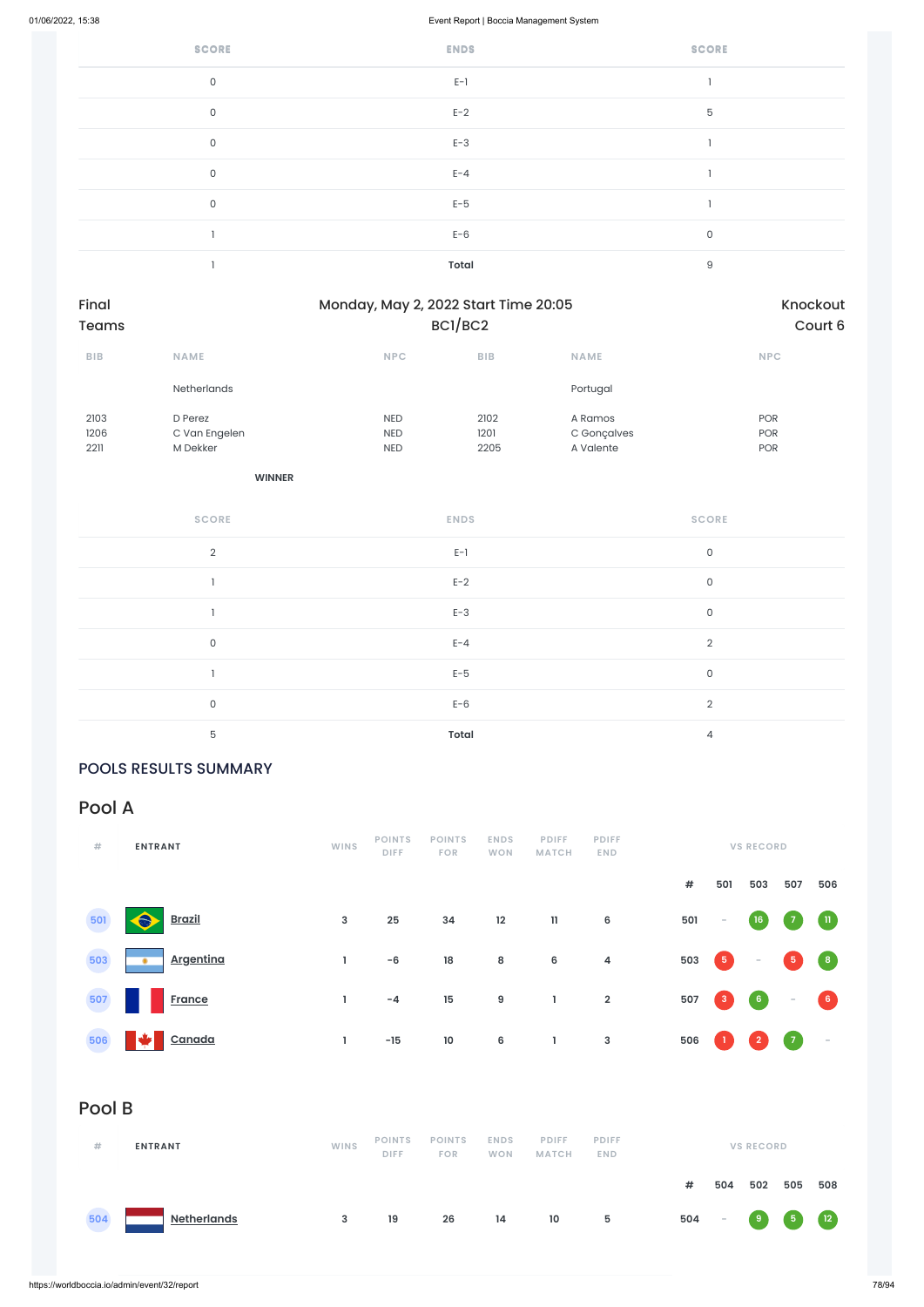| <b>SCORE</b> | <b>ENDS</b>  | <b>SCORE</b> |
|--------------|--------------|--------------|
| $\mathsf{O}$ | $E-1$        |              |
| $\mathsf{O}$ | $E-2$        | $\mathbf 5$  |
| $\mathsf O$  | $E-3$        |              |
| $\mathsf{O}$ | $E - 4$      |              |
| $\mathsf{O}$ | $E-5$        |              |
|              | $E-6$        | $\mathsf O$  |
|              | <b>Total</b> | $\mathsf g$  |

| Final<br>Teams |                    |            | Monday, May 2, 2022 Start Time 20:05<br>BCI/BC2 |             |            |  |  |
|----------------|--------------------|------------|-------------------------------------------------|-------------|------------|--|--|
| <b>BIB</b>     | <b>NAME</b>        | <b>NPC</b> | <b>BIB</b>                                      | <b>NAME</b> | <b>NPC</b> |  |  |
|                | <b>Netherlands</b> |            |                                                 | Portugal    |            |  |  |
| 2103           | D Perez            | <b>NED</b> | 2102                                            | A Ramos     | <b>POR</b> |  |  |
| 1206           | C Van Engelen      | <b>NED</b> | 1201                                            | C Gonçalves | <b>POR</b> |  |  |
| 2211           | M Dekker           | <b>NED</b> | 2205                                            | A Valente   | <b>POR</b> |  |  |

**WINNER**

| <b>SCORE</b>   | <b>ENDS</b>  | <b>SCORE</b>   |
|----------------|--------------|----------------|
| $\overline{2}$ | $E-1$        | $\mathbf 0$    |
|                | $E-2$        | $\mathsf O$    |
|                | $E-3$        | $\mathbf 0$    |
| $\mathsf{O}$   | $E - 4$      | 2              |
|                | $E-5$        | $\mathbf 0$    |
| $\mathsf{O}$   | $E-6$        | $\overline{2}$ |
| 5              | <b>Total</b> | 4              |

### POOLS RESULTS SUMMARY

# Pool A

| #   | <b>ENTRANT</b>              | <b>WINS</b>  | <b>POINTS</b><br><b>DIFF</b> | <b>POINTS</b><br><b>FOR</b> | <b>ENDS</b><br><b>WON</b> | <b>PDIFF</b><br><b>MATCH</b> | <b>PDIFF</b><br>END. |     |                                         | <b>VS RECORD</b> |                   |                    |
|-----|-----------------------------|--------------|------------------------------|-----------------------------|---------------------------|------------------------------|----------------------|-----|-----------------------------------------|------------------|-------------------|--------------------|
|     |                             |              |                              |                             |                           |                              |                      | #   | 501                                     | 503              | 507               | 506                |
| 501 | <b>SOF</b><br><b>Brazil</b> | $\mathbf{3}$ | 25                           | 34                          | 12                        | $\mathbf{11}$                | 6                    | 501 | $\overline{\phantom{a}}$                | (16)             | $\left( 7\right)$ | $\mathbf{u}$       |
| 503 | <b>Argentina</b><br>٠       |              | -6                           | 18                          | 8                         | 6                            | $\overline{a}$       | 503 | $\begin{array}{c} \hline 5 \end{array}$ | $\sim$           | 5                 | $\left( 8 \right)$ |

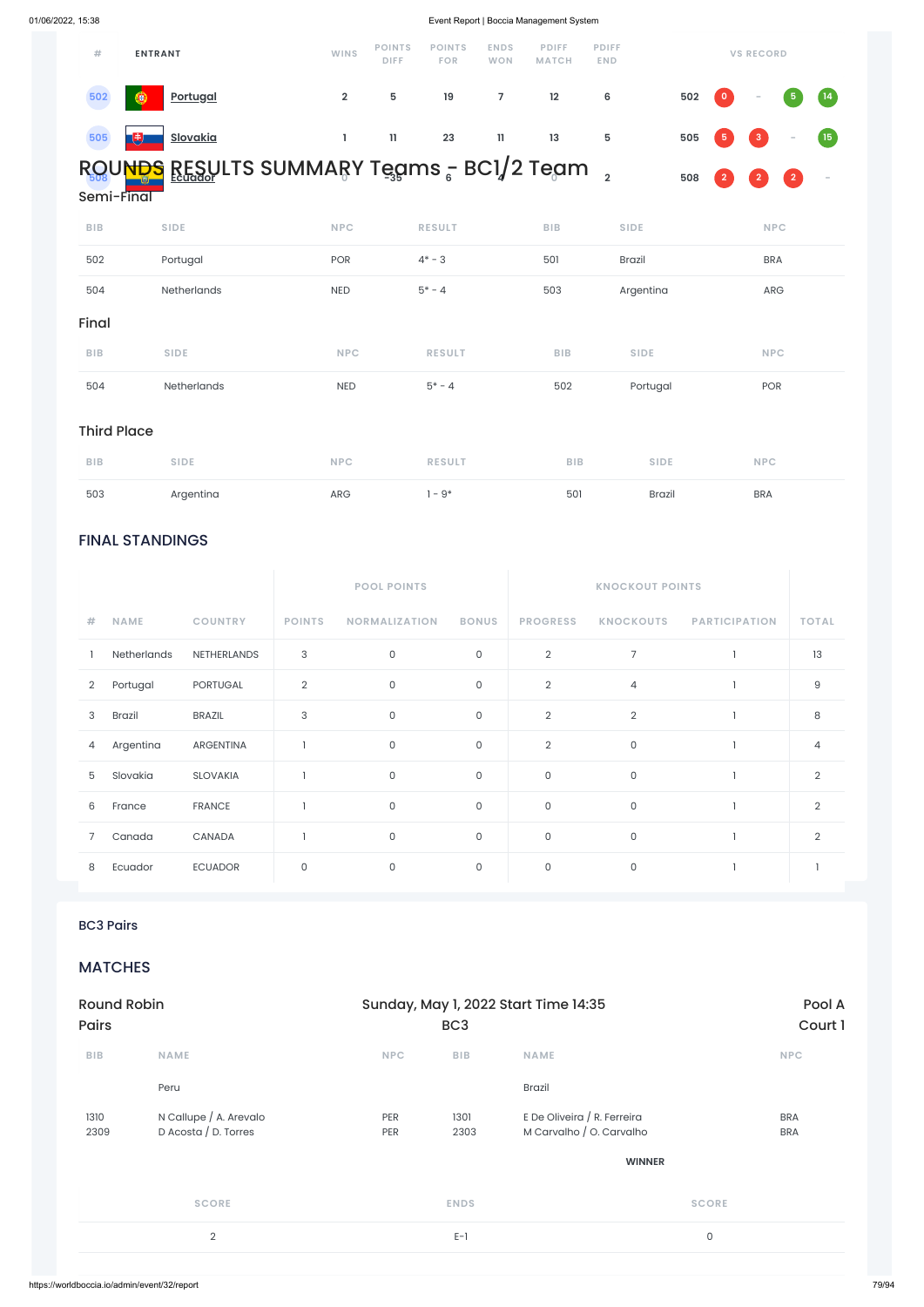### FINAL STANDINGS

|                |             |                 |               | <b>POOL POINTS</b>   |              | <b>KNOCKOUT POINTS</b> |                  |                      |                |
|----------------|-------------|-----------------|---------------|----------------------|--------------|------------------------|------------------|----------------------|----------------|
| #              | <b>NAME</b> | <b>COUNTRY</b>  | <b>POINTS</b> | <b>NORMALIZATION</b> | <b>BONUS</b> | <b>PROGRESS</b>        | <b>KNOCKOUTS</b> | <b>PARTICIPATION</b> | <b>TOTAL</b>   |
|                | Netherlands | NETHERLANDS     | 3             | $\mathsf{O}\xspace$  | $\mathsf{O}$ | $\overline{2}$         | $\overline{7}$   |                      | 13             |
| $\overline{2}$ | Portugal    | <b>PORTUGAL</b> | $\mathbf{2}$  | $\mathsf{O}\xspace$  | 0            | $\overline{2}$         | 4                |                      | 9              |
| 3              | Brazil      | <b>BRAZIL</b>   | 3             | $\mathsf{O}\xspace$  | 0            | $\overline{2}$         | $\overline{2}$   |                      | 8              |
| 4              | Argentina   | ARGENTINA       |               | $\mathsf{O}\xspace$  | $\mathbf 0$  | $\overline{2}$         | $\mathbf 0$      |                      | $\overline{4}$ |
| 5              | Slovakia    | SLOVAKIA        |               | $\mathsf{O}\xspace$  | 0            | $\mathsf O$            | $\mathsf O$      |                      | $\overline{2}$ |
| 6              | France      | <b>FRANCE</b>   |               | $\mathsf{O}\xspace$  | 0            | $\mathsf O$            | $\mathsf O$      |                      | $\overline{2}$ |
| 7              | Canada      | CANADA          |               | $\mathsf{O}\xspace$  | 0            | $\mathsf O$            | $\mathsf{O}$     |                      | $\overline{2}$ |
| 8              | Ecuador     | <b>ECUADOR</b>  | 0             | $\mathsf{O}\xspace$  | 0            | $\mathsf O$            | $\mathsf{O}$     |                      |                |

| #          | <b>ENTRANT</b>                              | <b>WINS</b>    | <b>POINTS</b><br><b>DIFF</b> | <b>POINTS</b><br><b>FOR</b> | <b>ENDS</b><br><b>WON</b> | <b>PDIFF</b><br><b>MATCH</b> | <b>PDIFF</b><br><b>END</b> |     |                | <b>VS RECORD</b>                  |                    |      |
|------------|---------------------------------------------|----------------|------------------------------|-----------------------------|---------------------------|------------------------------|----------------------------|-----|----------------|-----------------------------------|--------------------|------|
| 502        | <b>Portugal</b><br>Θ                        | $\overline{2}$ | 5                            | 19                          |                           | $12 \overline{ }$            | 6                          | 502 | $\bullet$      | $\overline{\phantom{a}}$          | $\left( 5 \right)$ | (14) |
| 505        | <b>Slovakia</b><br>w                        |                | 11.                          | 23                          | $\mathbf{11}$             | 13                           | 5                          | 505 | 5 <sub>1</sub> | $\begin{pmatrix} 3 \end{pmatrix}$ | $\sim$             | (15) |
| Semi-Final | ROUNDS RESULTS SUMMARY Tegms - BCI/2 Tegm , |                |                              |                             |                           |                              |                            | 508 | $\overline{2}$ | $\overline{2}$                    | $\bullet$          |      |

| <b>BIB</b> | <b>SIDE</b> | <b>NPC</b> | <b>RESULT</b> | <b>BIB</b> | <b>SIDE</b>   | <b>NPC</b> |
|------------|-------------|------------|---------------|------------|---------------|------------|
| 502        | Portugal    | POR        | $4* - 3$      | 501        | <b>Brazil</b> | <b>BRA</b> |
| 504        | Netherlands | <b>NED</b> | $5* - 4$      | 503        | Argentina     | ARG        |
| Final      |             |            |               |            |               |            |
| <b>BIB</b> | <b>SIDE</b> | <b>NPC</b> | <b>RESULT</b> | <b>BIB</b> | <b>SIDE</b>   | <b>NPC</b> |
|            |             |            |               |            |               |            |

# Third Place

| <b>BIB</b> | <b>SIDE</b> | <b>NPC</b> | <b>RESULT</b> | <b>BIB</b> | <b>SIDE</b>   | <b>NPC</b> |
|------------|-------------|------------|---------------|------------|---------------|------------|
| 503        | Argentina   | ARG        | $-9*$         | 501        | <b>Brazil</b> | <b>BRA</b> |

BC3 Pairs

**MATCHES** 

|              | <b>Round Robin</b>                             |            |                 | Sunday, May 1, 2022 Start Time 14:35                    | Pool A                   |
|--------------|------------------------------------------------|------------|-----------------|---------------------------------------------------------|--------------------------|
| <b>Pairs</b> |                                                |            | BC <sub>3</sub> |                                                         | Court 1                  |
| <b>BIB</b>   | <b>NAME</b>                                    | <b>NPC</b> | <b>BIB</b>      | <b>NAME</b>                                             | <b>NPC</b>               |
|              | Peru                                           |            |                 | <b>Brazil</b>                                           |                          |
| 1310<br>2309 | N Callupe / A. Arevalo<br>D Acosta / D. Torres | PER<br>PER | 1301<br>2303    | E De Oliveira / R. Ferreira<br>M Carvalho / O. Carvalho | <b>BRA</b><br><b>BRA</b> |
|              |                                                |            |                 | <b>WINNER</b>                                           |                          |
|              | <b>SCORE</b>                                   |            | <b>ENDS</b>     |                                                         | <b>SCORE</b>             |
|              | $\overline{2}$                                 |            | $E-1$           |                                                         | $\mathsf{O}$             |
|              |                                                |            |                 |                                                         |                          |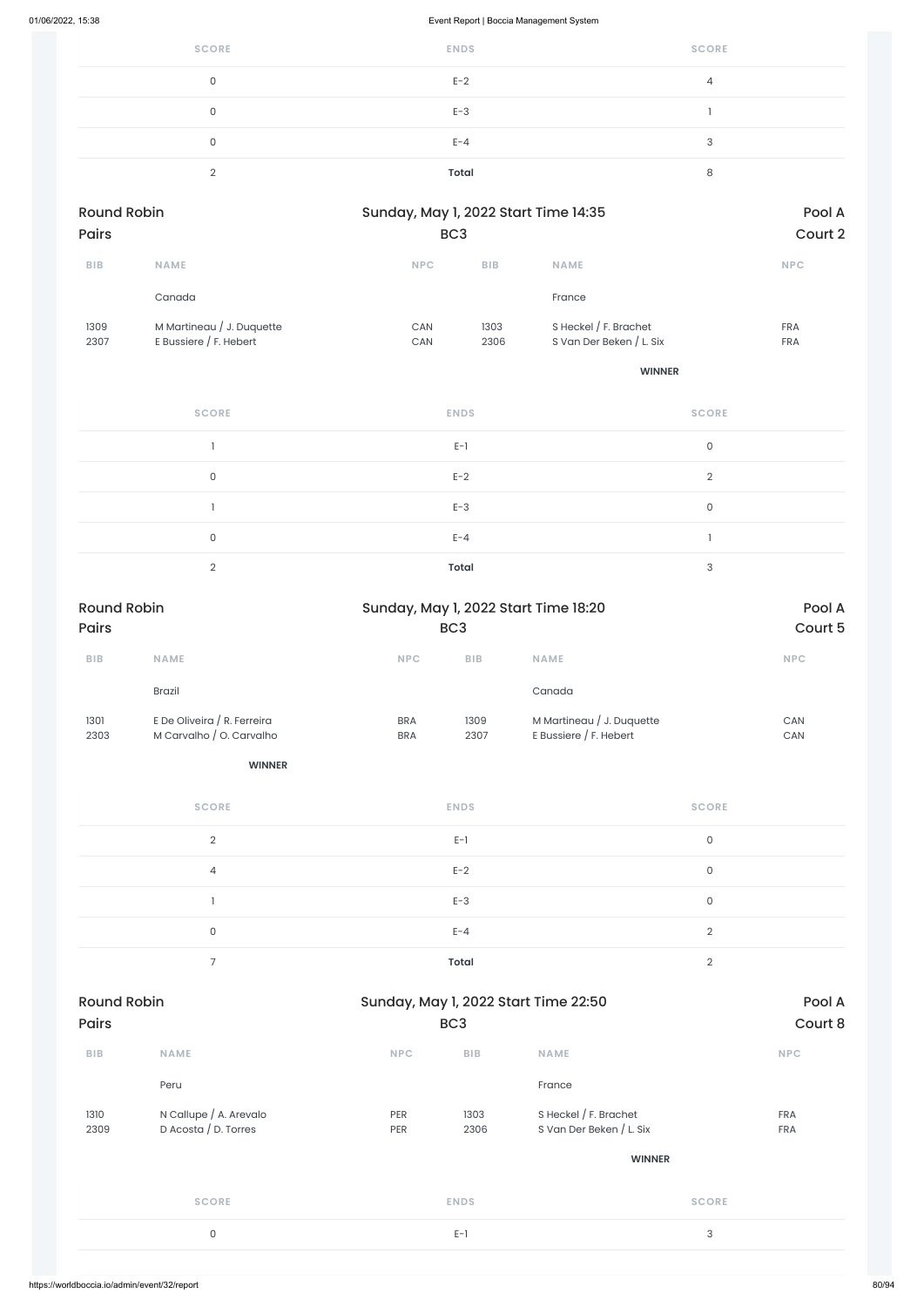| 01/06/2022, 15:38  |                                                     | Event Report   Boccia Management System |              |                                                   |            |  |  |  |  |  |
|--------------------|-----------------------------------------------------|-----------------------------------------|--------------|---------------------------------------------------|------------|--|--|--|--|--|
|                    | <b>SCORE</b>                                        |                                         | <b>ENDS</b>  | <b>SCORE</b>                                      |            |  |  |  |  |  |
|                    | $\mathsf{O}\xspace$                                 |                                         | $E-2$        | $\overline{4}$                                    |            |  |  |  |  |  |
|                    | $\mathsf{O}\xspace$                                 |                                         | $E-3$        | $\mathbf{I}$                                      |            |  |  |  |  |  |
|                    | $\mathsf{O}\xspace$                                 |                                         | $E - 4$      | $\mathsf{3}$                                      |            |  |  |  |  |  |
|                    | $\overline{2}$                                      |                                         | <b>Total</b> | $\,8\,$                                           |            |  |  |  |  |  |
| <b>Round Robin</b> |                                                     | Sunday, May 1, 2022 Start Time 14:35    |              |                                                   | Pool A     |  |  |  |  |  |
| Pairs              |                                                     | BC <sub>3</sub>                         |              |                                                   | Court 2    |  |  |  |  |  |
| <b>BIB</b>         | NAME                                                | <b>NPC</b>                              | BIB          | NAME                                              | <b>NPC</b> |  |  |  |  |  |
|                    | Canada                                              |                                         |              | France                                            |            |  |  |  |  |  |
| 1309<br>2307       | M Martineau / J. Duquette<br>E Bussiere / F. Hebert | CAN<br>CAN                              | 1303<br>2306 | S Heckel / F. Brachet<br>S Van Der Beken / L. Six | FRA<br>FRA |  |  |  |  |  |
|                    |                                                     |                                         |              | <b>WINNER</b>                                     |            |  |  |  |  |  |
|                    | <b>SCORE</b>                                        |                                         | <b>ENDS</b>  | <b>SCORE</b>                                      |            |  |  |  |  |  |
|                    | $\mathbf{1}$                                        |                                         | $E-1$        | $\mathsf{O}\xspace$                               |            |  |  |  |  |  |
|                    | $\mathsf{O}\xspace$                                 |                                         | $E-2$        | $\overline{2}$                                    |            |  |  |  |  |  |
|                    | $\mathbbm{1}$                                       |                                         | $E-3$        | $\mathsf{O}\xspace$                               |            |  |  |  |  |  |
|                    | $\mathsf{O}\xspace$                                 |                                         | $E - 4$      | $\mathbbm{1}$                                     |            |  |  |  |  |  |
|                    | $\overline{2}$                                      |                                         | <b>Total</b> | $\mathsf 3$                                       |            |  |  |  |  |  |

| <b>Round Robin</b> |                                              |            | Sunday, May 1, 2022 Start Time 22:50 |                          |              |
|--------------------|----------------------------------------------|------------|--------------------------------------|--------------------------|--------------|
| <b>Pairs</b>       |                                              |            | BC <sub>3</sub>                      |                          | Court 8      |
| BIB                | <b>NAME</b>                                  | <b>NPC</b> | <b>BIB</b>                           | <b>NAME</b>              | <b>NPC</b>   |
|                    | Peru                                         |            |                                      | France                   |              |
| 1310               | N Callupe / A. Arevalo                       | PER        | 1303                                 | S Heckel $/$ F. Brachet  | <b>FRA</b>   |
| 2309               | D Acosta / D. Torres                         | PER        | 2306                                 | S Van Der Beken / L. Six | <b>FRA</b>   |
|                    |                                              |            |                                      | <b>WINNER</b>            |              |
|                    | <b>SCORE</b>                                 |            | <b>ENDS</b>                          |                          | <b>SCORE</b> |
|                    | 0                                            |            | $E-1$                                |                          | $\sqrt{3}$   |
|                    |                                              |            |                                      |                          |              |
|                    | https://worldboccia.io/admin/event/32/report |            |                                      |                          |              |

| <b>Round Robin</b> |                             | Sunday, May 1, 2022 Start Time 18:20 |                 |                           | Pool A     |
|--------------------|-----------------------------|--------------------------------------|-----------------|---------------------------|------------|
| <b>Pairs</b>       |                             |                                      | BC <sub>3</sub> |                           | Court 5    |
| <b>BIB</b>         | <b>NAME</b>                 | <b>NPC</b>                           | <b>BIB</b>      | <b>NAME</b>               | <b>NPC</b> |
|                    | <b>Brazil</b>               |                                      |                 | Canada                    |            |
| 1301               | E De Oliveira / R. Ferreira | <b>BRA</b>                           | 1309            | M Martineau / J. Duquette | CAN        |
| 2303               | M Carvalho / O. Carvalho    | <b>BRA</b>                           | 2307            | E Bussiere $/$ F. Hebert  | <b>CAN</b> |
|                    | <b>WINNER</b>               |                                      |                 |                           |            |

| <b>SCORE</b> | <b>ENDS</b> | <b>SCORE</b> |
|--------------|-------------|--------------|
| $\Omega$     | $E-1$       | 0            |
| 4            | $E-2$       | 0            |
|              | $E-3$       | 0            |
| 0            | $E - 4$     | $\Omega$     |
|              | Total       | $\cap$       |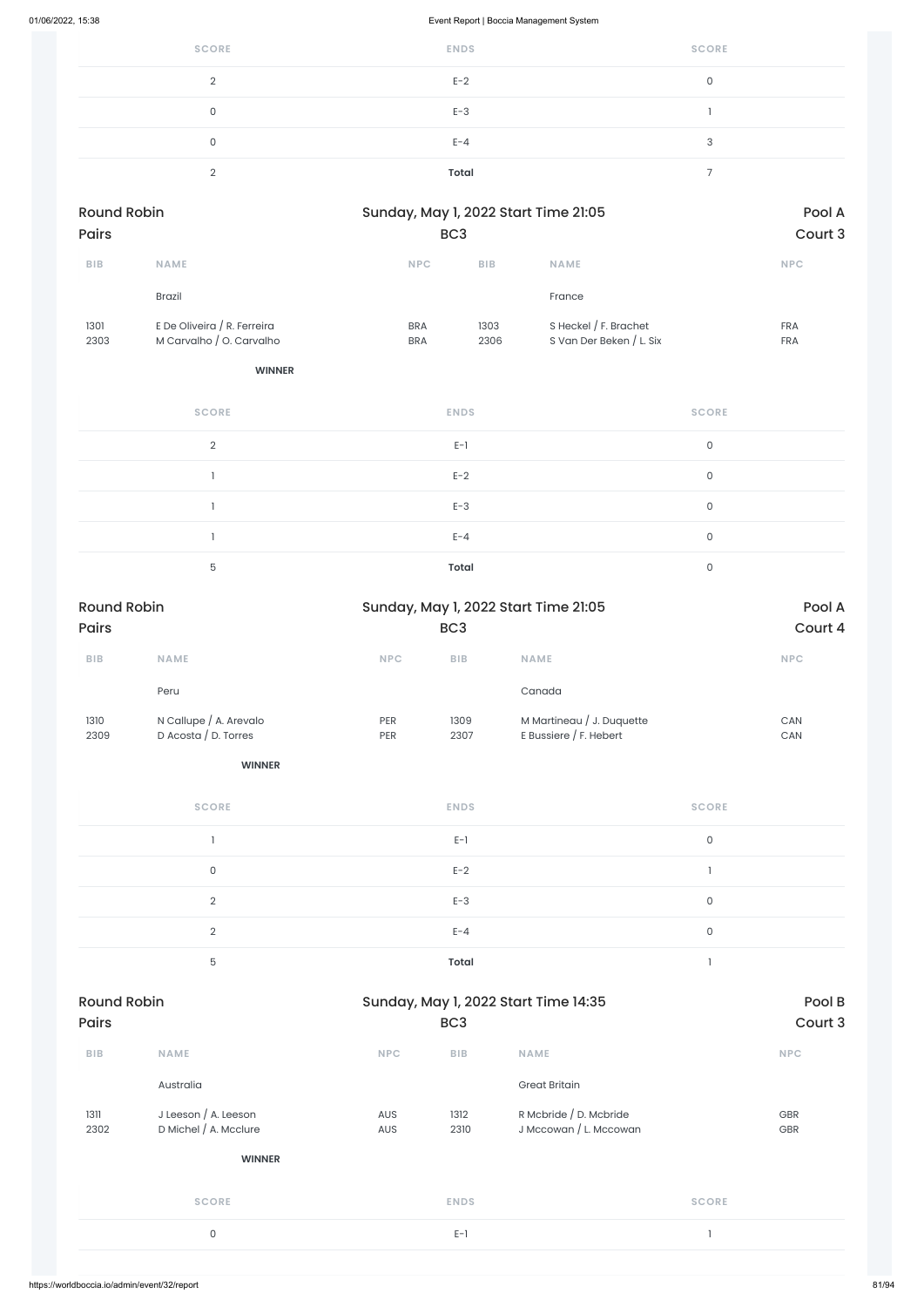| <b>SCORE</b> | <b>ENDS</b> | <b>SCORE</b> |
|--------------|-------------|--------------|
| $\sqrt{2}$   | $E-2$       | 0            |
| $\cap$       | $E-3$       |              |
|              | $E - 4$     | ₽            |
|              | Total       |              |

| <b>Round Robin</b><br><b>Pairs</b> |                                                         |                          | Sunday, May 1, 2022 Start Time 21:05<br>BC <sub>3</sub> |                                                   |                          |
|------------------------------------|---------------------------------------------------------|--------------------------|---------------------------------------------------------|---------------------------------------------------|--------------------------|
| <b>BIB</b>                         | <b>NAME</b>                                             | <b>NPC</b>               | <b>BIB</b>                                              | <b>NAME</b>                                       | <b>NPC</b>               |
|                                    | <b>Brazil</b>                                           |                          |                                                         | France                                            |                          |
| 1301<br>2303                       | E De Oliveira / R. Ferreira<br>M Carvalho / O. Carvalho | <b>BRA</b><br><b>BRA</b> | 1303<br>2306                                            | S Heckel / F. Brachet<br>S Van Der Beken / L. Six | <b>FRA</b><br><b>FRA</b> |

| <b>SCORE</b>  | <b>ENDS</b>  | <b>SCORE</b> |
|---------------|--------------|--------------|
| $\mathcal{D}$ | $E-1$        | $\mathbf 0$  |
|               | $E-2$        | $\mathbf 0$  |
|               | $E-3$        | 0            |
|               | $E - 4$      | 0            |
| 5             | <b>Total</b> | 0            |

| <b>Round Robin</b>      |                        |                             |                         | Sunday, May 1, 2022 Start Time 21:05                | Pool A                   |         |
|-------------------------|------------------------|-----------------------------|-------------------------|-----------------------------------------------------|--------------------------|---------|
| Pairs                   |                        |                             | BC <sub>3</sub>         |                                                     |                          | Court 4 |
| ${\sf B}{\sf I}{\sf B}$ | NAME                   | $\ensuremath{\mathsf{NPC}}$ | ${\sf B}{\sf I}{\sf B}$ | NAME                                                |                          | NPC     |
|                         | Peru                   |                             |                         | Canada                                              |                          |         |
| 1310                    | N Callupe / A. Arevalo | PER                         | 1309                    | M Martineau / J. Duquette<br>E Bussiere / F. Hebert |                          | CAN     |
| 2309                    | D Acosta / D. Torres   | PER                         | 2307                    |                                                     |                          | CAN     |
|                         | <b>WINNER</b>          |                             |                         |                                                     |                          |         |
|                         | <b>SCORE</b>           |                             | <b>ENDS</b>             |                                                     | <b>SCORE</b>             |         |
|                         | $\overline{1}$         |                             | $E-1$                   |                                                     | $\mathsf O$              |         |
|                         | $\mathsf{O}\xspace$    |                             | $E-2$                   |                                                     | $\overline{\phantom{a}}$ |         |
|                         | $\overline{2}$         |                             | $E-3$                   |                                                     | $\mathsf{O}$             |         |
|                         | $\overline{2}$         |                             | $E - 4$                 |                                                     | $\mathsf O$              |         |
|                         | 5                      |                             | <b>Total</b>            |                                                     | $\overline{\phantom{a}}$ |         |
| <b>Round Robin</b>      |                        |                             |                         | Sunday, May 1, 2022 Start Time 14:35                |                          | Pool B  |
| <b>Pairs</b>            |                        |                             | BC <sub>3</sub>         |                                                     |                          | Court 3 |
| ${\sf B}{\sf I}{\sf B}$ | NAME                   | NPC                         | ${\sf B}{\sf I}{\sf B}$ | <b>NAME</b>                                         |                          | NPC     |
|                         | Australia              |                             |                         | <b>Great Britain</b>                                |                          |         |
| 1311                    | J Leeson / A. Leeson   | AUS                         | 1312                    | R Mcbride / D. Mcbride                              |                          | GBR     |
| 2302                    | D Michel / A. Mcclure  | AUS                         | 2310                    | J Mccowan / L. Mccowan                              |                          | GBR     |
|                         | <b>WINNER</b>          |                             |                         |                                                     |                          |         |
|                         | <b>SCORE</b>           |                             | <b>ENDS</b>             |                                                     | <b>SCORE</b>             |         |
|                         | $\mathsf{O}\xspace$    |                             | $E-1$                   |                                                     | $\mathbf{1}$             |         |
|                         |                        |                             |                         |                                                     |                          |         |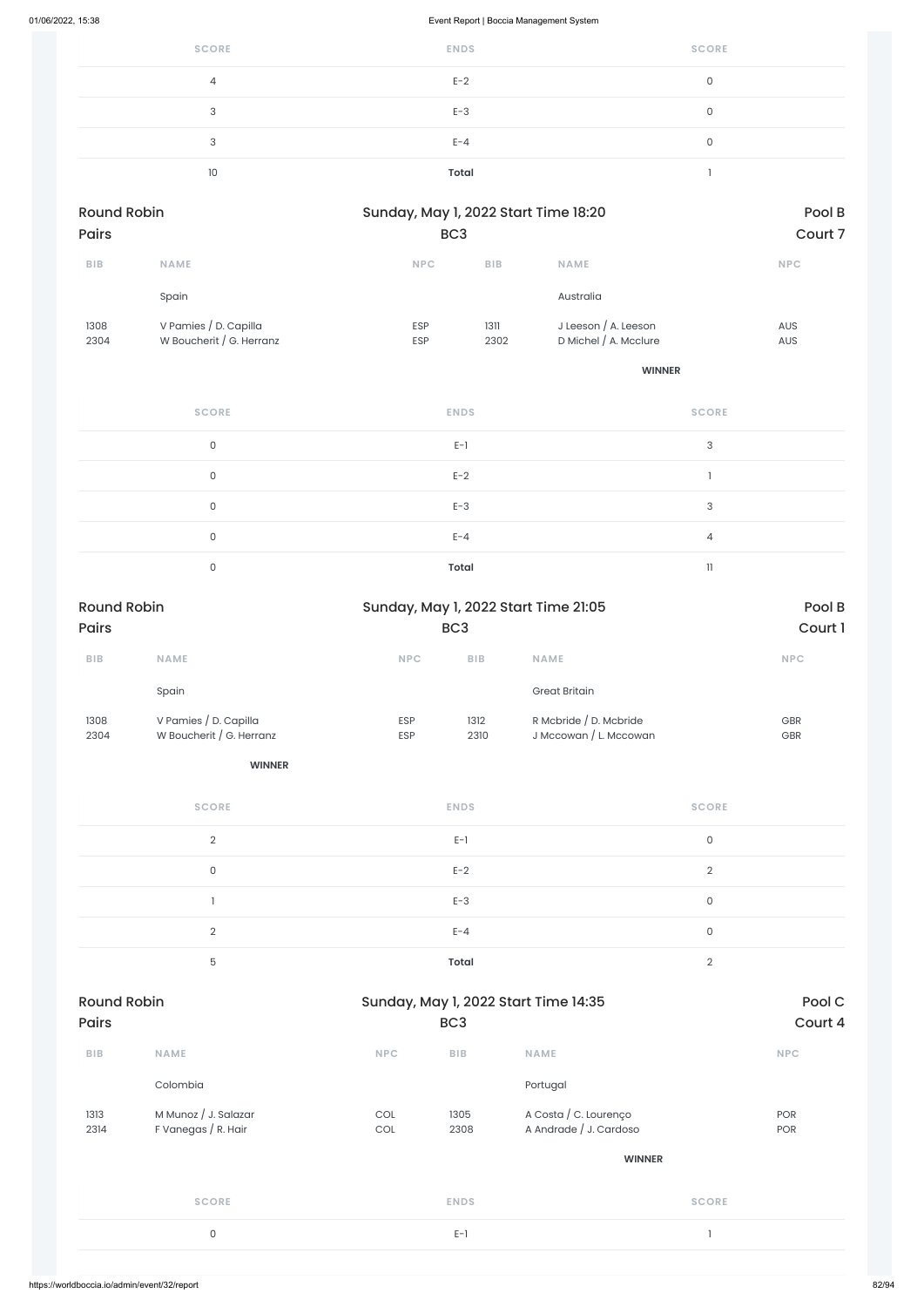| <b>SCORE</b> | <b>ENDS</b> | <b>SCORE</b> |
|--------------|-------------|--------------|
| 4            | $E-2$       | 0            |
| ◠            | $E-3$       |              |
| ?            | $E - 4$     | $\cap$       |
| 10           | Total       |              |

| <b>Round Robin</b><br><b>Pairs</b> |                                                   |                          | Sunday, May 1, 2022 Start Time 18:20<br>BC <sub>3</sub> |                                                 |                          |
|------------------------------------|---------------------------------------------------|--------------------------|---------------------------------------------------------|-------------------------------------------------|--------------------------|
| <b>BIB</b>                         | <b>NAME</b>                                       | <b>NPC</b>               | <b>BIB</b>                                              | <b>NAME</b>                                     | <b>NPC</b>               |
|                                    | Spain                                             |                          |                                                         | Australia                                       |                          |
| 1308<br>2304                       | V Pamies / D. Capilla<br>W Boucherit / G. Herranz | <b>ESP</b><br><b>ESP</b> | 1311<br>2302                                            | J Leeson $/$ A. Leeson<br>D Michel / A. Mcclure | <b>AUS</b><br><b>AUS</b> |

| <b>SCORE</b> | <b>ENDS</b>  | <b>SCORE</b>   |
|--------------|--------------|----------------|
| 0            | $E-1$        | 3              |
| $\Omega$     | $E-2$        |                |
| $\Omega$     | $E-3$        | 3              |
| $\Omega$     | $E - 4$      | $\overline{4}$ |
|              | <b>Total</b> | $\mathbf{1}$   |

| <b>Round Robin</b><br>Pairs |                                                   | Sunday, May 1, 2022 Start Time 21:05<br>BC <sub>3</sub> |                 | Pool B<br>Court 1                                |                |
|-----------------------------|---------------------------------------------------|---------------------------------------------------------|-----------------|--------------------------------------------------|----------------|
| ${\sf B}{\sf I}{\sf B}$     | NAME                                              | <b>NPC</b>                                              | ${\sf BIB}$     | NAME                                             | <b>NPC</b>     |
|                             | Spain                                             |                                                         |                 | <b>Great Britain</b>                             |                |
| 1308<br>2304                | V Pamies / D. Capilla<br>W Boucherit / G. Herranz | ESP<br>ESP                                              | 1312<br>2310    | R Mcbride / D. Mcbride<br>J Mccowan / L. Mccowan | GBR<br>GBR     |
|                             | <b>WINNER</b>                                     |                                                         |                 |                                                  |                |
|                             | <b>SCORE</b>                                      |                                                         | <b>ENDS</b>     |                                                  | <b>SCORE</b>   |
|                             | $\overline{2}$                                    |                                                         | $E-1$           |                                                  | $\mathsf O$    |
|                             | $\mathsf{O}\xspace$                               |                                                         | $E-2$           |                                                  | $\overline{2}$ |
|                             | 1                                                 |                                                         | $E-3$           |                                                  | $\mathsf O$    |
|                             | $\overline{2}$                                    |                                                         | $E - 4$         |                                                  | $\mathsf{O}$   |
|                             | 5                                                 |                                                         | <b>Total</b>    |                                                  | $\overline{2}$ |
| <b>Round Robin</b>          |                                                   |                                                         |                 | Sunday, May 1, 2022 Start Time 14:35             | Pool C         |
| Pairs                       |                                                   |                                                         | BC <sub>3</sub> |                                                  | Court 4        |
| ${\sf B}{\sf I}{\sf B}$     | NAME                                              | NPC                                                     | BIB             | NAME                                             | NPC            |
|                             | Colombia                                          |                                                         |                 | Portugal                                         |                |
| 1313<br>2314                | M Munoz / J. Salazar<br>F Vanegas / R. Hair       | $\mathop{\rm COL}\nolimits$<br>$\mathsf{COL}$           | 1305<br>2308    | A Costa / C. Lourenço<br>A Andrade / J. Cardoso  | POR<br>POR     |
|                             |                                                   |                                                         |                 | <b>WINNER</b>                                    |                |
|                             | <b>SCORE</b>                                      |                                                         | <b>ENDS</b>     |                                                  | <b>SCORE</b>   |
|                             | $\mathsf O$                                       |                                                         | $E-1$           |                                                  | $\overline{1}$ |
|                             |                                                   |                                                         |                 |                                                  |                |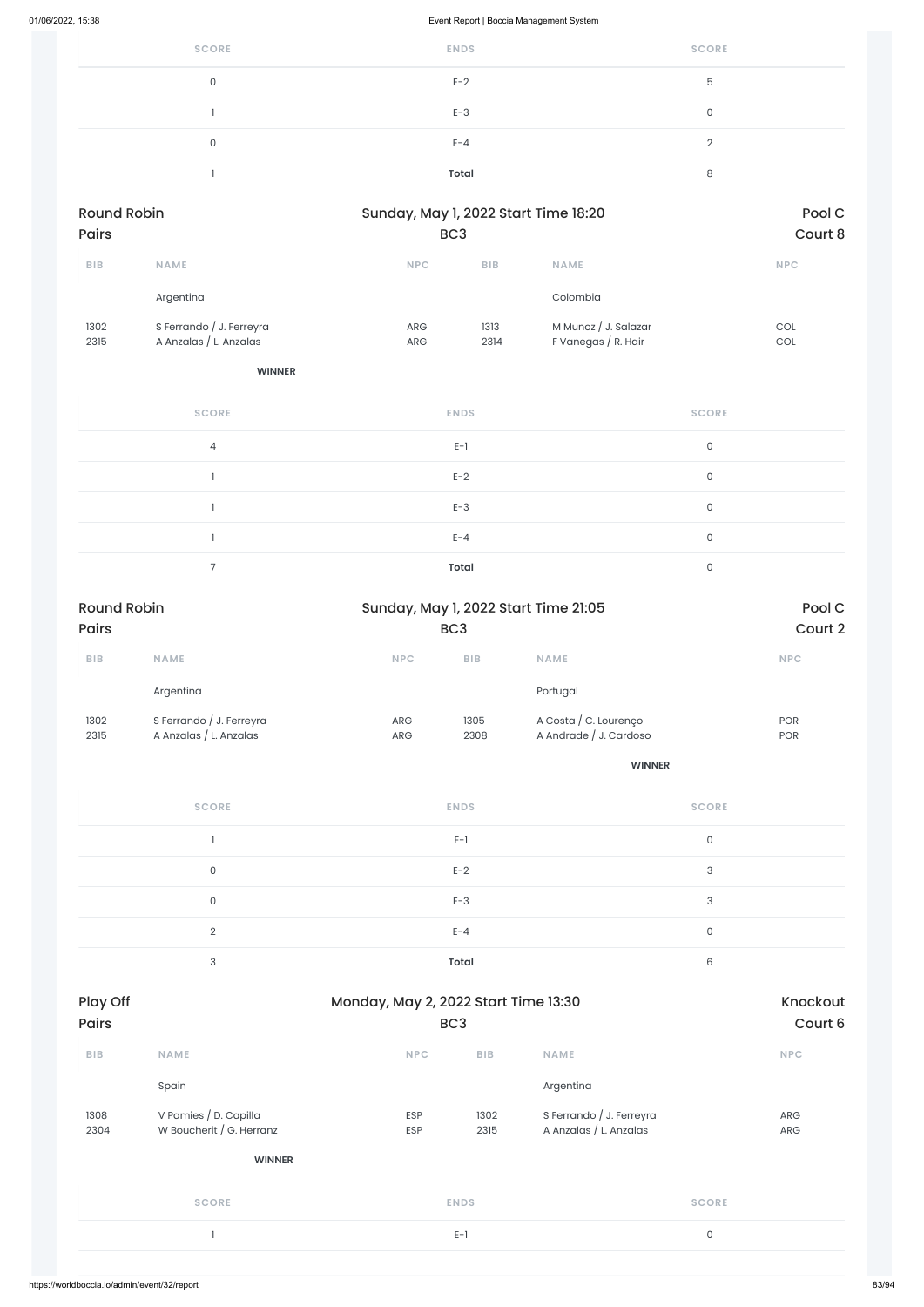| <b>SCORE</b> | <b>ENDS</b> | <b>SCORE</b> |
|--------------|-------------|--------------|
| <sup>n</sup> | $E-2$       | 5            |
|              | $E-3$       | $\cap$       |
|              | $E - 4$     |              |
|              | Total       | C            |

| <b>Round Robin</b> |                          | Sunday, May 1, 2022 Start Time 18:20 |            | Pool C               |            |
|--------------------|--------------------------|--------------------------------------|------------|----------------------|------------|
| <b>Pairs</b>       |                          | BC <sub>3</sub>                      |            | Court 8              |            |
| <b>BIB</b>         | <b>NAME</b>              | <b>NPC</b>                           | <b>BIB</b> | <b>NAME</b>          | <b>NPC</b> |
|                    | Argentina                |                                      |            | Colombia             |            |
| 1302               | S Ferrando / J. Ferreyra | <b>ARG</b>                           | 1313       | M Munoz / J. Salazar | COL        |
| 2315               | A Anzalas / L. Anzalas   | <b>ARG</b>                           | 2314       | F Vanegas / R. Hair  | COL        |

**WINNER**

| <b>SCORE</b>   | <b>ENDS</b>  | <b>SCORE</b> |
|----------------|--------------|--------------|
| $\overline{4}$ | $E-1$        | $\mathbf 0$  |
|                | $E-2$        | $\mathsf{O}$ |
|                | $E-3$        | $\mathsf{O}$ |
|                | $E - 4$      | $\mathsf{O}$ |
|                | <b>Total</b> | $\Omega$     |

| Play Off<br>Monday, May 2, 2022 Start Time 13:30 |                          |                 | Knockout    |                          |            |
|--------------------------------------------------|--------------------------|-----------------|-------------|--------------------------|------------|
| <b>Pairs</b>                                     |                          | BC <sub>3</sub> |             |                          | Court 6    |
| <b>BIB</b>                                       | <b>NAME</b>              | <b>NPC</b>      | <b>BIB</b>  | <b>NAME</b>              | <b>NPC</b> |
|                                                  | Spain                    |                 |             | Argentina                |            |
| 1308                                             | V Pamies / D. Capilla    | <b>ESP</b>      | 1302        | S Ferrando / J. Ferreyra | ARG        |
| 2304                                             | W Boucherit / G. Herranz | ESP             | 2315        | A Anzalas / L. Anzalas   | ARG        |
|                                                  | <b>WINNER</b>            |                 |             |                          |            |
|                                                  | <b>SCORE</b>             |                 | <b>ENDS</b> | <b>SCORE</b>             |            |
|                                                  |                          |                 | $E-1$       | $\mathsf O$              |            |
|                                                  |                          |                 |             |                          |            |
| https://worldboccia.io/admin/event/32/report     |                          |                 |             |                          |            |

| <b>Round Robin</b><br><b>Pairs</b> |                                                    | Sunday, May 1, 2022 Start Time 21:05 |                 |                                                 | Pool C                   |
|------------------------------------|----------------------------------------------------|--------------------------------------|-----------------|-------------------------------------------------|--------------------------|
|                                    |                                                    |                                      | BC <sub>3</sub> |                                                 | Court 2                  |
| <b>BIB</b>                         | <b>NAME</b>                                        | <b>NPC</b>                           | <b>BIB</b>      | <b>NAME</b>                                     | <b>NPC</b>               |
|                                    | Argentina                                          |                                      |                 | Portugal                                        |                          |
| 1302<br>2315                       | S Ferrando / J. Ferreyra<br>A Anzalas / L. Anzalas | <b>ARG</b><br><b>ARG</b>             | 1305<br>2308    | A Costa / C. Lourenço<br>A Andrade / J. Cardoso | <b>POR</b><br><b>POR</b> |

| <b>SCORE</b>  | <b>ENDS</b>  | <b>SCORE</b> |
|---------------|--------------|--------------|
|               | $E-1$        | $\mathbf{0}$ |
| $\Omega$      | $E-2$        | 3            |
| 0             | $E-3$        | 3            |
| $\mathcal{D}$ | $E - 4$      | 0            |
| $\bigcap$     | <b>Total</b> | 6            |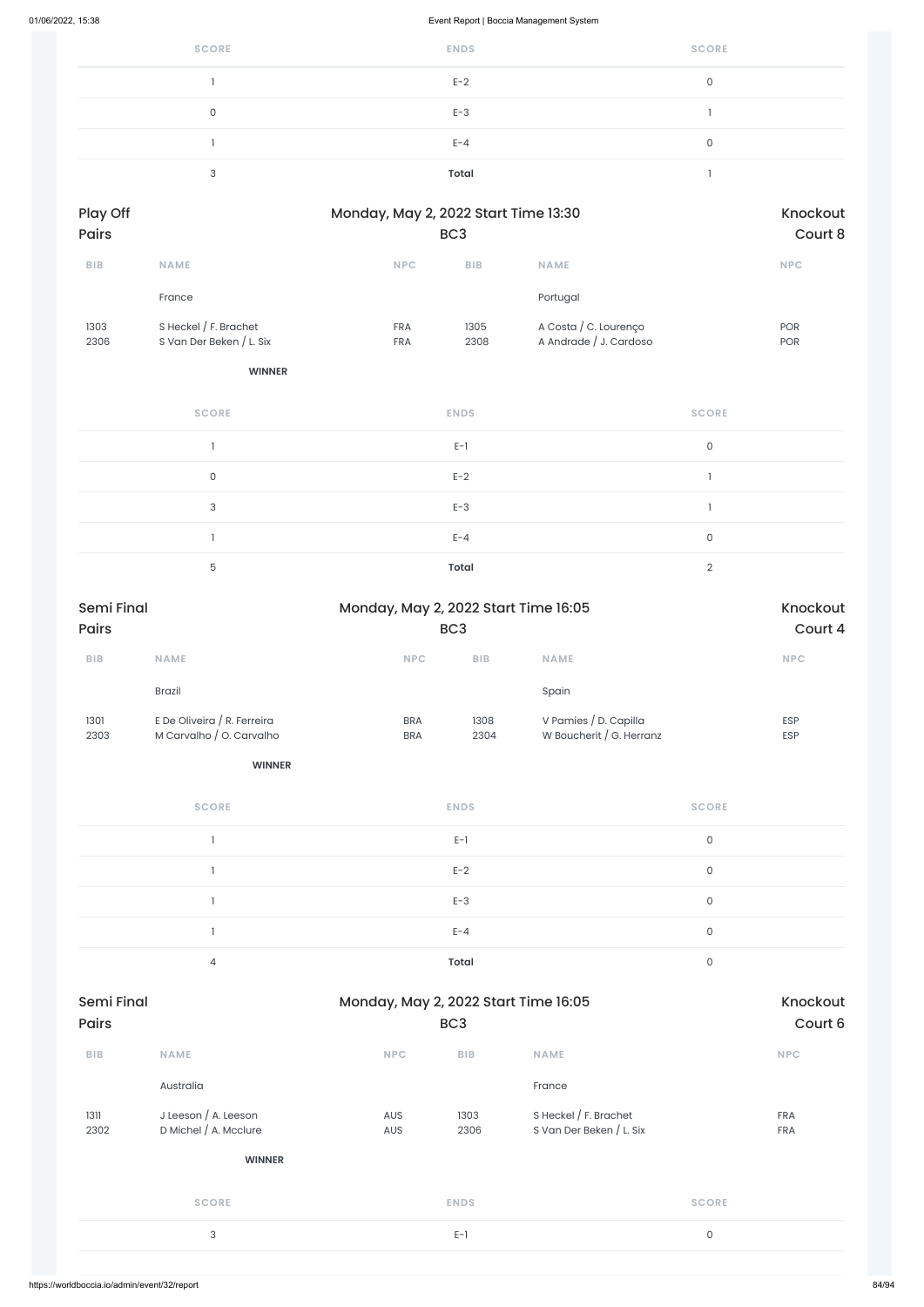| <b>SCORE</b> | <b>ENDS</b>  | <b>SCORE</b> |
|--------------|--------------|--------------|
|              | $E-2$        | 0            |
| C            | $E-3$        |              |
|              | $E - 4$      | 0            |
| $\mathbf{r}$ | <b>Total</b> |              |

| Play Off<br><b>Pairs</b> |                          | Monday, May 2, 2022 Start Time 13:30<br>BC <sub>3</sub> |            |                        | Knockout   |
|--------------------------|--------------------------|---------------------------------------------------------|------------|------------------------|------------|
|                          |                          |                                                         |            |                        | Court 8    |
| <b>BIB</b>               | <b>NAME</b>              | <b>NPC</b>                                              | <b>BIB</b> | <b>NAME</b>            | <b>NPC</b> |
|                          | France                   |                                                         |            | Portugal               |            |
| 1303                     | S Heckel $/$ F. Brachet  | <b>FRA</b>                                              | 1305       | A Costa / C. Lourenço  | <b>POR</b> |
| 2306                     | S Van Der Beken / L. Six | <b>FRA</b>                                              | 2308       | A Andrade / J. Cardoso | <b>POR</b> |

| <b>SCORE</b> | <b>ENDS</b>  | <b>SCORE</b> |
|--------------|--------------|--------------|
|              | $E-1$        | $\mathbf 0$  |
| $\mathbf 0$  | $E-2$        |              |
| 3            | $E-3$        |              |
|              | $E - 4$      | $\mathbf 0$  |
| 5            | <b>Total</b> | $\Omega$     |

| <b>Semi Final</b> |                                              |            | Monday, May 2, 2022 Start Time 16:05 |                          |              | Knockout   |
|-------------------|----------------------------------------------|------------|--------------------------------------|--------------------------|--------------|------------|
| <b>Pairs</b>      |                                              |            | BC <sub>3</sub>                      |                          |              | Court 6    |
| <b>BIB</b>        | <b>NAME</b>                                  | <b>NPC</b> | <b>BIB</b>                           | <b>NAME</b>              |              | <b>NPC</b> |
|                   | Australia                                    |            |                                      | France                   |              |            |
| 1311              | J Leeson / A. Leeson                         | AUS        | 1303                                 | S Heckel / F. Brachet    |              | <b>FRA</b> |
| 2302              | D Michel / A. Mcclure                        | AUS        | 2306                                 | S Van Der Beken / L. Six |              | <b>FRA</b> |
|                   | <b>WINNER</b>                                |            |                                      |                          |              |            |
|                   | <b>SCORE</b>                                 |            | <b>ENDS</b>                          |                          | <b>SCORE</b> |            |
|                   | 3                                            |            | $E-1$                                |                          | $\mathsf O$  |            |
|                   |                                              |            |                                      |                          |              |            |
|                   | https://worldboccia.io/admin/event/32/report |            |                                      |                          |              |            |

| Semi Final<br><b>Pairs</b> |                                                         |                          | Monday, May 2, 2022 Start Time 16:05<br>BC <sub>3</sub> |                                                   |                          |
|----------------------------|---------------------------------------------------------|--------------------------|---------------------------------------------------------|---------------------------------------------------|--------------------------|
| <b>BIB</b>                 | <b>NAME</b>                                             | <b>NPC</b>               | <b>BIB</b>                                              | <b>NAME</b>                                       | <b>NPC</b>               |
|                            | <b>Brazil</b>                                           |                          |                                                         | Spain                                             |                          |
| 1301<br>2303               | E De Oliveira / R. Ferreira<br>M Carvalho / O. Carvalho | <b>BRA</b><br><b>BRA</b> | 1308<br>2304                                            | V Pamies / D. Capilla<br>W Boucherit / G. Herranz | <b>ESP</b><br><b>ESP</b> |
|                            | <b>WINNER</b>                                           |                          |                                                         |                                                   |                          |
|                            | <b>SCORE</b>                                            |                          | <b>ENDS</b>                                             |                                                   | <b>SCORE</b>             |

| $E-1$        | C |
|--------------|---|
| $E-2$        |   |
| $E-3$        |   |
| $E - 4$      |   |
| <b>Total</b> |   |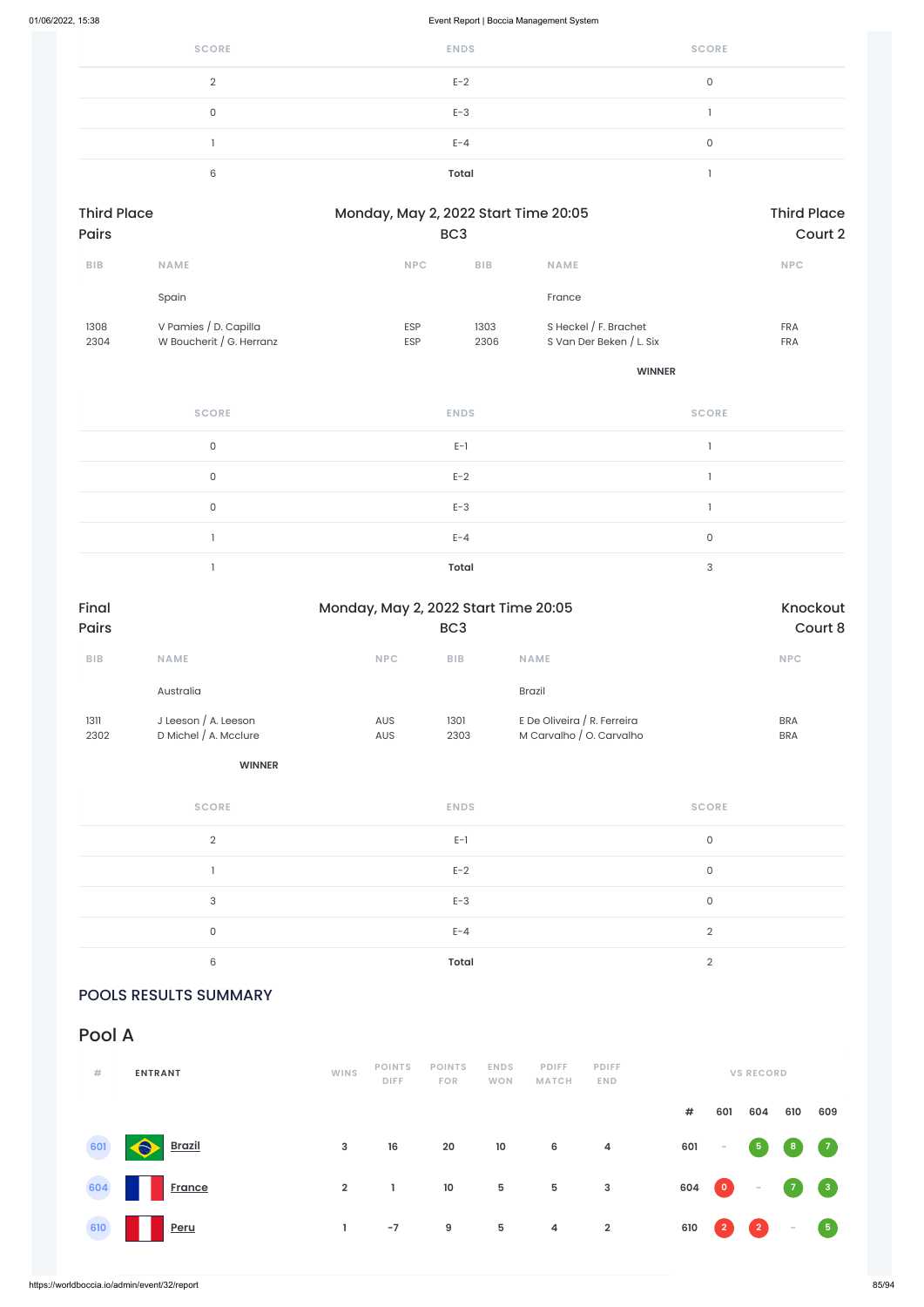| <b>SCORE</b> | <b>ENDS</b> | <b>SCORE</b> |
|--------------|-------------|--------------|
| $\cap$       | $E-2$       | $\cap$       |
| $\cap$       | $E-3$       |              |
|              | $E - 4$     | 0            |
| 6            | Total       |              |

| <b>Third Place</b><br><b>Pairs</b> |                                                   |                          | Monday, May 2, 2022 Start Time 20:05<br>BC <sub>3</sub> |                                                     |                          |  |  |
|------------------------------------|---------------------------------------------------|--------------------------|---------------------------------------------------------|-----------------------------------------------------|--------------------------|--|--|
| <b>BIB</b>                         | <b>NAME</b>                                       | <b>NPC</b>               | <b>BIB</b>                                              | <b>NAME</b>                                         | <b>NPC</b>               |  |  |
|                                    | Spain                                             |                          |                                                         | France                                              |                          |  |  |
| 1308<br>2304                       | V Pamies / D. Capilla<br>W Boucherit / G. Herranz | <b>ESP</b><br><b>ESP</b> | 1303<br>2306                                            | S Heckel $/$ F. Brachet<br>S Van Der Beken / L. Six | <b>FRA</b><br><b>FRA</b> |  |  |

**WINNER**

| <b>SCORE</b> | <b>ENDS</b>  | <b>SCORE</b> |
|--------------|--------------|--------------|
| $\mathbf 0$  | $E-1$        |              |
| $\mathbf{0}$ | $E-2$        |              |
| $\mathbf 0$  | $E-3$        |              |
|              | $E - 4$      | 0            |
|              | <b>Total</b> | 3            |

| Final<br>Pairs          | Monday, May 2, 2022 Start Time 20:05<br>BC <sub>3</sub> |            |                                |                                                         |                     |                          |
|-------------------------|---------------------------------------------------------|------------|--------------------------------|---------------------------------------------------------|---------------------|--------------------------|
| ${\sf B}{\sf I}{\sf B}$ | <b>NAME</b>                                             | <b>NPC</b> | ${\sf B}{\sf I}{\sf B}$        | <b>NAME</b>                                             |                     | NPC                      |
|                         | Australia                                               |            |                                | Brazil                                                  |                     |                          |
| 1311<br>2302            | J Leeson / A. Leeson<br>D Michel / A. Mcclure           | AUS<br>AUS | 1301<br>2303                   | E De Oliveira / R. Ferreira<br>M Carvalho / O. Carvalho |                     | <b>BRA</b><br><b>BRA</b> |
|                         | <b>WINNER</b>                                           |            |                                |                                                         |                     |                          |
|                         | <b>SCORE</b>                                            |            | <b>ENDS</b>                    |                                                         | <b>SCORE</b>        |                          |
|                         | $\overline{2}$                                          |            | $\mathsf{E}\text{-}\mathsf{1}$ |                                                         | $\mathsf{O}\xspace$ |                          |
|                         | $\mathbf{I}$                                            |            | $E-2$                          |                                                         | $\mathsf{O}$        |                          |
|                         | $\sqrt{3}$                                              |            | $E-3$                          |                                                         | $\mathsf{O}$        |                          |
|                         | $\mathsf{O}\xspace$                                     |            | $E - 4$                        |                                                         | $\overline{2}$      |                          |
|                         | $\,6\,$                                                 |            | <b>Total</b>                   |                                                         | $\mathbf{2}$        |                          |

## POOLS RESULTS SUMMARY

Pool A

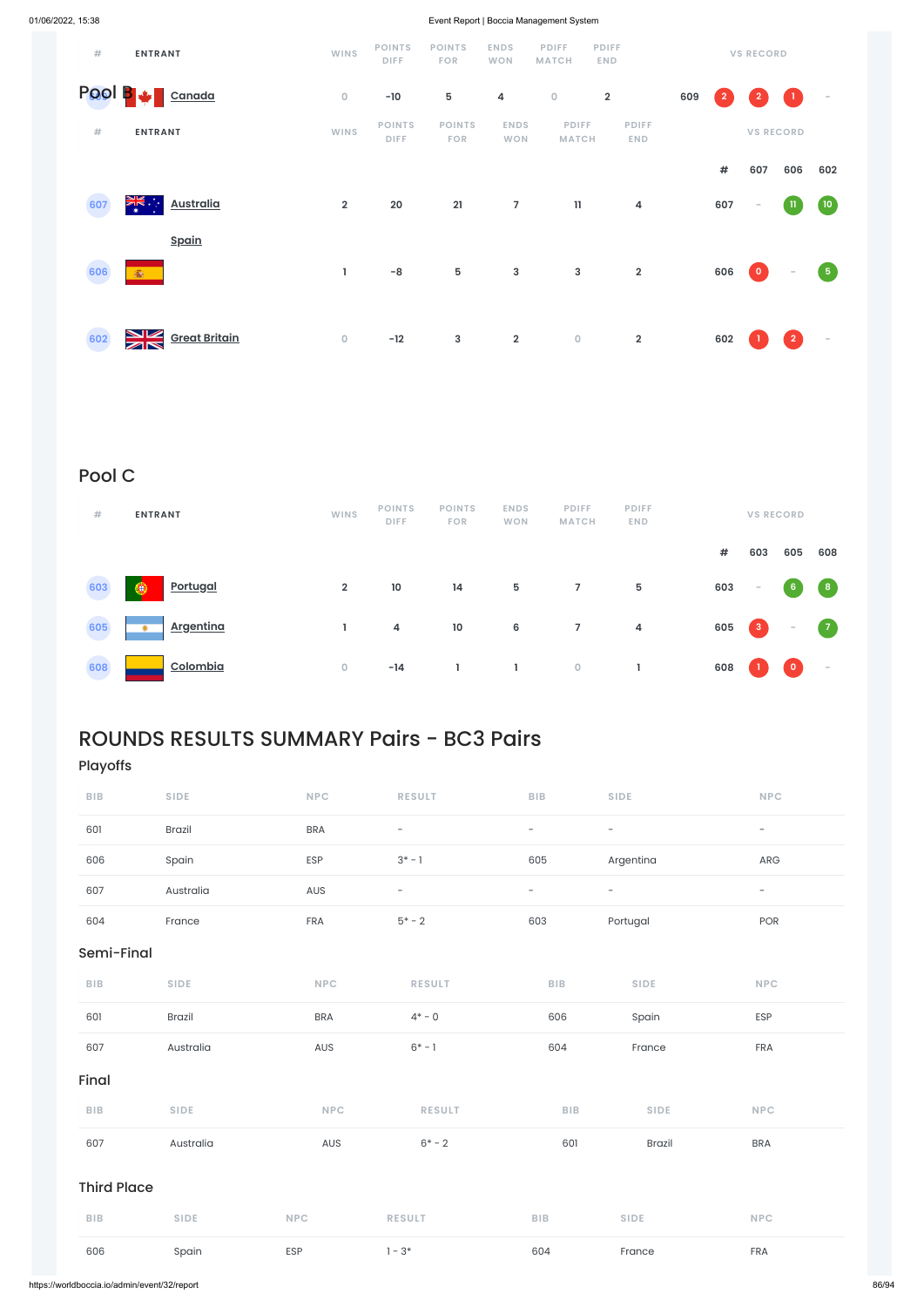| #      | <b>ENTRANT</b>                    | <b>WINS</b>             | <b>POINTS</b><br><b>DIFF</b> | <b>POINTS</b><br>FOR | <b>ENDS</b><br><b>WON</b> | <b>PDIFF</b><br><b>MATCH</b> | <b>PDIFF</b><br><b>END</b> |     |                | <b>VS RECORD</b> |                                                                              |                   |
|--------|-----------------------------------|-------------------------|------------------------------|----------------------|---------------------------|------------------------------|----------------------------|-----|----------------|------------------|------------------------------------------------------------------------------|-------------------|
| Pool B | Canada                            | $\mathsf{O}\xspace$     | $-10$                        | 5                    | 4                         | $\mathsf O$                  | $\overline{\mathbf{2}}$    | 609 | $\overline{2}$ | $\overline{2}$   | $\begin{array}{c} \begin{array}{c} \begin{array}{c} \end{array} \end{array}$ | $\sim$            |
| #      | <b>ENTRANT</b>                    | <b>WINS</b>             | <b>POINTS</b><br><b>DIFF</b> | <b>POINTS</b><br>FOR | <b>ENDS</b><br><b>WON</b> | <b>PDIFF</b><br><b>MATCH</b> | <b>PDIFF</b><br><b>END</b> |     |                |                  | <b>VS RECORD</b>                                                             |                   |
|        |                                   |                         |                              |                      |                           |                              |                            |     | $\pmb{\#}$     | 607              | 606                                                                          | 602               |
| 607    | <b>Australia</b><br>ক্ষ<br>*      | $\overline{\mathbf{2}}$ | 20                           | 21                   | $\overline{7}$            | $\mathbf{11}$                | 4                          |     | 607            | $\sim$           | n                                                                            | (10)              |
|        | <b>Spain</b>                      |                         |                              |                      |                           |                              |                            |     |                |                  |                                                                              |                   |
| 606    | <b>象</b>                          | L                       | $-8$                         | ${\bf 5}$            | $\mathsf 3$               | $\mathbf{3}$                 | $\overline{2}$             |     | 606            | $\bullet$        | $\sim$                                                                       | $\left( 5\right)$ |
|        |                                   |                         |                              |                      |                           |                              |                            |     |                |                  |                                                                              |                   |
| 602    | <u>nk</u><br><b>Great Britain</b> | $\mathsf{O}\xspace$     | $-12$                        | $\mathsf 3$          | $\overline{\mathbf{2}}$   | $\mathsf O$                  | $\overline{\mathbf{2}}$    |     | 602            |                  | $\overline{2}$                                                               | $\sim$            |

# Pool C

| #   | <b>ENTRANT</b>                | <b>WINS</b>    | <b>POINTS</b><br><b>DIFF</b> | <b>POINTS</b><br><b>FOR</b> | <b>ENDS</b><br><b>WON</b> | <b>PDIFF</b><br><b>MATCH</b> | <b>PDIFF</b><br>END.    |     |                                                       | <b>VS RECORD</b> |                          |
|-----|-------------------------------|----------------|------------------------------|-----------------------------|---------------------------|------------------------------|-------------------------|-----|-------------------------------------------------------|------------------|--------------------------|
|     |                               |                |                              |                             |                           |                              |                         | #   | 603                                                   | 605              | 608                      |
| 603 | <b>Portugal</b><br>۰          | $\overline{2}$ | 10                           | 14                          | $5\phantom{.0}$           | $\overline{7}$               | $5\phantom{.0}$         | 603 | $\sim$                                                | $6\phantom{1}$   | $\mathbf{8}$             |
| 605 | <u>Argentina</u><br>$\bullet$ |                | 4                            | $10$                        | 6                         | $\overline{7}$               | $\overline{\mathbf{4}}$ | 605 | $\begin{array}{ c c } \hline 3 \\ \hline \end{array}$ | $\sim$           | $\bullet$                |
| 608 | Colombia                      | $\overline{O}$ | $-14$                        |                             |                           | $\overline{0}$               |                         | 608 |                                                       | $\bullet$        | $\overline{\phantom{a}}$ |

# ROUNDS RESULTS SUMMARY Pairs - BC3 Pairs

# Playoffs

| <b>BIB</b> | <b>SIDE</b>   | <b>NPC</b> | <b>RESULT</b>     | <b>BIB</b>               | <b>SIDE</b>              | <b>NPC</b>               |
|------------|---------------|------------|-------------------|--------------------------|--------------------------|--------------------------|
| 601        | <b>Brazil</b> | BRA        | $\qquad \qquad -$ | -                        | $\overline{\phantom{0}}$ | $\overline{\phantom{a}}$ |
| 606        | Spain         | <b>ESP</b> | $3^* - 1$         | 605                      | Argentina                | ARG                      |
| 607        | Australia     | AUS        | $\qquad \qquad -$ | $\overline{\phantom{0}}$ | $\overline{\phantom{0}}$ | $\overline{\phantom{0}}$ |
| 604        | France        | <b>FRA</b> | $5* - 2$          | 603                      | Portugal                 | POR                      |

# Semi-Final

| <b>BIB</b> | <b>SIDE</b> | NPC. | <b>RESULT</b> | BIB. | <b>SIDE</b> | <b>NPC</b> |
|------------|-------------|------|---------------|------|-------------|------------|

| .                  | $\cup$ . $\cup$ . | $\mathbf{v}$ | 11 - J J L I  | .          | $\cup$ . $\cup$ . | $\sim$     |
|--------------------|-------------------|--------------|---------------|------------|-------------------|------------|
| 601                | <b>Brazil</b>     | <b>BRA</b>   | $4^* - 0$     | 606        | Spain             | ESP        |
| 607                | Australia         | AUS          | $6* - 1$      | 604        | France            | FRA        |
| Final              |                   |              |               |            |                   |            |
| BIB                | <b>SIDE</b>       | <b>NPC</b>   | <b>RESULT</b> | <b>BIB</b> | <b>SIDE</b>       | <b>NPC</b> |
| 607                | Australia         | AUS          | $6* - 2$      | 601        | <b>Brazil</b>     | <b>BRA</b> |
| <b>Third Place</b> |                   |              |               |            |                   |            |
| <b>BIB</b>         | <b>SIDE</b>       | <b>NPC</b>   | <b>RESULT</b> | BIB        | <b>SIDE</b>       | <b>NPC</b> |
| 606                | Spain             | <b>ESP</b>   | $1 - 3*$      | 604        | France            | FRA        |
|                    |                   |              |               |            |                   |            |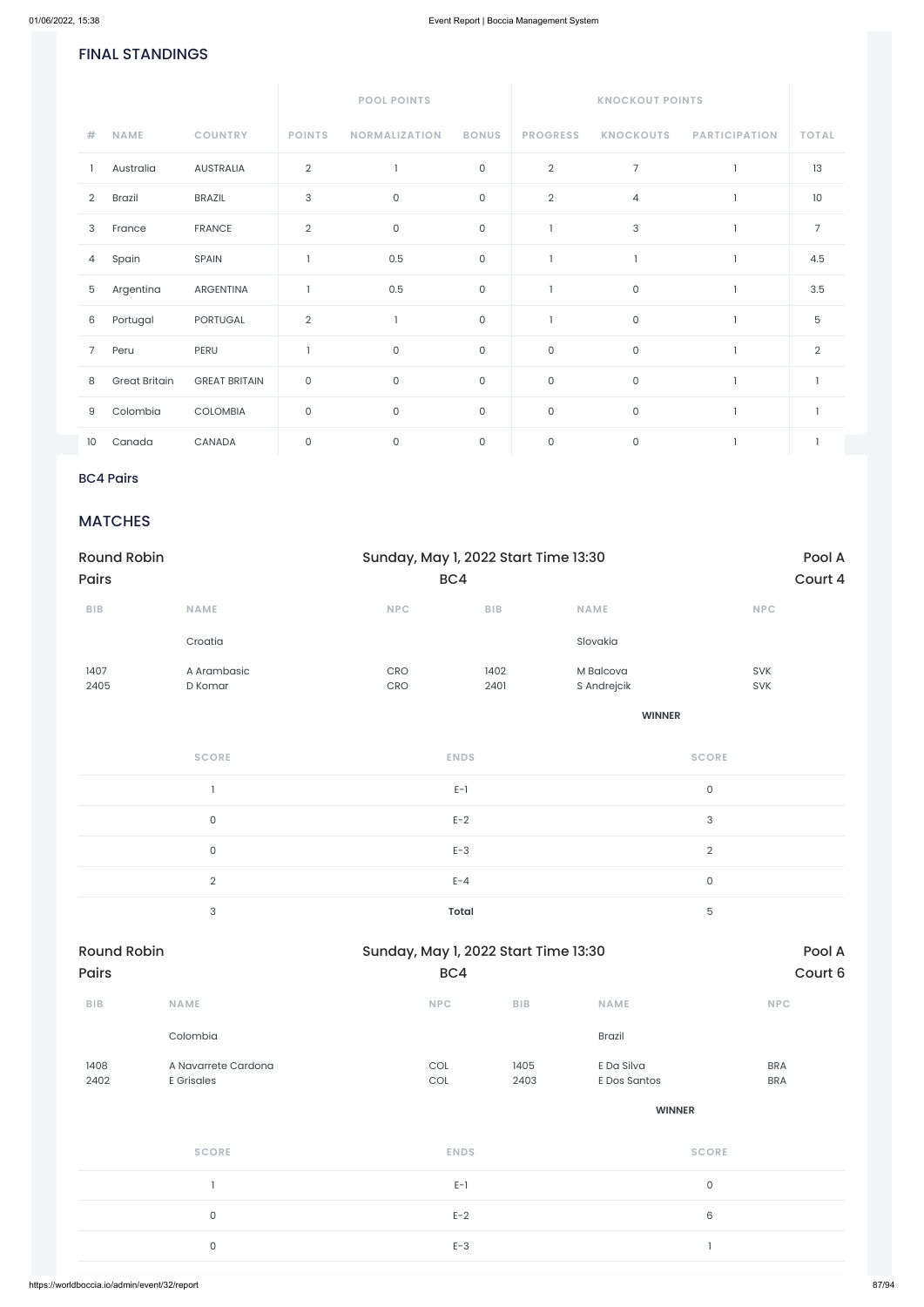### FINAL STANDINGS

|                 |                      |                      |                           | <b>POOL POINTS</b>   |              |                 | <b>KNOCKOUT POINTS</b> |                      |                |
|-----------------|----------------------|----------------------|---------------------------|----------------------|--------------|-----------------|------------------------|----------------------|----------------|
| $\#$            | <b>NAME</b>          | <b>COUNTRY</b>       | <b>POINTS</b>             | <b>NORMALIZATION</b> | <b>BONUS</b> | <b>PROGRESS</b> | <b>KNOCKOUTS</b>       | <b>PARTICIPATION</b> | <b>TOTAL</b>   |
|                 | Australia            | <b>AUSTRALIA</b>     | $\overline{2}$            |                      | $\mathsf O$  | $\overline{2}$  | $\overline{7}$         |                      | 13             |
| $\overline{2}$  | <b>Brazil</b>        | <b>BRAZIL</b>        | $\ensuremath{\mathsf{3}}$ | $\mathsf{O}$         | $\mathsf O$  | $\overline{2}$  | 4                      |                      | 10             |
| 3               | France               | <b>FRANCE</b>        | $\overline{2}$            | $\mathsf O$          | $\mathsf O$  |                 | 3                      |                      | $\overline{7}$ |
| 4               | Spain                | SPAIN                |                           | 0.5                  | $\mathsf O$  |                 |                        |                      | 4.5            |
| 5               | Argentina            | ARGENTINA            |                           | 0.5                  | $\mathsf O$  |                 | $\mathsf O$            |                      | 3.5            |
| 6               | Portugal             | PORTUGAL             | $\overline{2}$            |                      | $\mathsf{O}$ |                 | $\mathsf{O}\xspace$    |                      | 5              |
| 7               | Peru                 | PERU                 |                           | $\mathsf{O}$         | $\mathsf O$  | 0               | $\mathsf{O}\xspace$    |                      | $\overline{2}$ |
| 8               | <b>Great Britain</b> | <b>GREAT BRITAIN</b> | $\mathsf{O}\xspace$       | $\mathsf{O}$         | $\mathsf O$  | $\mathsf O$     | $\mathsf{O}\xspace$    |                      |                |
| 9               | Colombia             | COLOMBIA             | $\mathsf{O}\xspace$       | $\mathsf O$          | $\mathsf{O}$ | $\mathsf O$     | $\mathsf{O}\xspace$    |                      | $\overline{1}$ |
| 10 <sup>°</sup> | Canada               | CANADA               | $\mathsf{O}\xspace$       | $\mathsf{O}$         | $\mathsf O$  | $\mathsf O$     | $\mathsf{O}\xspace$    |                      |                |

### BC4 Pairs

## **MATCHES**

| <b>Round Robin</b>      |                                       |            | Sunday, May 1, 2022 Start Time 13:30 |                          |                           |  |  |
|-------------------------|---------------------------------------|------------|--------------------------------------|--------------------------|---------------------------|--|--|
| Pairs                   |                                       |            | BC4                                  |                          | Court 4                   |  |  |
| ${\sf B}{\sf I}{\sf B}$ | <b>NAME</b>                           | NPC        | BIB                                  | <b>NAME</b>              | <b>NPC</b>                |  |  |
|                         | Croatia                               |            |                                      | Slovakia                 |                           |  |  |
| 1407<br>2405            | A Arambasic<br>D Komar                | CRO<br>CRO | 1402<br>2401                         | M Balcova<br>S Andrejcik | SVK<br>SVK                |  |  |
|                         |                                       |            |                                      | <b>WINNER</b>            |                           |  |  |
|                         | <b>SCORE</b>                          |            | <b>ENDS</b>                          |                          | <b>SCORE</b>              |  |  |
|                         | $\begin{array}{c} \hline \end{array}$ |            | $E-1$                                | $\mathsf{O}\xspace$      |                           |  |  |
|                         | $\mathsf{O}\xspace$                   |            | $E-2$                                |                          | $\ensuremath{\mathsf{3}}$ |  |  |
|                         | $\mathsf{O}\xspace$                   |            | $E-3$                                |                          | $\sqrt{2}$                |  |  |
|                         | $\overline{2}$                        |            | $E - 4$                              |                          | $\mathsf{O}\xspace$       |  |  |
|                         | $\sqrt{3}$                            |            | Total                                |                          | $\mathbf 5$               |  |  |

| BIB          | <b>NAME</b>                              | <b>NPC</b>  | <b>BIB</b>   | <b>NAME</b>                | <b>NPC</b>               |
|--------------|------------------------------------------|-------------|--------------|----------------------------|--------------------------|
|              | Colombia                                 |             |              | Brazil                     |                          |
| 1408<br>2402 | A Navarrete Cardona<br><b>E</b> Grisales | COL<br>COL  | 1405<br>2403 | E Da Silva<br>E Dos Santos | <b>BRA</b><br><b>BRA</b> |
|              |                                          |             |              | <b>WINNER</b>              |                          |
|              | <b>SCORE</b>                             | <b>ENDS</b> |              | <b>SCORE</b>               |                          |
|              |                                          | $E-1$       |              | $\mathsf{O}$               |                          |
|              | $\mathsf O$                              | $E-2$       |              | 6                          |                          |
|              | $\mathsf{O}$                             | $E-3$       |              | $\mathbf{1}$               |                          |
|              |                                          |             |              |                            |                          |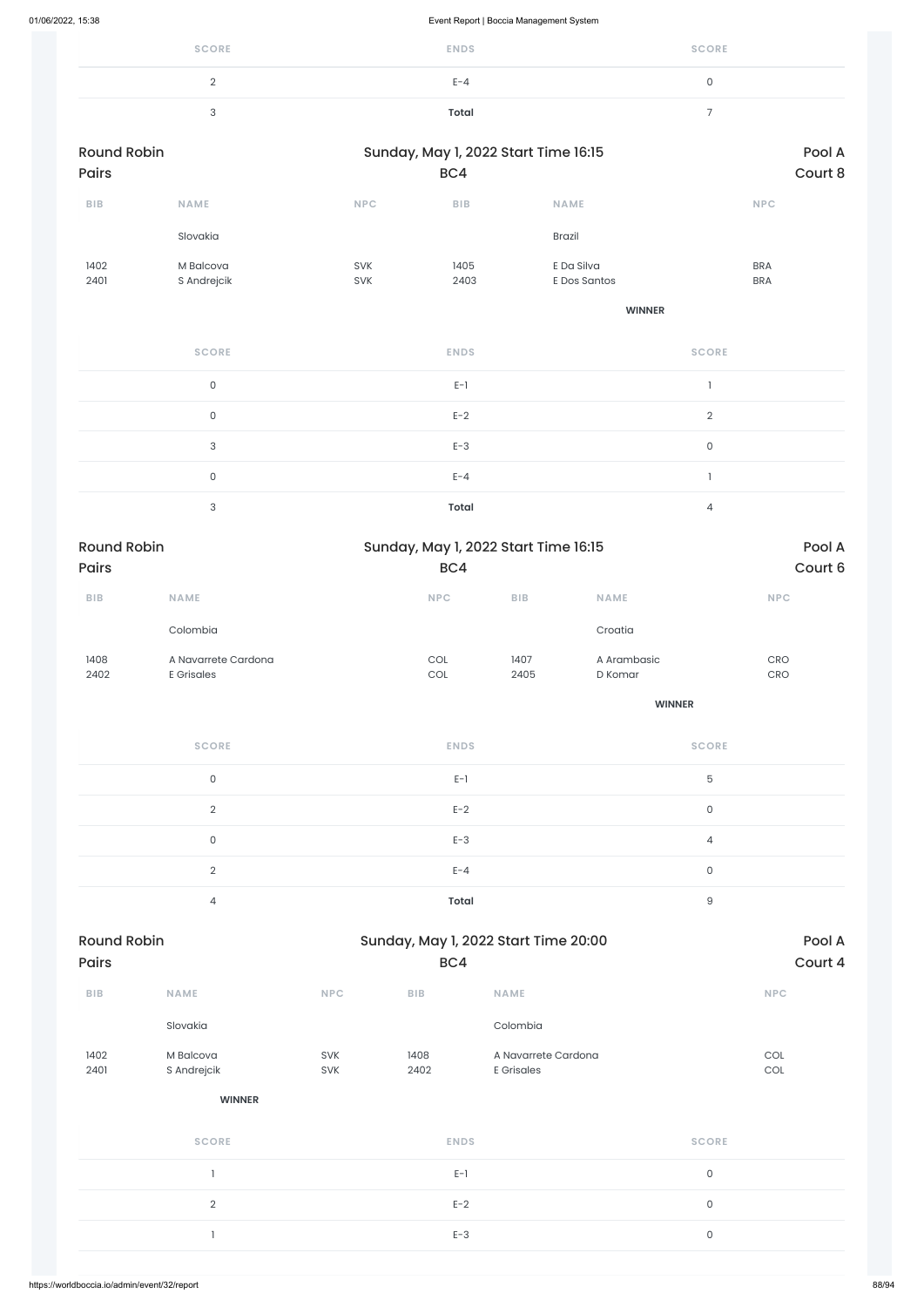| <b>SCORE</b> | <b>ENDS</b> | <b>SCORE</b> |
|--------------|-------------|--------------|
| ∸            | $E - 4$     | ◡            |
| ັ            | Total       | -            |

| <b>Round Robin</b>      |                                          | Sunday, May 1, 2022 Start Time 16:15 |                                      |              |                            | Pool A              |                                         |
|-------------------------|------------------------------------------|--------------------------------------|--------------------------------------|--------------|----------------------------|---------------------|-----------------------------------------|
| Pairs                   |                                          |                                      | BC4                                  |              |                            |                     | Court 8                                 |
| ${\sf B}{\sf I}{\sf B}$ | NAME                                     | NPC                                  | ${\sf B}{\sf I}{\sf B}$              |              | NAME                       |                     | <b>NPC</b>                              |
|                         | Slovakia                                 |                                      |                                      |              | <b>Brazil</b>              |                     |                                         |
| 1402<br>2401            | M Balcova<br>S Andrejcik                 | SVK<br>SVK                           | 1405<br>2403                         |              | E Da Silva<br>E Dos Santos |                     | <b>BRA</b><br><b>BRA</b>                |
|                         |                                          |                                      |                                      |              | <b>WINNER</b>              |                     |                                         |
|                         | <b>SCORE</b>                             |                                      | <b>ENDS</b>                          |              |                            | <b>SCORE</b>        |                                         |
|                         | $\mathsf{O}$                             |                                      | $E-1$                                |              |                            | $\mathbf{I}$        |                                         |
|                         | $\mathsf{O}$                             |                                      | $E-2$                                |              |                            | $\overline{2}$      |                                         |
|                         | $\ensuremath{\mathsf{3}}$                |                                      | $E-3$                                |              |                            | $\mathsf{O}\xspace$ |                                         |
|                         | $\mathsf{O}$                             |                                      | $E - 4$                              |              |                            | $\mathbf{I}$        |                                         |
|                         | $\ensuremath{\mathsf{3}}$                |                                      | <b>Total</b>                         |              |                            | $\overline{4}$      |                                         |
| <b>Round Robin</b>      |                                          |                                      | Sunday, May 1, 2022 Start Time 16:15 |              |                            |                     | Pool A                                  |
| Pairs                   |                                          |                                      | BC4                                  |              |                            |                     | Court 6                                 |
| ${\sf B}{\sf I}{\sf B}$ | NAME                                     |                                      | <b>NPC</b>                           | BIB          | <b>NAME</b>                |                     | <b>NPC</b>                              |
|                         | Colombia                                 |                                      |                                      |              | Croatia                    |                     |                                         |
| 1408<br>2402            | A Navarrete Cardona<br><b>E</b> Grisales |                                      | COL<br>$\mathop{\rm COL}\nolimits$   | 1407<br>2405 | A Arambasic<br>D Komar     |                     | $\mathsf{C}\mathsf{R}\mathsf{O}$<br>CRO |
|                         |                                          |                                      |                                      |              | <b>WINNER</b>              |                     |                                         |
|                         | <b>SCORE</b>                             |                                      | <b>ENDS</b>                          |              |                            | <b>SCORE</b>        |                                         |
|                         | $\mathsf{O}\xspace$                      |                                      | $E-1$                                |              |                            | $\mathbf 5$         |                                         |
|                         | $\overline{2}$                           |                                      | $E-2$                                |              |                            | $\mathsf{O}\xspace$ |                                         |
|                         | $\mathsf{O}$                             |                                      | $E-3$                                |              |                            | $\overline{4}$      |                                         |
|                         |                                          |                                      |                                      |              |                            |                     |                                         |

 $E-4$  0

4 **Total** 9

| BIB          | <b>NAME</b>              | <b>NPC</b>        | BIB          | <b>NAME</b>                              | <b>NPC</b>          |
|--------------|--------------------------|-------------------|--------------|------------------------------------------|---------------------|
|              | Slovakia                 |                   |              | Colombia                                 |                     |
| 1402<br>2401 | M Balcova<br>S Andrejcik | <b>SVK</b><br>SVK | 1408<br>2402 | A Navarrete Cardona<br><b>E</b> Grisales | COL<br>COL          |
|              | <b>WINNER</b>            |                   |              |                                          |                     |
|              | <b>SCORE</b>             |                   | <b>ENDS</b>  |                                          | <b>SCORE</b>        |
|              |                          |                   | $E-1$        |                                          | $\mathsf{O}$        |
|              | $\sqrt{2}$               |                   | $E-2$        |                                          | $\mathsf{O}\xspace$ |
|              |                          |                   | $E-3$        |                                          | $\mathsf{O}\xspace$ |
|              |                          |                   |              |                                          |                     |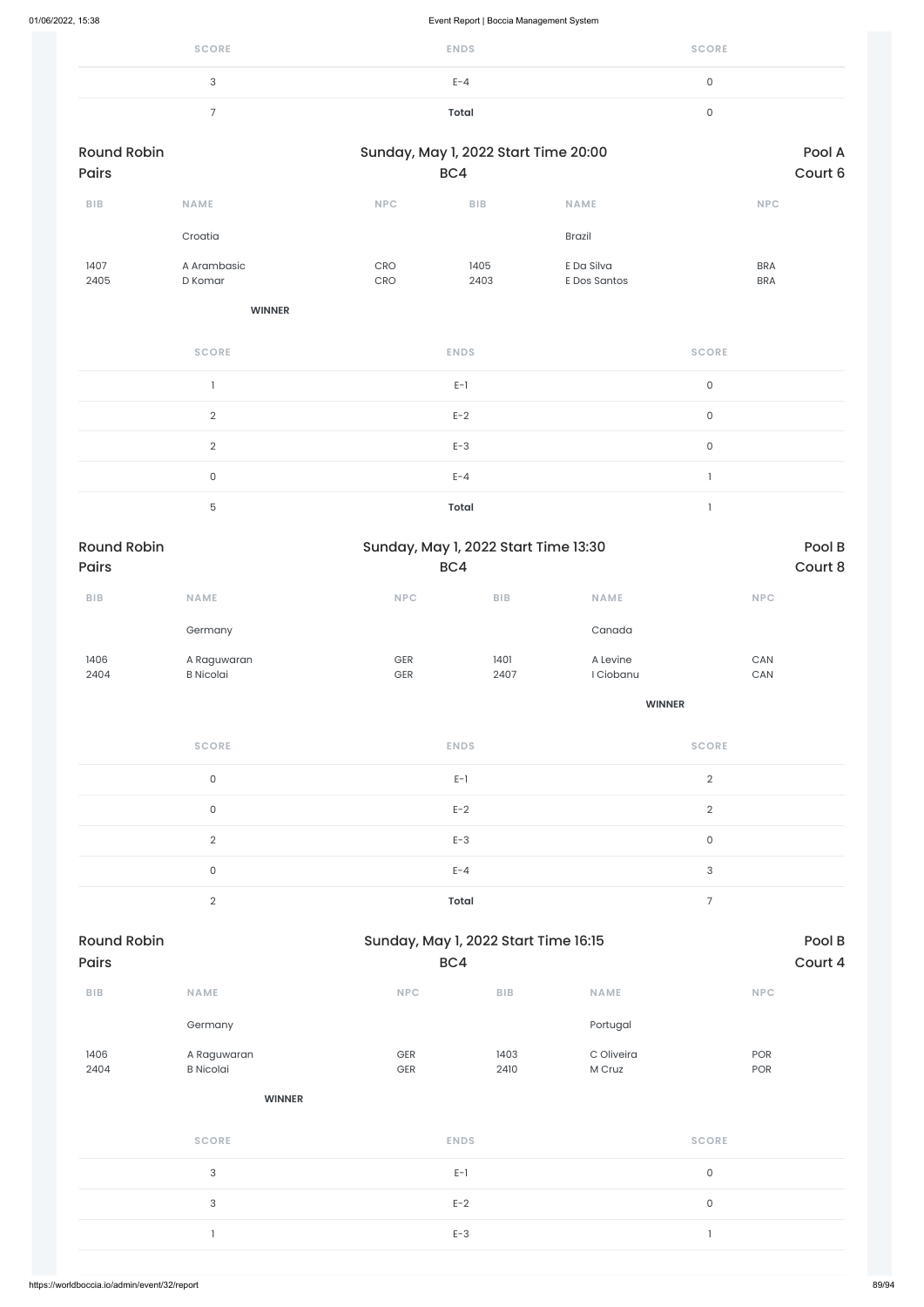| <b>SCORE</b> | <b>ENDS</b> | <b>SCORE</b> |
|--------------|-------------|--------------|
| చ            | $E - 4$     |              |
|              | Total       |              |

| <b>Round Robin</b><br><b>Pairs</b> |                        | Sunday, May 1, 2022 Start Time 20:00 | BC4          |                            | Pool A<br>Court 6        |
|------------------------------------|------------------------|--------------------------------------|--------------|----------------------------|--------------------------|
| <b>BIB</b>                         | <b>NAME</b>            | <b>NPC</b>                           | <b>BIB</b>   | <b>NAME</b>                | <b>NPC</b>               |
|                                    | Croatia                |                                      |              | Brazil                     |                          |
| 1407<br>2405                       | A Arambasic<br>D Komar | <b>CRO</b><br><b>CRO</b>             | 1405<br>2403 | E Da Silva<br>E Dos Santos | <b>BRA</b><br><b>BRA</b> |

#### **WINNER**

| <b>SCORE</b> | <b>ENDS</b> | <b>SCORE</b> |
|--------------|-------------|--------------|
|              | $E-1$       | $\mathbf{0}$ |
| $\Omega$     | $E-2$       | 0            |
| $\Omega$     | $E-3$       | 0            |
| $\mathbf{0}$ | $E - 4$     |              |
| 5            | Total       |              |

| <b>Round Robin</b> |                  | Sunday, May 1, 2022 Start Time 13:30 |            |             | Pool B     |  |
|--------------------|------------------|--------------------------------------|------------|-------------|------------|--|
| <b>Pairs</b>       |                  | BC4                                  |            |             | Court 8    |  |
| <b>BIB</b>         | <b>NAME</b>      | <b>NPC</b>                           | <b>BIB</b> | <b>NAME</b> | <b>NPC</b> |  |
|                    | Germany          |                                      |            | Canada      |            |  |
| 1406               | A Raguwaran      | GER                                  | 1401       | A Levine    | CAN        |  |
| 2404               | <b>B</b> Nicolai | <b>GER</b>                           | 2407       | I Ciobanu   | CAN        |  |

| <b>SCORE</b> | <b>ENDS</b>  | <b>SCORE</b> |
|--------------|--------------|--------------|
| 0            | $E-1$        | $\Omega$     |
| $\Omega$     | $E-2$        | $\Omega$     |
| $\Omega$     | $E-3$        | 0            |
| $\Omega$     | $E - 4$      | 3            |
| $\cap$       | <b>Total</b> |              |

| BIB          | NAME                            | NPC        | ${\sf B}{\sf I}{\sf B}$ | <b>NAME</b>          | NPC            |
|--------------|---------------------------------|------------|-------------------------|----------------------|----------------|
|              | Germany                         |            |                         | Portugal             |                |
| 1406<br>2404 | A Raguwaran<br><b>B</b> Nicolai | GER<br>GER | 1403<br>2410            | C Oliveira<br>M Cruz | POR<br>POR     |
|              | <b>WINNER</b>                   |            |                         |                      |                |
|              | <b>SCORE</b>                    |            | <b>ENDS</b>             |                      | <b>SCORE</b>   |
|              | $\sqrt{3}$                      |            | $E-1$                   |                      | $\mathsf{O}$   |
|              | $\mathbf{3}$                    |            | $E-2$                   |                      | $\mathsf{O}$   |
|              | $\mathbf{I}$                    |            | $E-3$                   |                      | $\overline{1}$ |
|              |                                 |            |                         |                      |                |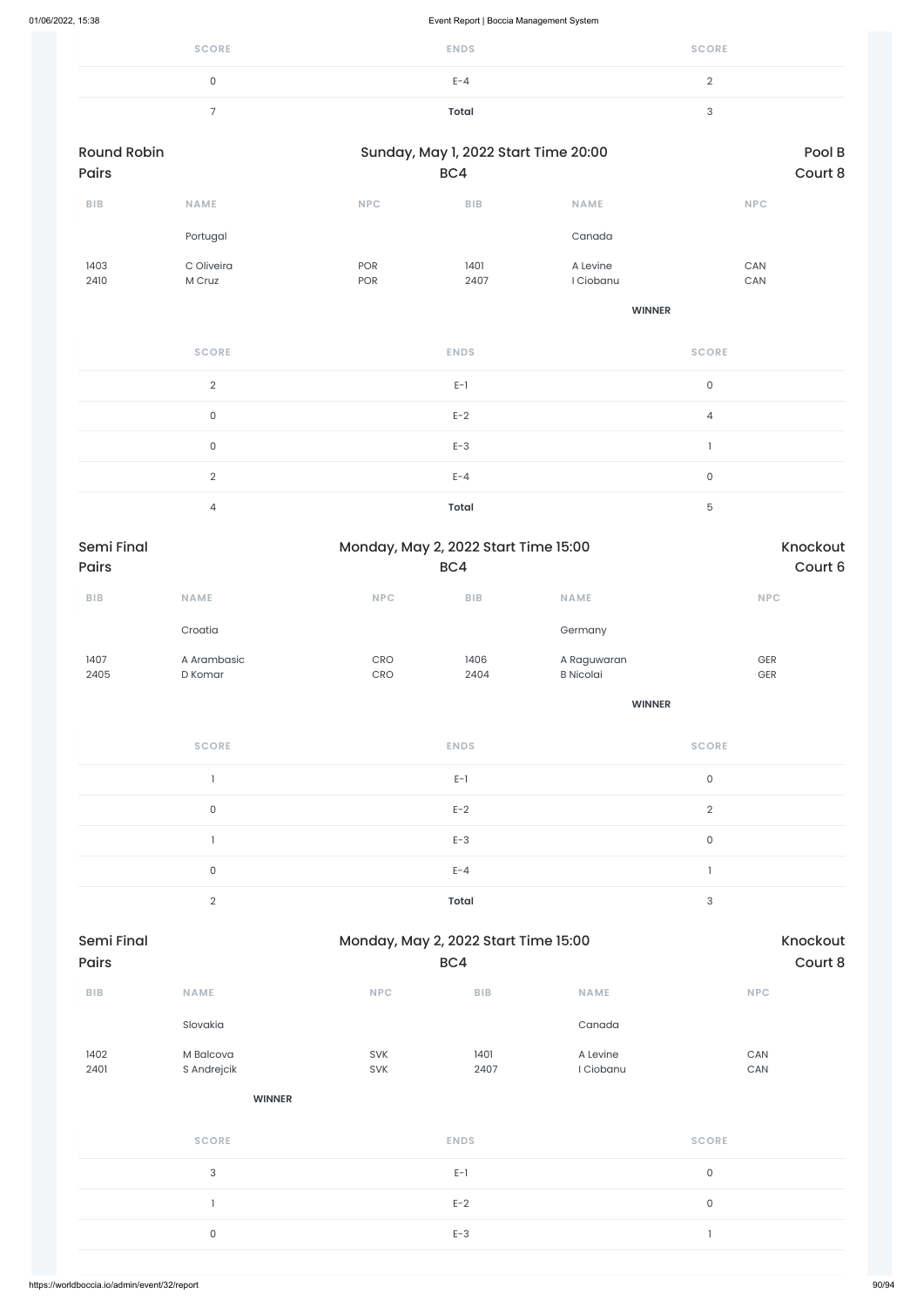| <b>SCORE</b> | <b>ENDS</b>  | <b>SCORE</b> |
|--------------|--------------|--------------|
|              | $E - 4$      |              |
|              | <b>Total</b> |              |

| <b>Round Robin</b> |                        | Sunday, May 1, 2022 Start Time 20:00 |                                      |                                 |                     | Pool B             |  |
|--------------------|------------------------|--------------------------------------|--------------------------------------|---------------------------------|---------------------|--------------------|--|
| <b>Pairs</b>       |                        |                                      | BC4                                  |                                 |                     | Court 8            |  |
| BIB                | <b>NAME</b>            | $\ensuremath{\mathsf{NPC}}$          | BIB                                  | <b>NAME</b>                     | <b>NPC</b>          |                    |  |
|                    | Portugal               |                                      |                                      | Canada                          |                     |                    |  |
| 1403               | C Oliveira             | POR                                  | 1401                                 | A Levine                        | CAN                 |                    |  |
| 2410               | M Cruz                 | POR                                  | 2407                                 | I Ciobanu                       | CAN                 |                    |  |
|                    |                        |                                      |                                      | <b>WINNER</b>                   |                     |                    |  |
|                    | <b>SCORE</b>           |                                      | <b>ENDS</b>                          |                                 | <b>SCORE</b>        |                    |  |
|                    | $\sqrt{2}$             |                                      | $E-1$                                |                                 | $\mathsf{O}\xspace$ |                    |  |
|                    | $\mathsf{O}\xspace$    |                                      | $E-2$                                |                                 | $\overline{4}$      |                    |  |
|                    | $\mathsf{O}\xspace$    |                                      | $E-3$                                |                                 | $\mathbf{l}$        |                    |  |
|                    | $\overline{2}$         |                                      | $E - 4$                              |                                 | $\mathsf{O}\xspace$ |                    |  |
|                    | $\overline{4}$         |                                      | <b>Total</b>                         |                                 | $\mathbf 5$         |                    |  |
| <b>Semi Final</b>  |                        |                                      | Monday, May 2, 2022 Start Time 15:00 |                                 |                     | Knockout           |  |
| Pairs              |                        |                                      | BC4                                  |                                 |                     | Court 6            |  |
| BIB                | NAME                   | <b>NPC</b>                           | BIB                                  | NAME                            |                     | <b>NPC</b>         |  |
|                    | Croatia                |                                      |                                      | Germany                         |                     |                    |  |
| 1407<br>2405       | A Arambasic<br>D Komar | CRO<br>CRO                           | 1406<br>2404                         | A Raguwaran<br><b>B</b> Nicolai |                     | GER<br>${\sf GER}$ |  |
|                    |                        |                                      |                                      |                                 |                     |                    |  |
|                    |                        |                                      |                                      | <b>WINNER</b>                   |                     |                    |  |
|                    | <b>SCORE</b>           |                                      | <b>ENDS</b>                          |                                 | <b>SCORE</b>        |                    |  |
|                    | $\mathbf{1}$           |                                      | $E-1$                                |                                 | $\mathsf{O}\xspace$ |                    |  |
|                    | $\mathsf{O}\xspace$    |                                      | $E-2$                                |                                 | $\sqrt{2}$          |                    |  |
|                    | $\mathbf{1}$           |                                      | $E-3$                                |                                 | $\mathsf{O}\xspace$ |                    |  |
|                    | $\mathsf{O}\xspace$    |                                      | $E - 4$                              |                                 | 1                   |                    |  |
|                    | $\mathbf{2}$           |                                      | <b>Total</b>                         |                                 | $\sqrt{3}$          |                    |  |
| Semi Final         |                        |                                      | Monday, May 2, 2022 Start Time 15:00 |                                 |                     | Knockout           |  |

| ${\sf B}{\sf I}{\sf B}$ | NAME                     | NPC        | ${\sf B}{\sf I}{\sf B}$ | NAME                  | NPC          |
|-------------------------|--------------------------|------------|-------------------------|-----------------------|--------------|
|                         | Slovakia                 |            |                         | Canada                |              |
| 1402<br>2401            | M Balcova<br>S Andrejcik | SVK<br>SVK | 1401<br>2407            | A Levine<br>I Ciobanu | CAN<br>CAN   |
|                         | <b>WINNER</b>            |            |                         |                       |              |
|                         | <b>SCORE</b>             |            | <b>ENDS</b>             |                       | <b>SCORE</b> |
|                         | $\sqrt{3}$               |            | $E-1$                   |                       | $\mathsf O$  |
|                         | n,                       |            | $E-2$                   |                       | $\mathsf O$  |
|                         | $\mathsf O$              |            | $E-3$                   |                       | $\mathbf{1}$ |
|                         |                          |            |                         |                       |              |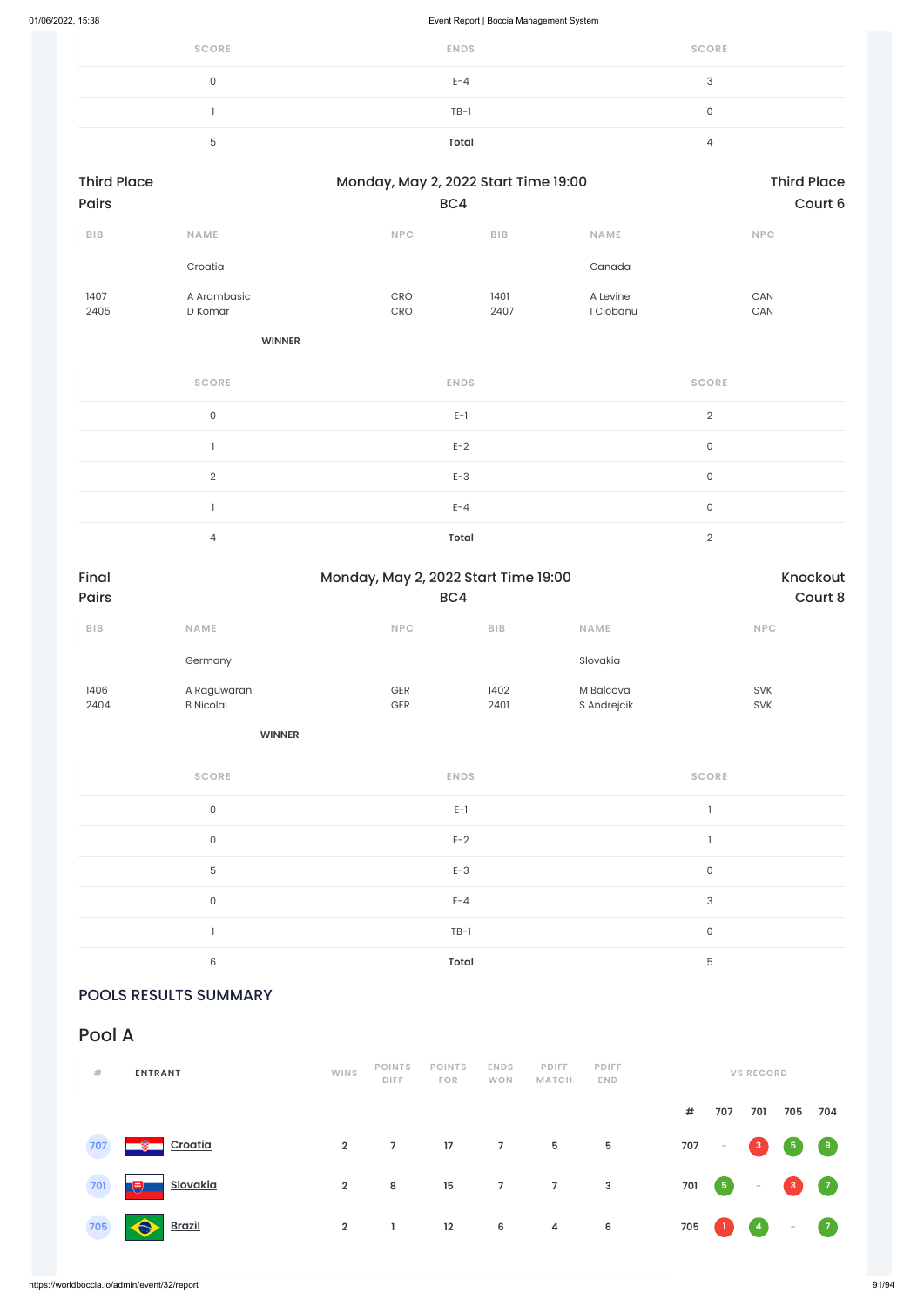| <b>SCORE</b> | <b>ENDS</b> | <b>SCORE</b> |
|--------------|-------------|--------------|
|              | $E - 4$     | U            |
|              | $TB-1$      |              |
|              | Total       |              |

| <b>Third Place</b><br><b>Pairs</b> |                        |                          | Monday, May 2, 2022 Start Time 19:00<br>BC4 |                       |                          |  |  |
|------------------------------------|------------------------|--------------------------|---------------------------------------------|-----------------------|--------------------------|--|--|
| <b>BIB</b>                         | <b>NAME</b>            | <b>NPC</b>               | <b>BIB</b>                                  | <b>NAME</b>           | <b>NPC</b>               |  |  |
|                                    | Croatia                |                          |                                             | Canada                |                          |  |  |
| 1407<br>2405                       | A Arambasic<br>D Komar | <b>CRO</b><br><b>CRO</b> | 1401<br>2407                                | A Levine<br>I Ciobanu | <b>CAN</b><br><b>CAN</b> |  |  |

**WINNER**

| <b>SCORE</b> | <b>ENDS</b>  | <b>SCORE</b> |
|--------------|--------------|--------------|
| $\mathbf 0$  | $E-1$        | $\Omega$     |
|              | $E-2$        | $\mathbf 0$  |
| $\Omega$     | $E-3$        | $\mathbf 0$  |
|              | $E - 4$      | 0            |
| 4            | <b>Total</b> | ⌒            |

| Final<br><b>Pairs</b> |                                 | Monday, May 2, 2022 Start Time 19:00<br>BC4 |              |                          |                          |  |  |  |
|-----------------------|---------------------------------|---------------------------------------------|--------------|--------------------------|--------------------------|--|--|--|
| <b>BIB</b>            | <b>NAME</b>                     | <b>NPC</b>                                  | <b>BIB</b>   | <b>NAME</b>              | <b>NPC</b>               |  |  |  |
|                       | Germany                         |                                             |              | Slovakia                 |                          |  |  |  |
| 1406<br>2404          | A Raguwaran<br><b>B</b> Nicolai | <b>GER</b><br><b>GER</b>                    | 1402<br>2401 | M Balcova<br>S Andrejcik | <b>SVK</b><br><b>SVK</b> |  |  |  |

**WINNER**

| <b>SCORE</b> | <b>ENDS</b> | <b>SCORE</b> |
|--------------|-------------|--------------|
| $\mathbf 0$  | $E-1$       |              |
| $\mathbf 0$  | $E-2$       |              |
| 5            | $E-3$       | $\mathbf 0$  |
| $\mathbf 0$  | $E - 4$     | 3            |
|              | $TB-1$      | 0            |
| 6            | Total       | 5            |

## POOLS RESULTS SUMMARY

Pool A

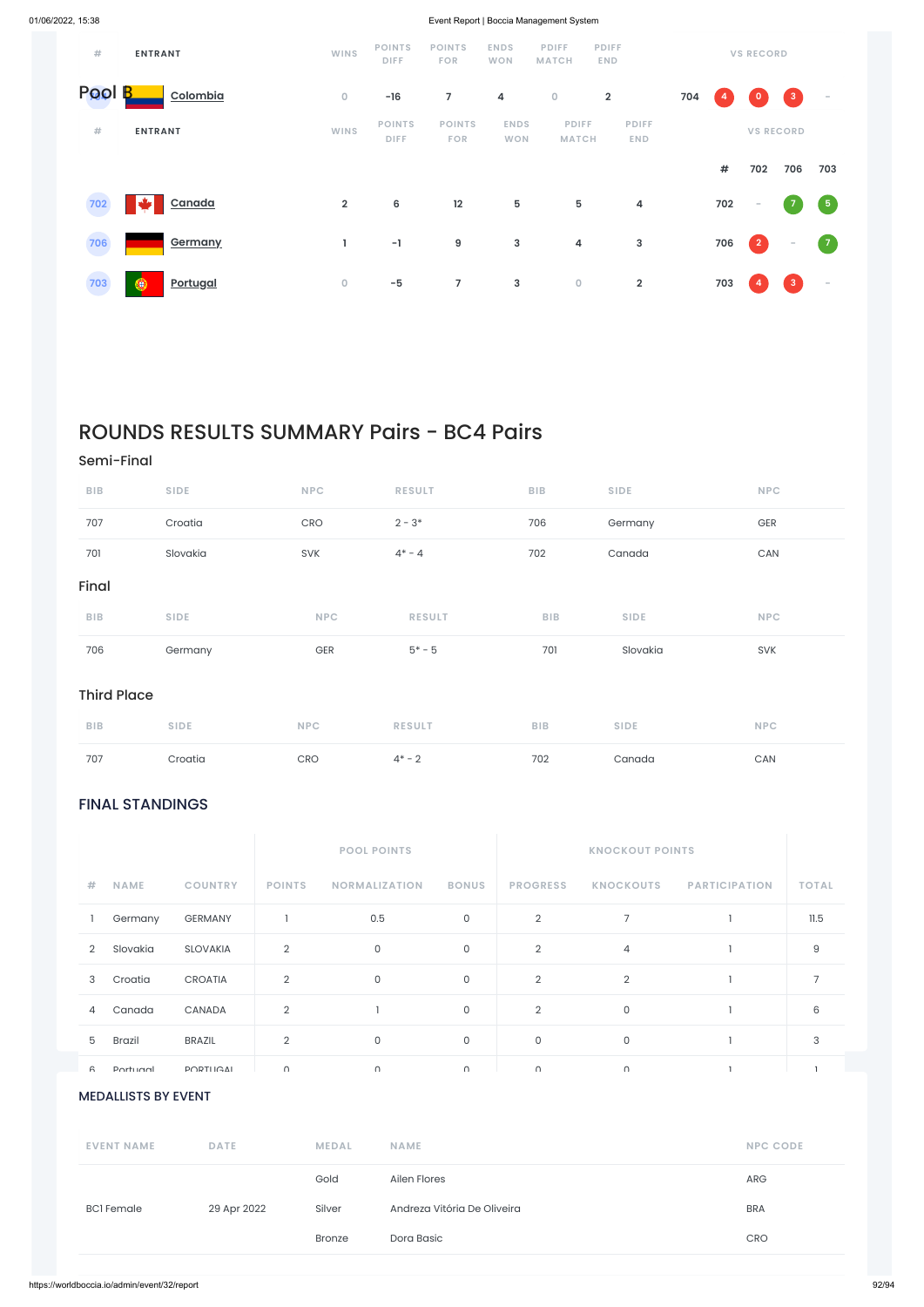# FINAL STANDINGS

| #      | <b>ENTRANT</b>       | <b>WINS</b>    | <b>POINTS</b><br><b>DIFF</b> | <b>POINTS</b><br><b>FOR</b> | <b>ENDS</b><br><b>WON</b> | <b>PDIFF</b><br><b>MATCH</b> | <b>PDIFF</b><br><b>END</b> |     |      | <b>VS RECORD</b> |                    |            |
|--------|----------------------|----------------|------------------------------|-----------------------------|---------------------------|------------------------------|----------------------------|-----|------|------------------|--------------------|------------|
| Pool B | Colombia             | $\circ$        | $-16$                        | $\overline{7}$              | 4                         | $\overline{0}$               | $\overline{\mathbf{2}}$    | 704 |      | $\mathbf{o}$     | $\left  3 \right $ | $\sim$     |
| #      | <b>ENTRANT</b>       | <b>WINS</b>    | <b>POINTS</b><br>DIFF.       | <b>POINTS</b><br><b>FOR</b> | <b>ENDS</b><br><b>WON</b> | <b>PDIFF</b><br><b>MATCH</b> | <b>PDIFF</b><br><b>END</b> |     |      |                  | <b>VS RECORD</b>   |            |
|        |                      |                |                              |                             |                           |                              |                            |     | $\#$ | 702              | 706                | 703        |
| 702    | Canada               | $\overline{2}$ | 6                            | 12                          | 5                         | 5                            | 4                          |     | 702  | $\sim$           | $\overline{z}$     | $\sqrt{5}$ |
| 706    | Germany              | ı              | $-1$                         | 9                           | 3                         | 4                            | 3                          |     | 706  | $\overline{2}$   | $\sim$             | $\sqrt{7}$ |
| 703    | Θ<br><b>Portugal</b> | $\mathbf 0$    | $-5$                         | $\overline{7}$              | 3                         | $\mathsf O$                  | $\overline{\mathbf{2}}$    |     | 703  | /4/              | $\mathbf{3}$       | $\sim$     |

|                                  |                            |                 |                | <b>POOL POINTS</b>          |                             |                 | <b>KNOCKOUT POINTS</b> |                      |                |
|----------------------------------|----------------------------|-----------------|----------------|-----------------------------|-----------------------------|-----------------|------------------------|----------------------|----------------|
| #                                | <b>NAME</b>                | <b>COUNTRY</b>  | <b>POINTS</b>  | <b>NORMALIZATION</b>        | <b>BONUS</b>                | <b>PROGRESS</b> | <b>KNOCKOUTS</b>       | <b>PARTICIPATION</b> | <b>TOTAL</b>   |
|                                  | Germany                    | <b>GERMANY</b>  | $\mathbf{1}$   | 0.5                         | $\mathsf{O}$                | $\overline{2}$  | $\overline{7}$         |                      | 11.5           |
| $\overline{2}$                   | Slovakia                   | <b>SLOVAKIA</b> | $\overline{2}$ | $\mathsf O$                 | $\mathsf O$                 | $\overline{2}$  | $\overline{4}$         |                      | $\Theta$       |
| 3                                | Croatia                    | CROATIA         | $\sqrt{2}$     | $\mathsf O$                 | $\mathsf O$                 | $\overline{2}$  | $\overline{2}$         |                      | $\overline{7}$ |
| 4                                | Canada                     | CANADA          | $\sqrt{2}$     | $\overline{\phantom{a}}$    | $\mathsf O$                 | $\overline{2}$  | $\mathsf{O}\xspace$    |                      | 6              |
| 5                                | <b>Brazil</b>              | <b>BRAZIL</b>   | $\overline{2}$ | $\mathsf O$                 | $\mathsf{O}$                | $\mathsf{O}$    | $\mathsf O$            |                      | 3              |
| $\epsilon$                       | <b>Dortuanl</b>            | <b>POPTHAN</b>  | $\cap$         | $\cap$                      | $\cap$                      | $\cap$          | $\cap$                 | $\mathbf{1}$         | $\mathbf{1}$   |
|                                  | <b>MEDALLISTS BY EVENT</b> |                 |                |                             |                             |                 |                        |                      |                |
| <b>EVENT NAME</b><br><b>DATE</b> |                            |                 |                | <b>MEDAL</b><br><b>NAME</b> |                             |                 |                        | <b>NPC CODE</b>      |                |
|                                  |                            |                 |                | Gold<br>Ailen Flores        |                             |                 |                        | ARG                  |                |
|                                  | <b>BCI</b> Female          | 29 Apr 2022     |                | Silver                      | Andreza Vitória De Oliveira |                 |                        | <b>BRA</b>           |                |
|                                  |                            |                 |                | Dora Basic<br><b>Bronze</b> |                             |                 |                        | CRO                  |                |
|                                  |                            |                 |                |                             |                             |                 |                        |                      |                |

# ROUNDS RESULTS SUMMARY Pairs - BC4 Pairs

### Semi-Final

| <b>BIB</b>         | <b>SIDE</b> | <b>NPC</b> | <b>RESULT</b> | BIB        | <b>SIDE</b> | <b>NPC</b> |
|--------------------|-------------|------------|---------------|------------|-------------|------------|
| 707                | Croatia     | CRO        | $2 - 3*$      | 706        | Germany     | GER        |
| 701                | Slovakia    | SVK        | $4^* - 4$     | 702        | Canada      | CAN        |
| Final              |             |            |               |            |             |            |
| BIB                | <b>SIDE</b> | <b>NPC</b> | <b>RESULT</b> | <b>BIB</b> | <b>SIDE</b> | <b>NPC</b> |
| 706                | Germany     | GER        | $5* - 5$      | 701        | Slovakia    | <b>SVK</b> |
| <b>Third Place</b> |             |            |               |            |             |            |
| <b>BIB</b>         | <b>SIDE</b> | <b>NPC</b> | <b>RESULT</b> | <b>BIB</b> | <b>SIDE</b> | <b>NPC</b> |
| 707                | Croatia     | CRO        | $4* - 2$      | 702        | Canada      | CAN        |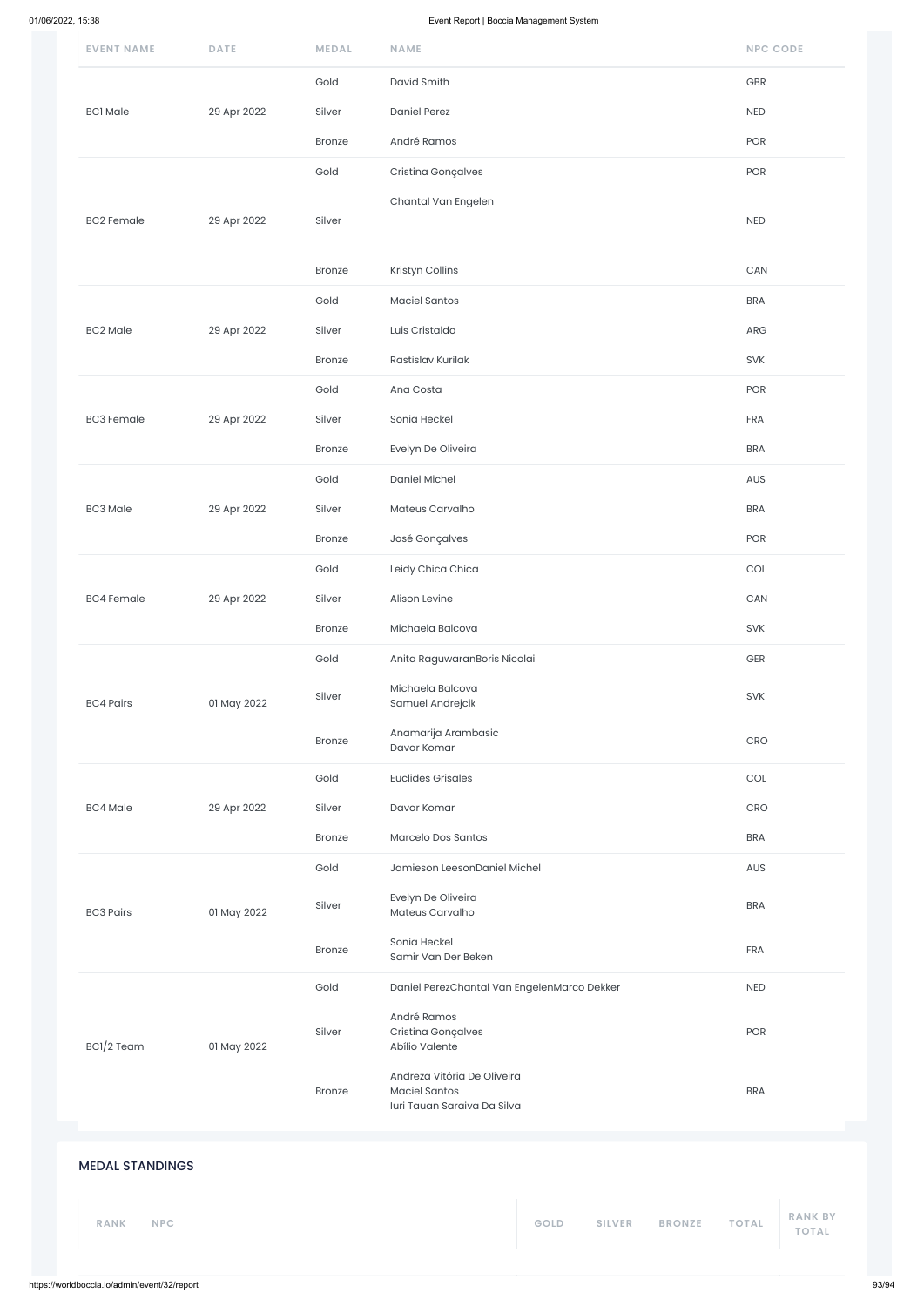| <b>EVENT NAME</b>      | <b>DATE</b> | <b>MEDAL</b>  | <b>NAME</b>                                                                        | <b>NPC CODE</b> |
|------------------------|-------------|---------------|------------------------------------------------------------------------------------|-----------------|
|                        |             | Gold          | David Smith                                                                        | GBR             |
| <b>BC1</b> Male        | 29 Apr 2022 | Silver        | <b>Daniel Perez</b>                                                                | NED             |
|                        |             | Bronze        | André Ramos                                                                        | POR             |
|                        |             | Gold          | Cristina Gonçalves                                                                 | POR             |
| <b>BC2 Female</b>      | 29 Apr 2022 | Silver        | Chantal Van Engelen                                                                | NED             |
|                        |             | Bronze        | Kristyn Collins                                                                    | ${\sf CAN}$     |
|                        |             | Gold          | <b>Maciel Santos</b>                                                               | <b>BRA</b>      |
| <b>BC2 Male</b>        | 29 Apr 2022 | Silver        | Luis Cristaldo                                                                     | ARG             |
|                        |             | Bronze        | Rastislav Kurilak                                                                  | SVK             |
|                        |             | Gold          | Ana Costa                                                                          | POR             |
| <b>BC3 Female</b>      | 29 Apr 2022 | Silver        | Sonia Heckel                                                                       | FRA             |
|                        |             | <b>Bronze</b> | Evelyn De Oliveira                                                                 | <b>BRA</b>      |
|                        |             | Gold          | Daniel Michel                                                                      | AUS             |
| <b>BC3 Male</b>        | 29 Apr 2022 | Silver        | Mateus Carvalho                                                                    | <b>BRA</b>      |
|                        |             | <b>Bronze</b> | José Gonçalves                                                                     | POR             |
|                        |             | Gold          | Leidy Chica Chica                                                                  | COL             |
| <b>BC4 Female</b>      | 29 Apr 2022 | Silver        | Alison Levine                                                                      | CAN             |
|                        |             | Bronze        | Michaela Balcova                                                                   | <b>SVK</b>      |
|                        |             | Gold          | Anita RaguwaranBoris Nicolai                                                       | GER             |
| <b>BC4 Pairs</b>       | 01 May 2022 | Silver        | Michaela Balcova<br>Samuel Andrejcik                                               | <b>SVK</b>      |
|                        |             | Bronze        | Anamarija Arambasic<br>Davor Komar                                                 | CRO             |
|                        |             | Gold          | <b>Euclides Grisales</b>                                                           | COL             |
| <b>BC4 Male</b>        | 29 Apr 2022 | Silver        | Davor Komar                                                                        | CRO             |
|                        |             | <b>Bronze</b> | Marcelo Dos Santos                                                                 | <b>BRA</b>      |
|                        |             | Gold          | Jamieson LeesonDaniel Michel                                                       | AUS             |
| <b>BC3 Pairs</b>       | 01 May 2022 | Silver        | Evelyn De Oliveira<br>Mateus Carvalho                                              | <b>BRA</b>      |
|                        |             | <b>Bronze</b> | Sonia Heckel<br>Samir Van Der Beken                                                | <b>FRA</b>      |
|                        |             | Gold          | Daniel PerezChantal Van EngelenMarco Dekker                                        | <b>NED</b>      |
| BC1/2 Team             | 01 May 2022 | Silver        | André Ramos<br>Cristina Gonçalves<br>Abílio Valente                                | POR             |
|                        |             | <b>Bronze</b> | Andreza Vitória De Oliveira<br><b>Maciel Santos</b><br>Iuri Tauan Saraiva Da Silva | <b>BRA</b>      |
| <b>MEDAL STANDINGS</b> |             |               |                                                                                    |                 |
|                        |             |               |                                                                                    | <b>RANK BY</b>  |